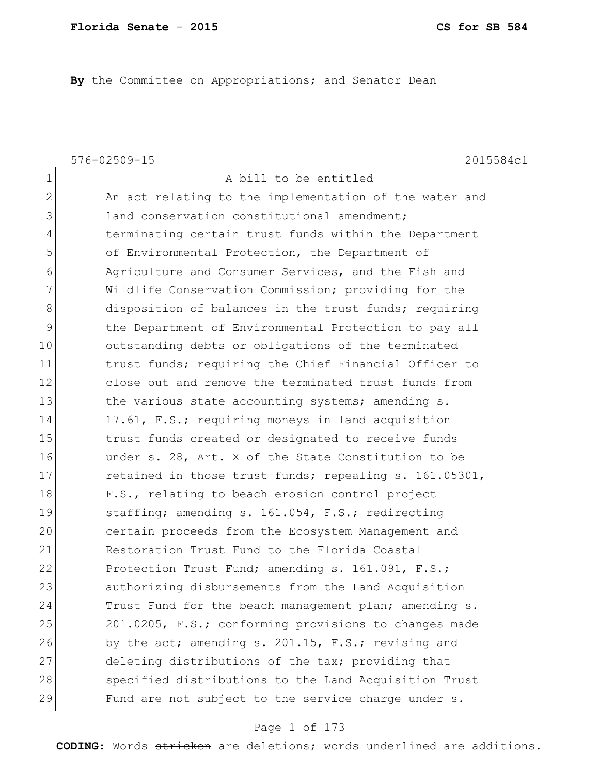**By** the Committee on Appropriations; and Senator Dean

576-02509-15 2015584c1 1 a bill to be entitled 2 An act relating to the implementation of the water and 3 3 land conservation constitutional amendment; 4 terminating certain trust funds within the Department 5 of Environmental Protection, the Department of 6 Agriculture and Consumer Services, and the Fish and 7 Wildlife Conservation Commission; providing for the 8 disposition of balances in the trust funds; requiring 9 the Department of Environmental Protection to pay all 10 outstanding debts or obligations of the terminated 11 11 trust funds; requiring the Chief Financial Officer to 12 close out and remove the terminated trust funds from 13 13 the various state accounting systems; amending s. 14 17.61, F.S.; requiring moneys in land acquisition 15 15 trust funds created or designated to receive funds 16 under s. 28, Art. X of the State Constitution to be 17 retained in those trust funds; repealing s. 161.05301, 18 F.S., relating to beach erosion control project 19 staffing; amending s. 161.054, F.S.; redirecting 20 certain proceeds from the Ecosystem Management and 21 Restoration Trust Fund to the Florida Coastal 22 Protection Trust Fund; amending s. 161.091, F.S.; 23 authorizing disbursements from the Land Acquisition 24 Trust Fund for the beach management plan; amending s. 25 201.0205, F.S.; conforming provisions to changes made 26 by the act; amending s. 201.15, F.S.; revising and 27 deleting distributions of the tax; providing that 28 Specified distributions to the Land Acquisition Trust 29 Fund are not subject to the service charge under s.

#### Page 1 of 173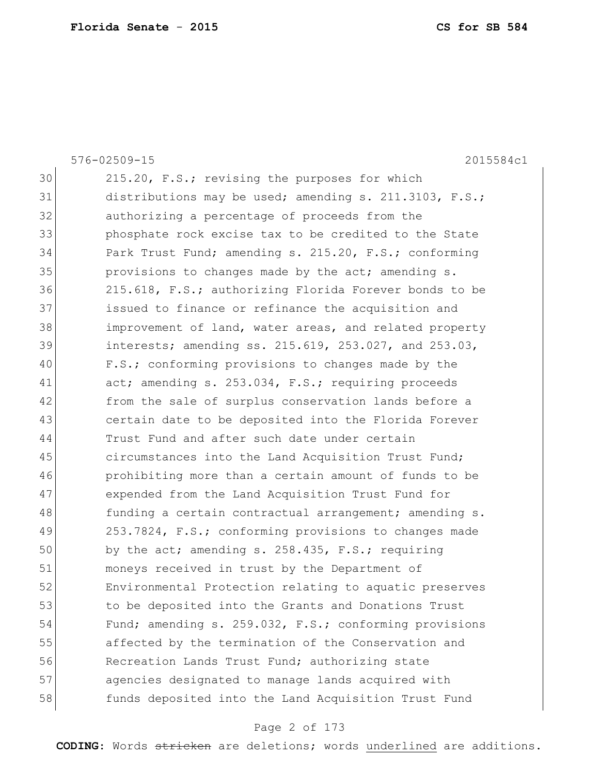|    | $576 - 02509 - 15$<br>2015584c1                           |
|----|-----------------------------------------------------------|
| 30 | 215.20, F.S.; revising the purposes for which             |
| 31 | distributions may be used; amending s. 211.3103, F.S.;    |
| 32 | authorizing a percentage of proceeds from the             |
| 33 | phosphate rock excise tax to be credited to the State     |
| 34 | Park Trust Fund; amending s. 215.20, F.S.; conforming     |
| 35 | provisions to changes made by the act; amending s.        |
| 36 | 215.618, F.S.; authorizing Florida Forever bonds to be    |
| 37 | issued to finance or refinance the acquisition and        |
| 38 | improvement of land, water areas, and related property    |
| 39 | interests; amending $ss. 215.619, 253.027,$ and $253.03,$ |
| 40 | F.S.; conforming provisions to changes made by the        |
| 41 | act; amending s. 253.034, F.S.; requiring proceeds        |
| 42 | from the sale of surplus conservation lands before a      |
| 43 | certain date to be deposited into the Florida Forever     |
| 44 | Trust Fund and after such date under certain              |
| 45 | circumstances into the Land Acquisition Trust Fund;       |
| 46 | prohibiting more than a certain amount of funds to be     |
| 47 | expended from the Land Acquisition Trust Fund for         |
| 48 | funding a certain contractual arrangement; amending s.    |
| 49 | 253.7824, F.S.; conforming provisions to changes made     |
| 50 | by the act; amending s. 258.435, F.S.; requiring          |
| 51 | moneys received in trust by the Department of             |
| 52 | Environmental Protection relating to aquatic preserves    |
| 53 | to be deposited into the Grants and Donations Trust       |
| 54 | Fund; amending s. 259.032, F.S.; conforming provisions    |
| 55 | affected by the termination of the Conservation and       |
| 56 | Recreation Lands Trust Fund; authorizing state            |
| 57 | agencies designated to manage lands acquired with         |
| 58 | funds deposited into the Land Acquisition Trust Fund      |

# Page 2 of 173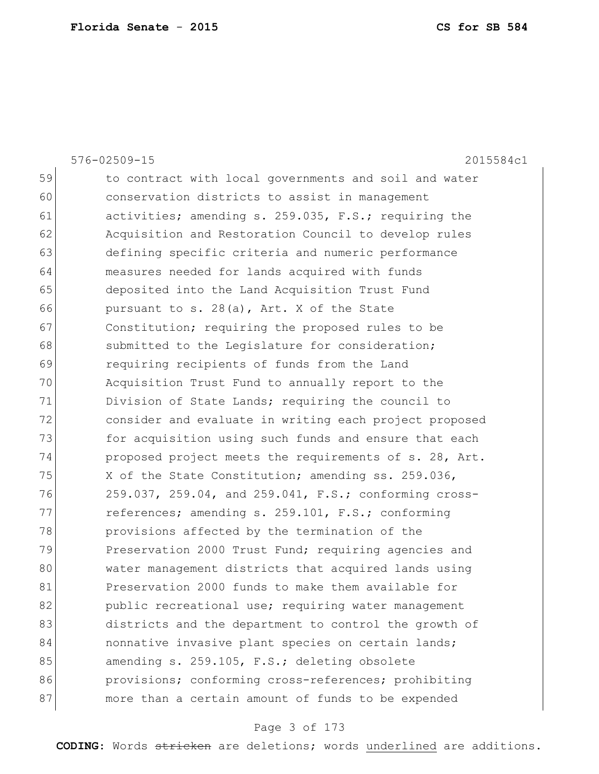|    | 576-02509-15<br>2015584c1                              |
|----|--------------------------------------------------------|
| 59 | to contract with local governments and soil and water  |
| 60 | conservation districts to assist in management         |
| 61 | activities; amending s. 259.035, F.S.; requiring the   |
| 62 | Acquisition and Restoration Council to develop rules   |
| 63 | defining specific criteria and numeric performance     |
| 64 | measures needed for lands acquired with funds          |
| 65 | deposited into the Land Acquisition Trust Fund         |
| 66 | pursuant to s. 28(a), Art. X of the State              |
| 67 | Constitution; requiring the proposed rules to be       |
| 68 | submitted to the Legislature for consideration;        |
| 69 | requiring recipients of funds from the Land            |
| 70 | Acquisition Trust Fund to annually report to the       |
| 71 | Division of State Lands; requiring the council to      |
| 72 | consider and evaluate in writing each project proposed |
| 73 | for acquisition using such funds and ensure that each  |
| 74 | proposed project meets the requirements of s. 28, Art. |
| 75 | X of the State Constitution; amending ss. 259.036,     |
| 76 | 259.037, 259.04, and 259.041, F.S.; conforming cross-  |
| 77 | references; amending s. 259.101, F.S.; conforming      |
| 78 | provisions affected by the termination of the          |
| 79 | Preservation 2000 Trust Fund; requiring agencies and   |
| 80 | water management districts that acquired lands using   |
| 81 | Preservation 2000 funds to make them available for     |
| 82 | public recreational use; requiring water management    |
| 83 | districts and the department to control the growth of  |
| 84 | nonnative invasive plant species on certain lands;     |
| 85 | amending s. 259.105, F.S.; deleting obsolete           |
| 86 | provisions; conforming cross-references; prohibiting   |
| 87 | more than a certain amount of funds to be expended     |
|    |                                                        |

# Page 3 of 173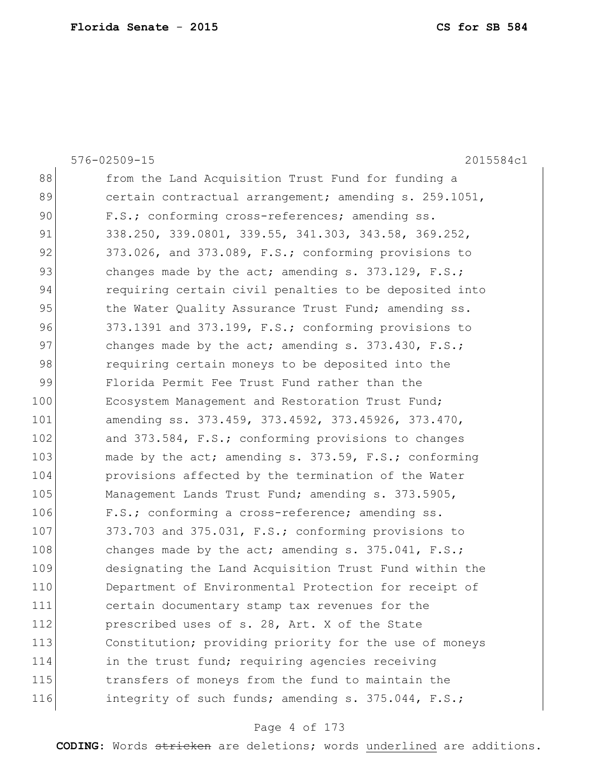|     | 576-02509-15<br>2015584c1                              |
|-----|--------------------------------------------------------|
| 88  | from the Land Acquisition Trust Fund for funding a     |
| 89  | certain contractual arrangement; amending s. 259.1051, |
| 90  | F.S.; conforming cross-references; amending ss.        |
| 91  | 338.250, 339.0801, 339.55, 341.303, 343.58, 369.252,   |
| 92  | 373.026, and 373.089, F.S.; conforming provisions to   |
| 93  | changes made by the act; amending s. $373.129$ , F.S.; |
| 94  | requiring certain civil penalties to be deposited into |
| 95  | the Water Quality Assurance Trust Fund; amending ss.   |
| 96  | 373.1391 and 373.199, F.S.; conforming provisions to   |
| 97  | changes made by the act; amending s. $373.430$ , F.S.; |
| 98  | requiring certain moneys to be deposited into the      |
| 99  | Florida Permit Fee Trust Fund rather than the          |
| 100 | Ecosystem Management and Restoration Trust Fund;       |
| 101 | amending ss. 373.459, 373.4592, 373.45926, 373.470,    |
| 102 | and 373.584, F.S.; conforming provisions to changes    |
| 103 | made by the act; amending s. 373.59, F.S.; conforming  |
| 104 | provisions affected by the termination of the Water    |
| 105 | Management Lands Trust Fund; amending s. 373.5905,     |
| 106 | F.S.; conforming a cross-reference; amending ss.       |
| 107 | 373.703 and 375.031, F.S.; conforming provisions to    |
| 108 | changes made by the act; amending s. $375.041$ , F.S.; |
| 109 | designating the Land Acquisition Trust Fund within the |
| 110 | Department of Environmental Protection for receipt of  |
| 111 | certain documentary stamp tax revenues for the         |
| 112 | prescribed uses of s. 28, Art. X of the State          |
| 113 | Constitution; providing priority for the use of moneys |
| 114 | in the trust fund; requiring agencies receiving        |
| 115 | transfers of moneys from the fund to maintain the      |
| 116 | integrity of such funds; amending s. 375.044, F.S.;    |
|     |                                                        |

# Page 4 of 173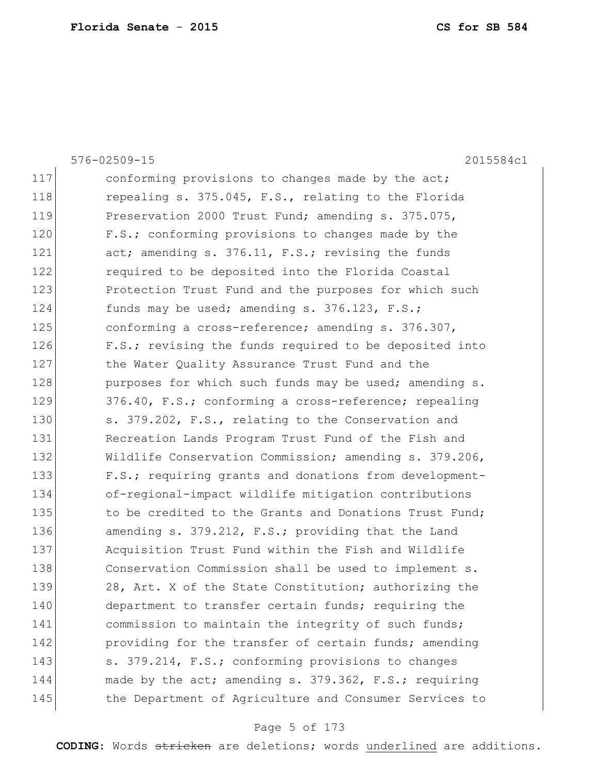|     | $576 - 02509 - 15$<br>2015584c1                        |
|-----|--------------------------------------------------------|
| 117 | conforming provisions to changes made by the act;      |
| 118 | repealing s. 375.045, F.S., relating to the Florida    |
| 119 | Preservation 2000 Trust Fund; amending s. 375.075,     |
| 120 | F.S.; conforming provisions to changes made by the     |
| 121 | act; amending s. 376.11, F.S.; revising the funds      |
| 122 | required to be deposited into the Florida Coastal      |
| 123 | Protection Trust Fund and the purposes for which such  |
| 124 | funds may be used; amending s. 376.123, F.S.;          |
| 125 | conforming a cross-reference; amending s. 376.307,     |
| 126 | F.S.; revising the funds required to be deposited into |
| 127 | the Water Quality Assurance Trust Fund and the         |
| 128 | purposes for which such funds may be used; amending s. |
| 129 | 376.40, F.S.; conforming a cross-reference; repealing  |
| 130 | s. 379.202, F.S., relating to the Conservation and     |
| 131 | Recreation Lands Program Trust Fund of the Fish and    |
| 132 | Wildlife Conservation Commission; amending s. 379.206, |
| 133 | F.S.; requiring grants and donations from development- |
| 134 | of-regional-impact wildlife mitigation contributions   |
| 135 | to be credited to the Grants and Donations Trust Fund; |
| 136 | amending s. 379.212, F.S.; providing that the Land     |
| 137 | Acquisition Trust Fund within the Fish and Wildlife    |
| 138 | Conservation Commission shall be used to implement s.  |
| 139 | 28, Art. X of the State Constitution; authorizing the  |
| 140 | department to transfer certain funds; requiring the    |
| 141 | commission to maintain the integrity of such funds;    |
| 142 | providing for the transfer of certain funds; amending  |
| 143 | s. 379.214, F.S.; conforming provisions to changes     |
| 144 | made by the act; amending s. 379.362, F.S.; requiring  |
| 145 | the Department of Agriculture and Consumer Services to |

# Page 5 of 173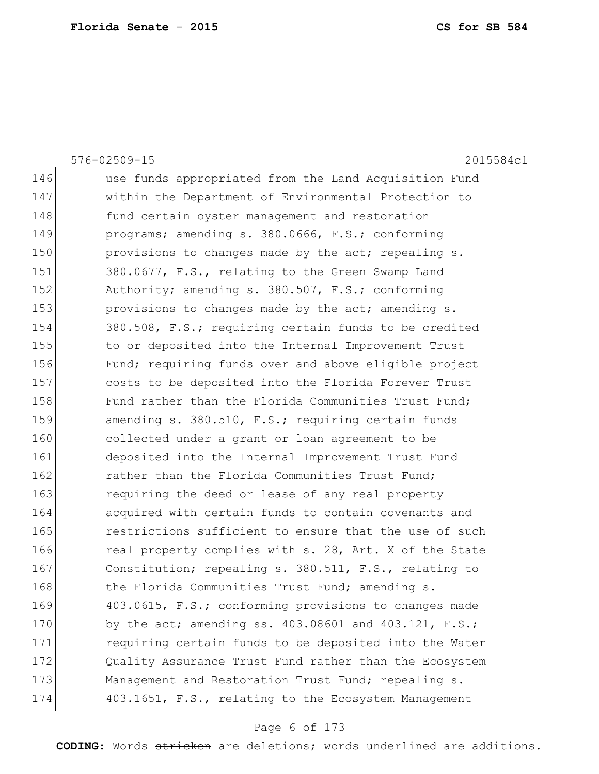|     | 2015584c1<br>576-02509-15                                  |
|-----|------------------------------------------------------------|
| 146 | use funds appropriated from the Land Acquisition Fund      |
| 147 | within the Department of Environmental Protection to       |
| 148 | fund certain oyster management and restoration             |
| 149 | programs; amending s. 380.0666, F.S.; conforming           |
| 150 | provisions to changes made by the act; repealing s.        |
| 151 | 380.0677, F.S., relating to the Green Swamp Land           |
| 152 | Authority; amending s. 380.507, F.S.; conforming           |
| 153 | provisions to changes made by the act; amending s.         |
| 154 | 380.508, F.S.; requiring certain funds to be credited      |
| 155 | to or deposited into the Internal Improvement Trust        |
| 156 | Fund; requiring funds over and above eligible project      |
| 157 | costs to be deposited into the Florida Forever Trust       |
| 158 | Fund rather than the Florida Communities Trust Fund;       |
| 159 | amending s. 380.510, F.S.; requiring certain funds         |
| 160 | collected under a grant or loan agreement to be            |
| 161 | deposited into the Internal Improvement Trust Fund         |
| 162 | rather than the Florida Communities Trust Fund;            |
| 163 | requiring the deed or lease of any real property           |
| 164 | acquired with certain funds to contain covenants and       |
| 165 | restrictions sufficient to ensure that the use of such     |
| 166 | real property complies with s. 28, Art. X of the State     |
| 167 | Constitution; repealing s. 380.511, F.S., relating to      |
| 168 | the Florida Communities Trust Fund; amending s.            |
| 169 | 403.0615, F.S.; conforming provisions to changes made      |
| 170 | by the act; amending ss. $403.08601$ and $403.121$ , F.S.; |
| 171 | requiring certain funds to be deposited into the Water     |
| 172 | Quality Assurance Trust Fund rather than the Ecosystem     |
| 173 | Management and Restoration Trust Fund; repealing s.        |
| 174 | 403.1651, F.S., relating to the Ecosystem Management       |

# Page 6 of 173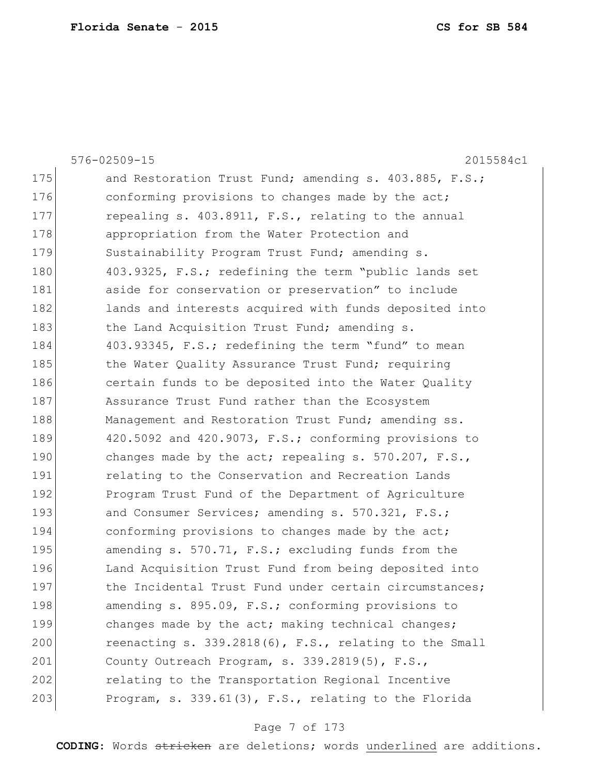|     | 576-02509-15<br>2015584c1                              |
|-----|--------------------------------------------------------|
| 175 | and Restoration Trust Fund; amending s. 403.885, F.S.; |
| 176 | conforming provisions to changes made by the act;      |
| 177 | repealing s. 403.8911, F.S., relating to the annual    |
| 178 | appropriation from the Water Protection and            |
| 179 | Sustainability Program Trust Fund; amending s.         |
| 180 | 403.9325, F.S.; redefining the term "public lands set  |
| 181 | aside for conservation or preservation" to include     |
| 182 | lands and interests acquired with funds deposited into |
| 183 | the Land Acquisition Trust Fund; amending s.           |
| 184 | 403.93345, F.S.; redefining the term "fund" to mean    |
| 185 | the Water Quality Assurance Trust Fund; requiring      |
| 186 | certain funds to be deposited into the Water Quality   |
| 187 | Assurance Trust Fund rather than the Ecosystem         |
| 188 | Management and Restoration Trust Fund; amending ss.    |
| 189 | 420.5092 and 420.9073, F.S.; conforming provisions to  |
| 190 | changes made by the act; repealing s. 570.207, F.S.,   |
| 191 | relating to the Conservation and Recreation Lands      |
| 192 | Program Trust Fund of the Department of Agriculture    |
| 193 | and Consumer Services; amending s. 570.321, F.S.;      |
| 194 | conforming provisions to changes made by the act;      |
| 195 | amending s. 570.71, F.S.; excluding funds from the     |
| 196 | Land Acquisition Trust Fund from being deposited into  |
| 197 | the Incidental Trust Fund under certain circumstances; |
| 198 | amending s. 895.09, F.S.; conforming provisions to     |
| 199 | changes made by the act; making technical changes;     |
| 200 | reenacting s. 339.2818(6), F.S., relating to the Small |
| 201 | County Outreach Program, s. 339.2819(5), F.S.,         |
| 202 | relating to the Transportation Regional Incentive      |
| 203 | Program, s. 339.61(3), F.S., relating to the Florida   |
|     |                                                        |

# Page 7 of 173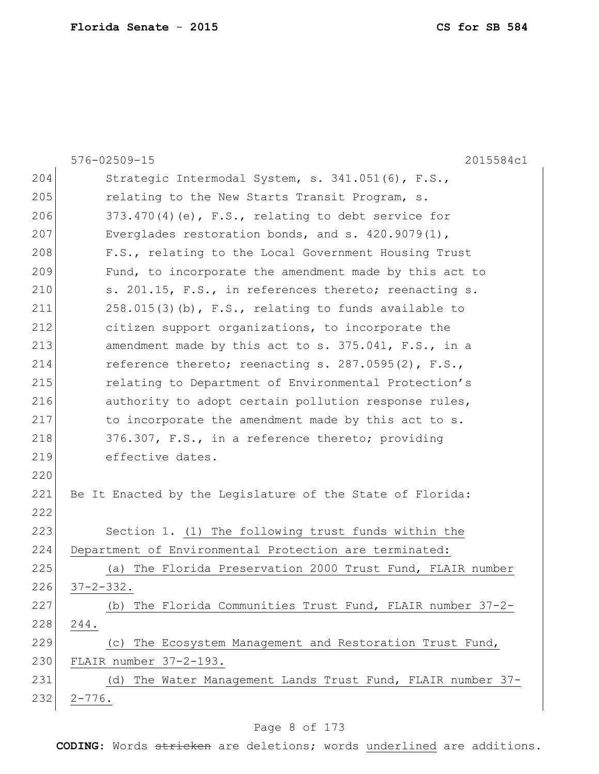|     | 576-02509-15<br>2015584c1                                      |
|-----|----------------------------------------------------------------|
| 204 | Strategic Intermodal System, s. 341.051(6), F.S.,              |
| 205 | relating to the New Starts Transit Program, s.                 |
| 206 | $373.470(4)$ (e), F.S., relating to debt service for           |
| 207 | Everglades restoration bonds, and s. $420.9079(1)$ ,           |
| 208 | F.S., relating to the Local Government Housing Trust           |
| 209 | Fund, to incorporate the amendment made by this act to         |
| 210 | s. 201.15, F.S., in references thereto; reenacting s.          |
| 211 | $258.015(3)$ (b), F.S., relating to funds available to         |
| 212 | citizen support organizations, to incorporate the              |
| 213 | amendment made by this act to s. 375.041, F.S., in a           |
| 214 | reference thereto; reenacting s. 287.0595(2), F.S.,            |
| 215 | relating to Department of Environmental Protection's           |
| 216 | authority to adopt certain pollution response rules,           |
| 217 | to incorporate the amendment made by this act to s.            |
| 218 | 376.307, F.S., in a reference thereto; providing               |
| 219 | effective dates.                                               |
| 220 |                                                                |
| 221 | Be It Enacted by the Legislature of the State of Florida:      |
| 222 |                                                                |
| 223 | Section 1. (1) The following trust funds within the            |
| 224 | Department of Environmental Protection are terminated:         |
| 225 | The Florida Preservation 2000 Trust Fund, FLAIR number<br>(a)  |
| 226 | 37-2-332.                                                      |
| 227 | (b) The Florida Communities Trust Fund, FLAIR number 37-2-     |
| 228 | 244.                                                           |
| 229 | The Ecosystem Management and Restoration Trust Fund,<br>(C)    |
| 230 | FLAIR number 37-2-193.                                         |
| 231 | The Water Management Lands Trust Fund, FLAIR number 37-<br>(d) |
| 232 | $2 - 776$ .                                                    |

# Page 8 of 173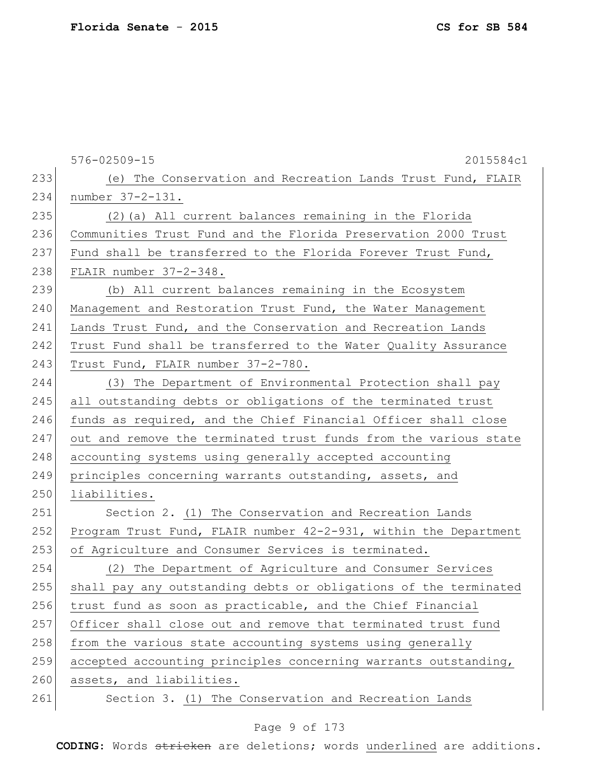|     | $576 - 02509 - 15$<br>2015584c1                                  |
|-----|------------------------------------------------------------------|
| 233 | (e) The Conservation and Recreation Lands Trust Fund, FLAIR      |
| 234 | number 37-2-131.                                                 |
| 235 | (2) (a) All current balances remaining in the Florida            |
| 236 | Communities Trust Fund and the Florida Preservation 2000 Trust   |
| 237 | Fund shall be transferred to the Florida Forever Trust Fund,     |
| 238 | FLAIR number 37-2-348.                                           |
| 239 | (b) All current balances remaining in the Ecosystem              |
| 240 | Management and Restoration Trust Fund, the Water Management      |
| 241 | Lands Trust Fund, and the Conservation and Recreation Lands      |
| 242 | Trust Fund shall be transferred to the Water Quality Assurance   |
| 243 | Trust Fund, FLAIR number 37-2-780.                               |
| 244 | (3) The Department of Environmental Protection shall pay         |
| 245 | all outstanding debts or obligations of the terminated trust     |
| 246 | funds as required, and the Chief Financial Officer shall close   |
| 247 | out and remove the terminated trust funds from the various state |
| 248 | accounting systems using generally accepted accounting           |
| 249 | principles concerning warrants outstanding, assets, and          |
| 250 | liabilities.                                                     |
| 251 | Section 2. (1) The Conservation and Recreation Lands             |
| 252 | Program Trust Fund, FLAIR number 42-2-931, within the Department |
| 253 | of Agriculture and Consumer Services is terminated.              |
| 254 | (2) The Department of Agriculture and Consumer Services          |
| 255 | shall pay any outstanding debts or obligations of the terminated |
| 256 | trust fund as soon as practicable, and the Chief Financial       |
| 257 | Officer shall close out and remove that terminated trust fund    |
| 258 | from the various state accounting systems using generally        |
| 259 | accepted accounting principles concerning warrants outstanding,  |
| 260 | assets, and liabilities.                                         |
| 261 | Section 3. (1) The Conservation and Recreation Lands             |

# Page 9 of 173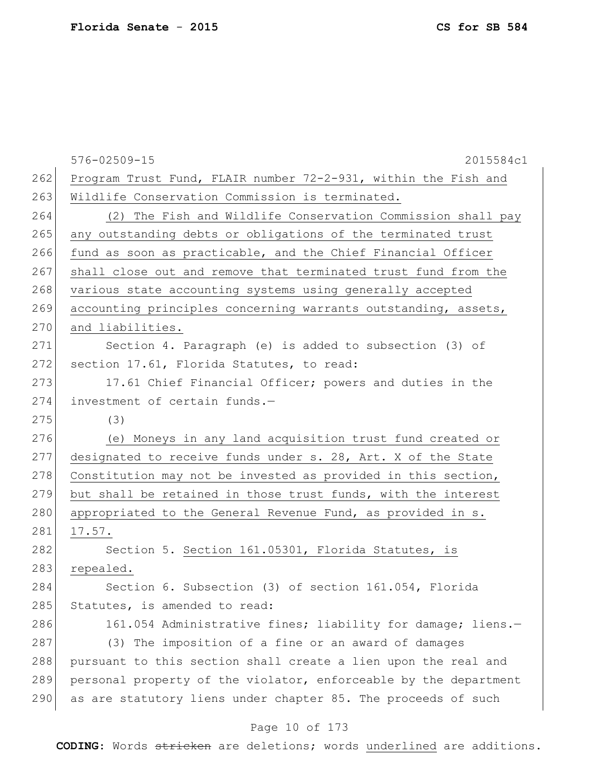|     | $576 - 02509 - 15$<br>2015584c1                                  |
|-----|------------------------------------------------------------------|
| 262 | Program Trust Fund, FLAIR number 72-2-931, within the Fish and   |
| 263 | Wildlife Conservation Commission is terminated.                  |
| 264 | (2) The Fish and Wildlife Conservation Commission shall pay      |
| 265 | any outstanding debts or obligations of the terminated trust     |
| 266 | fund as soon as practicable, and the Chief Financial Officer     |
| 267 | shall close out and remove that terminated trust fund from the   |
| 268 | various state accounting systems using generally accepted        |
| 269 | accounting principles concerning warrants outstanding, assets,   |
| 270 | and liabilities.                                                 |
| 271 | Section 4. Paragraph (e) is added to subsection (3) of           |
| 272 | section 17.61, Florida Statutes, to read:                        |
| 273 | 17.61 Chief Financial Officer; powers and duties in the          |
| 274 | investment of certain funds.-                                    |
| 275 | (3)                                                              |
| 276 | (e) Moneys in any land acquisition trust fund created or         |
| 277 | designated to receive funds under s. 28, Art. X of the State     |
| 278 | Constitution may not be invested as provided in this section,    |
| 279 | but shall be retained in those trust funds, with the interest    |
| 280 | appropriated to the General Revenue Fund, as provided in s.      |
| 281 | 17.57.                                                           |
| 282 | Section 5. Section 161.05301, Florida Statutes, is               |
| 283 | repealed.                                                        |
| 284 | Section 6. Subsection (3) of section 161.054, Florida            |
| 285 | Statutes, is amended to read:                                    |
| 286 | 161.054 Administrative fines; liability for damage; liens.-      |
| 287 | (3) The imposition of a fine or an award of damages              |
| 288 | pursuant to this section shall create a lien upon the real and   |
| 289 | personal property of the violator, enforceable by the department |
| 290 | as are statutory liens under chapter 85. The proceeds of such    |
|     | Page 10 of 173                                                   |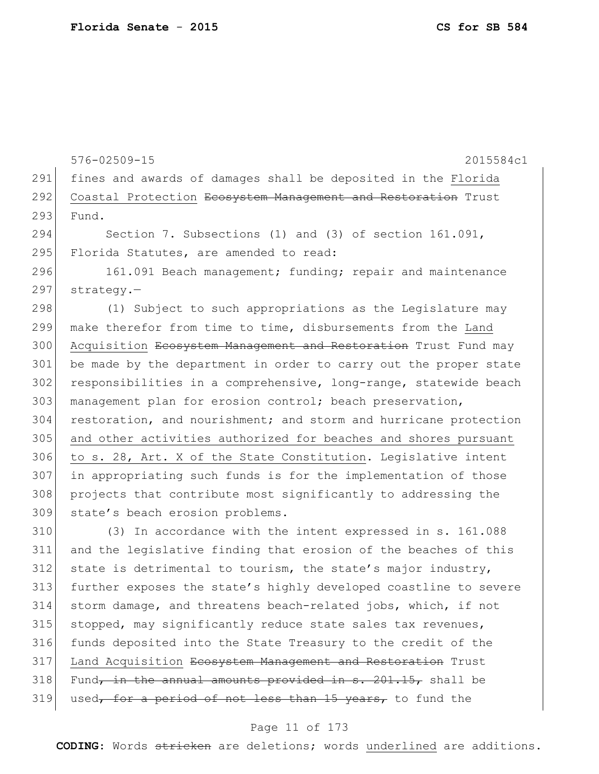576-02509-15 2015584c1 291 fines and awards of damages shall be deposited in the Florida 292 Coastal Protection Ecosystem Management and Restoration Trust 293 Fund. 294 Section 7. Subsections (1) and (3) of section 161.091, 295 Florida Statutes, are amended to read: 296 161.091 Beach management; funding; repair and maintenance 297 strategy.-298 (1) Subject to such appropriations as the Legislature may 299 make therefor from time to time, disbursements from the Land 300 Acquisition Ecosystem Management and Restoration Trust Fund may 301 be made by the department in order to carry out the proper state 302 responsibilities in a comprehensive, long-range, statewide beach 303 management plan for erosion control; beach preservation, 304 restoration, and nourishment; and storm and hurricane protection 305 and other activities authorized for beaches and shores pursuant 306 to s. 28, Art. X of the State Constitution. Legislative intent 307 in appropriating such funds is for the implementation of those 308 projects that contribute most significantly to addressing the 309 state's beach erosion problems. 310 (3) In accordance with the intent expressed in s. 161.088

311 and the legislative finding that erosion of the beaches of this  $312$  state is detrimental to tourism, the state's major industry, 313 further exposes the state's highly developed coastline to severe 314 storm damage, and threatens beach-related jobs, which, if not 315 stopped, may significantly reduce state sales tax revenues, 316 funds deposited into the State Treasury to the credit of the 317 Land Acquisition Ecosystem Management and Restoration Trust 318 Fund, in the annual amounts provided in  $s. 201.15$ , shall be 319 used, for a period of not less than 15 years, to fund the

#### Page 11 of 173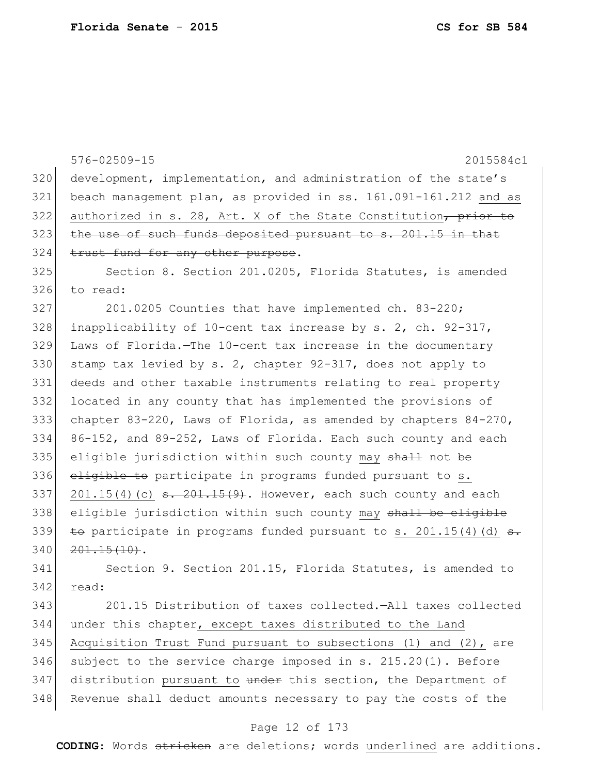576-02509-15 2015584c1 320 development, implementation, and administration of the state's 321 beach management plan, as provided in ss. 161.091-161.212 and as 322 authorized in s. 28, Art. X of the State Constitution, prior to 323 the use of such funds deposited pursuant to s. 201.15 in that 324 trust fund for any other purpose. 325 Section 8. Section 201.0205, Florida Statutes, is amended 326 to read: 327 201.0205 Counties that have implemented ch. 83-220; 328 inapplicability of 10-cent tax increase by s. 2, ch.  $92-317$ , 329 Laws of Florida.—The 10-cent tax increase in the documentary 330 stamp tax levied by s. 2, chapter  $92-317$ , does not apply to 331 deeds and other taxable instruments relating to real property 332 located in any county that has implemented the provisions of 333 chapter 83-220, Laws of Florida, as amended by chapters 84-270, 334 86-152, and 89-252, Laws of Florida. Each such county and each 335 eligible jurisdiction within such county may shall not be  $336$  eligible to participate in programs funded pursuant to s. 337 201.15(4)(c)  $\frac{1}{5}$   $\frac{201.15(9)}{15(9)}$ . However, each such county and each 338 eligible jurisdiction within such county may shall be eligible 339 to participate in programs funded pursuant to s. 201.15(4)(d)  $\epsilon$ .  $340$   $201.15(10)$ .

341 Section 9. Section 201.15, Florida Statutes, is amended to 342 read:

343 201.15 Distribution of taxes collected.—All taxes collected 344 under this chapter, except taxes distributed to the Land 345 Acquisition Trust Fund pursuant to subsections (1) and (2), are 346 subject to the service charge imposed in s.  $215.20(1)$ . Before 347 distribution pursuant to under this section, the Department of 348 Revenue shall deduct amounts necessary to pay the costs of the

#### Page 12 of 173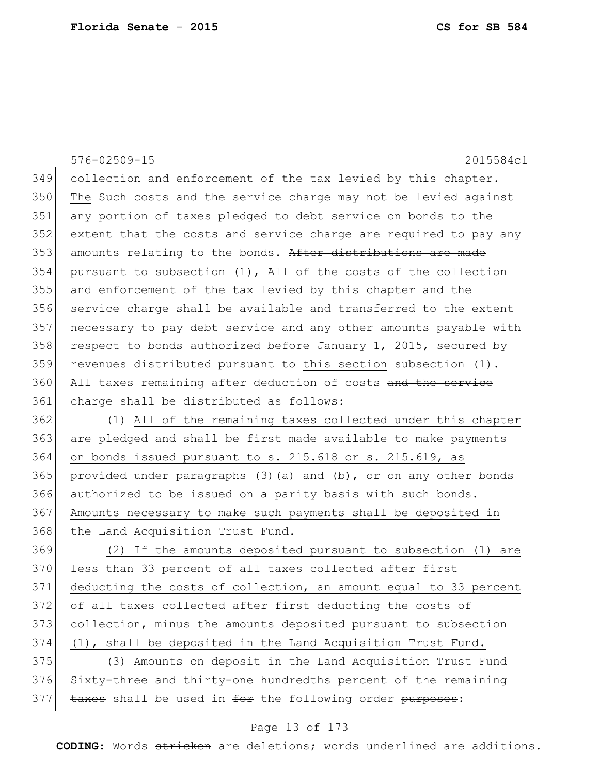|     | 576-02509-15<br>2015584c1                                         |
|-----|-------------------------------------------------------------------|
| 349 | collection and enforcement of the tax levied by this chapter.     |
| 350 | The Such costs and the service charge may not be levied against   |
| 351 | any portion of taxes pledged to debt service on bonds to the      |
| 352 | extent that the costs and service charge are required to pay any  |
| 353 | amounts relating to the bonds. After distributions are made       |
| 354 | pursuant to subsection $(1)$ , All of the costs of the collection |
| 355 | and enforcement of the tax levied by this chapter and the         |
| 356 | service charge shall be available and transferred to the extent   |
| 357 | necessary to pay debt service and any other amounts payable with  |
| 358 | respect to bonds authorized before January 1, 2015, secured by    |
| 359 | revenues distributed pursuant to this section $\frac{1}{1}$ .     |
| 360 | All taxes remaining after deduction of costs and the service      |
| 361 | charge shall be distributed as follows:                           |
| 362 | (1) All of the remaining taxes collected under this chapter       |
| 363 | are pledged and shall be first made available to make payments    |
| 364 | on bonds issued pursuant to s. 215.618 or s. 215.619, as          |
| 365 | provided under paragraphs (3) (a) and (b), or on any other bonds  |
| 366 | authorized to be issued on a parity basis with such bonds.        |
| 367 | Amounts necessary to make such payments shall be deposited in     |
| 368 | the Land Acquisition Trust Fund.                                  |
| 369 | If the amounts deposited pursuant to subsection (1) are<br>(2)    |
| 370 | less than 33 percent of all taxes collected after first           |
| 371 | deducting the costs of collection, an amount equal to 33 percent  |
| 372 | of all taxes collected after first deducting the costs of         |
| 373 | collection, minus the amounts deposited pursuant to subsection    |
| 374 | (1), shall be deposited in the Land Acquisition Trust Fund.       |
| 375 | (3) Amounts on deposit in the Land Acquisition Trust Fund         |
| 376 | Sixty-three and thirty-one hundredths percent of the remaining    |
| 377 | taxes shall be used in for the following order purposes:          |
|     |                                                                   |

### Page 13 of 173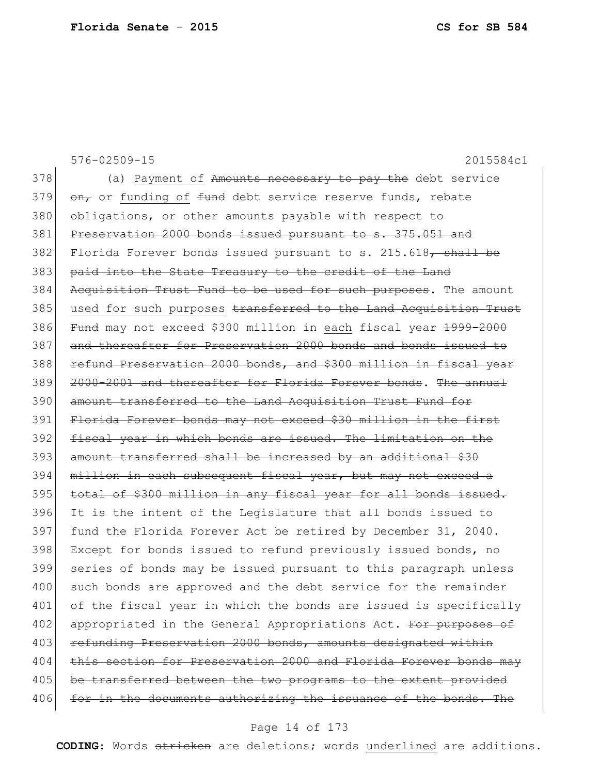576-02509-15 2015584c1 378 (a) Payment of Amounts necessary to pay the debt service 379  $\sigma$ , or funding of  $f$ und debt service reserve funds, rebate 380 obligations, or other amounts payable with respect to 381 Preservation 2000 bonds issued pursuant to s. 375.051 and 382 Florida Forever bonds issued pursuant to s.  $215.618$ , shall be 383 paid into the State Treasury to the credit of the Land 384 Acquisition Trust Fund to be used for such purposes. The amount 385 used for such purposes transferred to the Land Acquisition Trust 386 Fund may not exceed \$300 million in each fiscal year 1999-2000 387 and thereafter for Preservation 2000 bonds and bonds issued to 388 refund Preservation 2000 bonds, and \$300 million in fiscal year 389 2000-2001 and thereafter for Florida Forever bonds. The annual 390 amount transferred to the Land Acquisition Trust Fund for 391 Florida Forever bonds may not exceed \$30 million in the first 392 fiscal year in which bonds are issued. The limitation on the 393 amount transferred shall be increased by an additional \$30 394 million in each subsequent fiscal year, but may not exceed a 395 total of \$300 million in any fiscal year for all bonds issued. 396 It is the intent of the Legislature that all bonds issued to 397 fund the Florida Forever Act be retired by December 31, 2040. 398 Except for bonds issued to refund previously issued bonds, no 399 series of bonds may be issued pursuant to this paragraph unless 400 such bonds are approved and the debt service for the remainder 401 of the fiscal year in which the bonds are issued is specifically 402 appropriated in the General Appropriations Act. For purposes of 403 refunding Preservation 2000 bonds, amounts designated within 404 this section for Preservation 2000 and Florida Forever bonds may 405 be transferred between the two programs to the extent provided 406 for in the documents authorizing the issuance of the bonds. The

#### Page 14 of 173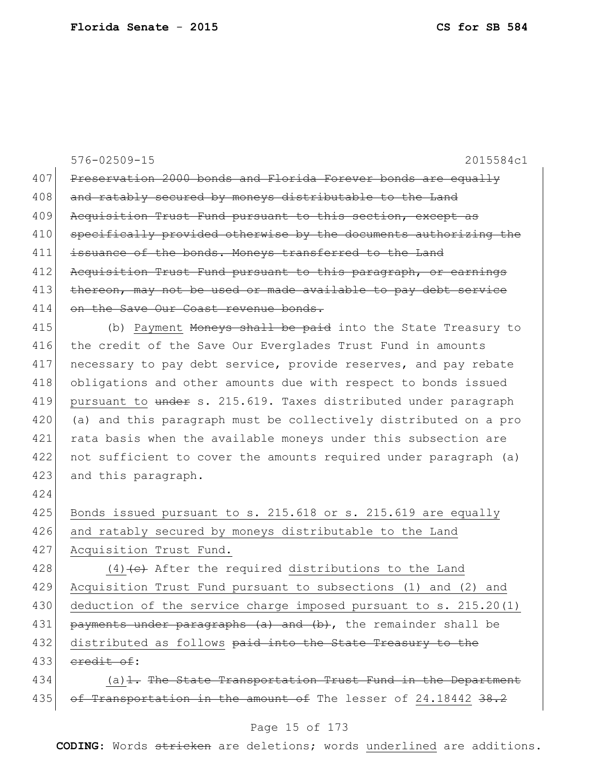|     | $576 - 02509 - 15$<br>2015584c1                                  |
|-----|------------------------------------------------------------------|
| 407 | Preservation 2000 bonds and Florida Forever bonds are equally    |
| 408 | and ratably secured by moneys distributable to the Land          |
| 409 | Acquisition Trust Fund pursuant to this section, except as       |
| 410 | specifically provided otherwise by the documents authorizing the |
| 411 | issuance of the bonds. Moneys transferred to the Land            |
| 412 | Acquisition Trust Fund pursuant to this paragraph, or earnings   |
| 413 | thereon, may not be used or made available to pay debt service   |
| 414 | on the Save Our Coast revenue bonds.                             |
| 415 | (b) Payment Moneys shall be paid into the State Treasury to      |
| 416 | the credit of the Save Our Everglades Trust Fund in amounts      |
| 417 | necessary to pay debt service, provide reserves, and pay rebate  |
| 418 | obligations and other amounts due with respect to bonds issued   |
| 419 | pursuant to under s. 215.619. Taxes distributed under paragraph  |
| 420 | (a) and this paragraph must be collectively distributed on a pro |
| 421 | rata basis when the available moneys under this subsection are   |
| 422 | not sufficient to cover the amounts required under paragraph (a) |
| 423 | and this paragraph.                                              |
| 424 |                                                                  |
| 425 | Bonds issued pursuant to s. 215.618 or s. 215.619 are equally    |
| 426 | and ratably secured by moneys distributable to the Land          |
| 427 | Acquisition Trust Fund.                                          |
| 428 | $(4)$ +e+ After the required distributions to the Land           |
| 429 | Acquisition Trust Fund pursuant to subsections (1) and (2) and   |
| 430 | deduction of the service charge imposed pursuant to s. 215.20(1) |
| 431 | payments under paragraphs (a) and (b), the remainder shall be    |
| 432 | distributed as follows paid into the State Treasury to the       |
| 433 | eredit of:                                                       |
| 434 | $(a)$ 1. The State Transportation Trust Fund in the Department   |
| 435 | of Transportation in the amount of The lesser of 24.18442 38.2   |
|     | Page 15 of 173                                                   |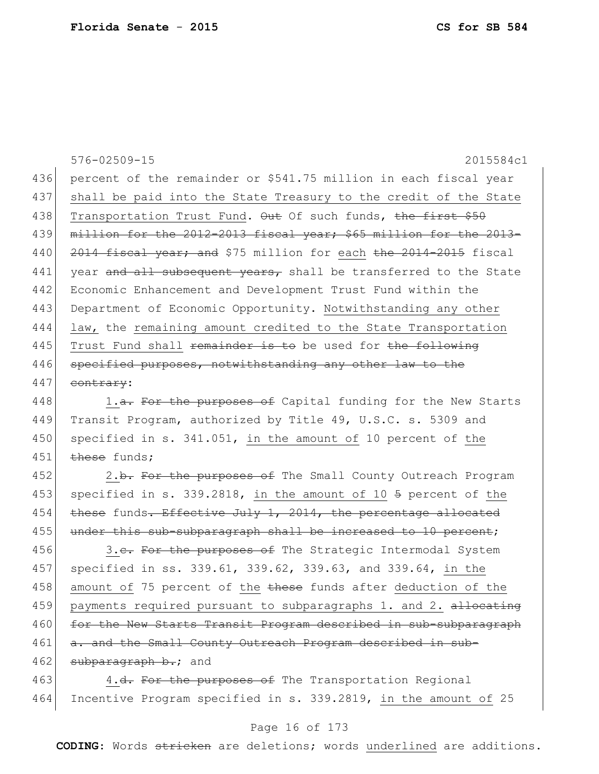576-02509-15 2015584c1 436 percent of the remainder or \$541.75 million in each fiscal year 437 shall be paid into the State Treasury to the credit of the State 438 Transportation Trust Fund. Out Of such funds, the first \$50 439 million for the 2012-2013 fiscal year; \$65 million for the 2013-440 2014 fiscal year; and \$75 million for each the 2014-2015 fiscal 441 year and all subsequent years, shall be transferred to the State 442 Economic Enhancement and Development Trust Fund within the 443 Department of Economic Opportunity. Notwithstanding any other 444 law, the remaining amount credited to the State Transportation 445 Trust Fund shall remainder is to be used for the following 446 specified purposes, notwithstanding any other law to the  $447$  contrary:

448 1.<del>a. For the purposes of</del> Capital funding for the New Starts 449 Transit Program, authorized by Title 49, U.S.C. s. 5309 and 450 specified in s. 341.051, in the amount of 10 percent of the  $451$  these funds;

452 2.b. For the purposes of The Small County Outreach Program 453 specified in s. 339.2818, in the amount of 10  $\frac{1}{2}$  percent of the 454 these funds. Effective July 1, 2014, the percentage allocated 455 under this sub-subparagraph shall be increased to 10 percent;

456 3.e. For the purposes of The Strategic Intermodal System 457 specified in ss. 339.61, 339.62, 339.63, and 339.64, in the 458 amount of 75 percent of the these funds after deduction of the 459 payments required pursuant to subparagraphs 1. and 2. allocating 460 for the New Starts Transit Program described in sub-subparagraph 461 a. and the Small County Outreach Program described in sub- $462$  subparagraph b.; and

463 4.<del>d. For the purposes of</del> The Transportation Regional 464 Incentive Program specified in s. 339.2819, in the amount of 25

#### Page 16 of 173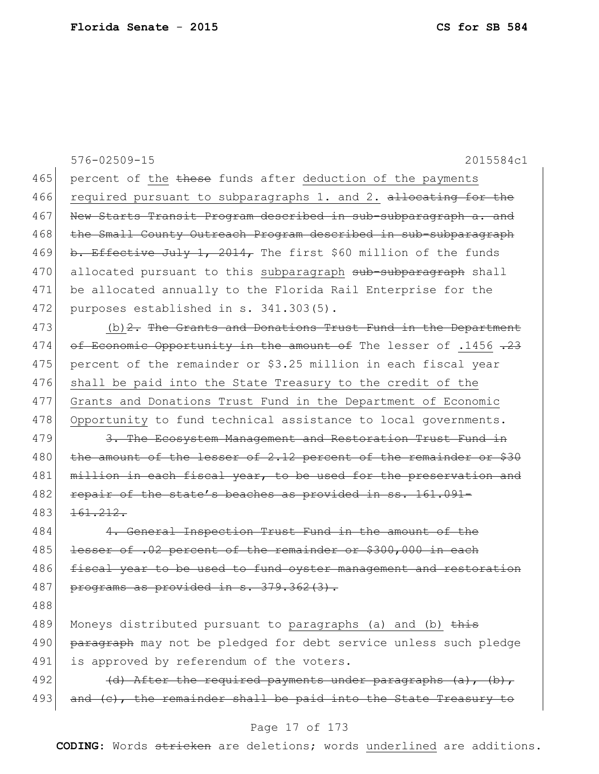|     | 576-02509-15<br>2015584c1                                          |
|-----|--------------------------------------------------------------------|
| 465 | percent of the these funds after deduction of the payments         |
| 466 | required pursuant to subparagraphs 1. and 2. allocating for the    |
| 467 | New Starts Transit Program described in sub-subparagraph a. and    |
| 468 | the Small County Outreach Program described in sub-subparagraph    |
| 469 | b. Effective July 1, 2014, The first \$60 million of the funds     |
| 470 | allocated pursuant to this subparagraph sub-subparagraph shall     |
| 471 | be allocated annually to the Florida Rail Enterprise for the       |
| 472 | purposes established in s. 341.303(5).                             |
| 473 | (b) $2$ . The Grants and Donations Trust Fund in the Department    |
| 474 | of Economic Opportunity in the amount of The lesser of .1456 .23   |
| 475 | percent of the remainder or \$3.25 million in each fiscal year     |
| 476 | shall be paid into the State Treasury to the credit of the         |
| 477 | Grants and Donations Trust Fund in the Department of Economic      |
| 478 | Opportunity to fund technical assistance to local governments.     |
| 479 | 3. The Ecosystem Management and Restoration Trust Fund in          |
| 480 | the amount of the lesser of 2.12 percent of the remainder or \$30  |
| 481 | million in each fiscal year, to be used for the preservation and   |
| 482 | repair of the state's beaches as provided in ss. 161.091-          |
| 483 | 161.212.                                                           |
| 484 | 4. General Inspection Trust Fund in the amount of the              |
| 485 | lesser of .02 percent of the remainder or \$300,000 in each        |
| 486 | fiscal year to be used to fund oyster management and restoration   |
| 487 | programs as provided in s. 379.362(3).                             |
| 488 |                                                                    |
| 489 | Moneys distributed pursuant to paragraphs (a) and (b) this         |
| 490 | paragraph may not be pledged for debt service unless such pledge   |
| 491 | is approved by referendum of the voters.                           |
| 492 | $(d)$ After the required payments under paragraphs $(a)$ , $(b)$ , |
| 493 | (c), the remainder shall be paid into the State Treasury to        |
|     | Page 17 of 173                                                     |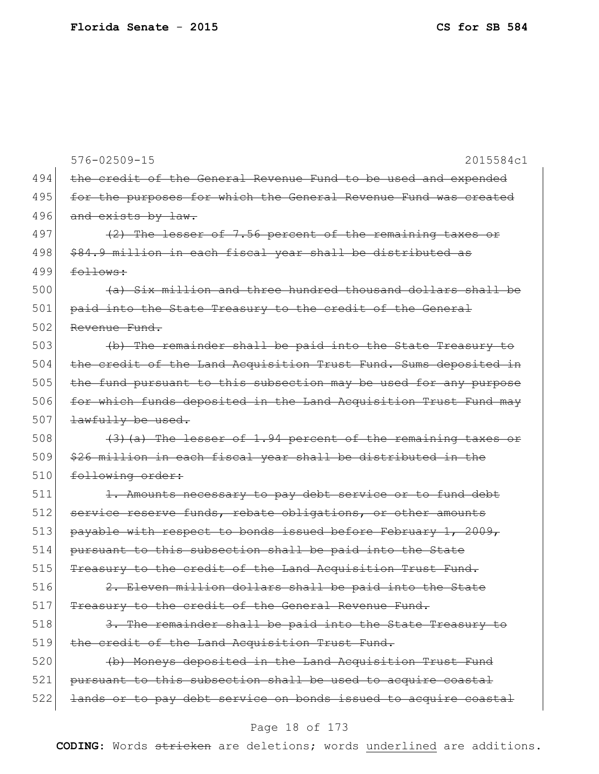576-02509-15 2015584c1 494 the credit of the General Revenue Fund to be used and expended 495 for the purposes for which the General Revenue Fund was created 496 and exists by law. 497 (2) The lesser of 7.56 percent of the remaining taxes or 498 \ \$84.9 million in each fiscal year shall be distributed as  $499$  follows:  $500$  (a) Six million and three hundred thousand dollars shall be 501 paid into the State Treasury to the credit of the General 502 Revenue Fund. 503 (b) The remainder shall be paid into the State Treasury to 504 the credit of the Land Acquisition Trust Fund. Sums deposited in 505 the fund pursuant to this subsection may be used for any purpose 506 for which funds deposited in the Land Acquisition Trust Fund may  $507$  <del>lawfully be used.</del> 508  $(3)$  (a) The lesser of 1.94 percent of the remaining taxes or 509 \$26 million in each fiscal year shall be distributed in the 510 following order: 511 1. Amounts necessary to pay debt service or to fund debt 512 service reserve funds, rebate obligations, or other amounts 513 payable with respect to bonds issued before February 1, 2009, 514 pursuant to this subsection shall be paid into the State 515 Treasury to the credit of the Land Acquisition Trust Fund.  $516$  2. Eleven million dollars shall be paid into the State 517 Treasury to the credit of the General Revenue Fund. 518 3. The remainder shall be paid into the State Treasury to 519 the credit of the Land Acquisition Trust Fund. 520 (b) Moneys deposited in the Land Acquisition Trust Fund 521 pursuant to this subsection shall be used to acquire coastal 522 lands or to pay debt service on bonds issued to acquire coastal

#### Page 18 of 173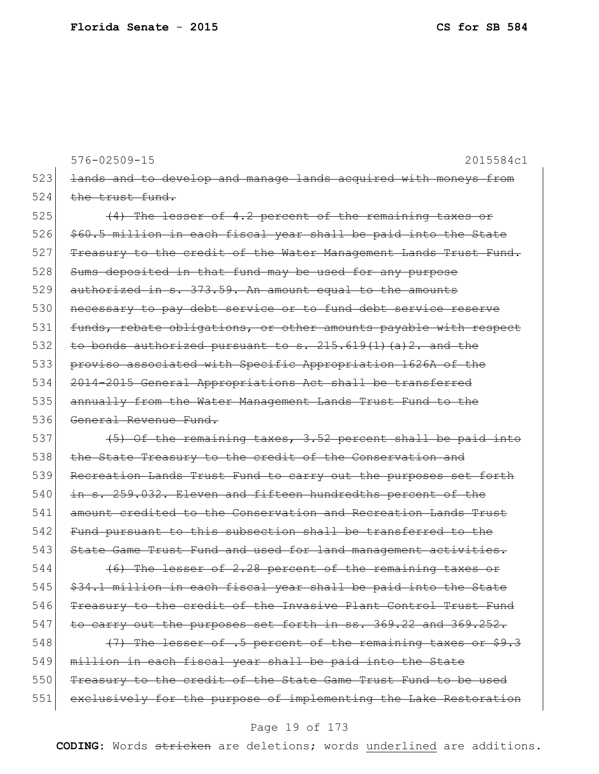576-02509-15 2015584c1 523 <del>lands and to develop and manage lands acquired with moneys from</del>  $524$  the trust fund.  $525$  (4) The lesser of 4.2 percent of the remaining taxes or 526 \$60.5 million in each fiscal year shall be paid into the State 527 Treasury to the credit of the Water Management Lands Trust Fund. 528 Sums deposited in that fund may be used for any purpose  $529$  authorized in s.  $373.59$ . An amount equal to the amounts 530 necessary to pay debt service or to fund debt service reserve 531 funds, rebate obligations, or other amounts payable with respect 532 to bonds authorized pursuant to  $s. 215.619(1)(a)2.$  and the 533 proviso associated with Specific Appropriation 1626A of the 534 2014-2015 General Appropriations Act shall be transferred 535 annually from the Water Management Lands Trust Fund to the 536 General Revenue Fund. 537  $(5)$  Of the remaining taxes, 3.52 percent shall be paid into 538 the State Treasury to the credit of the Conservation and 539 Recreation Lands Trust Fund to carry out the purposes set forth 540 in s. 259.032. Eleven and fifteen hundredths percent of the 541 amount credited to the Conservation and Recreation Lands Trust 542 Fund pursuant to this subsection shall be transferred to the 543 State Game Trust Fund and used for land management activities.  $544$  (6) The lesser of 2.28 percent of the remaining taxes or  $545$   $$34.1$  million in each fiscal year shall be paid into the State 546 Treasury to the credit of the Invasive Plant Control Trust Fund 547 to carry out the purposes set forth in ss. 369.22 and 369.252. 548  $(7)$  The lesser of .5 percent of the remaining taxes or \$9.3 549 million in each fiscal year shall be paid into the State 550 Treasury to the credit of the State Game Trust Fund to be used 551 exclusively for the purpose of implementing the Lake Restoration

#### Page 19 of 173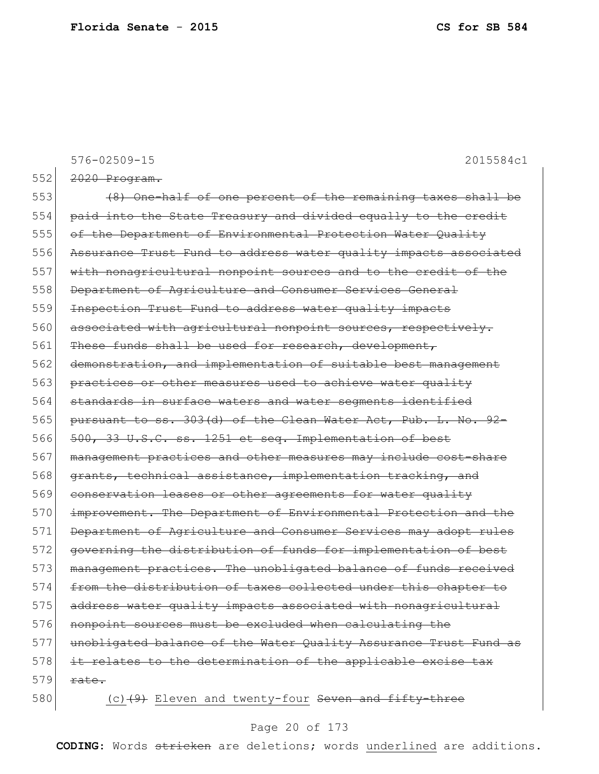576-02509-15 2015584c1 552 <del>2020 Program.</del> 553 (8) One-half of one percent of the remaining taxes shall be 554 paid into the State Treasury and divided equally to the credit 555 of the Department of Environmental Protection Water Quality 556 Assurance Trust Fund to address water quality impacts associated 557 with nonagricultural nonpoint sources and to the credit of the 558 Department of Agriculture and Consumer Services General 559 Inspection Trust Fund to address water quality impacts 560 associated with agricultural nonpoint sources, respectively. 561 These funds shall be used for research, development, 562 demonstration, and implementation of suitable best management 563 practices or other measures used to achieve water quality 564 standards in surface waters and water segments identified 565 pursuant to ss. 303(d) of the Clean Water Act, Pub. L. No. 92-566 500, 33 U.S.C. ss. 1251 et seq. Implementation of best 567 management practices and other measures may include cost-share 568 grants, technical assistance, implementation tracking, and 569 conservation leases or other agreements for water quality 570 improvement. The Department of Environmental Protection and the 571 Department of Agriculture and Consumer Services may adopt rules 572 governing the distribution of funds for implementation of best 573 management practices. The unobligated balance of funds received 574 from the distribution of taxes collected under this chapter to 575 address water quality impacts associated with nonagricultural 576 nonpoint sources must be excluded when calculating the 577 unobligated balance of the Water Quality Assurance Trust Fund as 578 it relates to the determination of the applicable excise tax  $579$  rate. 580 (c) $(9)$  Eleven and twenty-four Seven and fifty-three

### Page 20 of 173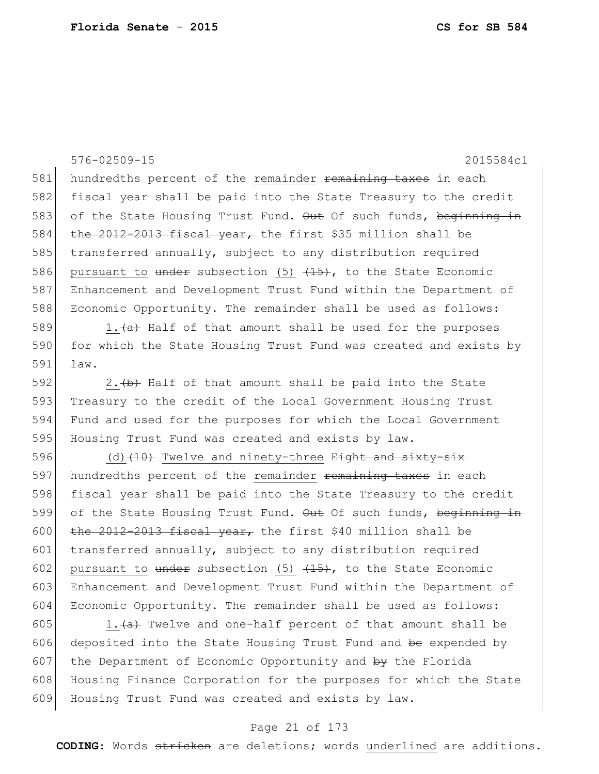576-02509-15 2015584c1 581 hundredths percent of the remainder remaining taxes in each 582 fiscal year shall be paid into the State Treasury to the credit 583 of the State Housing Trust Fund. Out Of such funds, beginning in 584  $\frac{1}{\pi}$  the 2012-2013 fiscal year, the first \$35 million shall be 585 transferred annually, subject to any distribution required 586 pursuant to under subsection (5)  $(15)$ , to the State Economic 587 Enhancement and Development Trust Fund within the Department of 588 Economic Opportunity. The remainder shall be used as follows: 589 1. $\frac{a}{a}$  Half of that amount shall be used for the purposes 590 for which the State Housing Trust Fund was created and exists by 591 law. 592 2.  $\left\langle b\right\rangle$  Half of that amount shall be paid into the State 593 Treasury to the credit of the Local Government Housing Trust 594 Fund and used for the purposes for which the Local Government 595 Housing Trust Fund was created and exists by law.

596 (d)  $(10)$  Twelve and ninety-three Eight and sixty-six 597 hundredths percent of the remainder remaining taxes in each 598 fiscal year shall be paid into the State Treasury to the credit 599 of the State Housing Trust Fund. Out Of such funds, beginning in 600 the 2012-2013 fiscal year, the first \$40 million shall be 601 transferred annually, subject to any distribution required 602 pursuant to  $\frac{1}{15}$  subsection (5)  $\frac{1}{15}$ , to the State Economic 603 Enhancement and Development Trust Fund within the Department of 604 Economic Opportunity. The remainder shall be used as follows:

605 1. $\leftarrow$  1. Twelve and one-half percent of that amount shall be 606 deposited into the State Housing Trust Fund and  $be$  expended by 607 the Department of Economic Opportunity and  $\frac{1}{2}$  the Florida 608 Housing Finance Corporation for the purposes for which the State 609 Housing Trust Fund was created and exists by law.

#### Page 21 of 173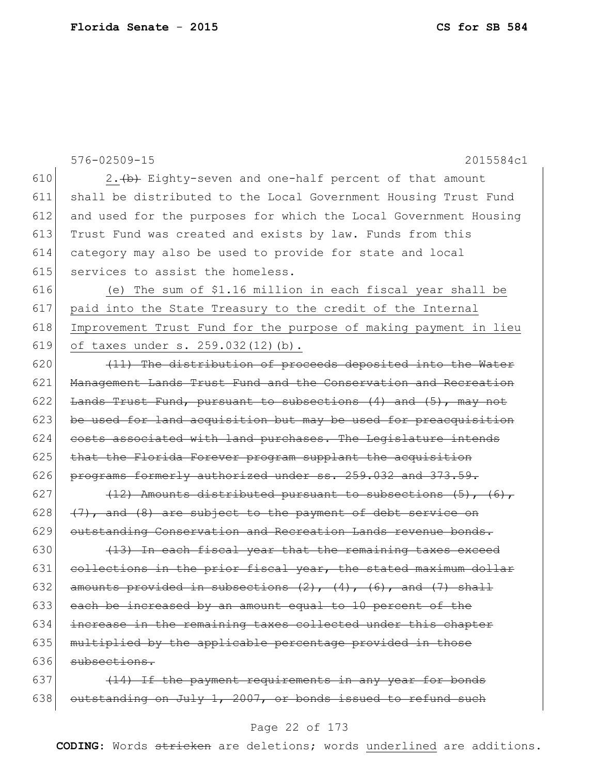|     | $576 - 02509 - 15$<br>2015584c1                                         |
|-----|-------------------------------------------------------------------------|
| 610 | 2. (b) Eighty-seven and one-half percent of that amount                 |
| 611 | shall be distributed to the Local Government Housing Trust Fund         |
| 612 | and used for the purposes for which the Local Government Housing        |
| 613 | Trust Fund was created and exists by law. Funds from this               |
| 614 | category may also be used to provide for state and local                |
| 615 | services to assist the homeless.                                        |
| 616 | (e) The sum of \$1.16 million in each fiscal year shall be              |
| 617 | paid into the State Treasury to the credit of the Internal              |
| 618 | Improvement Trust Fund for the purpose of making payment in lieu        |
| 619 | of taxes under s. 259.032(12)(b).                                       |
| 620 | (11) The distribution of proceeds deposited into the Water              |
| 621 | Management Lands Trust Fund and the Conservation and Recreation         |
| 622 | Lands Trust Fund, pursuant to subsections (4) and (5), may not          |
| 623 | be used for land acquisition but may be used for preacquisition         |
| 624 | costs associated with land purchases. The Legislature intends           |
| 625 | that the Florida Forever program supplant the acquisition               |
| 626 | programs formerly authorized under ss. 259.032 and 373.59.              |
| 627 | (12) Amounts distributed pursuant to subsections (5), (6),              |
| 628 | (7), and (8) are subject to the payment of debt service on              |
| 629 | outstanding Conservation and Recreation Lands revenue bonds.            |
| 630 | (13) In each fiscal year that the remaining taxes exceed                |
| 631 | collections in the prior fiscal year, the stated maximum dollar         |
| 632 | amounts provided in subsections $(2)$ , $(4)$ , $(6)$ , and $(7)$ shall |
| 633 | each be increased by an amount equal to 10 percent of the               |
| 634 | increase in the remaining taxes collected under this chapter            |
| 635 | multiplied by the applicable percentage provided in those               |
| 636 | subsections.                                                            |
| 637 | (14) If the payment requirements in any year for bonds                  |
| 638 | outstanding on July 1, 2007, or bonds issued to refund such             |

# Page 22 of 173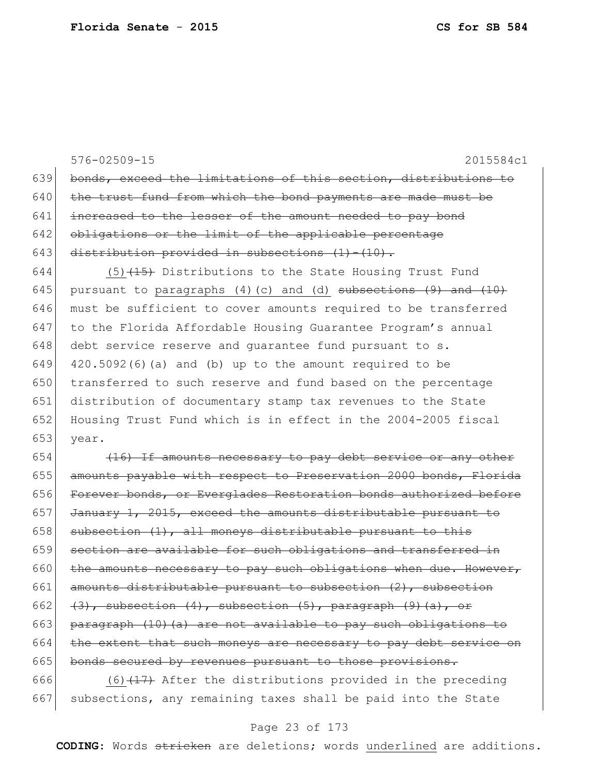576-02509-15 2015584c1 639 bonds, exceed the limitations of this section, distributions to  $640$  the trust fund from which the bond payments are made must be 641 increased to the lesser of the amount needed to pay bond 642 obligations or the limit of the applicable percentage 643 distribution provided in subsections  $(1) - (10)$ . 644 (5)  $(15)$  Distributions to the State Housing Trust Fund 645 pursuant to paragraphs (4)(c) and (d) subsections  $(9)$  and  $(10)$ 646 must be sufficient to cover amounts required to be transferred 647 to the Florida Affordable Housing Guarantee Program's annual  $648$  debt service reserve and guarantee fund pursuant to s. 649  $\mid$  420.5092(6)(a) and (b) up to the amount required to be 650 transferred to such reserve and fund based on the percentage 651 distribution of documentary stamp tax revenues to the State 652 Housing Trust Fund which is in effect in the 2004-2005 fiscal 653 year.

654  $(16)$  If amounts necessary to pay debt service or any other 655 amounts payable with respect to Preservation 2000 bonds, Florida 656 Forever bonds, or Everglades Restoration bonds authorized before 657 January 1, 2015, exceed the amounts distributable pursuant to 658 subsection  $(1)$ , all moneys distributable pursuant to this 659 section are available for such obligations and transferred in 660 the amounts necessary to pay such obligations when due. However, 661 amounts distributable pursuant to subsection  $(2)$ , subsection 662  $(3)$ , subsection  $(4)$ , subsection  $(5)$ , paragraph  $(9)$   $(a)$ , or 663 paragraph (10)(a) are not available to pay such obligations to  $664$  the extent that such moneys are necessary to pay debt service on 665 bonds secured by revenues pursuant to those provisions.

666  $(6)$  (6)  $(17)$  After the distributions provided in the preceding 667 subsections, any remaining taxes shall be paid into the State

### Page 23 of 173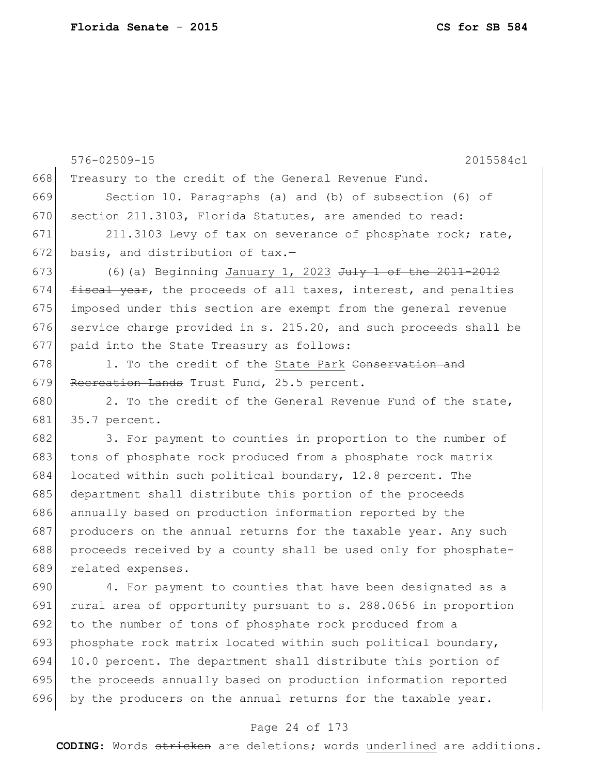|     | 576-02509-15<br>2015584c1                                             |
|-----|-----------------------------------------------------------------------|
| 668 | Treasury to the credit of the General Revenue Fund.                   |
| 669 | Section 10. Paragraphs (a) and (b) of subsection (6) of               |
| 670 | section 211.3103, Florida Statutes, are amended to read:              |
| 671 | 211.3103 Levy of tax on severance of phosphate rock; rate,            |
| 672 | basis, and distribution of tax.-                                      |
| 673 | (6) (a) Beginning January 1, 2023 $J^{\text{uly}}$ 1 of the 2011-2012 |
| 674 | fiscal year, the proceeds of all taxes, interest, and penalties       |
| 675 | imposed under this section are exempt from the general revenue        |
| 676 | service charge provided in s. 215.20, and such proceeds shall be      |
| 677 | paid into the State Treasury as follows:                              |
| 678 | 1. To the credit of the State Park Conservation and                   |
| 679 | Recreation Lands Trust Fund, 25.5 percent.                            |
| 680 | 2. To the credit of the General Revenue Fund of the state,            |
| 681 | 35.7 percent.                                                         |
| 682 | 3. For payment to counties in proportion to the number of             |
| 683 | tons of phosphate rock produced from a phosphate rock matrix          |
| 684 | located within such political boundary, 12.8 percent. The             |
| 685 | department shall distribute this portion of the proceeds              |
| 686 | annually based on production information reported by the              |
| 687 | producers on the annual returns for the taxable year. Any such        |
| 688 | proceeds received by a county shall be used only for phosphate-       |
| 689 | related expenses.                                                     |
| 690 | 4. For payment to counties that have been designated as a             |
| 691 | rural area of opportunity pursuant to s. 288.0656 in proportion       |
| 692 | to the number of tons of phosphate rock produced from a               |
| 693 | phosphate rock matrix located within such political boundary,         |
| 694 | 10.0 percent. The department shall distribute this portion of         |
| 695 | the proceeds annually based on production information reported        |
| 696 | by the producers on the annual returns for the taxable year.          |

# Page 24 of 173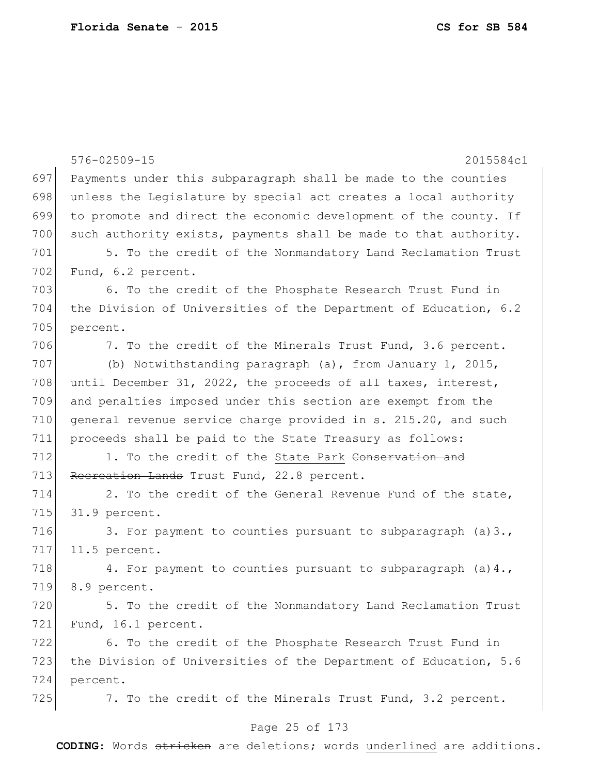|     | 576-02509-15<br>2015584c1                                        |
|-----|------------------------------------------------------------------|
| 697 | Payments under this subparagraph shall be made to the counties   |
| 698 | unless the Legislature by special act creates a local authority  |
| 699 | to promote and direct the economic development of the county. If |
| 700 | such authority exists, payments shall be made to that authority. |
| 701 | 5. To the credit of the Nonmandatory Land Reclamation Trust      |
| 702 | Fund, 6.2 percent.                                               |
| 703 | 6. To the credit of the Phosphate Research Trust Fund in         |
| 704 | the Division of Universities of the Department of Education, 6.2 |
| 705 | percent.                                                         |
| 706 | 7. To the credit of the Minerals Trust Fund, 3.6 percent.        |
| 707 | (b) Notwithstanding paragraph (a), from January 1, 2015,         |
| 708 | until December 31, 2022, the proceeds of all taxes, interest,    |
| 709 | and penalties imposed under this section are exempt from the     |
| 710 | general revenue service charge provided in s. 215.20, and such   |
| 711 | proceeds shall be paid to the State Treasury as follows:         |
| 712 | 1. To the credit of the State Park Conservation and              |
| 713 | Recreation Lands Trust Fund, 22.8 percent.                       |
| 714 | 2. To the credit of the General Revenue Fund of the state,       |
| 715 | 31.9 percent.                                                    |
| 716 | 3. For payment to counties pursuant to subparagraph $(a) 3.$ ,   |
| 717 | 11.5 percent.                                                    |
| 718 | 4. For payment to counties pursuant to subparagraph (a) 4.,      |
| 719 | 8.9 percent.                                                     |
| 720 | 5. To the credit of the Nonmandatory Land Reclamation Trust      |
| 721 | Fund, 16.1 percent.                                              |
| 722 | 6. To the credit of the Phosphate Research Trust Fund in         |
| 723 | the Division of Universities of the Department of Education, 5.6 |
| 724 | percent.                                                         |
| 725 | 7. To the credit of the Minerals Trust Fund, 3.2 percent.        |
|     |                                                                  |

# Page 25 of 173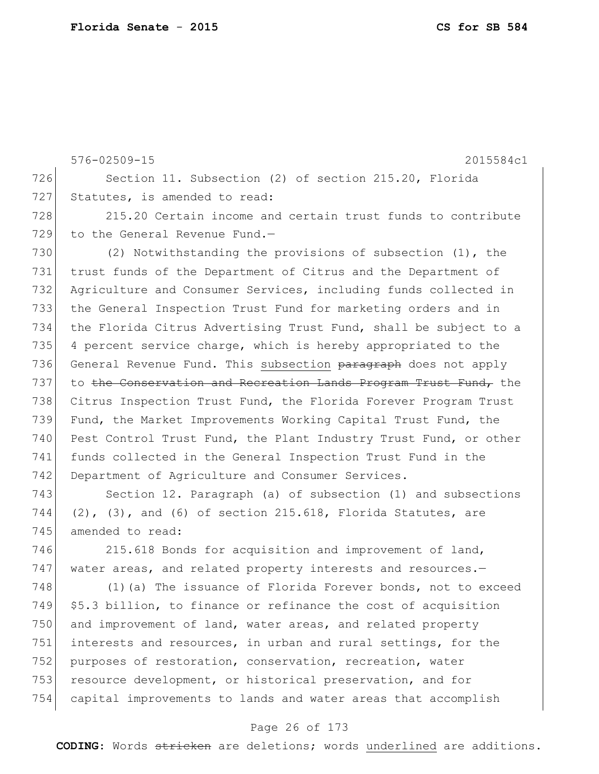576-02509-15 2015584c1 726 Section 11. Subsection (2) of section 215.20, Florida 727 Statutes, is amended to read: 728 215.20 Certain income and certain trust funds to contribute 729 to the General Revenue Fund.-730 (2) Notwithstanding the provisions of subsection (1), the 731 trust funds of the Department of Citrus and the Department of 732 Agriculture and Consumer Services, including funds collected in 733 the General Inspection Trust Fund for marketing orders and in 734 the Florida Citrus Advertising Trust Fund, shall be subject to a 735 4 percent service charge, which is hereby appropriated to the 736 General Revenue Fund. This subsection paragraph does not apply 737 to the Conservation and Recreation Lands Program Trust Fund, the 738 Citrus Inspection Trust Fund, the Florida Forever Program Trust 739 Fund, the Market Improvements Working Capital Trust Fund, the 740 Pest Control Trust Fund, the Plant Industry Trust Fund, or other 741 funds collected in the General Inspection Trust Fund in the 742 Department of Agriculture and Consumer Services.

743 Section 12. Paragraph (a) of subsection (1) and subsections  $744$  (2), (3), and (6) of section 215.618, Florida Statutes, are 745 amended to read:

746 215.618 Bonds for acquisition and improvement of land, 747 water areas, and related property interests and resources.-

748 (1)(a) The issuance of Florida Forever bonds, not to exceed  $749$  \$5.3 billion, to finance or refinance the cost of acquisition 750 and improvement of land, water areas, and related property 751 interests and resources, in urban and rural settings, for the 752 purposes of restoration, conservation, recreation, water 753 resource development, or historical preservation, and for 754 capital improvements to lands and water areas that accomplish

#### Page 26 of 173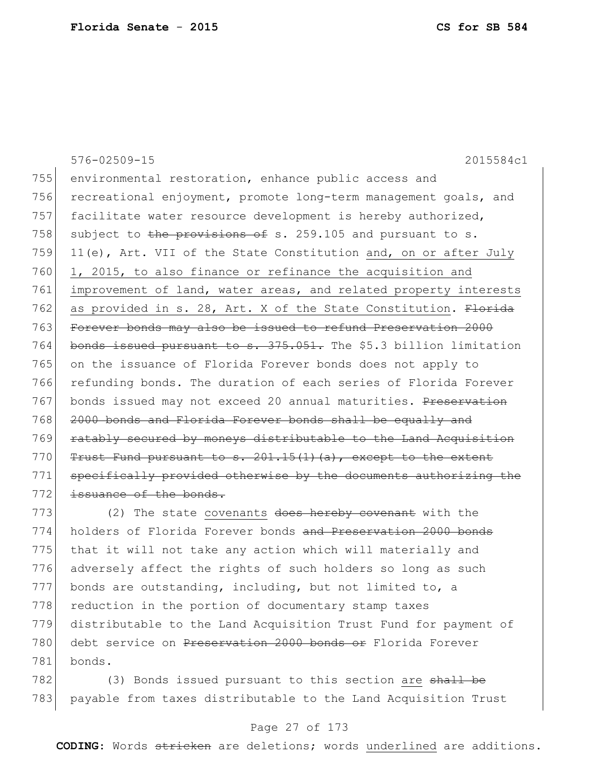576-02509-15 2015584c1 755 environmental restoration, enhance public access and 756 recreational enjoyment, promote long-term management goals, and 757 facilitate water resource development is hereby authorized, 758 subject to the provisions of s. 259.105 and pursuant to s. 759 11(e), Art. VII of the State Constitution and, on or after July  $760$  1, 2015, to also finance or refinance the acquisition and 761 improvement of land, water areas, and related property interests 762 as provided in s. 28, Art. X of the State Constitution. Florida 763 Forever bonds may also be issued to refund Preservation 2000 764 bonds issued pursuant to s. 375.051. The \$5.3 billion limitation 765 on the issuance of Florida Forever bonds does not apply to 766 refunding bonds. The duration of each series of Florida Forever 767 bonds issued may not exceed 20 annual maturities. Preservation 768 2000 bonds and Florida Forever bonds shall be equally and 769 ratably secured by moneys distributable to the Land Acquisition 770  $Trust$  Fund pursuant to s. 201.15(1)(a), except to the extent 771 specifically provided otherwise by the documents authorizing the  $772$  issuance of the bonds. 773 (2) The state covenants does hereby covenant with the

774 holders of Florida Forever bonds and Preservation 2000 bonds 775 that it will not take any action which will materially and 776 adversely affect the rights of such holders so long as such  $777$  bonds are outstanding, including, but not limited to, a 778 reduction in the portion of documentary stamp taxes 779 distributable to the Land Acquisition Trust Fund for payment of 780 debt service on Preservation 2000 bonds or Florida Forever 781 bonds.

782 (3) Bonds issued pursuant to this section are shall be 783 payable from taxes distributable to the Land Acquisition Trust

### Page 27 of 173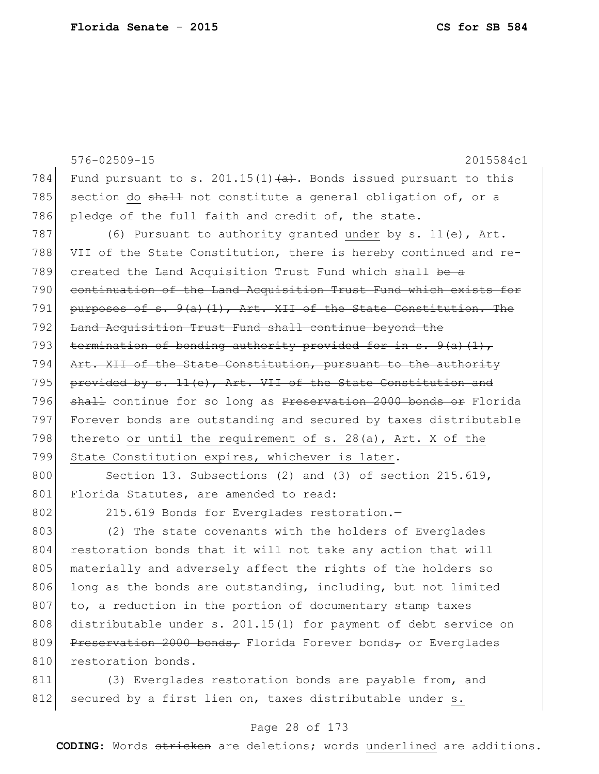576-02509-15 2015584c1 784 Fund pursuant to s. 201.15(1) $\leftrightarrow$ . Bonds issued pursuant to this 785 section do shall not constitute a general obligation of, or a 786 pledge of the full faith and credit of, the state. 787 (6) Pursuant to authority granted under  $\frac{1}{2}$  s. 11(e), Art. 788 VII of the State Constitution, there is hereby continued and re-789 created the Land Acquisition Trust Fund which shall be a 790 continuation of the Land Acquisition Trust Fund which exists for 791 purposes of s.  $9(a)$  (1), Art. XII of the State Constitution. The 792 Land Acquisition Trust Fund shall continue beyond the 793 termination of bonding authority provided for in s.  $9(a)(1)$ , 794 Art. XII of the State Constitution, pursuant to the authority 795 provided by  $s. 11(e)$ , Art. VII of the State Constitution and 796 shall continue for so long as Preservation 2000 bonds or Florida 797 Forever bonds are outstanding and secured by taxes distributable 798 thereto or until the requirement of s. 28(a), Art. X of the 799 State Constitution expires, whichever is later. 800 Section 13. Subsections (2) and (3) of section 215.619,

801 Florida Statutes, are amended to read:

802 215.619 Bonds for Everglades restoration.

803 (2) The state covenants with the holders of Everglades 804 restoration bonds that it will not take any action that will 805 materially and adversely affect the rights of the holders so  $806$  long as the bonds are outstanding, including, but not limited 807 to, a reduction in the portion of documentary stamp taxes 808 distributable under s. 201.15(1) for payment of debt service on 809 Preservation 2000 bonds, Florida Forever bonds, or Everglades 810 restoration bonds.

811 (3) Everglades restoration bonds are payable from, and 812 secured by a first lien on, taxes distributable under s.

#### Page 28 of 173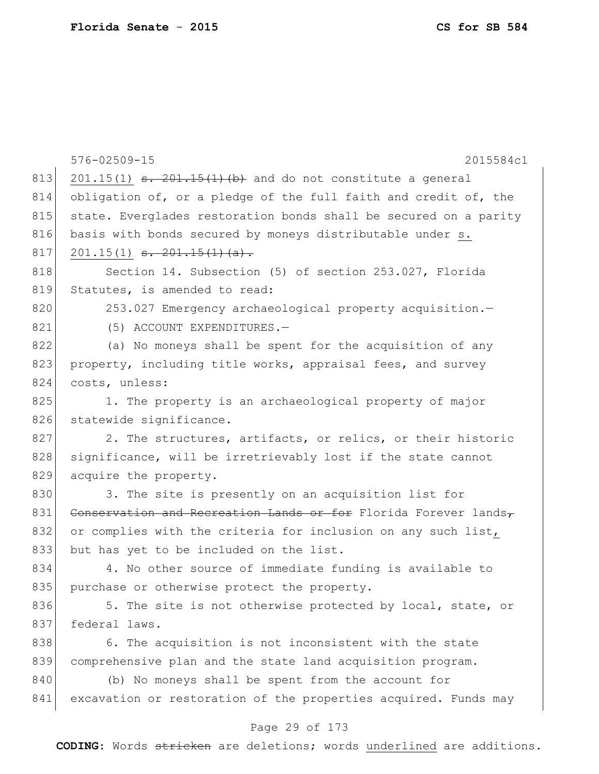|     | $576 - 02509 - 15$<br>2015584c1                                                      |
|-----|--------------------------------------------------------------------------------------|
| 813 | $201.15(1)$ <del>s. <math>201.15(1)</math> (b)</del> and do not constitute a general |
| 814 | obligation of, or a pledge of the full faith and credit of, the                      |
| 815 | state. Everglades restoration bonds shall be secured on a parity                     |
| 816 | basis with bonds secured by moneys distributable under s.                            |
| 817 | $201.15(1)$ <del>s. <math>201.15(1)</math> (a).</del>                                |
| 818 | Section 14. Subsection (5) of section 253.027, Florida                               |
| 819 | Statutes, is amended to read:                                                        |
| 820 | 253.027 Emergency archaeological property acquisition.-                              |
| 821 | (5) ACCOUNT EXPENDITURES.-                                                           |
| 822 | (a) No moneys shall be spent for the acquisition of any                              |
| 823 | property, including title works, appraisal fees, and survey                          |
| 824 | costs, unless:                                                                       |
| 825 | 1. The property is an archaeological property of major                               |
| 826 | statewide significance.                                                              |
| 827 | 2. The structures, artifacts, or relics, or their historic                           |
| 828 | significance, will be irretrievably lost if the state cannot                         |
| 829 | acquire the property.                                                                |
| 830 | 3. The site is presently on an acquisition list for                                  |
| 831 | Conservation and Recreation Lands or for Florida Forever lands,                      |
| 832 | or complies with the criteria for inclusion on any such list,                        |
| 833 | but has yet to be included on the list.                                              |
| 834 | 4. No other source of immediate funding is available to                              |
| 835 | purchase or otherwise protect the property.                                          |
| 836 | 5. The site is not otherwise protected by local, state, or                           |
| 837 | federal laws.                                                                        |
| 838 | 6. The acquisition is not inconsistent with the state                                |
| 839 | comprehensive plan and the state land acquisition program.                           |
| 840 | (b) No moneys shall be spent from the account for                                    |
| 841 | excavation or restoration of the properties acquired. Funds may                      |

# Page 29 of 173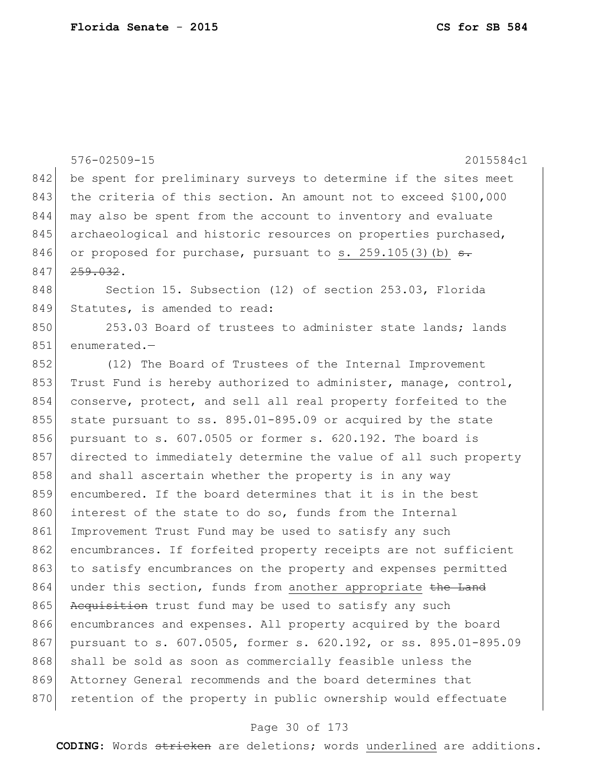576-02509-15 2015584c1 842 be spent for preliminary surveys to determine if the sites meet 843 the criteria of this section. An amount not to exceed \$100,000 844 may also be spent from the account to inventory and evaluate 845 archaeological and historic resources on properties purchased, 846 or proposed for purchase, pursuant to s. 259.105(3)(b)  $\theta$ . 847 <del>259.032</del>. 848 Section 15. Subsection (12) of section 253.03, Florida 849 Statutes, is amended to read: 850 253.03 Board of trustees to administer state lands; lands 851 enumerated.— 852 (12) The Board of Trustees of the Internal Improvement 853 Trust Fund is hereby authorized to administer, manage, control, 854 conserve, protect, and sell all real property forfeited to the 855 state pursuant to ss. 895.01-895.09 or acquired by the state 856 pursuant to s. 607.0505 or former s. 620.192. The board is 857 directed to immediately determine the value of all such property 858 and shall ascertain whether the property is in any way 859 encumbered. If the board determines that it is in the best 860 interest of the state to do so, funds from the Internal 861 Improvement Trust Fund may be used to satisfy any such 862 encumbrances. If forfeited property receipts are not sufficient 863 to satisfy encumbrances on the property and expenses permitted 864 under this section, funds from another appropriate the Land 865 Acquisition trust fund may be used to satisfy any such 866 encumbrances and expenses. All property acquired by the board 867 pursuant to s. 607.0505, former s. 620.192, or ss. 895.01-895.09 868 shall be sold as soon as commercially feasible unless the 869 Attorney General recommends and the board determines that 870 retention of the property in public ownership would effectuate

#### Page 30 of 173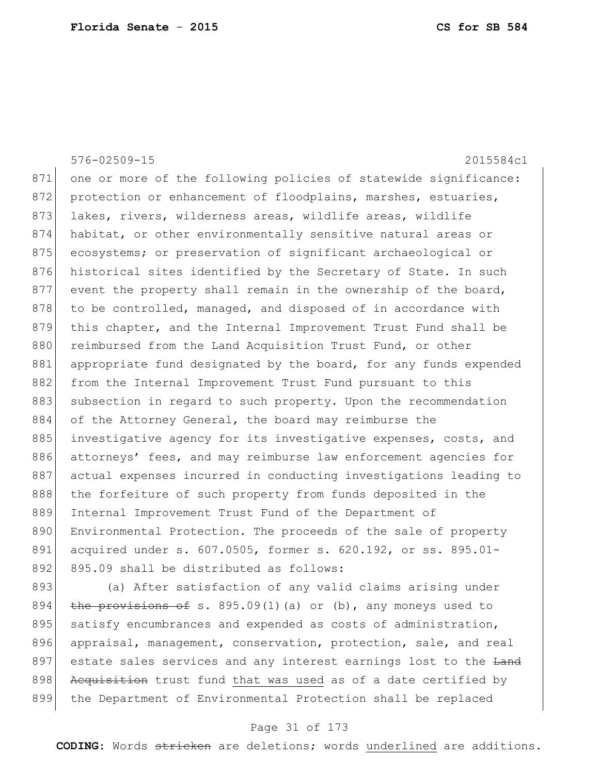|     | $576 - 02509 - 15$<br>2015584c1                                  |
|-----|------------------------------------------------------------------|
| 871 | one or more of the following policies of statewide significance: |
| 872 | protection or enhancement of floodplains, marshes, estuaries,    |
| 873 | lakes, rivers, wilderness areas, wildlife areas, wildlife        |
| 874 | habitat, or other environmentally sensitive natural areas or     |
| 875 | ecosystems; or preservation of significant archaeological or     |
| 876 | historical sites identified by the Secretary of State. In such   |
| 877 | event the property shall remain in the ownership of the board,   |
| 878 | to be controlled, managed, and disposed of in accordance with    |
| 879 | this chapter, and the Internal Improvement Trust Fund shall be   |
| 880 | reimbursed from the Land Acquisition Trust Fund, or other        |
| 881 | appropriate fund designated by the board, for any funds expended |
| 882 | from the Internal Improvement Trust Fund pursuant to this        |
| 883 | subsection in regard to such property. Upon the recommendation   |
| 884 | of the Attorney General, the board may reimburse the             |
| 885 | investigative agency for its investigative expenses, costs, and  |
| 886 | attorneys' fees, and may reimburse law enforcement agencies for  |
| 887 | actual expenses incurred in conducting investigations leading to |
| 888 | the forfeiture of such property from funds deposited in the      |
| 889 | Internal Improvement Trust Fund of the Department of             |
| 890 | Environmental Protection. The proceeds of the sale of property   |
| 891 | acquired under s. 607.0505, former s. 620.192, or ss. 895.01-    |
| 892 | 895.09 shall be distributed as follows:                          |
| 893 | (a) After satisfaction of any valid claims arising under         |

894  $the$  provisions of s. 895.09(1)(a) or (b), any moneys used to 895 satisfy encumbrances and expended as costs of administration, 896 appraisal, management, conservation, protection, sale, and real 897 estate sales services and any interest earnings lost to the Land 898 Acquisition trust fund that was used as of a date certified by the Department of Environmental Protection shall be replaced

### Page 31 of 173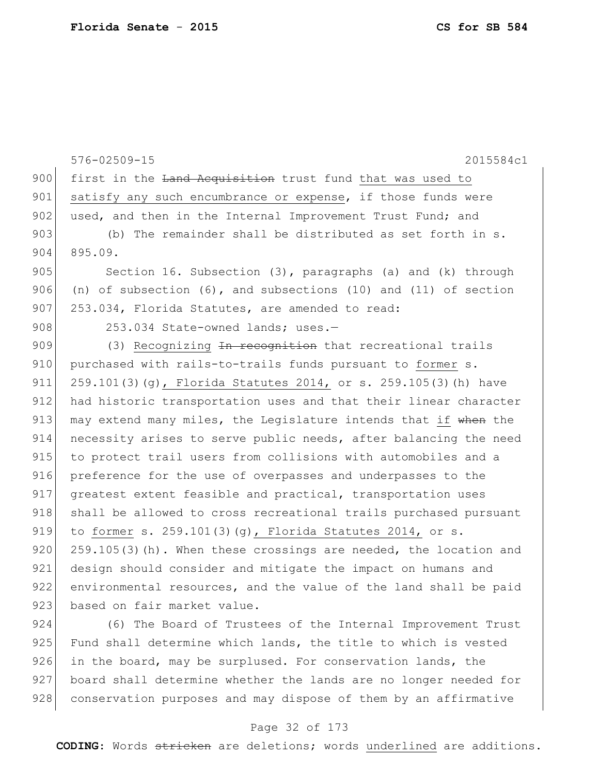576-02509-15 2015584c1 900 first in the Land Acquisition trust fund that was used to 901 satisfy any such encumbrance or expense, if those funds were 902 used, and then in the Internal Improvement Trust Fund; and 903 (b) The remainder shall be distributed as set forth in s. 904 895.09. 905 Section 16. Subsection (3), paragraphs (a) and (k) through 906 (n) of subsection (6), and subsections (10) and (11) of section 907 253.034, Florida Statutes, are amended to read: 908 253.034 State-owned lands; uses.-909  $(3)$  Recognizing <del>In recognition</del> that recreational trails 910 purchased with rails-to-trails funds pursuant to former s. 911 259.101(3)(g), Florida Statutes 2014, or s. 259.105(3)(h) have 912 had historic transportation uses and that their linear character 913 may extend many miles, the Legislature intends that if when the 914 necessity arises to serve public needs, after balancing the need 915 to protect trail users from collisions with automobiles and a 916 preference for the use of overpasses and underpasses to the 917 greatest extent feasible and practical, transportation uses 918 shall be allowed to cross recreational trails purchased pursuant 919 to former s. 259.101(3)(g), Florida Statutes 2014, or s. 920 259.105(3)(h). When these crossings are needed, the location and 921 design should consider and mitigate the impact on humans and 922 environmental resources, and the value of the land shall be paid 923 based on fair market value.

924 (6) The Board of Trustees of the Internal Improvement Trust 925 Fund shall determine which lands, the title to which is vested  $926$  in the board, may be surplused. For conservation lands, the 927 board shall determine whether the lands are no longer needed for 928 conservation purposes and may dispose of them by an affirmative

#### Page 32 of 173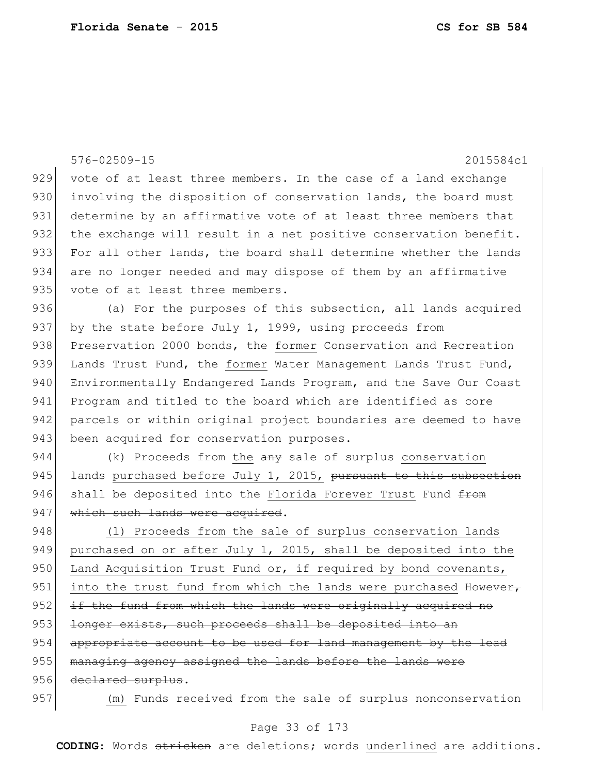|     | $576 - 02509 - 15$<br>2015584c1                                  |
|-----|------------------------------------------------------------------|
| 929 | vote of at least three members. In the case of a land exchange   |
| 930 | involving the disposition of conservation lands, the board must  |
| 931 | determine by an affirmative vote of at least three members that  |
| 932 | the exchange will result in a net positive conservation benefit. |
| 933 | For all other lands, the board shall determine whether the lands |
| 934 | are no longer needed and may dispose of them by an affirmative   |
| 935 | vote of at least three members.                                  |
| 936 | (a) For the purposes of this subsection, all lands acquired      |
| 937 | by the state before July 1, 1999, using proceeds from            |
| 938 | Preservation 2000 bonds, the former Conservation and Recreation  |
| 939 | Lands Trust Fund, the former Water Management Lands Trust Fund,  |
| 940 | Environmentally Endangered Lands Program, and the Save Our Coast |
| 941 | Program and titled to the board which are identified as core     |
| 942 | parcels or within original project boundaries are deemed to have |
| 943 | been acquired for conservation purposes.                         |
| 944 | (k) Proceeds from the any sale of surplus conservation           |
| 945 | lands purchased before July 1, 2015, pursuant to this subsection |
| 946 | shall be deposited into the Florida Forever Trust Fund from      |
| 947 | which such lands were acquired.                                  |
| 948 | (1) Proceeds from the sale of surplus conservation lands         |
| 949 | purchased on or after July 1, 2015, shall be deposited into the  |
| 950 | Land Acquisition Trust Fund or, if required by bond covenants,   |
| 951 | into the trust fund from which the lands were purchased However, |
| 952 | if the fund from which the lands were originally acquired no     |
| 953 | longer exists, such proceeds shall be deposited into an          |
| 954 | appropriate account to be used for land management by the lead   |
| 955 | managing agency assigned the lands before the lands were         |
| 956 | declared surplus.                                                |
| 957 | (m) Funds received from the sale of surplus nonconservation      |

# Page 33 of 173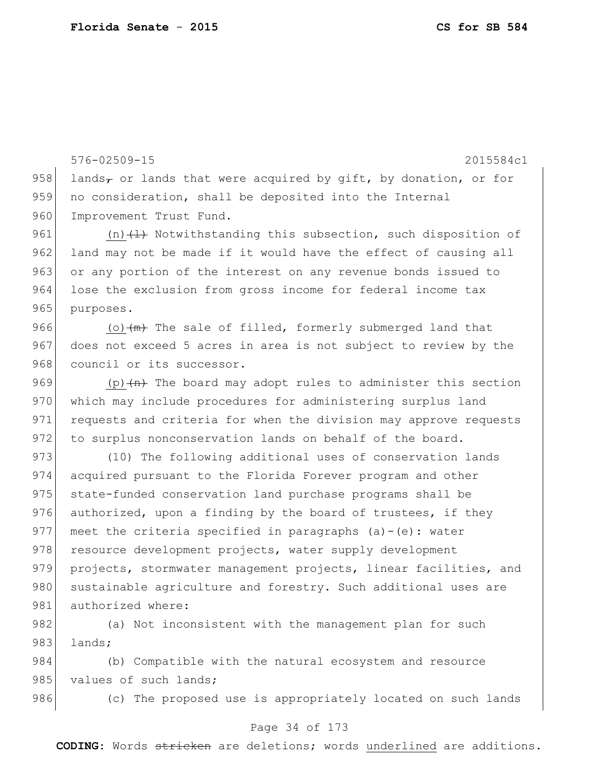576-02509-15 2015584c1 958 lands<sub>7</sub> or lands that were acquired by gift, by donation, or for 959 no consideration, shall be deposited into the Internal 960 Improvement Trust Fund. 961  $(n)$   $(1)$  Notwithstanding this subsection, such disposition of 962 land may not be made if it would have the effect of causing all 963 or any portion of the interest on any revenue bonds issued to 964 lose the exclusion from gross income for federal income tax 965 purposes. 966 (o) $\frac{m}{m}$  The sale of filled, formerly submerged land that 967 does not exceed 5 acres in area is not subject to review by the 968 council or its successor. 969 (p) $\left( n \right)$  The board may adopt rules to administer this section 970 which may include procedures for administering surplus land 971 requests and criteria for when the division may approve requests 972 to surplus nonconservation lands on behalf of the board. 973 (10) The following additional uses of conservation lands 974 acquired pursuant to the Florida Forever program and other 975 state-funded conservation land purchase programs shall be 976 authorized, upon a finding by the board of trustees, if they 977 meet the criteria specified in paragraphs  $(a) - (e)$ : water 978 resource development projects, water supply development 979 projects, stormwater management projects, linear facilities, and 980 sustainable agriculture and forestry. Such additional uses are 981 authorized where: 982 (a) Not inconsistent with the management plan for such 983 lands; 984 (b) Compatible with the natural ecosystem and resource

985 values of such lands;

986 (c) The proposed use is appropriately located on such lands

#### Page 34 of 173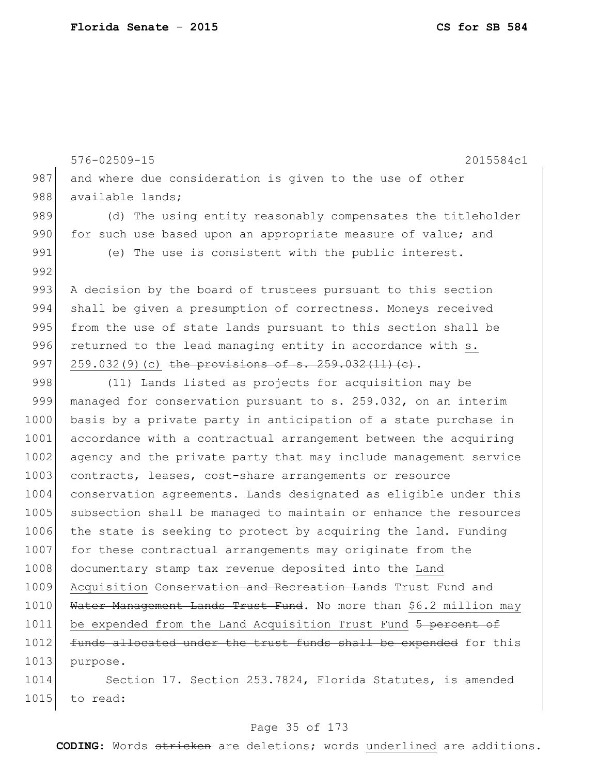576-02509-15 2015584c1 987 and where due consideration is given to the use of other 988 available lands; 989 (d) The using entity reasonably compensates the titleholder 990 for such use based upon an appropriate measure of value; and 991 (e) The use is consistent with the public interest. 992 993 A decision by the board of trustees pursuant to this section 994 shall be given a presumption of correctness. Moneys received 995 from the use of state lands pursuant to this section shall be  $996$  returned to the lead managing entity in accordance with  $s$ . 997 259.032(9)(c) the provisions of s.  $259.032(11)(e)$ . 998 (11) Lands listed as projects for acquisition may be 999 managed for conservation pursuant to s. 259.032, on an interim 1000 basis by a private party in anticipation of a state purchase in 1001 accordance with a contractual arrangement between the acquiring 1002 agency and the private party that may include management service 1003 contracts, leases, cost-share arrangements or resource 1004 conservation agreements. Lands designated as eligible under this 1005 subsection shall be managed to maintain or enhance the resources 1006 the state is seeking to protect by acquiring the land. Funding 1007 for these contractual arrangements may originate from the 1008 documentary stamp tax revenue deposited into the Land 1009 Acquisition Conservation and Recreation Lands Trust Fund and 1010 Water Management Lands Trust Fund. No more than \$6.2 million may 1011 be expended from the Land Acquisition Trust Fund 5 percent of 1012 funds allocated under the trust funds shall be expended for this 1013 purpose. 1014 Section 17. Section 253.7824, Florida Statutes, is amended 1015 to read:

#### Page 35 of 173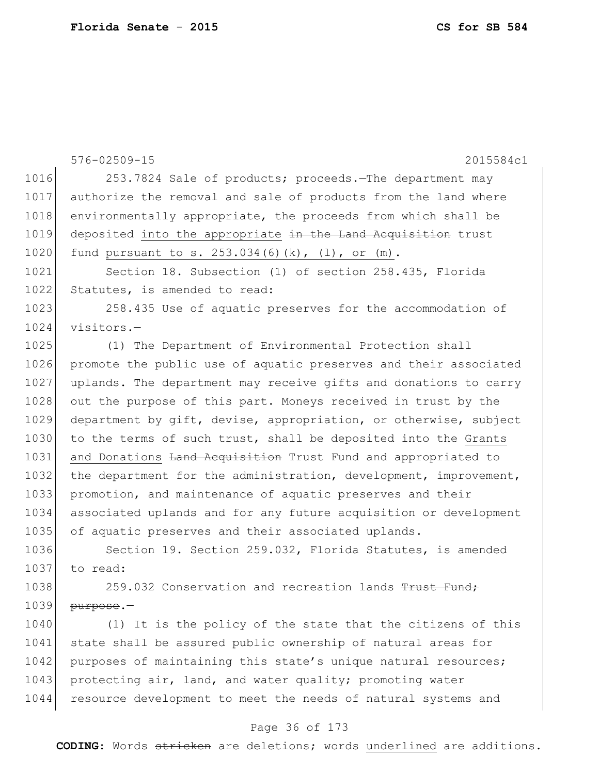|      | $576 - 02509 - 15$<br>2015584c1                                  |
|------|------------------------------------------------------------------|
| 1016 | 253.7824 Sale of products; proceeds. The department may          |
| 1017 | authorize the removal and sale of products from the land where   |
| 1018 | environmentally appropriate, the proceeds from which shall be    |
| 1019 | deposited into the appropriate in the Land Acquisition trust     |
| 1020 | fund pursuant to s. $253.034(6)(k)$ , $(l)$ , or $(m)$ .         |
| 1021 | Section 18. Subsection (1) of section 258.435, Florida           |
| 1022 | Statutes, is amended to read:                                    |
| 1023 | 258.435 Use of aquatic preserves for the accommodation of        |
| 1024 | visitors.-                                                       |
| 1025 | (1) The Department of Environmental Protection shall             |
| 1026 | promote the public use of aquatic preserves and their associated |
| 1027 | uplands. The department may receive gifts and donations to carry |
| 1028 | out the purpose of this part. Moneys received in trust by the    |
| 1029 | department by gift, devise, appropriation, or otherwise, subject |
| 1030 | to the terms of such trust, shall be deposited into the Grants   |
| 1031 | and Donations Land Acquisition Trust Fund and appropriated to    |
| 1032 | the department for the administration, development, improvement, |
| 1033 | promotion, and maintenance of aquatic preserves and their        |
| 1034 | associated uplands and for any future acquisition or development |
| 1035 | of aquatic preserves and their associated uplands.               |
| 1036 | Section 19. Section 259.032, Florida Statutes, is amended        |
| 1037 | to read:                                                         |
| 1038 | 259.032 Conservation and recreation lands Trust Fund,            |
| 1039 | purpose.-                                                        |
| 1040 | (1) It is the policy of the state that the citizens of this      |
| 1041 | state shall be assured public ownership of natural areas for     |
| 1042 | purposes of maintaining this state's unique natural resources;   |
| 1043 | protecting air, land, and water quality; promoting water         |
| 1044 | resource development to meet the needs of natural systems and    |

# Page 36 of 173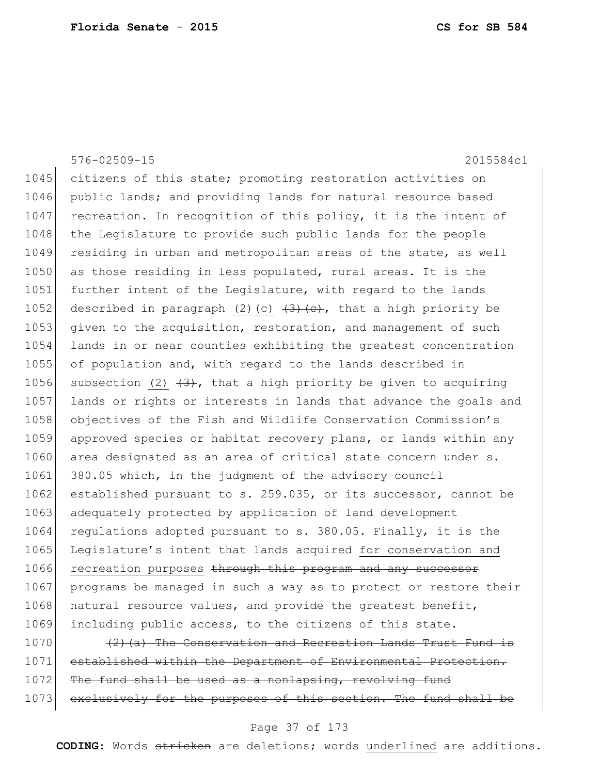|      | $576 - 02509 - 15$<br>2015584c1                                   |
|------|-------------------------------------------------------------------|
| 1045 | citizens of this state; promoting restoration activities on       |
| 1046 | public lands; and providing lands for natural resource based      |
| 1047 | recreation. In recognition of this policy, it is the intent of    |
| 1048 | the Legislature to provide such public lands for the people       |
| 1049 | residing in urban and metropolitan areas of the state, as well    |
| 1050 | as those residing in less populated, rural areas. It is the       |
| 1051 | further intent of the Legislature, with regard to the lands       |
| 1052 | described in paragraph (2)(c) $(3)$ (e), that a high priority be  |
| 1053 | given to the acquisition, restoration, and management of such     |
| 1054 | lands in or near counties exhibiting the greatest concentration   |
| 1055 | of population and, with regard to the lands described in          |
| 1056 | subsection (2) $(3)$ , that a high priority be given to acquiring |
| 1057 | lands or rights or interests in lands that advance the goals and  |
| 1058 | objectives of the Fish and Wildlife Conservation Commission's     |
| 1059 | approved species or habitat recovery plans, or lands within any   |
| 1060 | area designated as an area of critical state concern under s.     |
| 1061 | 380.05 which, in the judgment of the advisory council             |
| 1062 | established pursuant to s. 259.035, or its successor, cannot be   |
| 1063 | adequately protected by application of land development           |
| 1064 | regulations adopted pursuant to s. 380.05. Finally, it is the     |
| 1065 | Legislature's intent that lands acquired for conservation and     |
| 1066 | recreation purposes through this program and any successor        |
| 1067 | programs be managed in such a way as to protect or restore their  |
| 1068 | natural resource values, and provide the greatest benefit,        |
| 1069 | including public access, to the citizens of this state.           |
| 1070 | $(2)$ (a) The Conservation and Recreation Lands Trust Fund is     |
| 1071 | established within the Department of Environmental Protection.    |

1071 established within the Department of Environmental Protection. 1072 The fund shall be used as a nonlapsing, revolving fund 1073 exclusively for the purposes of this section. The fund shall be

### Page 37 of 173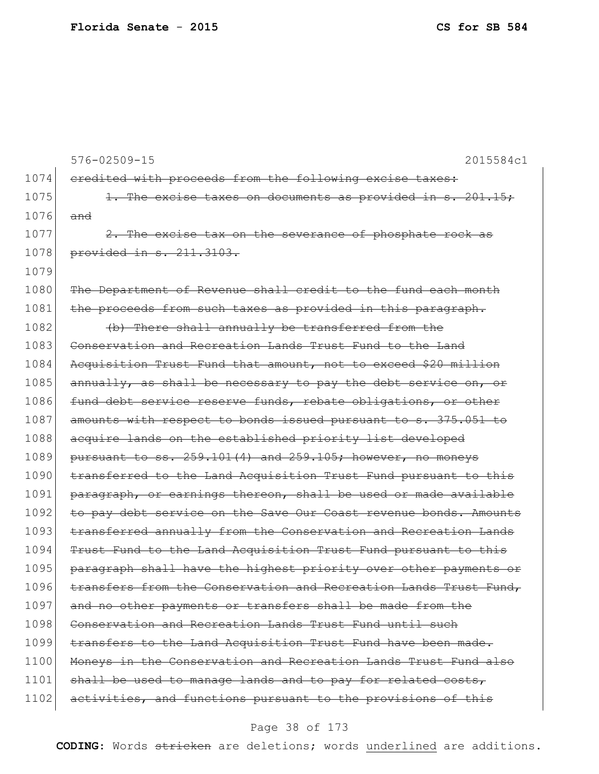576-02509-15 2015584c1 1074 credited with proceeds from the following excise taxes:  $1075$  1. The excise taxes on documents as provided in s. 201.15; 1076 and 1077 2. The excise tax on the severance of phosphate rock as 1078 provided in s. 211.3103. 1079 1080 The Department of Revenue shall credit to the fund each month 1081 the proceeds from such taxes as provided in this paragraph. 1082  $\left| \right|$  (b) There shall annually be transferred from the 1083 Conservation and Recreation Lands Trust Fund to the Land 1084 Acquisition Trust Fund that amount, not to exceed \$20 million 1085 annually, as shall be necessary to pay the debt service on, or 1086 fund debt service reserve funds, rebate obligations, or other 1087 amounts with respect to bonds issued pursuant to s. 375.051 to 1088 acquire lands on the established priority list developed 1089 pursuant to ss.  $259.101(4)$  and  $259.105$ ; however, no moneys 1090 transferred to the Land Acquisition Trust Fund pursuant to this 1091 paragraph, or earnings thereon, shall be used or made available 1092 to pay debt service on the Save Our Coast revenue bonds. Amounts 1093 transferred annually from the Conservation and Recreation Lands 1094 Trust Fund to the Land Acquisition Trust Fund pursuant to this 1095 paragraph shall have the highest priority over other payments or 1096 transfers from the Conservation and Recreation Lands Trust Fund, 1097 and no other payments or transfers shall be made from the 1098 Conservation and Recreation Lands Trust Fund until such 1099 transfers to the Land Acquisition Trust Fund have been made. 1100 Moneys in the Conservation and Recreation Lands Trust Fund also 1101 shall be used to manage lands and to pay for related costs, 1102 activities, and functions pursuant to the provisions of this

#### Page 38 of 173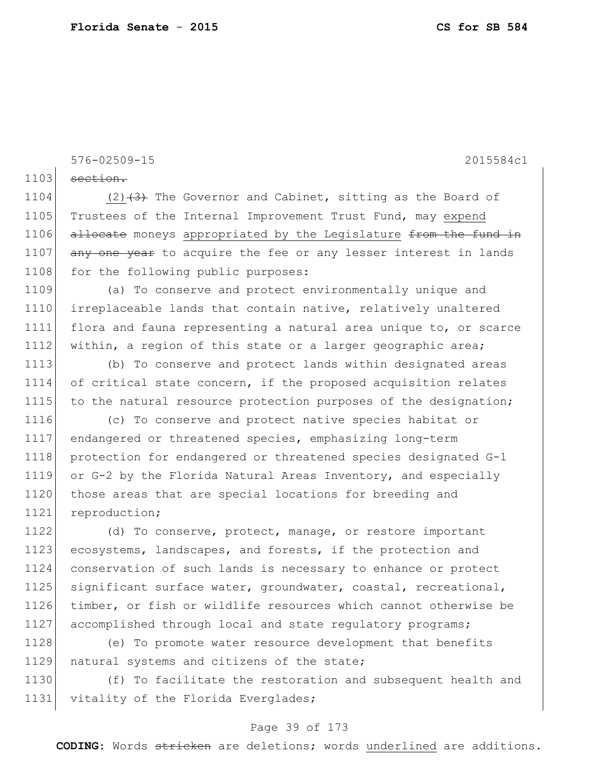576-02509-15 2015584c1

 $1103$  section.

1104  $(2)$   $(3)$  The Governor and Cabinet, sitting as the Board of 1105 Trustees of the Internal Improvement Trust Fund, may expend 1106 allocate moneys appropriated by the Legislature from the fund in 1107 any one year to acquire the fee or any lesser interest in lands 1108 for the following public purposes:

1109 (a) To conserve and protect environmentally unique and 1110 irreplaceable lands that contain native, relatively unaltered 1111 flora and fauna representing a natural area unique to, or scarce 1112 within, a region of this state or a larger geographic area;

1113 (b) To conserve and protect lands within designated areas 1114 of critical state concern, if the proposed acquisition relates 1115 to the natural resource protection purposes of the designation;

 (c) To conserve and protect native species habitat or endangered or threatened species, emphasizing long-term protection for endangered or threatened species designated G-1 or G-2 by the Florida Natural Areas Inventory, and especially 1120 those areas that are special locations for breeding and 1121 reproduction;

1122 (d) To conserve, protect, manage, or restore important 1123 ecosystems, landscapes, and forests, if the protection and 1124 conservation of such lands is necessary to enhance or protect 1125 significant surface water, groundwater, coastal, recreational, 1126 timber, or fish or wildlife resources which cannot otherwise be 1127 accomplished through local and state regulatory programs;

1128 (e) To promote water resource development that benefits 1129 natural systems and citizens of the state;

1130 (f) To facilitate the restoration and subsequent health and 1131 vitality of the Florida Everglades;

### Page 39 of 173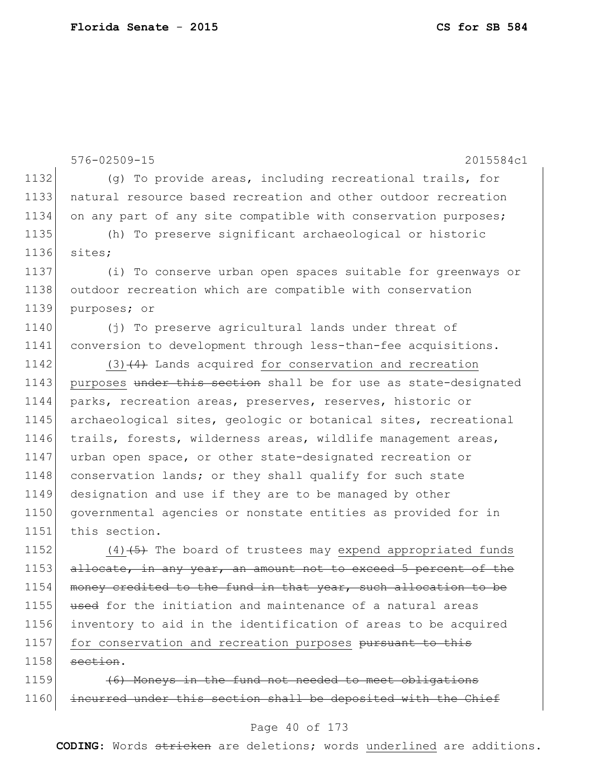576-02509-15 2015584c1 1132 (g) To provide areas, including recreational trails, for 1133 natural resource based recreation and other outdoor recreation 1134 on any part of any site compatible with conservation purposes; 1135 (h) To preserve significant archaeological or historic 1136 sites; 1137 (i) To conserve urban open spaces suitable for greenways or 1138 outdoor recreation which are compatible with conservation 1139 purposes; or 1140 (j) To preserve agricultural lands under threat of 1141 conversion to development through less-than-fee acquisitions. 1142  $(3)$   $(4)$  Lands acquired for conservation and recreation 1143 purposes under this section shall be for use as state-designated 1144 parks, recreation areas, preserves, reserves, historic or 1145 archaeological sites, geologic or botanical sites, recreational 1146 trails, forests, wilderness areas, wildlife management areas, 1147 urban open space, or other state-designated recreation or 1148 conservation lands; or they shall qualify for such state 1149 designation and use if they are to be managed by other 1150 governmental agencies or nonstate entities as provided for in 1151 this section. 1152  $(4)$   $\leftarrow$  (4) $\leftarrow$  The board of trustees may expend appropriated funds

1153 allocate, in any year, an amount not to exceed 5 percent of the 1154 money credited to the fund in that year, such allocation to be 1155 used for the initiation and maintenance of a natural areas 1156 inventory to aid in the identification of areas to be acquired 1157 for conservation and recreation purposes pursuant to this  $1158$  section.

1159 **(6)** Moneys in the fund not needed to meet obligations 1160 incurred under this section shall be deposited with the Chief

#### Page 40 of 173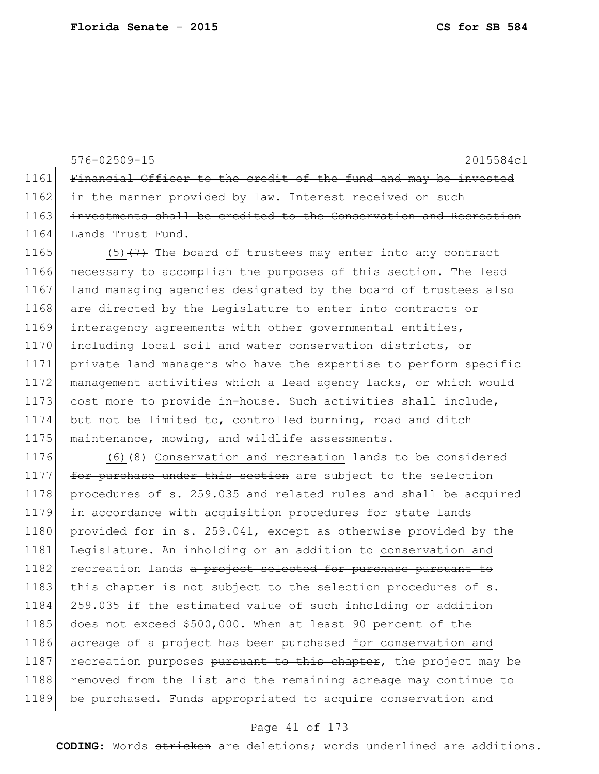576-02509-15 2015584c1 1164 Lands Trust Fund. 1165  $(5)$   $(7)$  The board of trustees may enter into any contract 1176  $(6)$  (6) (8) Conservation and recreation lands to be considered

1161 Financial Officer to the credit of the fund and may be invested 1162 in the manner provided by law. Interest received on such 1163 investments shall be credited to the Conservation and Recreation

1166 necessary to accomplish the purposes of this section. The lead 1167 land managing agencies designated by the board of trustees also 1168 are directed by the Legislature to enter into contracts or 1169 interagency agreements with other governmental entities, 1170 including local soil and water conservation districts, or 1171 private land managers who have the expertise to perform specific 1172 management activities which a lead agency lacks, or which would 1173 cost more to provide in-house. Such activities shall include, 1174 but not be limited to, controlled burning, road and ditch 1175 maintenance, mowing, and wildlife assessments.

1177 for purchase under this section are subject to the selection 1178 procedures of s. 259.035 and related rules and shall be acquired 1179 in accordance with acquisition procedures for state lands 1180 provided for in s. 259.041, except as otherwise provided by the 1181 Legislature. An inholding or an addition to conservation and 1182 recreation lands a project selected for purchase pursuant to 1183 this chapter is not subject to the selection procedures of s. 1184 259.035 if the estimated value of such inholding or addition 1185 does not exceed \$500,000. When at least 90 percent of the 1186 acreage of a project has been purchased for conservation and 1187 recreation purposes pursuant to this chapter, the project may be 1188 removed from the list and the remaining acreage may continue to 1189 be purchased. Funds appropriated to acquire conservation and

### Page 41 of 173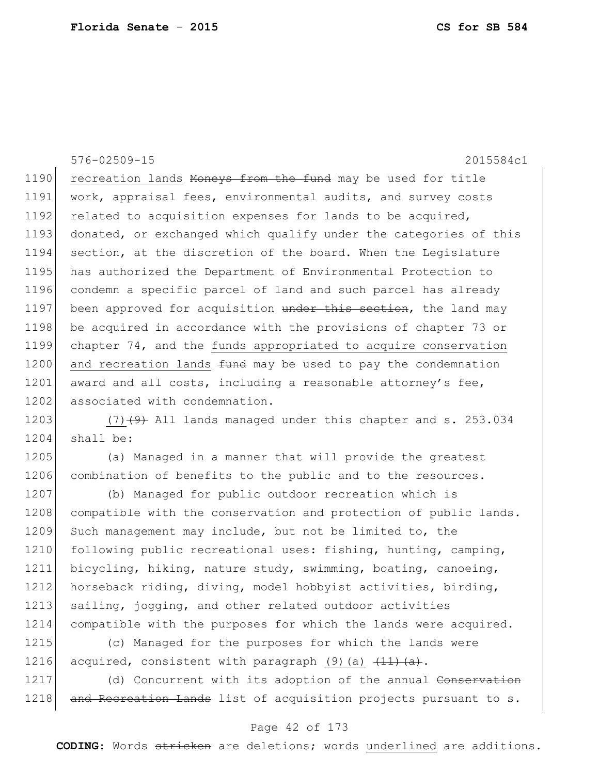576-02509-15 2015584c1 1190 recreation lands Moneys from the fund may be used for title 1191 work, appraisal fees, environmental audits, and survey costs 1192 related to acquisition expenses for lands to be acquired, 1193 donated, or exchanged which qualify under the categories of this 1194 section, at the discretion of the board. When the Legislature 1195 has authorized the Department of Environmental Protection to 1196 condemn a specific parcel of land and such parcel has already 1197 been approved for acquisition under this section, the land may 1198 be acquired in accordance with the provisions of chapter 73 or 1199 chapter 74, and the funds appropriated to acquire conservation 1200 and recreation lands  $f$ und may be used to pay the condemnation  $1201$  award and all costs, including a reasonable attorney's fee, 1202 associated with condemnation.

1203  $(7)$   $(9)$  All lands managed under this chapter and s. 253.034 1204 shall be:

1205 (a) Managed in a manner that will provide the greatest 1206 combination of benefits to the public and to the resources.

1207 (b) Managed for public outdoor recreation which is 1208 compatible with the conservation and protection of public lands. 1209 Such management may include, but not be limited to, the 1210 following public recreational uses: fishing, hunting, camping, 1211 bicycling, hiking, nature study, swimming, boating, canoeing, 1212 horseback riding, diving, model hobbyist activities, birding, 1213 sailing, jogging, and other related outdoor activities 1214 compatible with the purposes for which the lands were acquired. 1215 (c) Managed for the purposes for which the lands were

1216 acquired, consistent with paragraph (9)(a)  $\frac{(11)(a)}{(a)}$ .

1217 (d) Concurrent with its adoption of the annual Conservation 1218 and Recreation Lands list of acquisition projects pursuant to s.

### Page 42 of 173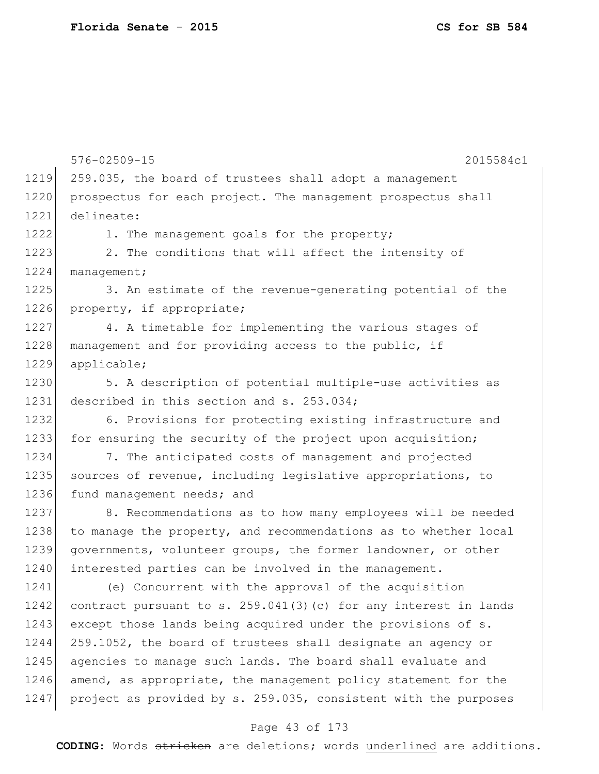576-02509-15 2015584c1 1219 259.035, the board of trustees shall adopt a management 1220 prospectus for each project. The management prospectus shall 1221 delineate: 1222 1. The management goals for the property; 1223 2. The conditions that will affect the intensity of 1224 management; 1225 3. An estimate of the revenue-generating potential of the 1226 property, if appropriate; 1227 4. A timetable for implementing the various stages of 1228 management and for providing access to the public, if 1229 applicable; 1230 5. A description of potential multiple-use activities as 1231 described in this section and s. 253.034; 1232 6. Provisions for protecting existing infrastructure and 1233 for ensuring the security of the project upon acquisition; 1234 7. The anticipated costs of management and projected 1235 sources of revenue, including legislative appropriations, to 1236 fund management needs; and 1237 8. Recommendations as to how many employees will be needed 1238 to manage the property, and recommendations as to whether local 1239 governments, volunteer groups, the former landowner, or other 1240 interested parties can be involved in the management. 1241 (e) Concurrent with the approval of the acquisition 1242 contract pursuant to s.  $259.041(3)(c)$  for any interest in lands 1243 except those lands being acquired under the provisions of s. 1244 259.1052, the board of trustees shall designate an agency or 1245 agencies to manage such lands. The board shall evaluate and 1246 amend, as appropriate, the management policy statement for the

### Page 43 of 173

1247 project as provided by s. 259.035, consistent with the purposes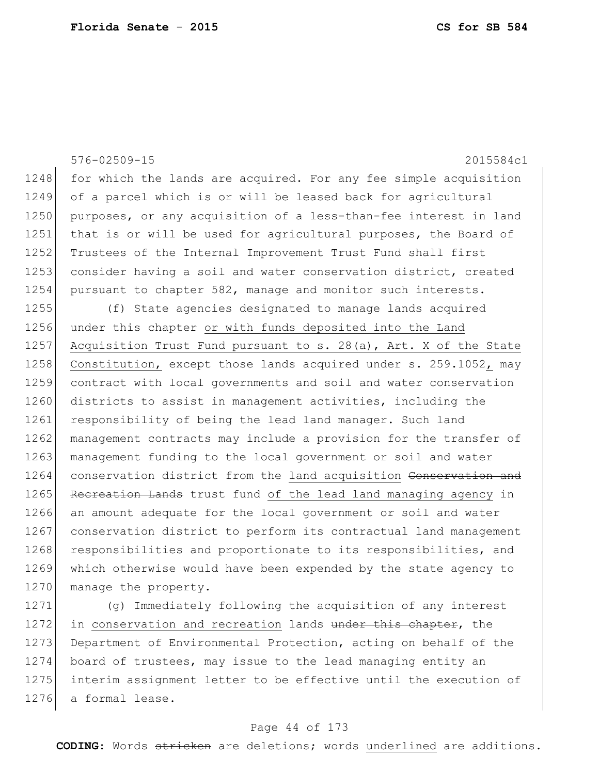|      | $576 - 02509 - 15$<br>2015584c1                                  |
|------|------------------------------------------------------------------|
| 1248 | for which the lands are acquired. For any fee simple acquisition |
| 1249 | of a parcel which is or will be leased back for agricultural     |
| 1250 | purposes, or any acquisition of a less-than-fee interest in land |
| 1251 | that is or will be used for agricultural purposes, the Board of  |
| 1252 | Trustees of the Internal Improvement Trust Fund shall first      |
| 1253 | consider having a soil and water conservation district, created  |
| 1254 | pursuant to chapter 582, manage and monitor such interests.      |
| 1255 | (f) State agencies designated to manage lands acquired           |
| 1256 | under this chapter or with funds deposited into the Land         |
| 1257 | Acquisition Trust Fund pursuant to s. 28(a), Art. X of the State |
| 1258 | Constitution, except those lands acquired under s. 259.1052, may |
| 1259 | contract with local governments and soil and water conservation  |
| 1260 | districts to assist in management activities, including the      |
| 1261 | responsibility of being the lead land manager. Such land         |
| 1262 | management contracts may include a provision for the transfer of |
| 1263 | management funding to the local government or soil and water     |
| 1264 | conservation district from the land acquisition Conservation and |
| 1265 | Recreation Lands trust fund of the lead land managing agency in  |
| 1266 | an amount adequate for the local government or soil and water    |
| 1267 | conservation district to perform its contractual land management |
| 1268 | responsibilities and proportionate to its responsibilities, and  |
| 1269 | which otherwise would have been expended by the state agency to  |
| 1270 | manage the property.                                             |
| 1271 | (q) Immediately following the acquisition of any interest        |
| 1272 | in conservation and recreation lands under this chapter, the     |

1273 Department of Environmental Protection, acting on behalf of the board of trustees, may issue to the lead managing entity an 1275 interim assignment letter to be effective until the execution of a formal lease.

### Page 44 of 173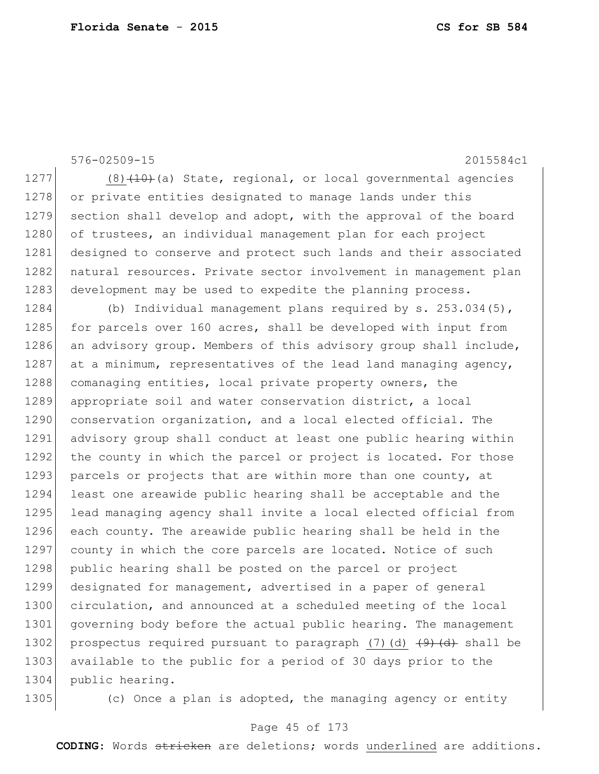576-02509-15 2015584c1

1277  $(8)$   $(10)$  (a) State, regional, or local governmental agencies 1278 or private entities designated to manage lands under this 1279 section shall develop and adopt, with the approval of the board 1280 of trustees, an individual management plan for each project 1281 designed to conserve and protect such lands and their associated 1282 natural resources. Private sector involvement in management plan 1283 development may be used to expedite the planning process.

1284 (b) Individual management plans required by s. 253.034(5), 1285 for parcels over 160 acres, shall be developed with input from 1286 an advisory group. Members of this advisory group shall include, 1287 at a minimum, representatives of the lead land managing agency, 1288 comanaging entities, local private property owners, the 1289 appropriate soil and water conservation district, a local 1290 conservation organization, and a local elected official. The 1291 advisory group shall conduct at least one public hearing within 1292 the county in which the parcel or project is located. For those 1293 parcels or projects that are within more than one county, at 1294 least one areawide public hearing shall be acceptable and the 1295 lead managing agency shall invite a local elected official from 1296 each county. The areawide public hearing shall be held in the 1297 county in which the core parcels are located. Notice of such 1298 public hearing shall be posted on the parcel or project 1299 designated for management, advertised in a paper of general 1300 circulation, and announced at a scheduled meeting of the local 1301 governing body before the actual public hearing. The management 1302 prospectus required pursuant to paragraph (7)(d)  $\left(4\right)$  shall be 1303 available to the public for a period of 30 days prior to the 1304 public hearing.

1305 (c) Once a plan is adopted, the managing agency or entity

### Page 45 of 173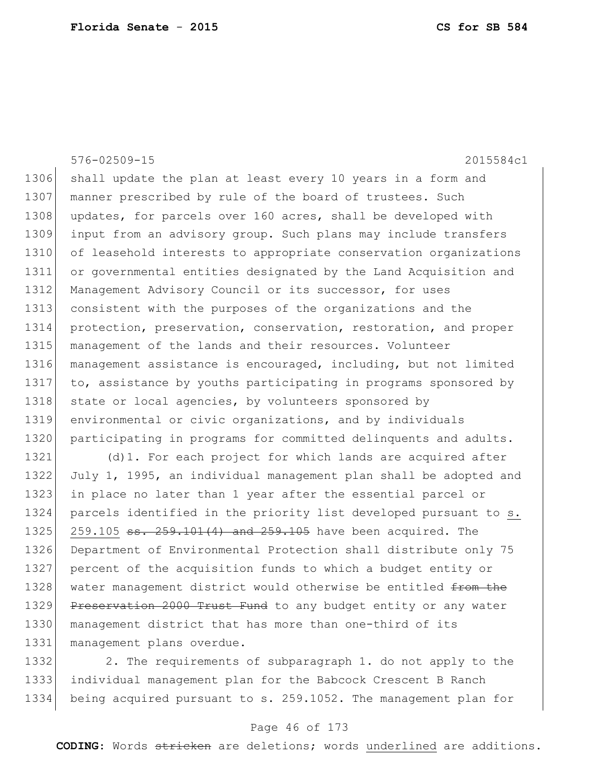576-02509-15 2015584c1 1306 shall update the plan at least every 10 years in a form and 1307 manner prescribed by rule of the board of trustees. Such 1308 updates, for parcels over 160 acres, shall be developed with 1309 input from an advisory group. Such plans may include transfers 1310 of leasehold interests to appropriate conservation organizations 1311 or governmental entities designated by the Land Acquisition and 1312 Management Advisory Council or its successor, for uses 1313 consistent with the purposes of the organizations and the 1314 protection, preservation, conservation, restoration, and proper 1315 management of the lands and their resources. Volunteer 1316 management assistance is encouraged, including, but not limited 1317 to, assistance by youths participating in programs sponsored by 1318 state or local agencies, by volunteers sponsored by 1319 environmental or civic organizations, and by individuals 1320 participating in programs for committed delinquents and adults. 1321 (d) 1. For each project for which lands are acquired after 1322 July 1, 1995, an individual management plan shall be adopted and

1323 in place no later than 1 year after the essential parcel or 1324 parcels identified in the priority list developed pursuant to s. 1325 259.105 ss. 259.101(4) and 259.105 have been acquired. The 1326 Department of Environmental Protection shall distribute only 75 1327 percent of the acquisition funds to which a budget entity or 1328 water management district would otherwise be entitled from the 1329 Preservation 2000 Trust Fund to any budget entity or any water 1330 management district that has more than one-third of its 1331 management plans overdue.

1332 2. The requirements of subparagraph 1. do not apply to the 1333 individual management plan for the Babcock Crescent B Ranch 1334 being acquired pursuant to s. 259.1052. The management plan for

### Page 46 of 173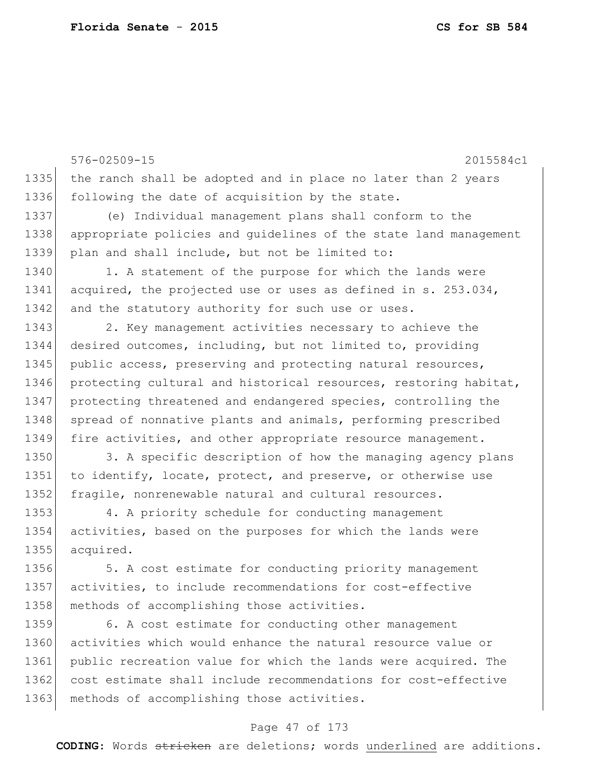576-02509-15 2015584c1 1335 the ranch shall be adopted and in place no later than 2 years 1336 following the date of acquisition by the state. 1337 (e) Individual management plans shall conform to the 1338 appropriate policies and guidelines of the state land management 1339 plan and shall include, but not be limited to: 1340 1. A statement of the purpose for which the lands were 1341 acquired, the projected use or uses as defined in s. 253.034, 1342 and the statutory authority for such use or uses. 1343 2. Key management activities necessary to achieve the 1344 desired outcomes, including, but not limited to, providing 1345 public access, preserving and protecting natural resources, 1346 protecting cultural and historical resources, restoring habitat, 1347 | protecting threatened and endangered species, controlling the 1348 spread of nonnative plants and animals, performing prescribed 1349 fire activities, and other appropriate resource management. 1350 3. A specific description of how the managing agency plans 1351 to identify, locate, protect, and preserve, or otherwise use 1352 fragile, nonrenewable natural and cultural resources. 1353 4. A priority schedule for conducting management 1354 activities, based on the purposes for which the lands were 1355 acquired. 1356 5. A cost estimate for conducting priority management 1357 activities, to include recommendations for cost-effective 1358 methods of accomplishing those activities. 1359 6. A cost estimate for conducting other management 1360 activities which would enhance the natural resource value or 1361 public recreation value for which the lands were acquired. The 1362 cost estimate shall include recommendations for cost-effective 1363 methods of accomplishing those activities.

### Page 47 of 173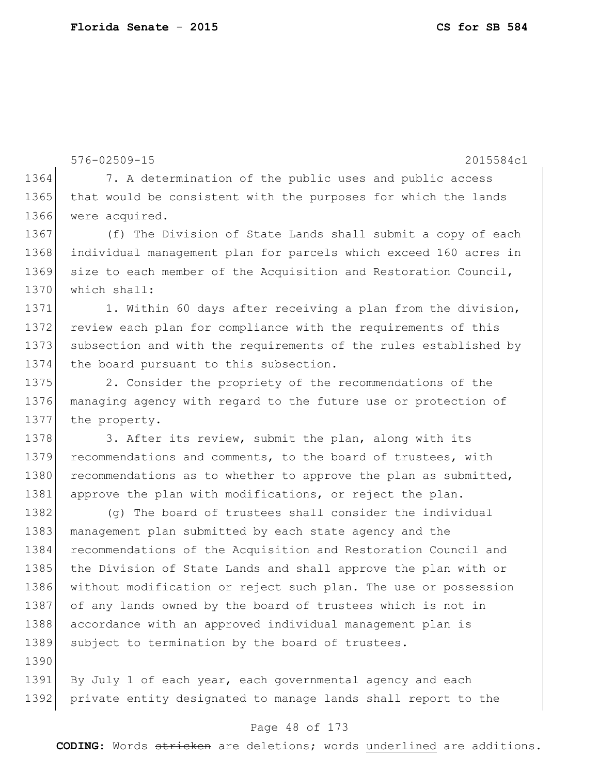576-02509-15 2015584c1 1364 7. A determination of the public uses and public access 1365 that would be consistent with the purposes for which the lands 1366 were acquired. 1367 (f) The Division of State Lands shall submit a copy of each 1368 individual management plan for parcels which exceed 160 acres in 1369 size to each member of the Acquisition and Restoration Council, 1370 which shall: 1371 1. Within 60 days after receiving a plan from the division, 1372 review each plan for compliance with the requirements of this 1373 subsection and with the requirements of the rules established by 1374 the board pursuant to this subsection. 1375 2. Consider the propriety of the recommendations of the 1376 managing agency with regard to the future use or protection of 1377 the property. 1378 3. After its review, submit the plan, along with its 1379 recommendations and comments, to the board of trustees, with 1380 recommendations as to whether to approve the plan as submitted, 1381 approve the plan with modifications, or reject the plan. 1382 (q) The board of trustees shall consider the individual 1383 management plan submitted by each state agency and the 1384 recommendations of the Acquisition and Restoration Council and 1385 the Division of State Lands and shall approve the plan with or 1386 without modification or reject such plan. The use or possession 1387 of any lands owned by the board of trustees which is not in 1388 accordance with an approved individual management plan is 1389 subject to termination by the board of trustees. 1390 1391 By July 1 of each year, each governmental agency and each 1392 private entity designated to manage lands shall report to the

### Page 48 of 173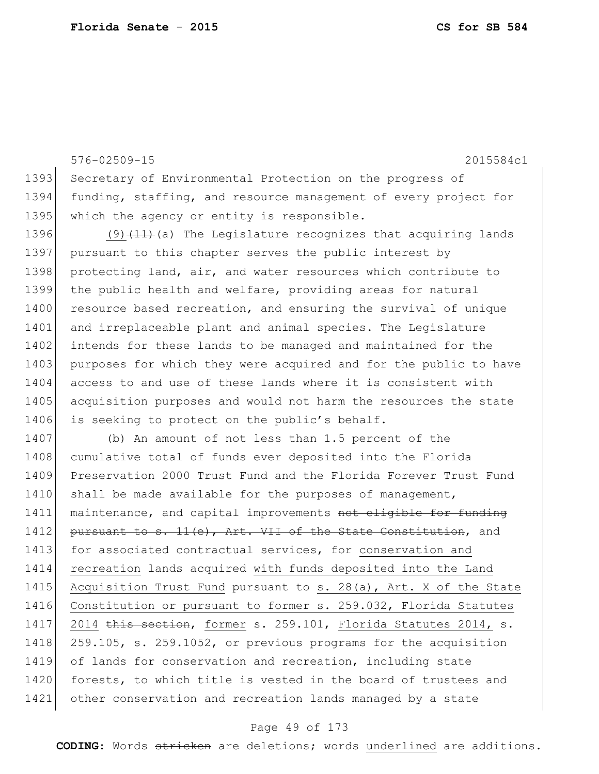576-02509-15 2015584c1 1393 Secretary of Environmental Protection on the progress of 1394 funding, staffing, and resource management of every project for 1395 which the agency or entity is responsible. 1396 (9) $(11)$  (a) The Legislature recognizes that acquiring lands 1397 pursuant to this chapter serves the public interest by 1398 protecting land, air, and water resources which contribute to 1399 the public health and welfare, providing areas for natural 1400 resource based recreation, and ensuring the survival of unique 1401 and irreplaceable plant and animal species. The Legislature 1402 intends for these lands to be managed and maintained for the 1403 purposes for which they were acquired and for the public to have 1404 access to and use of these lands where it is consistent with 1405 acquisition purposes and would not harm the resources the state 1406 is seeking to protect on the public's behalf. 1407 (b) An amount of not less than 1.5 percent of the 1408 cumulative total of funds ever deposited into the Florida 1409 Preservation 2000 Trust Fund and the Florida Forever Trust Fund 1410 shall be made available for the purposes of management, 1411 maintenance, and capital improvements not eligible for funding 1412 pursuant to s.  $11(e)$ , Art. VII of the State Constitution, and 1413 for associated contractual services, for conservation and 1414 recreation lands acquired with funds deposited into the Land 1415 Acquisition Trust Fund pursuant to s. 28(a), Art. X of the State 1416 Constitution or pursuant to former s. 259.032, Florida Statutes 1417 2014 this section, former s. 259.101, Florida Statutes 2014, s. 1418 259.105, s. 259.1052, or previous programs for the acquisition 1419 of lands for conservation and recreation, including state 1420 forests, to which title is vested in the board of trustees and 1421 other conservation and recreation lands managed by a state

#### Page 49 of 173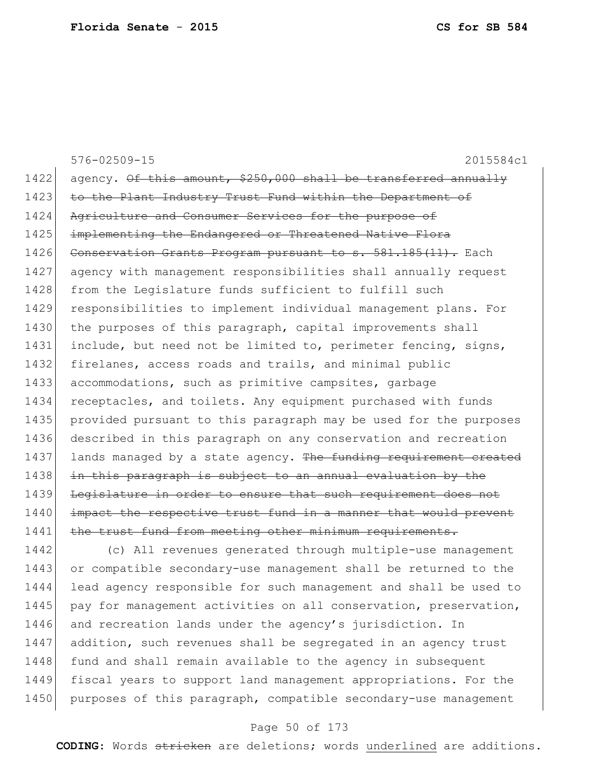|        | $576 - 02509 - 15$<br>2015584c1                                  |
|--------|------------------------------------------------------------------|
| 1422   | agency. Of this amount, \$250,000 shall be transferred annually  |
| 1423   | to the Plant Industry Trust Fund within the Department of        |
| 1424   | Agriculture and Consumer Services for the purpose of             |
| 1425   | implementing the Endangered or Threatened Native Flora           |
| 1426   | Conservation Grants Program pursuant to s. 581.185(11). Each     |
| 1427   | agency with management responsibilities shall annually request   |
| 1428   | from the Legislature funds sufficient to fulfill such            |
| 1429   | responsibilities to implement individual management plans. For   |
| 1430   | the purposes of this paragraph, capital improvements shall       |
| 1431   | include, but need not be limited to, perimeter fencing, signs,   |
| 1432   | firelanes, access roads and trails, and minimal public           |
| 1433   | accommodations, such as primitive campsites, garbage             |
| 1434   | receptacles, and toilets. Any equipment purchased with funds     |
| 1435   | provided pursuant to this paragraph may be used for the purposes |
| 1436   | described in this paragraph on any conservation and recreation   |
| 1437   | lands managed by a state agency. The funding requirement created |
| 1438   | in this paragraph is subject to an annual evaluation by the      |
| 1439   | Legislature in order to ensure that such requirement does not    |
| 1440   | impact the respective trust fund in a manner that would prevent  |
| 1441   | the trust fund from meeting other minimum requirements.          |
| 1442   | (c) All revenues generated through multiple-use management       |
| $1111$ |                                                                  |

 or compatible secondary-use management shall be returned to the lead agency responsible for such management and shall be used to 1445 pay for management activities on all conservation, preservation, 1446 and recreation lands under the agency's jurisdiction. In 1447 addition, such revenues shall be segregated in an agency trust 1448 fund and shall remain available to the agency in subsequent fiscal years to support land management appropriations. For the 1450 purposes of this paragraph, compatible secondary-use management

### Page 50 of 173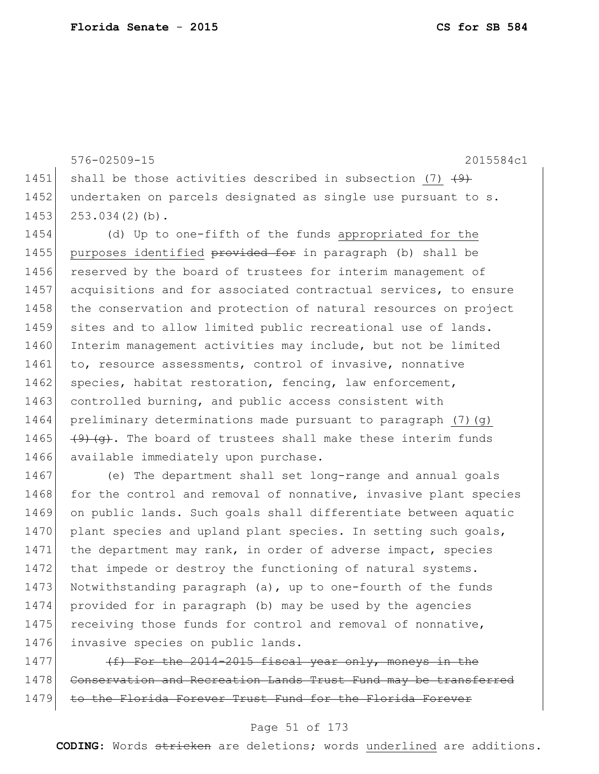1466 available immediately upon purchase.

576-02509-15 2015584c1 1451 shall be those activities described in subsection (7)  $\left(9\right)$ 1452 undertaken on parcels designated as single use pursuant to s. 1453 253.034(2)(b). 1454 (d) Up to one-fifth of the funds appropriated for the 1455 purposes identified provided for in paragraph (b) shall be 1456 reserved by the board of trustees for interim management of 1457 acquisitions and for associated contractual services, to ensure 1458 the conservation and protection of natural resources on project 1459 sites and to allow limited public recreational use of lands. 1460 Interim management activities may include, but not be limited 1461 to, resource assessments, control of invasive, nonnative 1462 species, habitat restoration, fencing, law enforcement, 1463 controlled burning, and public access consistent with 1464 preliminary determinations made pursuant to paragraph  $(7)(q)$ 1465  $(9)$   $(9)$   $(9)$ . The board of trustees shall make these interim funds

1467 (e) The department shall set long-range and annual goals 1468 for the control and removal of nonnative, invasive plant species 1469 on public lands. Such goals shall differentiate between aquatic 1470 plant species and upland plant species. In setting such goals, 1471 the department may rank, in order of adverse impact, species 1472 that impede or destroy the functioning of natural systems. 1473 Notwithstanding paragraph (a), up to one-fourth of the funds 1474 provided for in paragraph (b) may be used by the agencies 1475 receiving those funds for control and removal of nonnative, 1476 invasive species on public lands.

1477  $(f)$  For the 2014-2015 fiscal year only, moneys in the 1478 Conservation and Recreation Lands Trust Fund may be transferred 1479 to the Florida Forever Trust Fund for the Florida Forever

### Page 51 of 173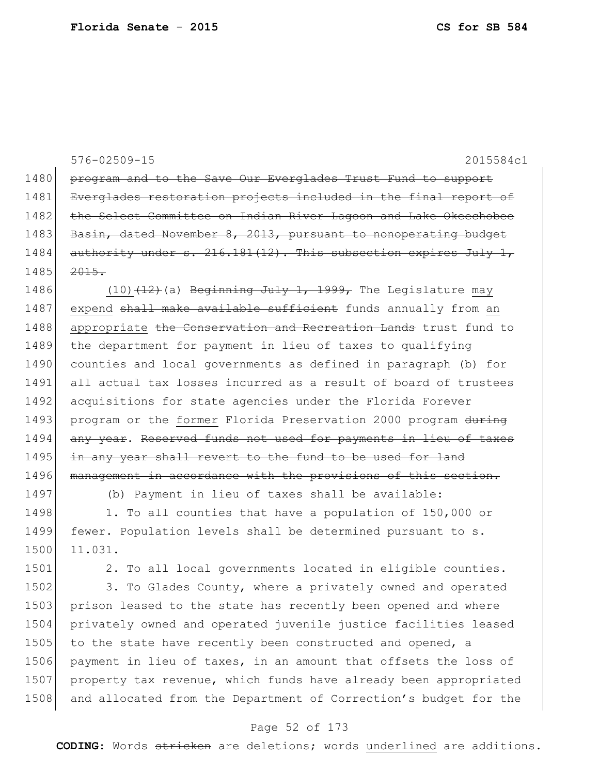|      | $576 - 02509 - 15$<br>2015584c1                                 |
|------|-----------------------------------------------------------------|
| 1480 | program and to the Save Our Everglades Trust Fund to support    |
| 1481 | Everglades restoration projects included in the final report of |
| 1482 | the Select Committee on Indian River Lagoon and Lake Okeechobee |
| 1483 | Basin, dated November 8, 2013, pursuant to nonoperating budget  |
| 1484 | authority under s. 216.181(12). This subsection expires July 1, |
| 1485 | 2015.                                                           |
| 1486 | $(10)$ $(12)$ (a) Beginning July 1, 1999, The Legislature may   |
| 1487 | expend shall make available sufficient funds annually from an   |
| 1488 | appropriate the Conservation and Recreation Lands trust fund to |
| 1489 | the department for payment in lieu of taxes to qualifying       |
| 1490 | counties and local governments as defined in paragraph (b) for  |
| 1491 | all actual tax losses incurred as a result of board of trustees |
| 1492 | acquisitions for state agencies under the Florida Forever       |
| 1493 | program or the former Florida Preservation 2000 program during  |
| 1494 | any year. Reserved funds not used for payments in lieu of taxes |
| 1495 | in any year shall revert to the fund to be used for land        |
| 1496 | management in accordance with the provisions of this section.   |
| 1497 | (b) Payment in lieu of taxes shall be available:                |
| 1498 | 1. To all counties that have a population of 150,000 or         |
| 1499 | fewer. Population levels shall be determined pursuant to s.     |
| 1500 | 11.031.                                                         |
| 1501 | 2. To all local governments located in eligible counties.       |
| 1502 | 3. To Glades County, where a privately owned and operated       |
| 1503 | prison leased to the state has recently been opened and where   |
| 1504 | privately owned and operated juvenile justice facilities leased |
| 1505 | to the state have recently been constructed and opened, a       |
| 1506 | payment in lieu of taxes, in an amount that offsets the loss of |

1507 property tax revenue, which funds have already been appropriated 1508 and allocated from the Department of Correction's budget for the

### Page 52 of 173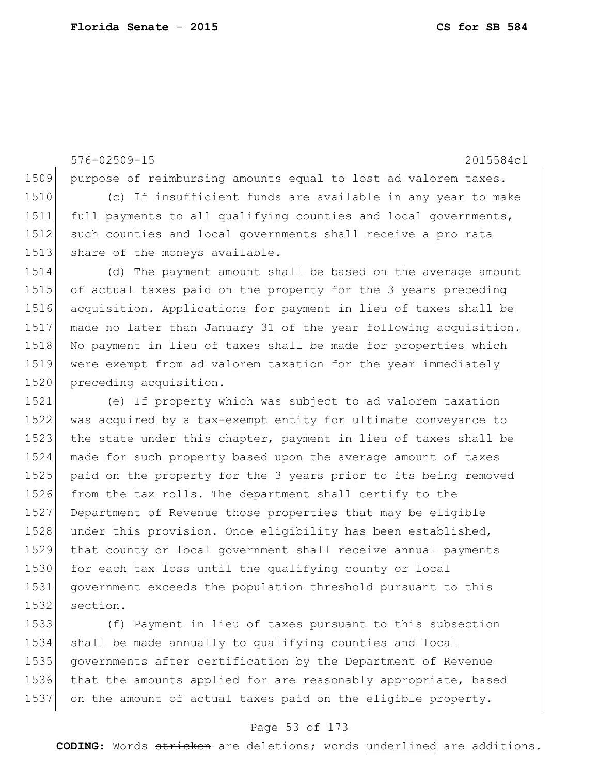576-02509-15 2015584c1 purpose of reimbursing amounts equal to lost ad valorem taxes. (c) If insufficient funds are available in any year to make full payments to all qualifying counties and local governments, such counties and local governments shall receive a pro rata 1513 share of the moneys available. (d) The payment amount shall be based on the average amount of actual taxes paid on the property for the 3 years preceding acquisition. Applications for payment in lieu of taxes shall be made no later than January 31 of the year following acquisition. 1518 No payment in lieu of taxes shall be made for properties which were exempt from ad valorem taxation for the year immediately 1520 preceding acquisition. (e) If property which was subject to ad valorem taxation was acquired by a tax-exempt entity for ultimate conveyance to 1523 the state under this chapter, payment in lieu of taxes shall be made for such property based upon the average amount of taxes paid on the property for the 3 years prior to its being removed from the tax rolls. The department shall certify to the Department of Revenue those properties that may be eligible 1528 under this provision. Once eligibility has been established, that county or local government shall receive annual payments 1530 for each tax loss until the qualifying county or local government exceeds the population threshold pursuant to this

section.

 (f) Payment in lieu of taxes pursuant to this subsection shall be made annually to qualifying counties and local governments after certification by the Department of Revenue 1536 that the amounts applied for are reasonably appropriate, based on the amount of actual taxes paid on the eligible property.

### Page 53 of 173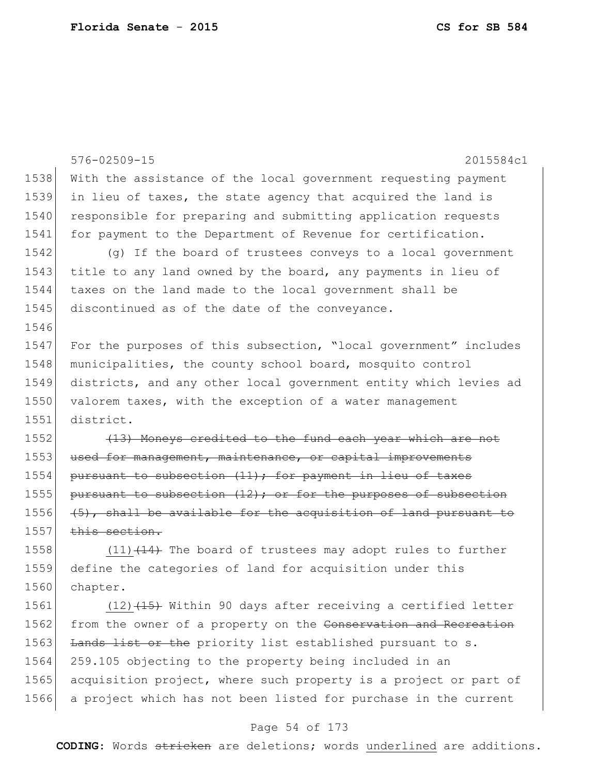|      | 576-02509-15<br>2015584c1                                          |
|------|--------------------------------------------------------------------|
| 1538 | With the assistance of the local government requesting payment     |
| 1539 | in lieu of taxes, the state agency that acquired the land is       |
| 1540 | responsible for preparing and submitting application requests      |
| 1541 | for payment to the Department of Revenue for certification.        |
| 1542 | (g) If the board of trustees conveys to a local government         |
| 1543 | title to any land owned by the board, any payments in lieu of      |
| 1544 | taxes on the land made to the local government shall be            |
| 1545 | discontinued as of the date of the conveyance.                     |
| 1546 |                                                                    |
| 1547 | For the purposes of this subsection, "local government" includes   |
| 1548 | municipalities, the county school board, mosquito control          |
| 1549 | districts, and any other local government entity which levies ad   |
| 1550 | valorem taxes, with the exception of a water management            |
| 1551 | district.                                                          |
| 1552 | (13) Moneys credited to the fund each year which are not           |
| 1553 | used for management, maintenance, or capital improvements          |
| 1554 | pursuant to subsection (11); for payment in lieu of taxes          |
| 1555 | pursuant to subsection $(12)$ ; or for the purposes of subsection  |
| 1556 | $(5)$ , shall be available for the acquisition of land pursuant to |
| 1557 | this section.                                                      |
| 1558 | $(11)$ $(14)$ The board of trustees may adopt rules to further     |
| 1559 | define the categories of land for acquisition under this           |
| 1560 | chapter.                                                           |
| 1561 | $(12)$ $(15)$ Within 90 days after receiving a certified letter    |
| 1562 | from the owner of a property on the Conservation and Recreation    |
| 1563 | Lands list or the priority list established pursuant to s.         |
| 1564 | 259.105 objecting to the property being included in an             |
| 1565 | acquisition project, where such property is a project or part of   |
| 1566 | a project which has not been listed for purchase in the current    |

# Page 54 of 173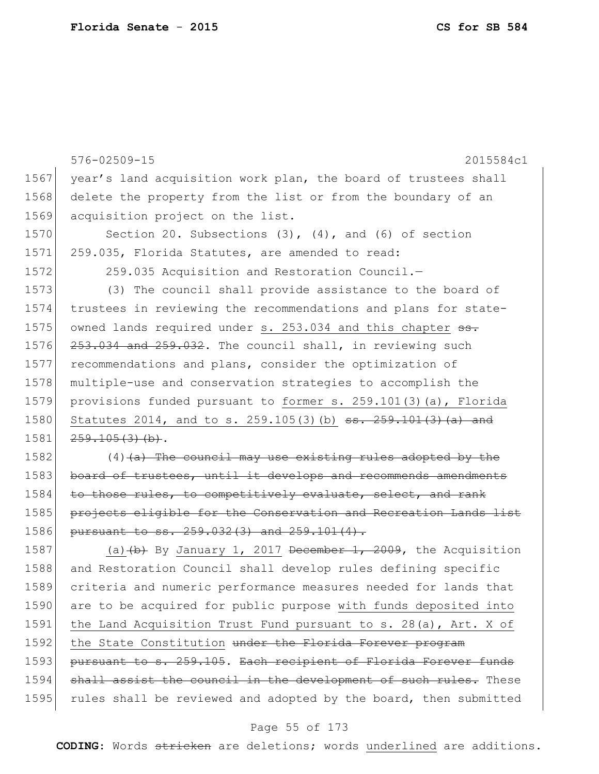|      | $576 - 02509 - 15$<br>2015584c1                                              |
|------|------------------------------------------------------------------------------|
| 1567 | year's land acquisition work plan, the board of trustees shall               |
| 1568 | delete the property from the list or from the boundary of an                 |
| 1569 | acquisition project on the list.                                             |
| 1570 | Section 20. Subsections $(3)$ , $(4)$ , and $(6)$ of section                 |
| 1571 | 259.035, Florida Statutes, are amended to read:                              |
| 1572 | 259.035 Acquisition and Restoration Council.-                                |
| 1573 | (3) The council shall provide assistance to the board of                     |
| 1574 | trustees in reviewing the recommendations and plans for state-               |
| 1575 | owned lands required under s. 253.034 and this chapter ss.                   |
| 1576 | 253.034 and 259.032. The council shall, in reviewing such                    |
| 1577 | recommendations and plans, consider the optimization of                      |
| 1578 | multiple-use and conservation strategies to accomplish the                   |
| 1579 | provisions funded pursuant to former s. 259.101(3)(a), Florida               |
| 1580 | Statutes 2014, and to s. 259.105(3)(b) $\frac{35.259.101(3)}{10.259.101(3)}$ |
| 1581 | $259.105(3)$ (b).                                                            |
| 1582 | $(4)$ (a) The council may use existing rules adopted by the                  |
| 1583 | board of trustees, until it develops and recommends amendments               |
| 1584 | to those rules, to competitively evaluate, select, and rank                  |
| 1585 | projects eligible for the Conservation and Recreation Lands list             |
| 1586 | pursuant to ss. 259.032(3) and 259.101(4).                                   |
| 1587 | (a) $(b)$ By January 1, 2017 December 1, 2009, the Acquisition               |
| 1588 | and Restoration Council shall develop rules defining specific                |
| 1589 | criteria and numeric performance measures needed for lands that              |
| 1590 | are to be acquired for public purpose with funds deposited into              |
| 1591 | the Land Acquisition Trust Fund pursuant to s. 28(a), Art. X of              |
| 1592 | the State Constitution under the Florida Forever program                     |
| 1593 | pursuant to s. 259.105. Each recipient of Florida Forever funds              |
| 1594 | shall assist the council in the development of such rules. These             |
| 1595 | rules shall be reviewed and adopted by the board, then submitted             |
|      |                                                                              |

## Page 55 of 173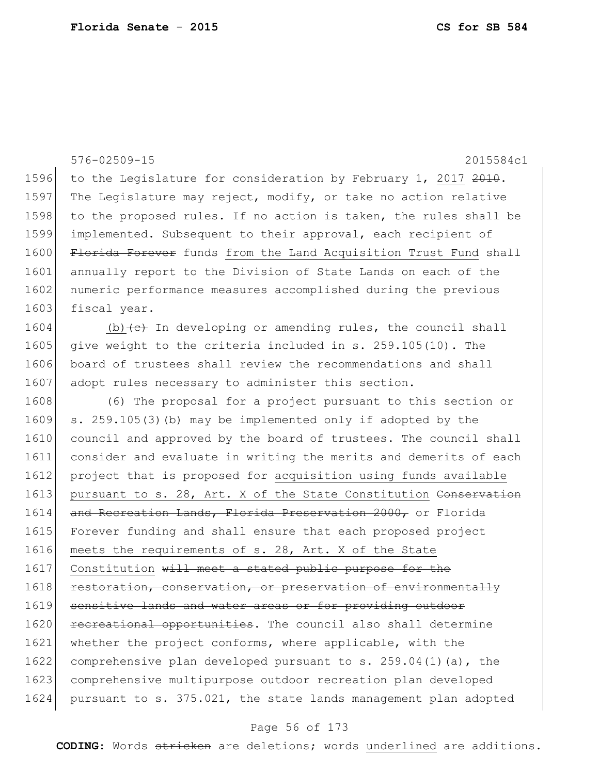|      | $576 - 02509 - 15$<br>2015584c1                                                  |
|------|----------------------------------------------------------------------------------|
| 1596 | to the Legislature for consideration by February 1, 2017 2010.                   |
| 1597 | The Legislature may reject, modify, or take no action relative                   |
| 1598 | to the proposed rules. If no action is taken, the rules shall be                 |
| 1599 | implemented. Subsequent to their approval, each recipient of                     |
| 1600 | Florida Forever funds from the Land Acquisition Trust Fund shall                 |
| 1601 | annually report to the Division of State Lands on each of the                    |
| 1602 | numeric performance measures accomplished during the previous                    |
| 1603 | fiscal year.                                                                     |
| 1604 | (b) $\left\{\text{e}\right\}$ In developing or amending rules, the council shall |
| 1605 | give weight to the criteria included in s. 259.105(10). The                      |
| 1606 | board of trustees shall review the recommendations and shall                     |
| 1607 | adopt rules necessary to administer this section.                                |
| 1608 | (6) The proposal for a project pursuant to this section or                       |
| 1609 | s. 259.105(3) (b) may be implemented only if adopted by the                      |
| 1610 | council and approved by the board of trustees. The council shall                 |
| 1611 | consider and evaluate in writing the merits and demerits of each                 |
| 1612 | project that is proposed for acquisition using funds available                   |
| 1613 | pursuant to s. 28, Art. X of the State Constitution Conservation                 |
| 1614 | and Recreation Lands, Florida Preservation 2000, or Florida                      |
| 1615 | Forever funding and shall ensure that each proposed project                      |
| 1616 | meets the requirements of s. 28, Art. X of the State                             |
| 1617 | Constitution will meet a stated public purpose for the                           |
| 1618 | restoration, conservation, or preservation of environmentally                    |
| 1619 | sensitive lands and water areas or for providing outdoor                         |
| 1620 | recreational opportunities. The council also shall determine                     |
| 1621 | whether the project conforms, where applicable, with the                         |
| 1622 | comprehensive plan developed pursuant to s. $259.04(1)(a)$ , the                 |
| 1623 | comprehensive multipurpose outdoor recreation plan developed                     |
| 1624 | pursuant to s. 375.021, the state lands management plan adopted                  |

# Page 56 of 173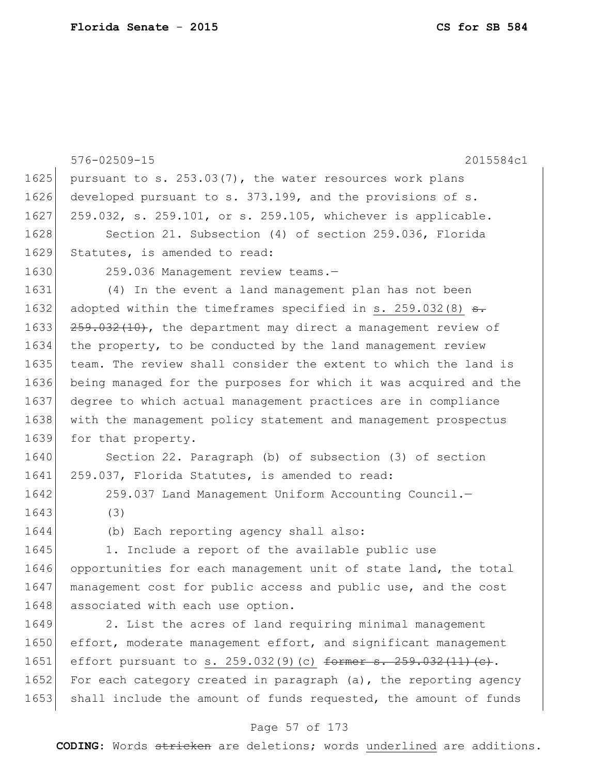|      | 576-02509-15<br>2015584c1                                                |
|------|--------------------------------------------------------------------------|
| 1625 | pursuant to s. 253.03(7), the water resources work plans                 |
| 1626 | developed pursuant to s. 373.199, and the provisions of s.               |
| 1627 | 259.032, s. 259.101, or s. 259.105, whichever is applicable.             |
| 1628 | Section 21. Subsection (4) of section 259.036, Florida                   |
| 1629 | Statutes, is amended to read:                                            |
| 1630 | 259.036 Management review teams.-                                        |
| 1631 | (4) In the event a land management plan has not been                     |
| 1632 | adopted within the timeframes specified in s. 259.032(8) $\frac{1}{100}$ |
| 1633 | $259.032(10)$ , the department may direct a management review of         |
| 1634 | the property, to be conducted by the land management review              |
| 1635 | team. The review shall consider the extent to which the land is          |
| 1636 | being managed for the purposes for which it was acquired and the         |
| 1637 | degree to which actual management practices are in compliance            |
| 1638 | with the management policy statement and management prospectus           |
| 1639 | for that property.                                                       |
| 1640 | Section 22. Paragraph (b) of subsection (3) of section                   |
| 1641 | 259.037, Florida Statutes, is amended to read:                           |
| 1642 | 259.037 Land Management Uniform Accounting Council.-                     |
| 1643 | (3)                                                                      |
| 1644 | (b) Each reporting agency shall also:                                    |
| 1645 | 1. Include a report of the available public use                          |
| 1646 | opportunities for each management unit of state land, the total          |
| 1647 | management cost for public access and public use, and the cost           |
| 1648 | associated with each use option.                                         |
| 1649 | 2. List the acres of land requiring minimal management                   |
| 1650 | effort, moderate management effort, and significant management           |
| 1651 | effort pursuant to s. $259.032(9)(c)$ former s. $259.032(11)(e)$ .       |
| 1652 | For each category created in paragraph $(a)$ , the reporting agency      |
| 1653 | shall include the amount of funds requested, the amount of funds         |

# Page 57 of 173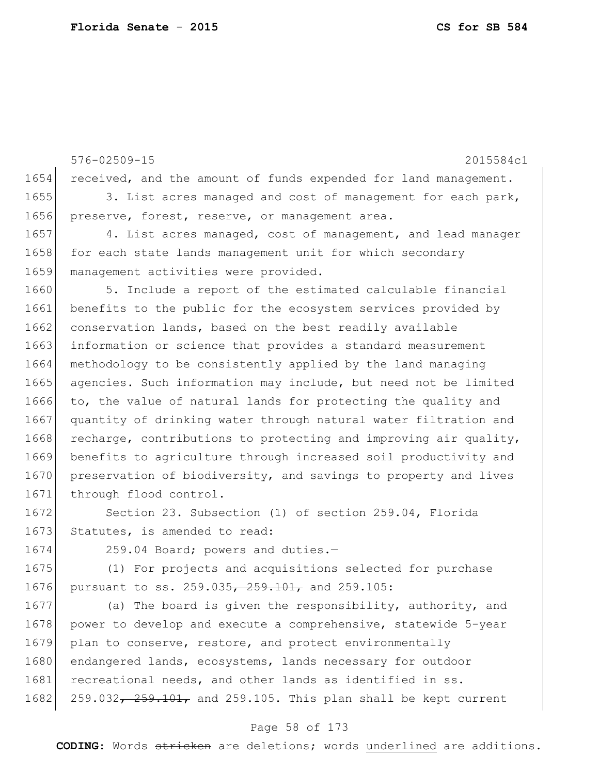576-02509-15 2015584c1 1654 received, and the amount of funds expended for land management. 1655 3. List acres managed and cost of management for each park, 1656 preserve, forest, reserve, or management area. 1657 4. List acres managed, cost of management, and lead manager 1658 for each state lands management unit for which secondary 1659 management activities were provided. 1660 5. Include a report of the estimated calculable financial 1661 benefits to the public for the ecosystem services provided by 1662 conservation lands, based on the best readily available 1663 information or science that provides a standard measurement 1664 methodology to be consistently applied by the land managing 1665 agencies. Such information may include, but need not be limited 1666 to, the value of natural lands for protecting the quality and 1667 quantity of drinking water through natural water filtration and 1668 recharge, contributions to protecting and improving air quality, 1669 benefits to agriculture through increased soil productivity and 1670 preservation of biodiversity, and savings to property and lives 1671 through flood control. 1672 Section 23. Subsection (1) of section 259.04, Florida 1673 Statutes, is amended to read: 1674 259.04 Board; powers and duties.-1675 (1) For projects and acquisitions selected for purchase 1676 pursuant to ss. 259.035, 259.101, and 259.105:

1677 (a) The board is given the responsibility, authority, and 1678 power to develop and execute a comprehensive, statewide 5-year 1679 plan to conserve, restore, and protect environmentally 1680 endangered lands, ecosystems, lands necessary for outdoor 1681 recreational needs, and other lands as identified in ss. 1682 259.032,  $259.101$ , and 259.105. This plan shall be kept current

### Page 58 of 173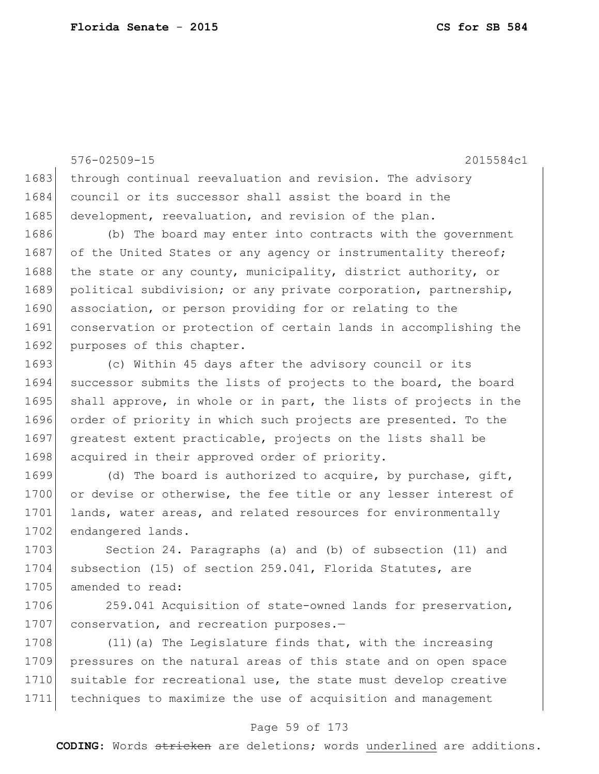576-02509-15 2015584c1 1683 through continual reevaluation and revision. The advisory 1684 council or its successor shall assist the board in the 1685 development, reevaluation, and revision of the plan. 1686 (b) The board may enter into contracts with the government 1687 of the United States or any agency or instrumentality thereof; 1688 the state or any county, municipality, district authority, or 1689 political subdivision; or any private corporation, partnership, 1690 association, or person providing for or relating to the 1691 conservation or protection of certain lands in accomplishing the 1692 purposes of this chapter. 1693 (c) Within 45 days after the advisory council or its 1694 successor submits the lists of projects to the board, the board

1695 shall approve, in whole or in part, the lists of projects in the 1696 order of priority in which such projects are presented. To the 1697 greatest extent practicable, projects on the lists shall be 1698 acquired in their approved order of priority.

1699 (d) The board is authorized to acquire, by purchase, gift, 1700 or devise or otherwise, the fee title or any lesser interest of 1701 lands, water areas, and related resources for environmentally 1702 endangered lands.

1703 Section 24. Paragraphs (a) and (b) of subsection (11) and 1704 subsection (15) of section 259.041, Florida Statutes, are 1705 amended to read:

1706 259.041 Acquisition of state-owned lands for preservation, 1707 conservation, and recreation purposes.-

1708 (11) (a) The Legislature finds that, with the increasing 1709 pressures on the natural areas of this state and on open space 1710 suitable for recreational use, the state must develop creative 1711 techniques to maximize the use of acquisition and management

### Page 59 of 173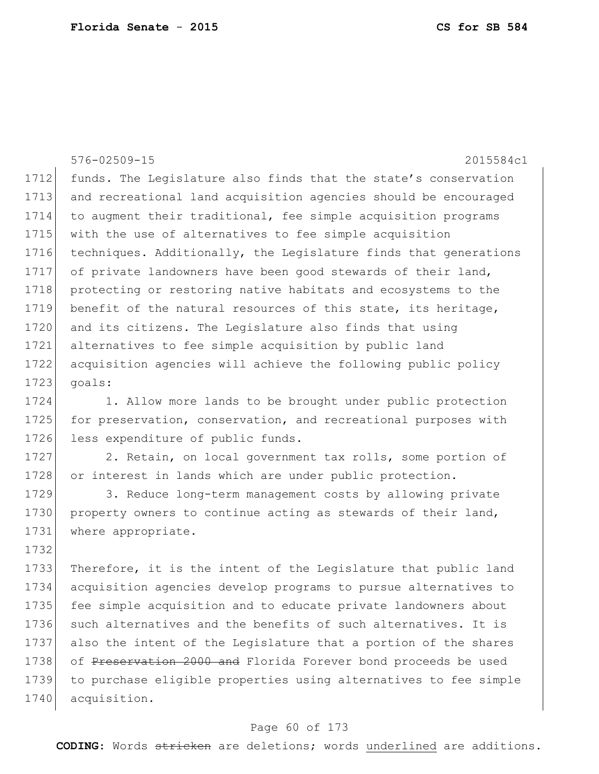576-02509-15 2015584c1 1712 funds. The Legislature also finds that the state's conservation 1713 and recreational land acquisition agencies should be encouraged 1714 to augment their traditional, fee simple acquisition programs 1715 with the use of alternatives to fee simple acquisition 1716 techniques. Additionally, the Legislature finds that generations 1717 of private landowners have been good stewards of their land, 1718 protecting or restoring native habitats and ecosystems to the 1719 benefit of the natural resources of this state, its heritage, 1720 and its citizens. The Legislature also finds that using 1721 alternatives to fee simple acquisition by public land 1722 acquisition agencies will achieve the following public policy  $1723$  goals: 1724 1. Allow more lands to be brought under public protection 1725 for preservation, conservation, and recreational purposes with 1726 less expenditure of public funds. 1727 2. Retain, on local government tax rolls, some portion of 1728 or interest in lands which are under public protection. 1729 3. Reduce long-term management costs by allowing private 1730 property owners to continue acting as stewards of their land, 1731 where appropriate. 1732 1733 Therefore, it is the intent of the Legislature that public land 1734 acquisition agencies develop programs to pursue alternatives to 1735 fee simple acquisition and to educate private landowners about 1736 such alternatives and the benefits of such alternatives. It is 1737 also the intent of the Legislature that a portion of the shares 1738 of Preservation 2000 and Florida Forever bond proceeds be used 1739 to purchase eligible properties using alternatives to fee simple 1740 acquisition.

### Page 60 of 173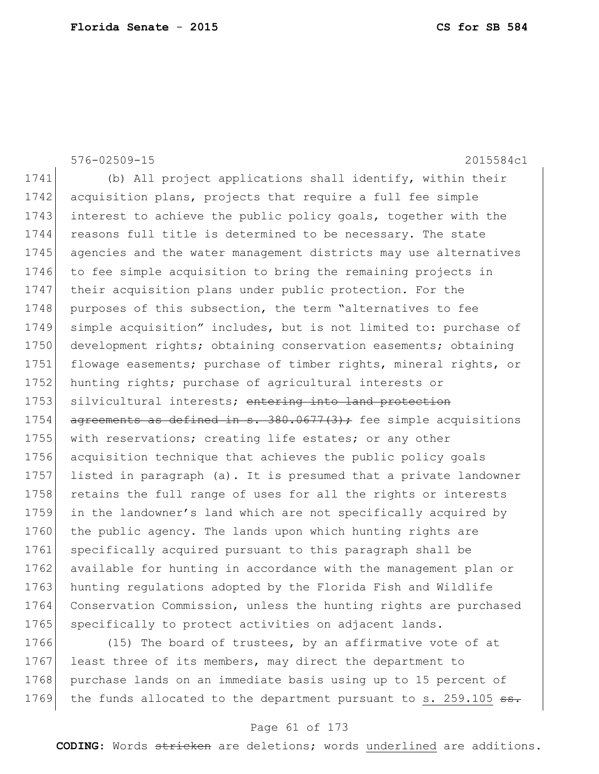|      | $576 - 02509 - 15$<br>2015584c1                                     |
|------|---------------------------------------------------------------------|
| 1741 | (b) All project applications shall identify, within their           |
| 1742 | acquisition plans, projects that require a full fee simple          |
| 1743 | interest to achieve the public policy goals, together with the      |
| 1744 | reasons full title is determined to be necessary. The state         |
| 1745 | agencies and the water management districts may use alternatives    |
| 1746 | to fee simple acquisition to bring the remaining projects in        |
| 1747 | their acquisition plans under public protection. For the            |
| 1748 | purposes of this subsection, the term "alternatives to fee          |
| 1749 | simple acquisition" includes, but is not limited to: purchase of    |
| 1750 | development rights; obtaining conservation easements; obtaining     |
| 1751 | flowage easements; purchase of timber rights, mineral rights, or    |
| 1752 | hunting rights; purchase of agricultural interests or               |
| 1753 | silvicultural interests; entering into land protection              |
| 1754 | $a$ greements as defined in s. 380.0677(3); fee simple acquisitions |
| 1755 | with reservations; creating life estates; or any other              |
| 1756 | acquisition technique that achieves the public policy goals         |
| 1757 | listed in paragraph (a). It is presumed that a private landowner    |
| 1758 | retains the full range of uses for all the rights or interests      |
| 1759 | in the landowner's land which are not specifically acquired by      |
| 1760 | the public agency. The lands upon which hunting rights are          |
| 1761 | specifically acquired pursuant to this paragraph shall be           |
| 1762 | available for hunting in accordance with the management plan or     |
| 1763 | hunting regulations adopted by the Florida Fish and Wildlife        |
| 1764 | Conservation Commission, unless the hunting rights are purchased    |
| 1765 | specifically to protect activities on adjacent lands.               |
| 1766 | (15) The board of trustees, by an affirmative vote of at            |

1767 least three of its members, may direct the department to 1768 purchase lands on an immediate basis using up to 15 percent of 1769 the funds allocated to the department pursuant to s. 259.105 ss.

### Page 61 of 173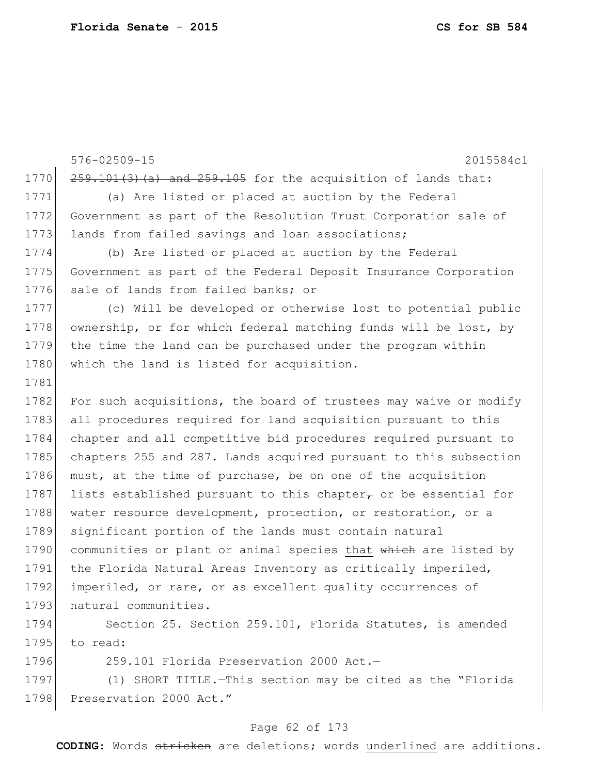576-02509-15 2015584c1 1770  $259.101(3)$  (a) and  $259.105$  for the acquisition of lands that: 1771 (a) Are listed or placed at auction by the Federal 1772 Government as part of the Resolution Trust Corporation sale of 1773 lands from failed savings and loan associations; 1774 (b) Are listed or placed at auction by the Federal 1775 Government as part of the Federal Deposit Insurance Corporation 1776 sale of lands from failed banks; or 1777 (c) Will be developed or otherwise lost to potential public 1778 ownership, or for which federal matching funds will be lost, by 1779 the time the land can be purchased under the program within 1780 which the land is listed for acquisition. 1781 1782 For such acquisitions, the board of trustees may waive or modify 1783 all procedures required for land acquisition pursuant to this 1784 chapter and all competitive bid procedures required pursuant to 1785 chapters 255 and 287. Lands acquired pursuant to this subsection 1786 must, at the time of purchase, be on one of the acquisition 1787 lists established pursuant to this chapter $\tau$  or be essential for 1788 water resource development, protection, or restoration, or a 1789 significant portion of the lands must contain natural 1790 communities or plant or animal species that which are listed by 1791 the Florida Natural Areas Inventory as critically imperiled, 1792 imperiled, or rare, or as excellent quality occurrences of 1793 natural communities. 1794 Section 25. Section 259.101, Florida Statutes, is amended

1795 to read:

1796 259.101 Florida Preservation 2000 Act.—

1797 (1) SHORT TITLE.—This section may be cited as the "Florida 1798 Preservation 2000 Act."

### Page 62 of 173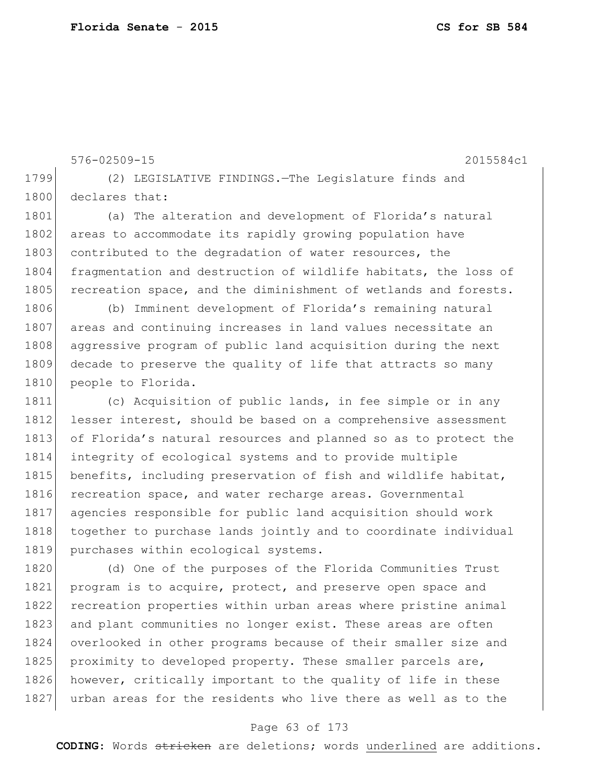1799 (2) LEGISLATIVE FINDINGS.—The Legislature finds and 1800 declares that: 1801 (a) The alteration and development of Florida's natural 1802 areas to accommodate its rapidly growing population have 1803 contributed to the degradation of water resources, the 1804 fragmentation and destruction of wildlife habitats, the loss of 1805 recreation space, and the diminishment of wetlands and forests. 1806 (b) Imminent development of Florida's remaining natural 1807 areas and continuing increases in land values necessitate an 1808 aggressive program of public land acquisition during the next 1809 decade to preserve the quality of life that attracts so many 1810 people to Florida. 1811 (c) Acquisition of public lands, in fee simple or in any 1812 lesser interest, should be based on a comprehensive assessment 1813 of Florida's natural resources and planned so as to protect the 1814 integrity of ecological systems and to provide multiple 1815 benefits, including preservation of fish and wildlife habitat, 1816 recreation space, and water recharge areas. Governmental 1817 agencies responsible for public land acquisition should work 1818 together to purchase lands jointly and to coordinate individual 1819 purchases within ecological systems. 1820 (d) One of the purposes of the Florida Communities Trust 1821 program is to acquire, protect, and preserve open space and 1822 recreation properties within urban areas where pristine animal 1823 and plant communities no longer exist. These areas are often 1824 overlooked in other programs because of their smaller size and 1825 proximity to developed property. These smaller parcels are, 1826 however, critically important to the quality of life in these

576-02509-15 2015584c1

### Page 63 of 173

1827 urban areas for the residents who live there as well as to the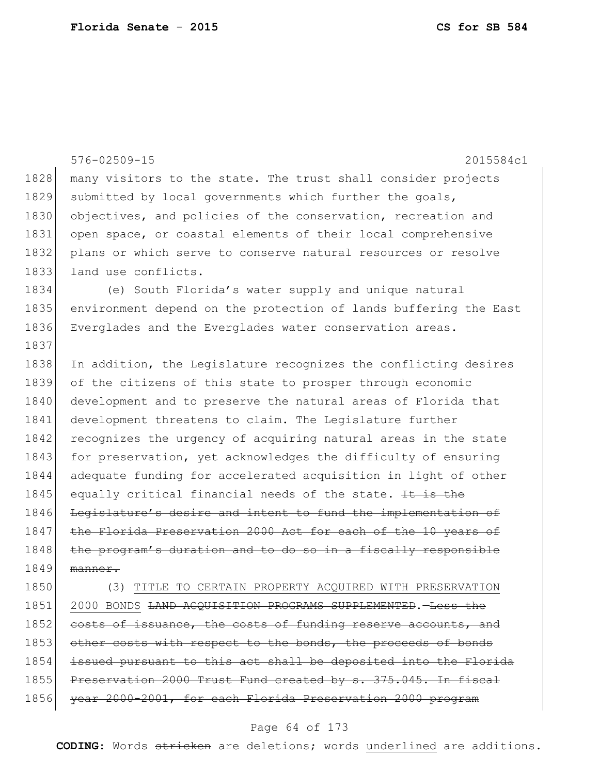|      | 576-02509-15<br>2015584c1                                                |
|------|--------------------------------------------------------------------------|
| 1828 | many visitors to the state. The trust shall consider projects            |
| 1829 | submitted by local governments which further the goals,                  |
| 1830 | objectives, and policies of the conservation, recreation and             |
| 1831 |                                                                          |
|      | open space, or coastal elements of their local comprehensive             |
| 1832 | plans or which serve to conserve natural resources or resolve            |
| 1833 | land use conflicts.                                                      |
| 1834 | (e) South Florida's water supply and unique natural                      |
| 1835 | environment depend on the protection of lands buffering the East         |
| 1836 | Everglades and the Everglades water conservation areas.                  |
| 1837 |                                                                          |
| 1838 | In addition, the Legislature recognizes the conflicting desires          |
| 1839 | of the citizens of this state to prosper through economic                |
| 1840 | development and to preserve the natural areas of Florida that            |
| 1841 | development threatens to claim. The Legislature further                  |
| 1842 | recognizes the urgency of acquiring natural areas in the state           |
| 1843 | for preservation, yet acknowledges the difficulty of ensuring            |
| 1844 | adequate funding for accelerated acquisition in light of other           |
| 1845 | equally critical financial needs of the state. It is the                 |
| 1846 | Legislature's desire and intent to fund the implementation of            |
| 1847 | the Florida Preservation 2000 Act for each of the 10 years of            |
| 1848 | the program's duration and to do so in a fiscally responsible            |
| 1849 | manner.                                                                  |
| 1850 | (3) TITLE TO CERTAIN PROPERTY ACQUIRED WITH PRESERVATION                 |
| 1851 | 2000 BONDS <del>LAND ACQUISITION PROGRAMS SUPPLEMENTED</del> . -Less the |
| 1852 | costs of issuance, the costs of funding reserve accounts, and            |
| 1853 | other costs with respect to the bonds, the proceeds of bonds             |
| 1854 | issued pursuant to this act shall be deposited into the Florida          |
| 1855 | Preservation 2000 Trust Fund created by s. 375.045. In fiscal            |

year 2000-2001, for each Florida Preservation 2000 program

## Page 64 of 173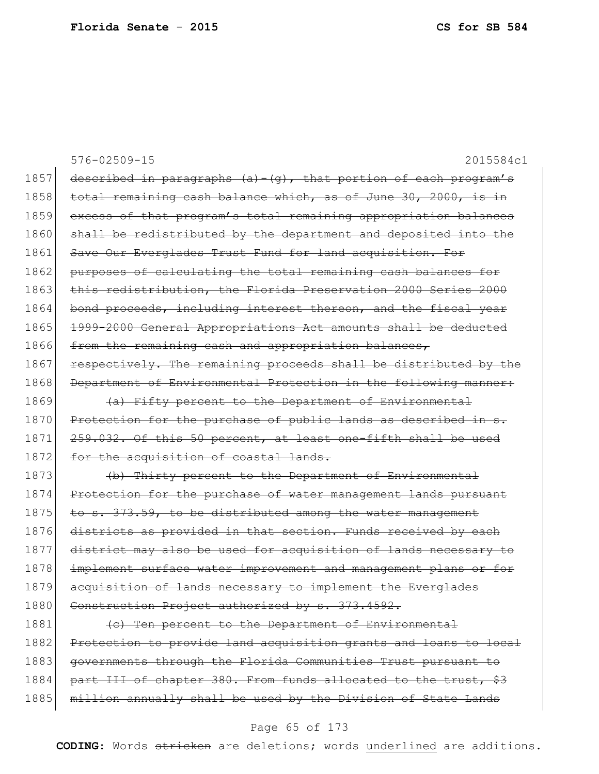| $576 - 02509 - 15$<br>2015584c1                                      |
|----------------------------------------------------------------------|
| described in paragraphs $(a) - (g)$ , that portion of each program's |
| total remaining cash balance which, as of June 30, 2000, is in       |
| excess of that program's total remaining appropriation balances      |
| shall be redistributed by the department and deposited into the      |
| Save Our Everglades Trust Fund for land acquisition. For             |
| purposes of calculating the total remaining cash balances for        |
| this redistribution, the Florida Preservation 2000 Series 2000       |
| bond proceeds, including interest thereon, and the fiscal year       |
| 1999-2000 General Appropriations Act amounts shall be deducted       |
| from the remaining cash and appropriation balances,                  |
| respectively. The remaining proceeds shall be distributed by the     |
| Department of Environmental Protection in the following manner:      |
| (a) Fifty percent to the Department of Environmental                 |
| Protection for the purchase of public lands as described in s.       |
| 259.032. Of this 50 percent, at least one-fifth shall be used        |
| for the acquisition of coastal lands.                                |
| (b) Thirty percent to the Department of Environmental                |
| Protection for the purchase of water management lands pursuant       |
| to s. 373.59, to be distributed among the water management           |
| districts as provided in that section. Funds received by each        |
| district may also be used for acquisition of lands necessary to      |
| implement surface water improvement and management plans or for      |
| acquisition of lands necessary to implement the Everglades           |
| Construction Project authorized by s. 373.4592.                      |
| (c) Ten percent to the Department of Environmental                   |
| Protection to provide land acquisition grants and loans to local     |
| governments through the Florida Communities Trust pursuant to        |
| part III of chapter 380. From funds allocated to the trust, \$3      |
| million annually shall be used by the Division of State Lands        |
|                                                                      |

# Page 65 of 173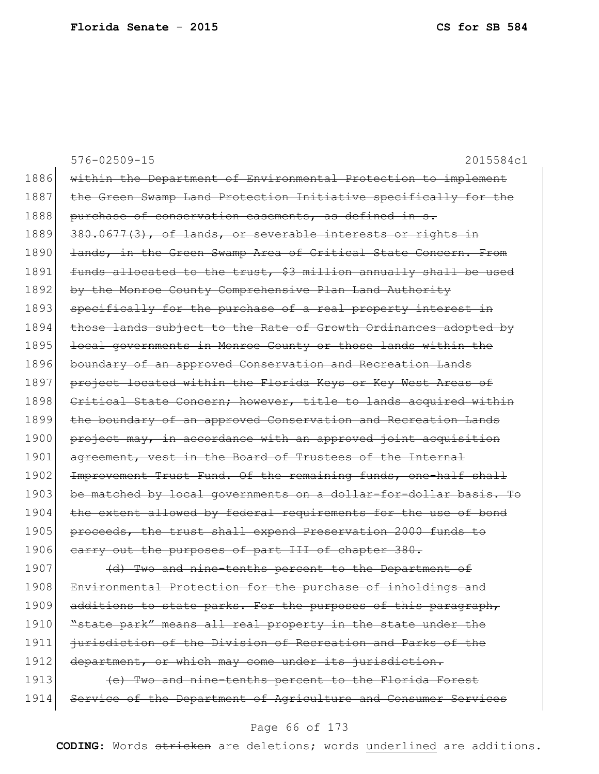|      | $576 - 02509 - 15$<br>2015584c1                                  |
|------|------------------------------------------------------------------|
| 1886 | within the Department of Environmental Protection to implement   |
| 1887 | the Green Swamp Land Protection Initiative specifically for the  |
| 1888 | purchase of conservation easements, as defined in s.             |
| 1889 | 380.0677(3), of lands, or severable interests or rights in       |
| 1890 | lands, in the Green Swamp Area of Critical State Concern. From   |
| 1891 | funds allocated to the trust, \$3 million annually shall be used |
| 1892 | by the Monroe County Comprehensive Plan Land Authority           |
| 1893 | specifically for the purchase of a real property interest in     |
| 1894 | those lands subject to the Rate of Growth Ordinances adopted by  |
| 1895 | local governments in Monroe County or those lands within the     |
| 1896 | boundary of an approved Conservation and Recreation Lands        |
| 1897 | project located within the Florida Keys or Key West Areas of     |
| 1898 | Critical State Concern; however, title to lands acquired within  |
| 1899 | the boundary of an approved Conservation and Recreation Lands    |
| 1900 | project may, in accordance with an approved joint acquisition    |
| 1901 | agreement, vest in the Board of Trustees of the Internal         |
| 1902 | Improvement Trust Fund. Of the remaining funds, one-half shall   |
| 1903 | be matched by local governments on a dollar-for-dollar basis. To |
| 1904 | the extent allowed by federal requirements for the use of bond   |
| 1905 | proceeds, the trust shall expend Preservation 2000 funds to      |
| 1906 | earry out the purposes of part III of chapter 380.               |
| 1907 | (d) Two and nine-tenths percent to the Department of             |
| 1908 | Environmental Protection for the purchase of inholdings and      |
| 1909 | additions to state parks. For the purposes of this paragraph,    |
| 1910 | "state park" means all real property in the state under the      |
| 1911 | jurisdiction of the Division of Recreation and Parks of the      |
| 1912 | department, or which may come under its jurisdiction.            |
| 1913 | (e) Two and nine-tenths percent to the Florida Forest            |
| 1914 | Service of the Department of Agriculture and Consumer Services   |
|      |                                                                  |

# Page 66 of 173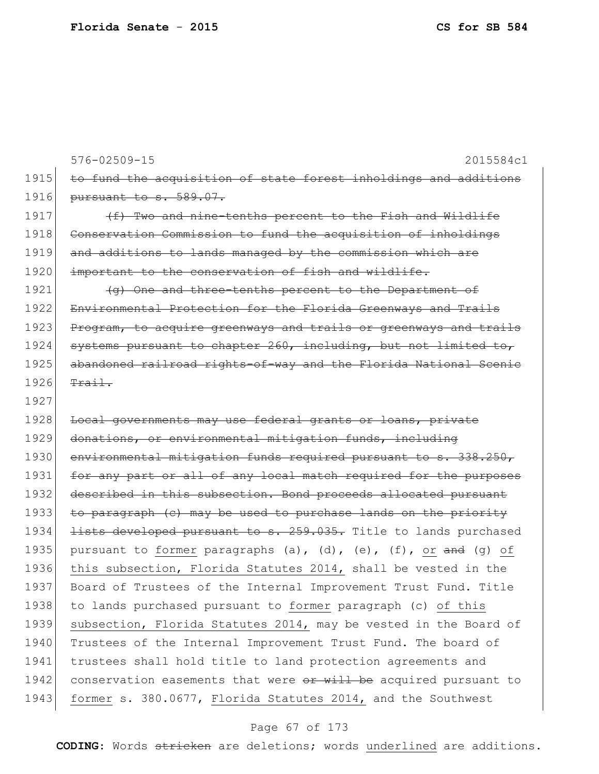576-02509-15 2015584c1 1915 to fund the acquisition of state forest inholdings and additions 1916 pursuant to s. 589.07. 1917  $(f)$  Two and nine-tenths percent to the Fish and Wildlife 1918 Conservation Commission to fund the acquisition of inholdings 1919 and additions to lands managed by the commission which are 1920 | important to the conservation of fish and wildlife. 1921 (g) One and three-tenths percent to the Department of 1922 Environmental Protection for the Florida Greenways and Trails 1923 Program, to acquire greenways and trails or greenways and trails  $1924$  systems pursuant to chapter 260, including, but not limited to, 1925 abandoned railroad rights-of-way and the Florida National Scenic  $1926$  Trail. 1927 1928 Local governments may use federal grants or loans, private 1929 donations, or environmental mitigation funds, including 1930 environmental mitigation funds required pursuant to s. 338.250, 1931 for any part or all of any local match required for the purposes 1932 described in this subsection. Bond proceeds allocated pursuant 1933 to paragraph (c) may be used to purchase lands on the priority 1934 <del>lists developed pursuant to s. 259.035.</del> Title to lands purchased 1935 pursuant to former paragraphs (a), (d), (e), (f), or  $\frac{1}{3}$  (g) of 1936 this subsection, Florida Statutes 2014, shall be vested in the 1937 Board of Trustees of the Internal Improvement Trust Fund. Title 1938 to lands purchased pursuant to former paragraph (c) of this 1939 subsection, Florida Statutes 2014, may be vested in the Board of 1940 Trustees of the Internal Improvement Trust Fund. The board of 1941 trustees shall hold title to land protection agreements and 1942 conservation easements that were  $\frac{1}{2}$  be acquired pursuant to 1943 former s. 380.0677, Florida Statutes 2014, and the Southwest

### Page 67 of 173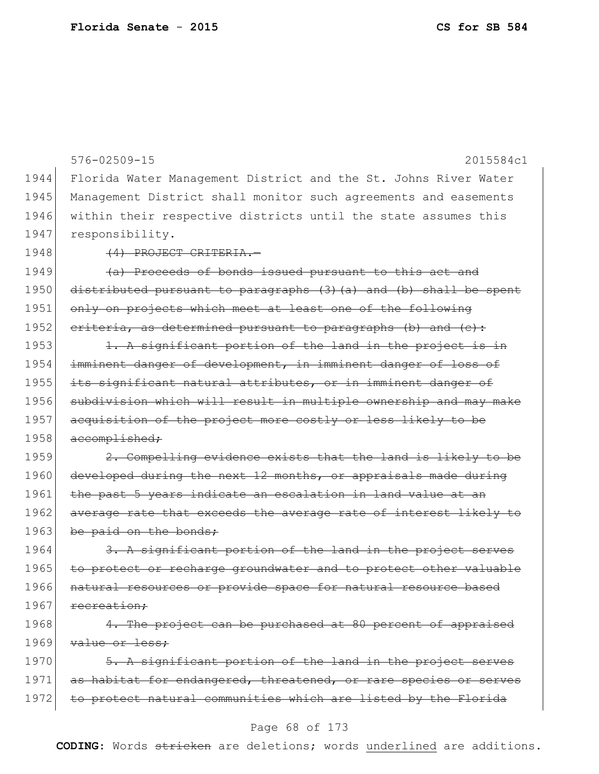576-02509-15 2015584c1 1944 Florida Water Management District and the St. Johns River Water 1945 Management District shall monitor such agreements and easements 1946 within their respective districts until the state assumes this 1947 responsibility. 1948 (4) PROJECT CRITERIA. 1949  $\left( \frac{a}{b} \right)$  Proceeds of bonds issued pursuant to this act and 1950 distributed pursuant to paragraphs (3)(a) and (b) shall be spent 1951 only on projects which meet at least one of the following 1952 criteria, as determined pursuant to paragraphs (b) and  $(e)$ : 1953  $\vert$  1. A significant portion of the land in the project is in 1954 imminent danger of development, in imminent danger of loss of 1955 its significant natural attributes, or in imminent danger of 1956 subdivision which will result in multiple ownership and may make 1957 acquisition of the project more costly or less likely to be 1958 accomplished; 1959 2. Compelling evidence exists that the land is likely to be 1960 developed during the next 12 months, or appraisals made during 1961 the past 5 years indicate an escalation in land value at an 1962 average rate that exceeds the average rate of interest likely to 1963 be paid on the bonds; 1964 3. A significant portion of the land in the project serves 1965 to protect or recharge groundwater and to protect other valuable 1966 natural resources or provide space for natural resource based 1967 recreation; 1968 4. The project can be purchased at 80 percent of appraised 1969 value or less; 1970 5. A significant portion of the land in the project serves 1971 as habitat for endangered, threatened, or rare species or serves

### Page 68 of 173

1972 to protect natural communities which are listed by the Florida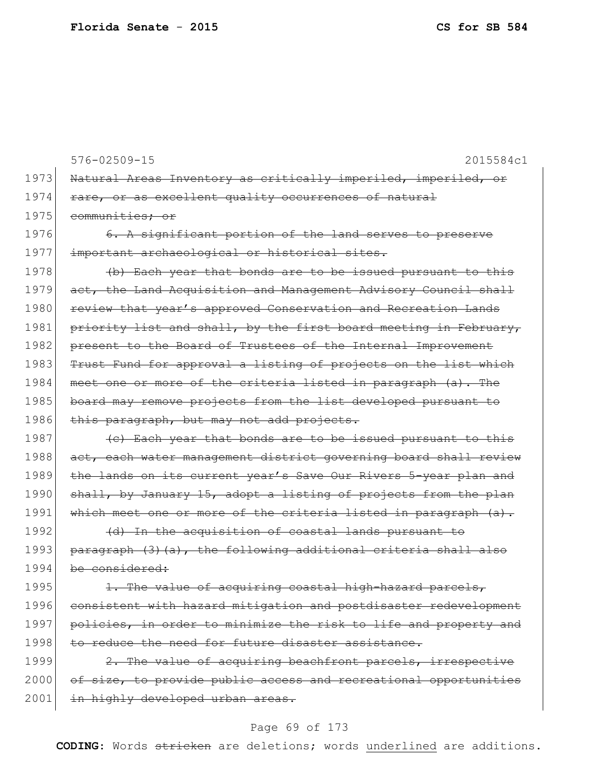576-02509-15 2015584c1 1973 Natural Areas Inventory as critically imperiled, imperiled, or 1974 rare, or as excellent quality occurrences of natural 1975 communities; or 1976 6. A significant portion of the land serves to preserve 1977 important archaeological or historical sites. 1978  $\left| \right|$  (b) Each year that bonds are to be issued pursuant to this 1979 act, the Land Acquisition and Management Advisory Council shall 1980 review that year's approved Conservation and Recreation Lands 1981 priority list and shall, by the first board meeting in February, 1982 present to the Board of Trustees of the Internal Improvement 1983 Trust Fund for approval a listing of projects on the list which 1984 meet one or more of the criteria listed in paragraph (a). The 1985 board may remove projects from the list developed pursuant to 1986 this paragraph, but may not add projects.  $1987$  (c) Each year that bonds are to be issued pursuant to this 1988 act, each water management district governing board shall review 1989 the lands on its current year's Save Our Rivers 5-year plan and 1990 shall, by January 15, adopt a listing of projects from the plan 1991 which meet one or more of the criteria listed in paragraph (a). 1992 (d) In the acquisition of coastal lands pursuant to 1993 paragraph (3)(a), the following additional criteria shall also 1994 be considered:  $1995$  1. The value of acquiring coastal high-hazard parcels, 1996 consistent with hazard mitigation and postdisaster redevelopment 1997 policies, in order to minimize the risk to life and property and 1998 to reduce the need for future disaster assistance. 1999 2. The value of acquiring beachfront parcels, irrespective 2000 of size, to provide public access and recreational opportunities 2001 in highly developed urban areas.

### Page 69 of 173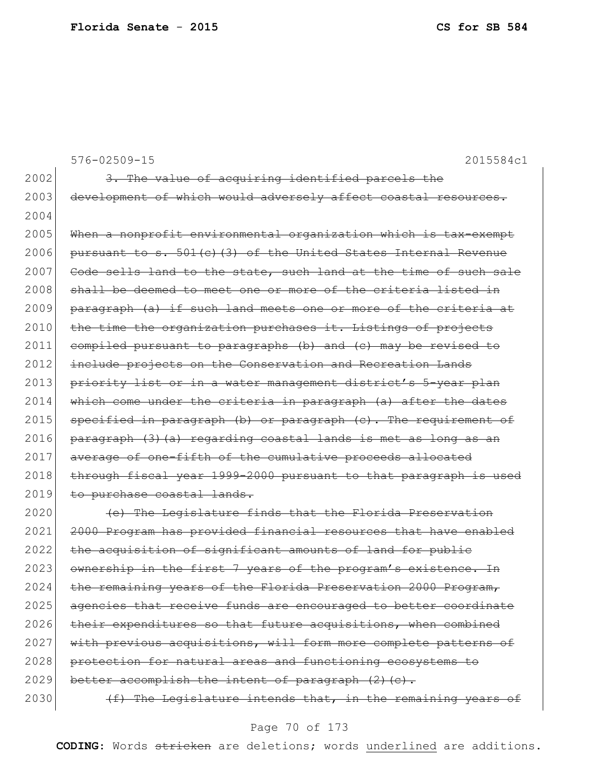576-02509-15 2015584c1  $2002$  3. The value of acquiring identified parcels the 2003 development of which would adversely affect coastal resources. 2004 2005 When a nonprofit environmental organization which is tax-exempt 2006 pursuant to s.  $501(c)$  (3) of the United States Internal Revenue 2007 Code sells land to the state, such land at the time of such sale 2008 shall be deemed to meet one or more of the criteria listed in 2009 paragraph (a) if such land meets one or more of the criteria at 2010 the time the organization purchases it. Listings of projects 2011 compiled pursuant to paragraphs (b) and (c) may be revised to 2012 include projects on the Conservation and Recreation Lands 2013 priority list or in a water management district's 5-year plan 2014 which come under the criteria in paragraph (a) after the dates 2015 specified in paragraph (b) or paragraph (c). The requirement of  $2016$  paragraph  $(3)$   $(a)$  regarding coastal lands is met as long as an 2017 average of one-fifth of the cumulative proceeds allocated 2018 through fiscal year 1999-2000 pursuant to that paragraph is used 2019 to purchase coastal lands. 2020 **(e)** The Legislature finds that the Florida Preservation 2021 2000 Program has provided financial resources that have enabled 2022 the acquisition of significant amounts of land for public 2023 ownership in the first 7 years of the program's existence. In 2024 the remaining years of the Florida Preservation 2000 Program, 2025 agencies that receive funds are encouraged to better coordinate  $2026$  their expenditures so that future acquisitions, when combined 2027 with previous acquisitions, will form more complete patterns of 2028 protection for natural areas and functioning ecosystems to 2029 better accomplish the intent of paragraph  $(2)$   $(c)$ . 2030  $(f)$  The Legislature intends that, in the remaining years of

### Page 70 of 173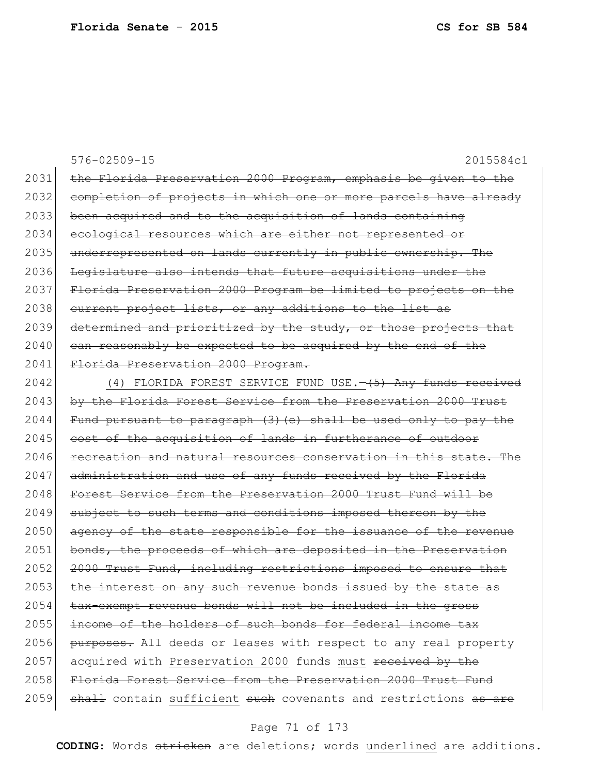576-02509-15 2015584c1 2031 the Florida Preservation 2000 Program, emphasis be given to the 2032 completion of projects in which one or more parcels have already 2033 been acquired and to the acquisition of lands containing 2034 ecological resources which are either not represented or 2035 underrepresented on lands currently in public ownership. The 2036 Legislature also intends that future acquisitions under the 2037 Florida Preservation 2000 Program be limited to projects on the 2038 current project lists, or any additions to the list as 2039 determined and prioritized by the study, or those projects that  $2040$  can reasonably be expected to be acquired by the end of the 2041 Florida Preservation 2000 Program. 2042 (4) FLORIDA FOREST SERVICE FUND USE.  $\left(-\frac{5}{7}\right)$  Any funds received 2043 by the Florida Forest Service from the Preservation 2000 Trust  $2044$  Fund pursuant to paragraph (3)(e) shall be used only to pay the 2045 cost of the acquisition of lands in furtherance of outdoor 2046 recreation and natural resources conservation in this state. The 2047 administration and use of any funds received by the Florida 2048 Forest Service from the Preservation 2000 Trust Fund will be 2049 subject to such terms and conditions imposed thereon by the 2050 agency of the state responsible for the issuance of the revenue 2051 bonds, the proceeds of which are deposited in the Preservation 2052 2000 Trust Fund, including restrictions imposed to ensure that 2053 the interest on any such revenue bonds issued by the state as 2054 tax-exempt revenue bonds will not be included in the gross 2055 income of the holders of such bonds for federal income tax 2056 purposes. All deeds or leases with respect to any real property 2057 acquired with Preservation 2000 funds must received by the 2058 Florida Forest Service from the Preservation 2000 Trust Fund

2059 shall contain sufficient such covenants and restrictions as are

#### Page 71 of 173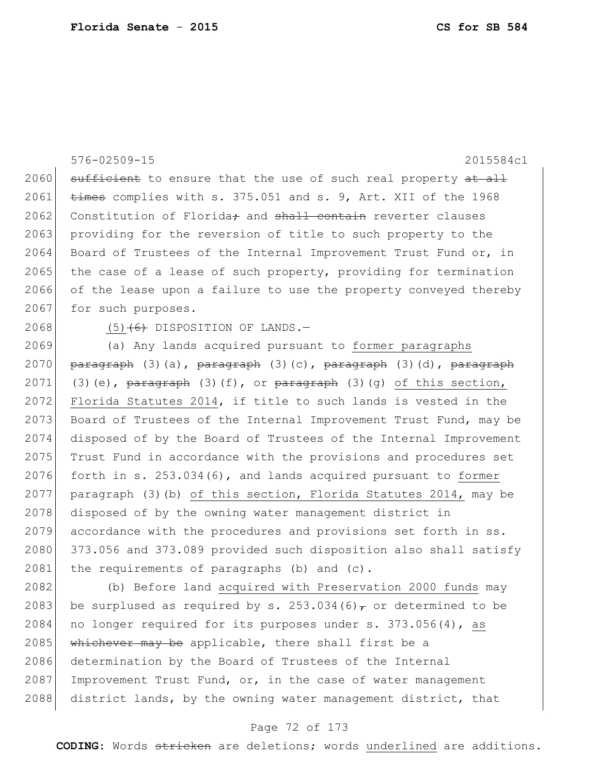|      | $576 - 02509 - 15$<br>2015584c1                                                                                                                                                                                                                                                                                       |
|------|-----------------------------------------------------------------------------------------------------------------------------------------------------------------------------------------------------------------------------------------------------------------------------------------------------------------------|
| 2060 | sufficient to ensure that the use of such real property at all                                                                                                                                                                                                                                                        |
| 2061 | times complies with s. 375.051 and s. 9, Art. XII of the 1968                                                                                                                                                                                                                                                         |
| 2062 | Constitution of Florida <sub>r</sub> and shall contain reverter clauses                                                                                                                                                                                                                                               |
| 2063 | providing for the reversion of title to such property to the                                                                                                                                                                                                                                                          |
| 2064 | Board of Trustees of the Internal Improvement Trust Fund or, in                                                                                                                                                                                                                                                       |
| 2065 | the case of a lease of such property, providing for termination                                                                                                                                                                                                                                                       |
| 2066 | of the lease upon a failure to use the property conveyed thereby                                                                                                                                                                                                                                                      |
| 2067 | for such purposes.                                                                                                                                                                                                                                                                                                    |
| 2068 | $(5)$ $(6)$ DISPOSITION OF LANDS. -                                                                                                                                                                                                                                                                                   |
| 2069 | (a) Any lands acquired pursuant to former paragraphs                                                                                                                                                                                                                                                                  |
| 2070 | paragraph (3)(a), paragraph (3)(c), paragraph (3)(d), paragraph                                                                                                                                                                                                                                                       |
| 2071 | (3)(e), $\frac{1}{2}$ $\frac{1}{2}$ $\frac{1}{2}$ $\frac{1}{2}$ $\frac{1}{2}$ $\frac{1}{2}$ $\frac{1}{2}$ $\frac{1}{2}$ $\frac{1}{2}$ $\frac{1}{2}$ $\frac{1}{2}$ $\frac{1}{2}$ $\frac{1}{2}$ $\frac{1}{2}$ $\frac{1}{2}$ $\frac{1}{2}$ $\frac{1}{2}$ $\frac{1}{2}$ $\frac{1}{2}$ $\frac{1}{2}$ $\frac{1}{2}$ $\frac$ |
| 2072 | Florida Statutes 2014, if title to such lands is vested in the                                                                                                                                                                                                                                                        |
| 2073 | Board of Trustees of the Internal Improvement Trust Fund, may be                                                                                                                                                                                                                                                      |
| 2074 | disposed of by the Board of Trustees of the Internal Improvement                                                                                                                                                                                                                                                      |
| 2075 | Trust Fund in accordance with the provisions and procedures set                                                                                                                                                                                                                                                       |
| 2076 | forth in s. 253.034(6), and lands acquired pursuant to former                                                                                                                                                                                                                                                         |
| 2077 | paragraph (3) (b) of this section, Florida Statutes 2014, may be                                                                                                                                                                                                                                                      |
| 2078 | disposed of by the owning water management district in                                                                                                                                                                                                                                                                |
| 2079 | accordance with the procedures and provisions set forth in ss.                                                                                                                                                                                                                                                        |
| 2080 | 373.056 and 373.089 provided such disposition also shall satisfy                                                                                                                                                                                                                                                      |
| 2081 | the requirements of paragraphs (b) and (c).                                                                                                                                                                                                                                                                           |
| 2082 | (b) Before land acquired with Preservation 2000 funds may                                                                                                                                                                                                                                                             |
| 2083 | be surplused as required by s. 253.034(6) $\tau$ or determined to be                                                                                                                                                                                                                                                  |

2084 no longer required for its purposes under s. 373.056(4), as 2085 whichever may be applicable, there shall first be a 2086 determination by the Board of Trustees of the Internal Improvement Trust Fund, or, in the case of water management 2088 district lands, by the owning water management district, that

# Page 72 of 173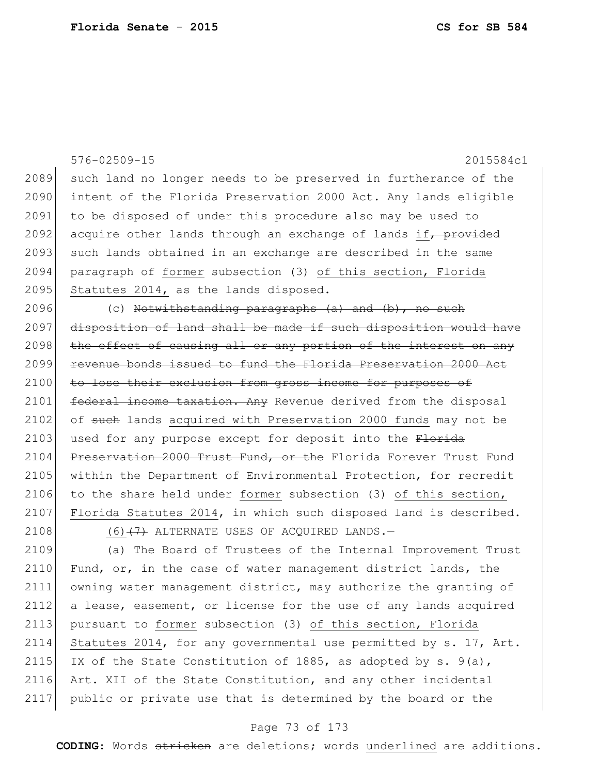|      | 576-02509-15<br>2015584c1                                        |
|------|------------------------------------------------------------------|
| 2089 | such land no longer needs to be preserved in furtherance of the  |
| 2090 | intent of the Florida Preservation 2000 Act. Any lands eligible  |
| 2091 | to be disposed of under this procedure also may be used to       |
| 2092 | acquire other lands through an exchange of lands if, provided    |
| 2093 | such lands obtained in an exchange are described in the same     |
| 2094 | paragraph of former subsection (3) of this section, Florida      |
| 2095 | Statutes 2014, as the lands disposed.                            |
| 2096 | (c) Notwithstanding paragraphs $(a)$ and $(b)$ , no such         |
| 2097 | disposition of land shall be made if such disposition would have |
| 2098 | the effect of causing all or any portion of the interest on any  |
| 2099 | revenue bonds issued to fund the Florida Preservation 2000 Act   |
| 2100 | to lose their exclusion from gross income for purposes of        |
| 2101 | federal income taxation. Any Revenue derived from the disposal   |
| 2102 | of such lands acquired with Preservation 2000 funds may not be   |
| 2103 | used for any purpose except for deposit into the Florida         |
| 2104 | Preservation 2000 Trust Fund, or the Florida Forever Trust Fund  |
| 2105 | within the Department of Environmental Protection, for recredit  |
| 2106 | to the share held under former subsection (3) of this section,   |
| 2107 | Florida Statutes 2014, in which such disposed land is described. |
| 2108 | $(6)$ $(7)$ ALTERNATE USES OF ACQUIRED LANDS. -                  |
| 2109 | (a) The Board of Trustees of the Internal Improvement Trust      |
| 2110 | Fund, or, in the case of water management district lands, the    |
| 2111 | owning water management district, may authorize the granting of  |
| 2112 | a lease, easement, or license for the use of any lands acquired  |
| 2113 | pursuant to former subsection (3) of this section, Florida       |
| 2114 | Statutes 2014, for any governmental use permitted by s. 17, Art. |
| 2115 | IX of the State Constitution of 1885, as adopted by s. $9(a)$ ,  |
| 2116 | Art. XII of the State Constitution, and any other incidental     |
| 2117 | public or private use that is determined by the board or the     |

# Page 73 of 173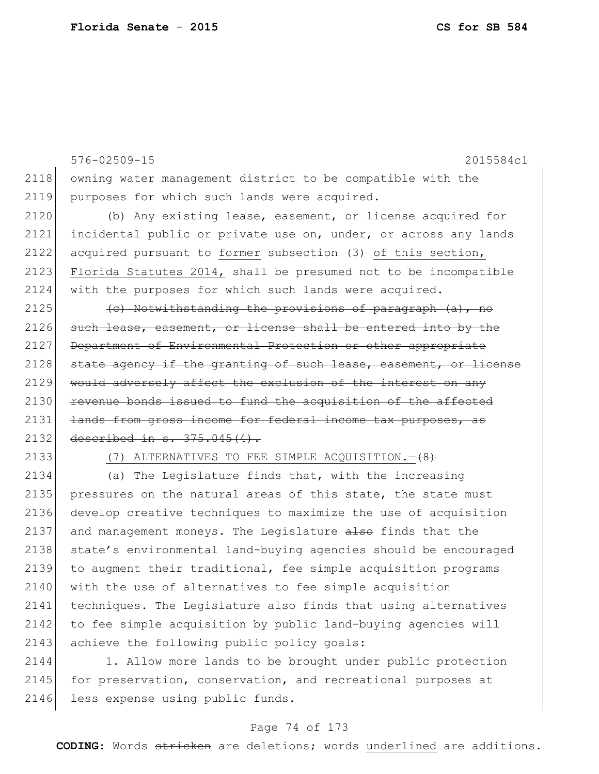576-02509-15 2015584c1 2118 owning water management district to be compatible with the 2119 purposes for which such lands were acquired. 2120 (b) Any existing lease, easement, or license acquired for 2121 incidental public or private use on, under, or across any lands 2122 acquired pursuant to former subsection (3) of this section, 2123 Florida Statutes 2014, shall be presumed not to be incompatible 2124 with the purposes for which such lands were acquired. 2125  $\vert$  (c) Notwithstanding the provisions of paragraph (a), no 2126 such lease, easement, or license shall be entered into by the 2127 Department of Environmental Protection or other appropriate 2128 state agency if the granting of such lease, easement, or license 2129 would adversely affect the exclusion of the interest on any 2130 revenue bonds issued to fund the acquisition of the affected 2131 <del>lands from gross income for federal income tax purposes, as</del> 2132 described in s. 375.045(4). 2133 (7) ALTERNATIVES TO FEE SIMPLE ACQUISITION. -  $(8)$ 

2134 (a) The Legislature finds that, with the increasing 2135 pressures on the natural areas of this state, the state must 2136 develop creative techniques to maximize the use of acquisition 2137 and management moneys. The Legislature also finds that the 2138 state's environmental land-buying agencies should be encouraged 2139 to augment their traditional, fee simple acquisition programs 2140 with the use of alternatives to fee simple acquisition 2141 techniques. The Legislature also finds that using alternatives 2142 to fee simple acquisition by public land-buying agencies will 2143 achieve the following public policy goals:

2144 1. Allow more lands to be brought under public protection 2145 for preservation, conservation, and recreational purposes at 2146 less expense using public funds.

# Page 74 of 173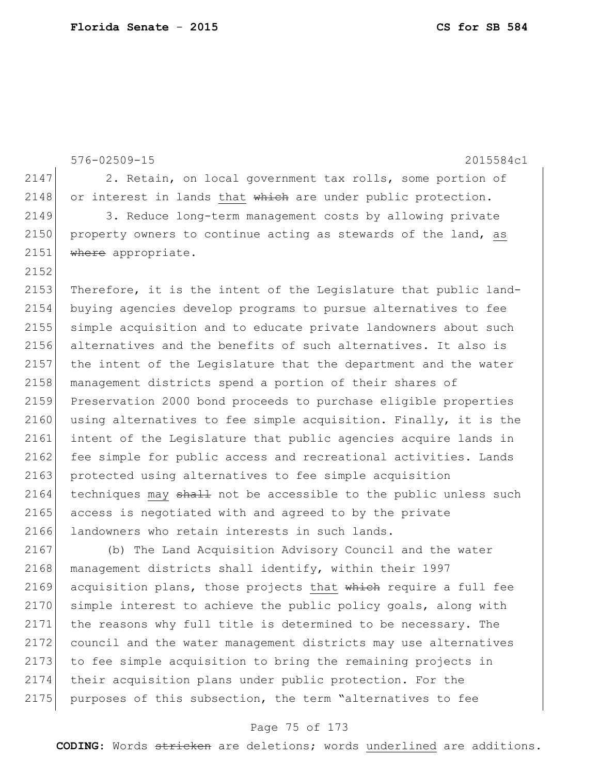576-02509-15 2015584c1 2147 2. Retain, on local government tax rolls, some portion of 2148 or interest in lands that  $\frac{1}{2}$  which are under public protection. 2149 3. Reduce long-term management costs by allowing private 2150 property owners to continue acting as stewards of the land, as 2151 where appropriate. 2152 2153 Therefore, it is the intent of the Legislature that public land-2154 buying agencies develop programs to pursue alternatives to fee 2155 simple acquisition and to educate private landowners about such 2156 alternatives and the benefits of such alternatives. It also is 2157 the intent of the Legislature that the department and the water 2158 management districts spend a portion of their shares of 2159 Preservation 2000 bond proceeds to purchase eligible properties 2160 using alternatives to fee simple acquisition. Finally, it is the 2161 intent of the Legislature that public agencies acquire lands in 2162 fee simple for public access and recreational activities. Lands 2163 protected using alternatives to fee simple acquisition  $2164$  techniques may shall not be accessible to the public unless such 2165 access is negotiated with and agreed to by the private 2166 landowners who retain interests in such lands. 2167 (b) The Land Acquisition Advisory Council and the water 2168 management districts shall identify, within their 1997 2169 acquisition plans, those projects that which require a full fee 2170 simple interest to achieve the public policy goals, along with 2171 the reasons why full title is determined to be necessary. The 2172 council and the water management districts may use alternatives 2173 to fee simple acquisition to bring the remaining projects in 2174 their acquisition plans under public protection. For the 2175 purposes of this subsection, the term "alternatives to fee

#### Page 75 of 173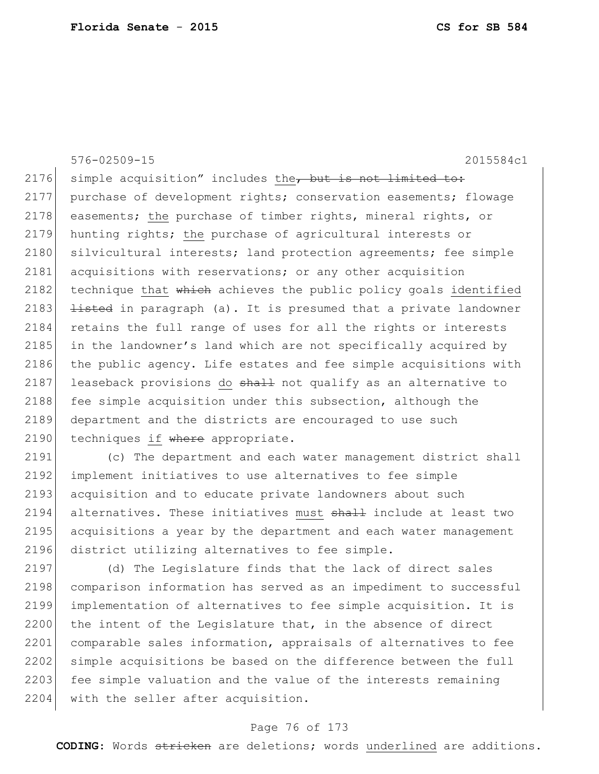576-02509-15 2015584c1 2176 simple acquisition" includes the, but is not limited to: 2177 purchase of development rights; conservation easements; flowage 2178 easements; the purchase of timber rights, mineral rights, or 2179 hunting rights; the purchase of agricultural interests or 2180 silvicultural interests; land protection agreements; fee simple 2181 acquisitions with reservations; or any other acquisition 2182 technique that  $whieh$  achieves the public policy goals identified 2183  $\rightarrow$  1isted in paragraph (a). It is presumed that a private landowner 2184 retains the full range of uses for all the rights or interests 2185 in the landowner's land which are not specifically acquired by 2186 the public agency. Life estates and fee simple acquisitions with 2187 leaseback provisions do  $shath$  not qualify as an alternative to 2188 fee simple acquisition under this subsection, although the 2189 department and the districts are encouraged to use such 2190 techniques if where appropriate.

2191 (c) The department and each water management district shall 2192 implement initiatives to use alternatives to fee simple 2193 acquisition and to educate private landowners about such 2194 alternatives. These initiatives must shall include at least two 2195 acquisitions a year by the department and each water management 2196 district utilizing alternatives to fee simple.

2197 (d) The Legislature finds that the lack of direct sales 2198 comparison information has served as an impediment to successful 2199 implementation of alternatives to fee simple acquisition. It is 2200 the intent of the Legislature that, in the absence of direct 2201 comparable sales information, appraisals of alternatives to fee 2202 simple acquisitions be based on the difference between the full 2203 fee simple valuation and the value of the interests remaining 2204 with the seller after acquisition.

# Page 76 of 173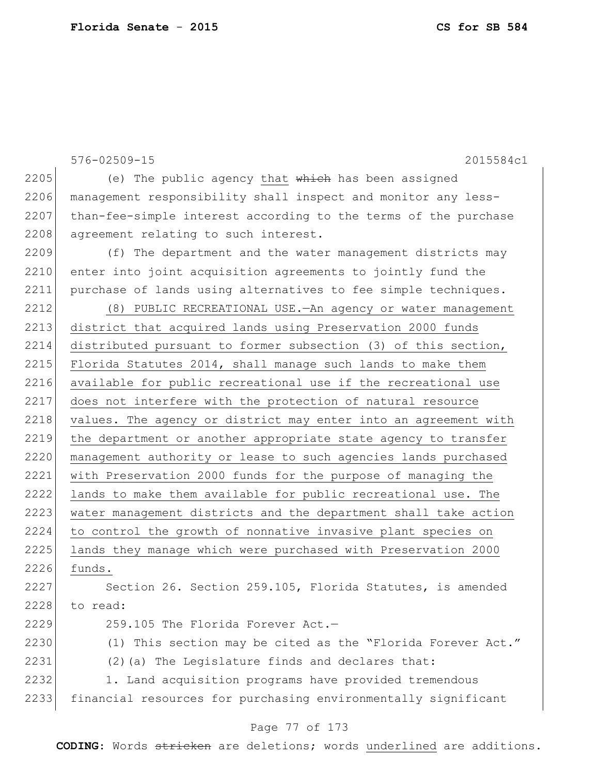576-02509-15 2015584c1 2205 (e) The public agency that  $whieh$  has been assigned 2206 management responsibility shall inspect and monitor any less- $2207$  than-fee-simple interest according to the terms of the purchase 2208 agreement relating to such interest. 2209 (f) The department and the water management districts may 2210 enter into joint acquisition agreements to jointly fund the 2211 purchase of lands using alternatives to fee simple techniques. 2212 (8) PUBLIC RECREATIONAL USE.—An agency or water management 2213 district that acquired lands using Preservation 2000 funds 2214 distributed pursuant to former subsection (3) of this section, 2215 Florida Statutes 2014, shall manage such lands to make them 2216 available for public recreational use if the recreational use 2217 does not interfere with the protection of natural resource 2218 values. The agency or district may enter into an agreement with 2219 the department or another appropriate state agency to transfer 2220 management authority or lease to such agencies lands purchased 2221 with Preservation 2000 funds for the purpose of managing the 2222 lands to make them available for public recreational use. The 2223 water management districts and the department shall take action 2224 to control the growth of nonnative invasive plant species on 2225 lands they manage which were purchased with Preservation 2000 2226 funds. 2227 Section 26. Section 259.105, Florida Statutes, is amended 2228 to read:  $2229$  259.105 The Florida Forever Act.  $-$ 2230 (1) This section may be cited as the "Florida Forever Act." 2231 (2)(a) The Legislature finds and declares that: 2232 1. Land acquisition programs have provided tremendous 2233 financial resources for purchasing environmentally significant

# Page 77 of 173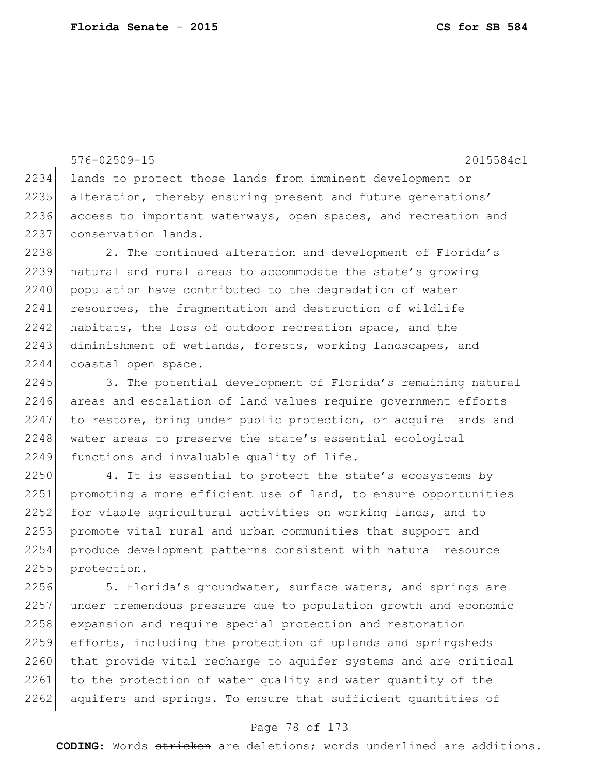576-02509-15 2015584c1 2234 lands to protect those lands from imminent development or 2235 alteration, thereby ensuring present and future generations' 2236 access to important waterways, open spaces, and recreation and 2237 conservation lands. 2238 2. The continued alteration and development of Florida's 2239 natural and rural areas to accommodate the state's growing 2240 population have contributed to the degradation of water 2241 resources, the fragmentation and destruction of wildlife 2242 habitats, the loss of outdoor recreation space, and the 2243 diminishment of wetlands, forests, working landscapes, and 2244 coastal open space. 2245 3. The potential development of Florida's remaining natural 2246 areas and escalation of land values require government efforts 2247 to restore, bring under public protection, or acquire lands and 2248 water areas to preserve the state's essential ecological

2249 functions and invaluable quality of life. 2250 4. It is essential to protect the state's ecosystems by

2251 promoting a more efficient use of land, to ensure opportunities 2252 for viable agricultural activities on working lands, and to 2253 promote vital rural and urban communities that support and 2254 produce development patterns consistent with natural resource 2255 protection.

2256 5. Florida's groundwater, surface waters, and springs are 2257 under tremendous pressure due to population growth and economic 2258 expansion and require special protection and restoration 2259 efforts, including the protection of uplands and springsheds 2260 that provide vital recharge to aquifer systems and are critical 2261 to the protection of water quality and water quantity of the 2262 aquifers and springs. To ensure that sufficient quantities of

# Page 78 of 173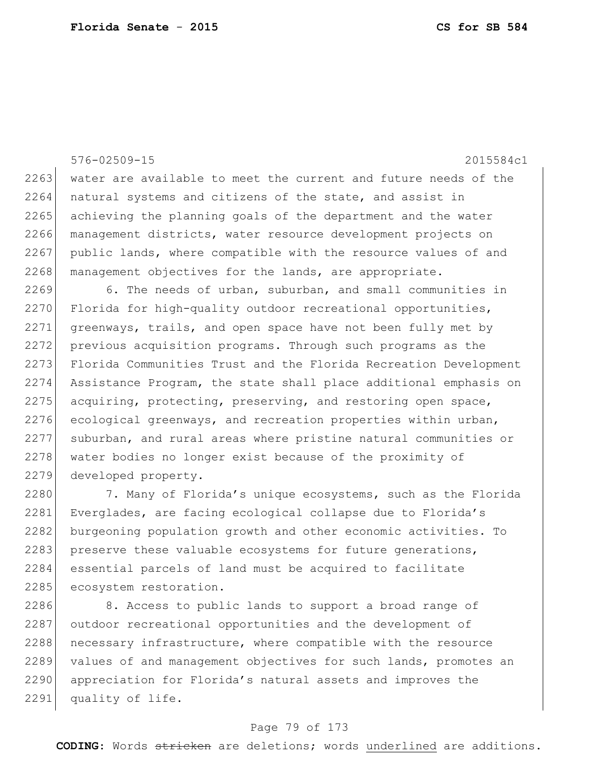576-02509-15 2015584c1 2263 water are available to meet the current and future needs of the 2264 natural systems and citizens of the state, and assist in 2265 achieving the planning goals of the department and the water 2266 management districts, water resource development projects on 2267 public lands, where compatible with the resource values of and 2268 management objectives for the lands, are appropriate. 2269 6. The needs of urban, suburban, and small communities in  $2270$  Florida for high-quality outdoor recreational opportunities, 2271 greenways, trails, and open space have not been fully met by 2272 previous acquisition programs. Through such programs as the

2273 Florida Communities Trust and the Florida Recreation Development 2274 Assistance Program, the state shall place additional emphasis on 2275 acquiring, protecting, preserving, and restoring open space, 2276 ecological greenways, and recreation properties within urban, 2277 suburban, and rural areas where pristine natural communities or 2278 water bodies no longer exist because of the proximity of 2279 developed property.

2280 7. Many of Florida's unique ecosystems, such as the Florida 2281 Everglades, are facing ecological collapse due to Florida's 2282 burgeoning population growth and other economic activities. To 2283 preserve these valuable ecosystems for future generations, 2284 essential parcels of land must be acquired to facilitate 2285 ecosystem restoration.

2286 8. Access to public lands to support a broad range of 2287 outdoor recreational opportunities and the development of 2288 necessary infrastructure, where compatible with the resource 2289 values of and management objectives for such lands, promotes an 2290 appreciation for Florida's natural assets and improves the 2291 quality of life.

# Page 79 of 173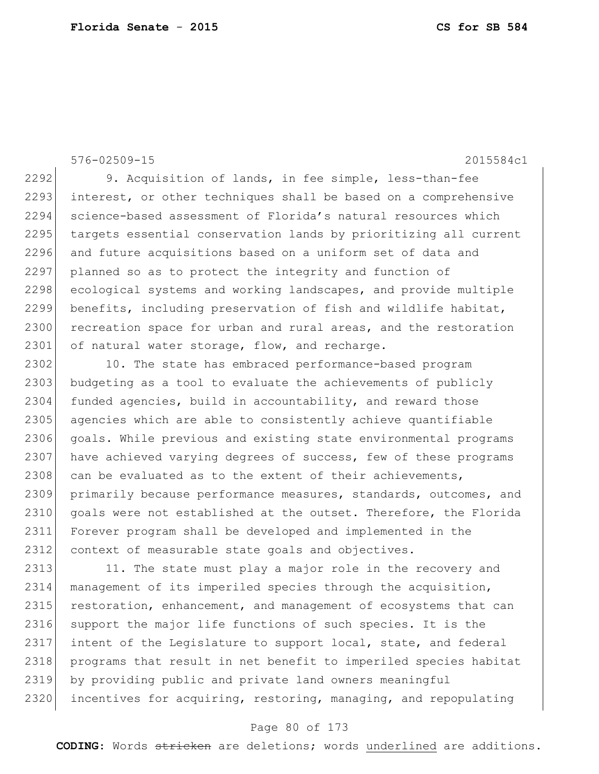576-02509-15 2015584c1

2292 9. Acquisition of lands, in fee simple, less-than-fee 2293 interest, or other techniques shall be based on a comprehensive 2294 science-based assessment of Florida's natural resources which 2295 targets essential conservation lands by prioritizing all current 2296 and future acquisitions based on a uniform set of data and 2297 planned so as to protect the integrity and function of 2298 ecological systems and working landscapes, and provide multiple 2299 benefits, including preservation of fish and wildlife habitat, 2300 recreation space for urban and rural areas, and the restoration 2301 of natural water storage, flow, and recharge.

2302 10. The state has embraced performance-based program 2303 budgeting as a tool to evaluate the achievements of publicly 2304 funded agencies, build in accountability, and reward those 2305 agencies which are able to consistently achieve quantifiable 2306 goals. While previous and existing state environmental programs 2307 have achieved varying degrees of success, few of these programs 2308 can be evaluated as to the extent of their achievements, 2309 primarily because performance measures, standards, outcomes, and 2310 goals were not established at the outset. Therefore, the Florida 2311 Forever program shall be developed and implemented in the 2312 context of measurable state goals and objectives.

2313 11. The state must play a major role in the recovery and 2314 management of its imperiled species through the acquisition, 2315 restoration, enhancement, and management of ecosystems that can 2316 support the major life functions of such species. It is the 2317 intent of the Legislature to support local, state, and federal 2318 programs that result in net benefit to imperiled species habitat 2319 by providing public and private land owners meaningful 2320 incentives for acquiring, restoring, managing, and repopulating

# Page 80 of 173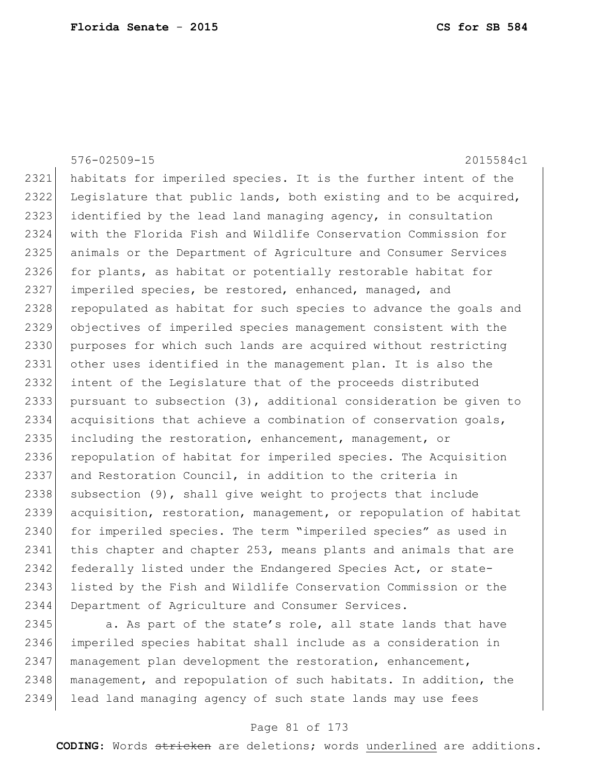|      | $576 - 02509 - 15$<br>2015584c1                                  |
|------|------------------------------------------------------------------|
| 2321 | habitats for imperiled species. It is the further intent of the  |
| 2322 | Legislature that public lands, both existing and to be acquired, |
| 2323 | identified by the lead land managing agency, in consultation     |
| 2324 | with the Florida Fish and Wildlife Conservation Commission for   |
| 2325 | animals or the Department of Agriculture and Consumer Services   |
| 2326 | for plants, as habitat or potentially restorable habitat for     |
| 2327 | imperiled species, be restored, enhanced, managed, and           |
| 2328 | repopulated as habitat for such species to advance the goals and |
| 2329 | objectives of imperiled species management consistent with the   |
| 2330 | purposes for which such lands are acquired without restricting   |
| 2331 | other uses identified in the management plan. It is also the     |
| 2332 | intent of the Legislature that of the proceeds distributed       |
| 2333 | pursuant to subsection (3), additional consideration be given to |
| 2334 | acquisitions that achieve a combination of conservation goals,   |
| 2335 | including the restoration, enhancement, management, or           |
| 2336 | repopulation of habitat for imperiled species. The Acquisition   |
| 2337 | and Restoration Council, in addition to the criteria in          |
| 2338 | subsection (9), shall give weight to projects that include       |
| 2339 | acquisition, restoration, management, or repopulation of habitat |
| 2340 | for imperiled species. The term "imperiled species" as used in   |
| 2341 | this chapter and chapter 253, means plants and animals that are  |
| 2342 | federally listed under the Endangered Species Act, or state-     |
| 2343 | listed by the Fish and Wildlife Conservation Commission or the   |
| 2344 | Department of Agriculture and Consumer Services.                 |
| つつハち | a le nart of the state's role all state lands that have          |

2345 a. As part of the state's role, all state lands that have imperiled species habitat shall include as a consideration in 2347 management plan development the restoration, enhancement, 2348 management, and repopulation of such habitats. In addition, the lead land managing agency of such state lands may use fees

# Page 81 of 173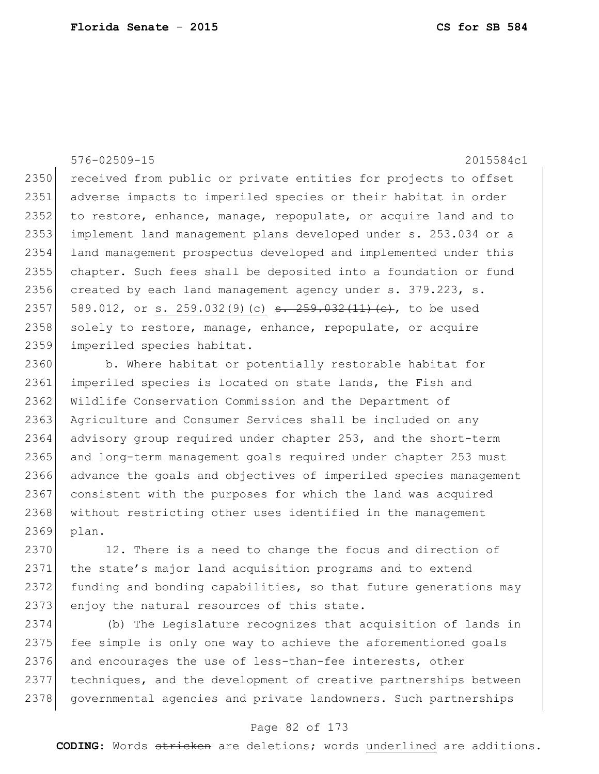# 576-02509-15 2015584c1

2350 received from public or private entities for projects to offset 2351 adverse impacts to imperiled species or their habitat in order 2352 to restore, enhance, manage, repopulate, or acquire land and to 2353 implement land management plans developed under s. 253.034 or a 2354 land management prospectus developed and implemented under this 2355 chapter. Such fees shall be deposited into a foundation or fund 2356 created by each land management agency under s. 379.223, s. 2357 589.012, or s. 259.032(9)(c) <del>s. 259.032(11)(c)</del>, to be used  $2358$  solely to restore, manage, enhance, repopulate, or acquire 2359 imperiled species habitat.

2360 b. Where habitat or potentially restorable habitat for 2361 imperiled species is located on state lands, the Fish and 2362 Wildlife Conservation Commission and the Department of 2363 Agriculture and Consumer Services shall be included on any 2364 advisory group required under chapter 253, and the short-term 2365 and long-term management goals required under chapter 253 must 2366 advance the goals and objectives of imperiled species management 2367 consistent with the purposes for which the land was acquired 2368 without restricting other uses identified in the management 2369 plan.

2370 12. There is a need to change the focus and direction of 2371 the state's major land acquisition programs and to extend 2372 funding and bonding capabilities, so that future generations may 2373 enjoy the natural resources of this state.

2374 (b) The Legislature recognizes that acquisition of lands in 2375 fee simple is only one way to achieve the aforementioned goals 2376 and encourages the use of less-than-fee interests, other 2377 techniques, and the development of creative partnerships between 2378 governmental agencies and private landowners. Such partnerships

#### Page 82 of 173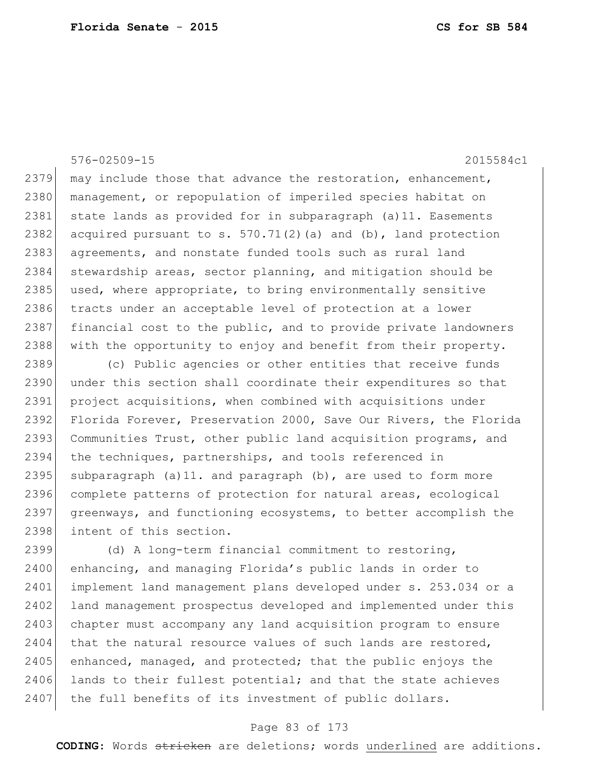# 576-02509-15 2015584c1

 $2379$  may include those that advance the restoration, enhancement, 2380 management, or repopulation of imperiled species habitat on 2381 state lands as provided for in subparagraph  $(a)$  11. Easements 2382 acquired pursuant to s.  $570.71(2)$  (a) and (b), land protection 2383 agreements, and nonstate funded tools such as rural land 2384 stewardship areas, sector planning, and mitigation should be 2385 used, where appropriate, to bring environmentally sensitive 2386 tracts under an acceptable level of protection at a lower 2387 financial cost to the public, and to provide private landowners 2388 with the opportunity to enjoy and benefit from their property.

2389 (c) Public agencies or other entities that receive funds 2390 under this section shall coordinate their expenditures so that 2391 project acquisitions, when combined with acquisitions under 2392 Florida Forever, Preservation 2000, Save Our Rivers, the Florida 2393 Communities Trust, other public land acquisition programs, and 2394 the techniques, partnerships, and tools referenced in 2395 subparagraph (a) 11. and paragraph (b), are used to form more 2396 complete patterns of protection for natural areas, ecological 2397 greenways, and functioning ecosystems, to better accomplish the 2398 intent of this section.

2399 (d) A long-term financial commitment to restoring, 2400 enhancing, and managing Florida's public lands in order to 2401 implement land management plans developed under s. 253.034 or a 2402 land management prospectus developed and implemented under this 2403 chapter must accompany any land acquisition program to ensure 2404 that the natural resource values of such lands are restored,  $2405$  enhanced, managed, and protected; that the public enjoys the  $2406$  lands to their fullest potential; and that the state achieves 2407 the full benefits of its investment of public dollars.

# Page 83 of 173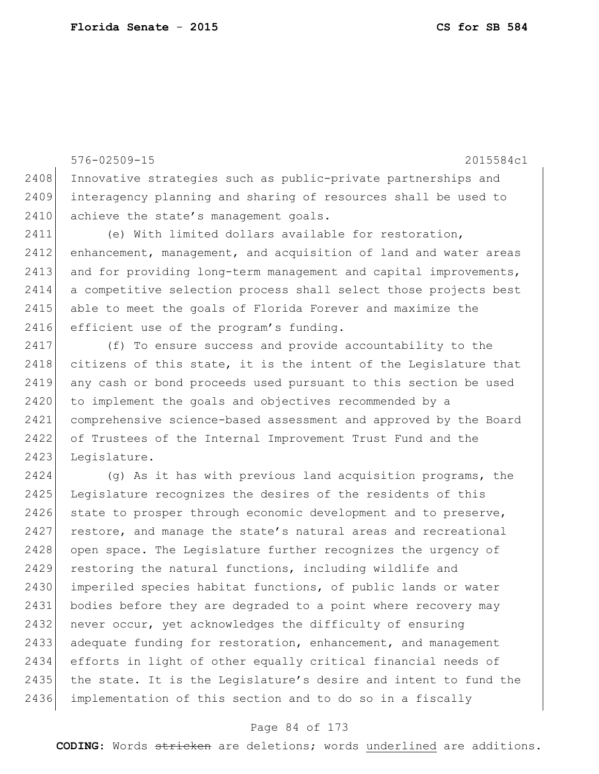576-02509-15 2015584c1 2408 Innovative strategies such as public-private partnerships and 2409 interagency planning and sharing of resources shall be used to 2410 achieve the state's management goals. 2411 (e) With limited dollars available for restoration, 2412 enhancement, management, and acquisition of land and water areas 2413 and for providing long-term management and capital improvements, 2414 a competitive selection process shall select those projects best 2415 able to meet the goals of Florida Forever and maximize the 2416 efficient use of the program's funding. 2417 (f) To ensure success and provide accountability to the 2418 citizens of this state, it is the intent of the Legislature that 2419 any cash or bond proceeds used pursuant to this section be used 2420 to implement the goals and objectives recommended by a 2421 comprehensive science-based assessment and approved by the Board 2422 of Trustees of the Internal Improvement Trust Fund and the 2423 Legislature.

2424 (g) As it has with previous land acquisition programs, the 2425 Legislature recognizes the desires of the residents of this 2426 state to prosper through economic development and to preserve, 2427 restore, and manage the state's natural areas and recreational 2428 open space. The Legislature further recognizes the urgency of 2429 restoring the natural functions, including wildlife and 2430 imperiled species habitat functions, of public lands or water 2431 bodies before they are degraded to a point where recovery may 2432 never occur, yet acknowledges the difficulty of ensuring 2433 adequate funding for restoration, enhancement, and management 2434 efforts in light of other equally critical financial needs of 2435 the state. It is the Legislature's desire and intent to fund the 2436 implementation of this section and to do so in a fiscally

# Page 84 of 173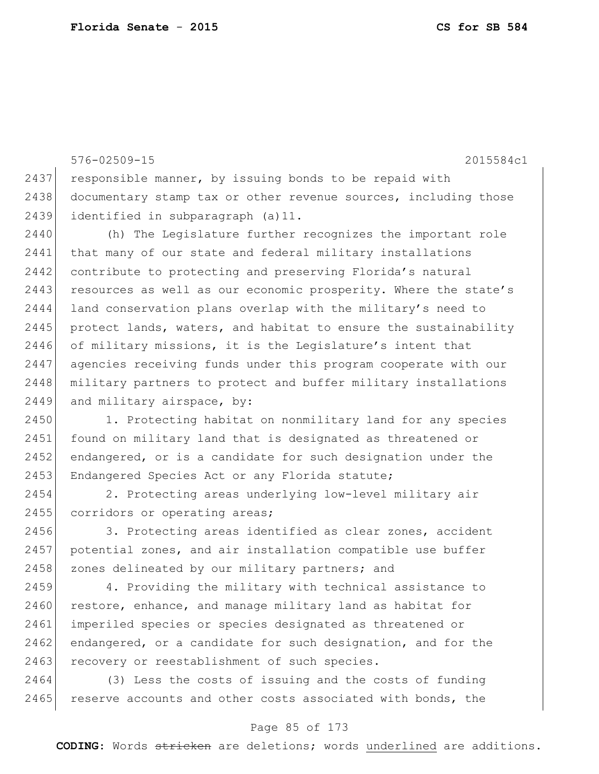576-02509-15 2015584c1 2437 responsible manner, by issuing bonds to be repaid with 2438 documentary stamp tax or other revenue sources, including those 2439 identified in subparagraph (a)11. 2440 (h) The Legislature further recognizes the important role 2441 that many of our state and federal military installations 2442 contribute to protecting and preserving Florida's natural 2443 resources as well as our economic prosperity. Where the state's 2444 land conservation plans overlap with the military's need to 2445 protect lands, waters, and habitat to ensure the sustainability 2446 of military missions, it is the Legislature's intent that 2447 agencies receiving funds under this program cooperate with our 2448 military partners to protect and buffer military installations 2449 and military airspace, by: 2450 1. Protecting habitat on nonmilitary land for any species 2451 found on military land that is designated as threatened or

2452 endangered, or is a candidate for such designation under the 2453 Endangered Species Act or any Florida statute;

2454 2. Protecting areas underlying low-level military air 2455 corridors or operating areas;

2456 3. Protecting areas identified as clear zones, accident 2457 potential zones, and air installation compatible use buffer 2458 zones delineated by our military partners; and

2459 4. Providing the military with technical assistance to 2460 restore, enhance, and manage military land as habitat for 2461 imperiled species or species designated as threatened or 2462 endangered, or a candidate for such designation, and for the 2463 recovery or reestablishment of such species.

2464 (3) Less the costs of issuing and the costs of funding 2465 reserve accounts and other costs associated with bonds, the

# Page 85 of 173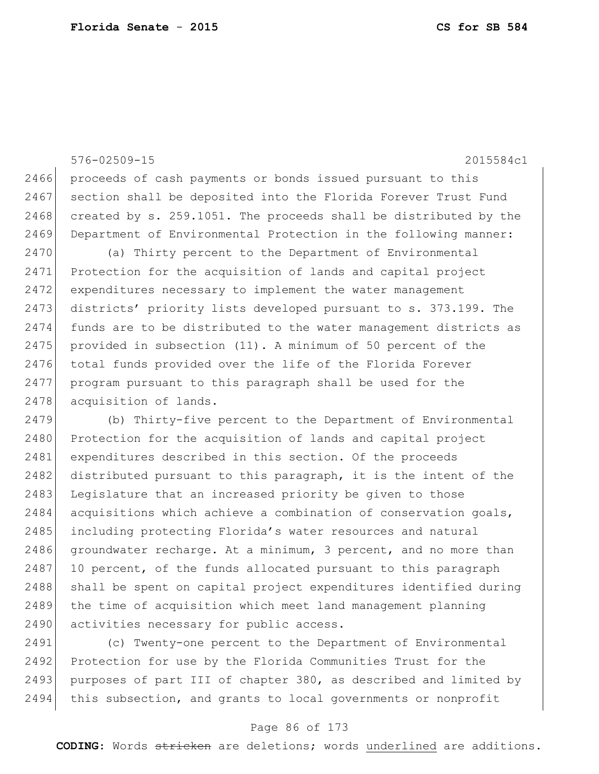576-02509-15 2015584c1 2466 proceeds of cash payments or bonds issued pursuant to this 2467 section shall be deposited into the Florida Forever Trust Fund 2468 created by s. 259.1051. The proceeds shall be distributed by the 2469 Department of Environmental Protection in the following manner: 2470 (a) Thirty percent to the Department of Environmental 2471 Protection for the acquisition of lands and capital project 2472 expenditures necessary to implement the water management 2473 districts' priority lists developed pursuant to s. 373.199. The 2474 funds are to be distributed to the water management districts as 2475 provided in subsection (11). A minimum of 50 percent of the 2476 total funds provided over the life of the Florida Forever 2477 program pursuant to this paragraph shall be used for the 2478 acquisition of lands. 2479 (b) Thirty-five percent to the Department of Environmental 2480 Protection for the acquisition of lands and capital project 2481 expenditures described in this section. Of the proceeds 2482 distributed pursuant to this paragraph, it is the intent of the 2483 Legislature that an increased priority be given to those 2484 acquisitions which achieve a combination of conservation goals,

2485 including protecting Florida's water resources and natural 2486 groundwater recharge. At a minimum, 3 percent, and no more than 2487 10 percent, of the funds allocated pursuant to this paragraph 2488 shall be spent on capital project expenditures identified during 2489 the time of acquisition which meet land management planning 2490 activities necessary for public access.

2491 (c) Twenty-one percent to the Department of Environmental 2492 Protection for use by the Florida Communities Trust for the 2493 purposes of part III of chapter 380, as described and limited by 2494 this subsection, and grants to local governments or nonprofit

# Page 86 of 173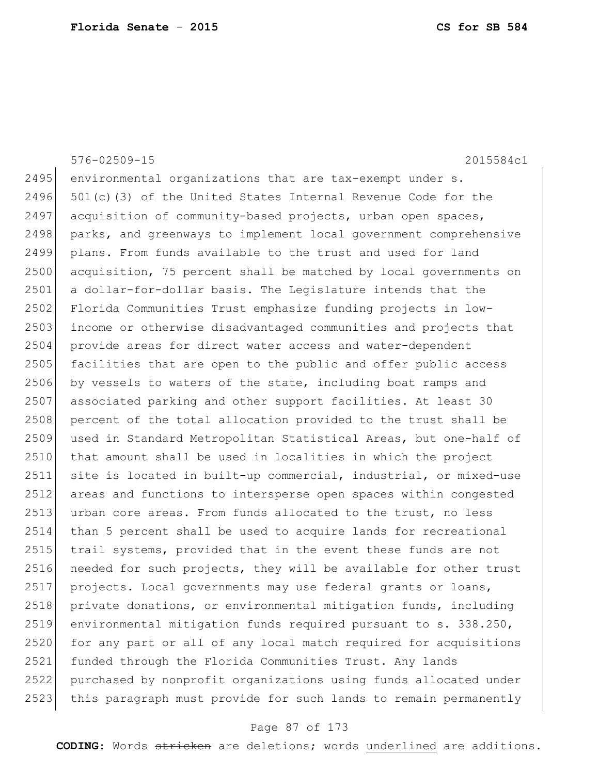|      | 576-02509-15<br>2015584c1                                        |
|------|------------------------------------------------------------------|
| 2495 | environmental organizations that are tax-exempt under s.         |
| 2496 | 501(c)(3) of the United States Internal Revenue Code for the     |
| 2497 | acquisition of community-based projects, urban open spaces,      |
| 2498 | parks, and greenways to implement local government comprehensive |
| 2499 | plans. From funds available to the trust and used for land       |
| 2500 | acquisition, 75 percent shall be matched by local governments on |
| 2501 | a dollar-for-dollar basis. The Legislature intends that the      |
| 2502 | Florida Communities Trust emphasize funding projects in low-     |
| 2503 | income or otherwise disadvantaged communities and projects that  |
| 2504 | provide areas for direct water access and water-dependent        |
| 2505 | facilities that are open to the public and offer public access   |
| 2506 | by vessels to waters of the state, including boat ramps and      |
| 2507 | associated parking and other support facilities. At least 30     |
| 2508 | percent of the total allocation provided to the trust shall be   |
| 2509 | used in Standard Metropolitan Statistical Areas, but one-half of |
| 2510 | that amount shall be used in localities in which the project     |
| 2511 | site is located in built-up commercial, industrial, or mixed-use |
| 2512 | areas and functions to intersperse open spaces within congested  |
| 2513 | urban core areas. From funds allocated to the trust, no less     |
| 2514 | than 5 percent shall be used to acquire lands for recreational   |
| 2515 | trail systems, provided that in the event these funds are not    |
| 2516 | needed for such projects, they will be available for other trust |
| 2517 | projects. Local governments may use federal grants or loans,     |
| 2518 | private donations, or environmental mitigation funds, including  |
| 2519 | environmental mitigation funds required pursuant to s. 338.250,  |
| 2520 | for any part or all of any local match required for acquisitions |
| 2521 | funded through the Florida Communities Trust. Any lands          |
| 2522 | purchased by nonprofit organizations using funds allocated under |
| 2523 | this paragraph must provide for such lands to remain permanently |

# Page 87 of 173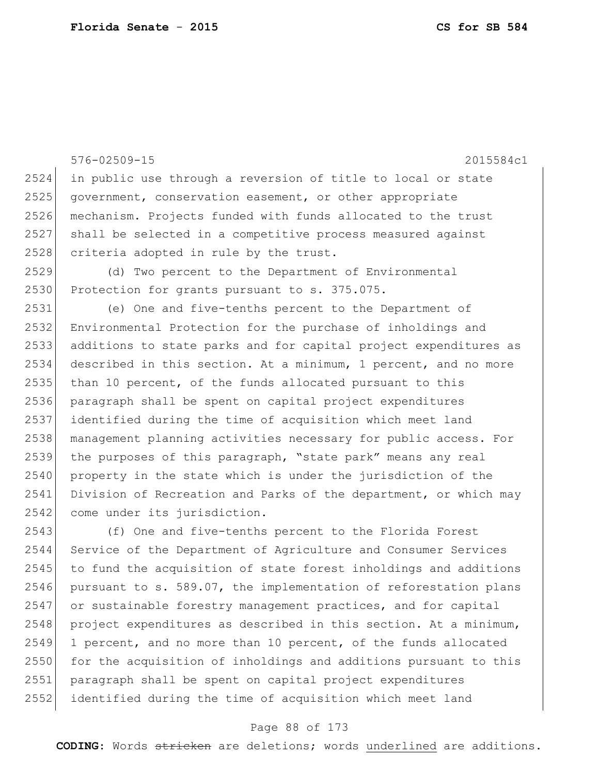|      | 576-02509-15<br>2015584c1                                        |
|------|------------------------------------------------------------------|
| 2524 | in public use through a reversion of title to local or state     |
| 2525 | government, conservation easement, or other appropriate          |
| 2526 | mechanism. Projects funded with funds allocated to the trust     |
| 2527 | shall be selected in a competitive process measured against      |
| 2528 | criteria adopted in rule by the trust.                           |
| 2529 | (d) Two percent to the Department of Environmental               |
| 2530 | Protection for grants pursuant to s. 375.075.                    |
| 2531 | (e) One and five-tenths percent to the Department of             |
| 2532 | Environmental Protection for the purchase of inholdings and      |
| 2533 | additions to state parks and for capital project expenditures as |
| 2534 | described in this section. At a minimum, 1 percent, and no more  |
| 2535 | than 10 percent, of the funds allocated pursuant to this         |
| 2536 | paragraph shall be spent on capital project expenditures         |
| 2537 | identified during the time of acquisition which meet land        |
| 2538 | management planning activities necessary for public access. For  |
| 2539 | the purposes of this paragraph, "state park" means any real      |
| 2540 | property in the state which is under the jurisdiction of the     |
| 2541 | Division of Recreation and Parks of the department, or which may |
| 2542 | come under its jurisdiction.                                     |
| 2543 | (f) One and five-tenths percent to the Florida Forest            |
| 2544 | Service of the Department of Agriculture and Consumer Services   |
| 2545 | to fund the acquisition of state forest inholdings and additions |
| 2546 | pursuant to s. 589.07, the implementation of reforestation plans |
| 2547 | or sustainable forestry management practices, and for capital    |
| 2548 | project expenditures as described in this section. At a minimum, |
| 2549 | 1 percent, and no more than 10 percent, of the funds allocated   |
| 2550 | for the acquisition of inholdings and additions pursuant to this |
| 2551 | paragraph shall be spent on capital project expenditures         |
| 2552 | identified during the time of acquisition which meet land        |

# Page 88 of 173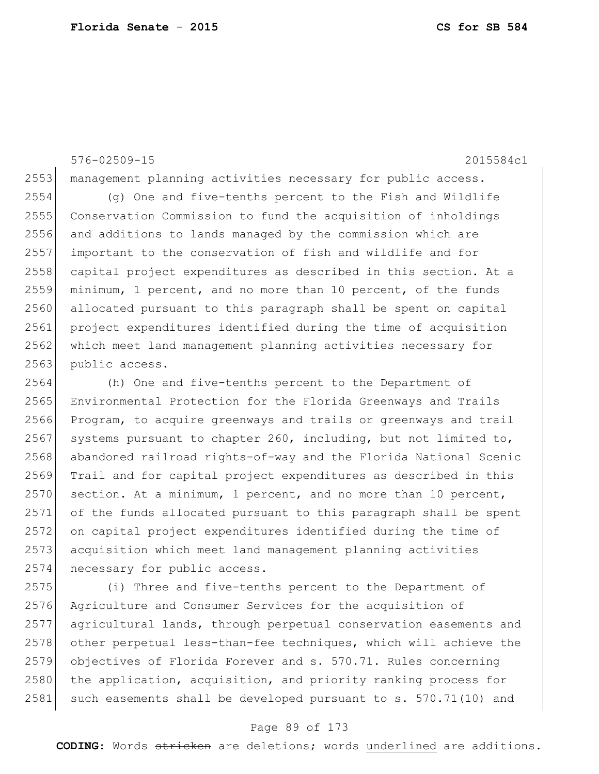# 576-02509-15 2015584c1

2553 management planning activities necessary for public access.

 (g) One and five-tenths percent to the Fish and Wildlife Conservation Commission to fund the acquisition of inholdings and additions to lands managed by the commission which are important to the conservation of fish and wildlife and for 2558 capital project expenditures as described in this section. At a minimum, 1 percent, and no more than 10 percent, of the funds allocated pursuant to this paragraph shall be spent on capital project expenditures identified during the time of acquisition 2562 which meet land management planning activities necessary for 2563 public access.

 (h) One and five-tenths percent to the Department of Environmental Protection for the Florida Greenways and Trails Program, to acquire greenways and trails or greenways and trail 2567 systems pursuant to chapter 260, including, but not limited to, abandoned railroad rights-of-way and the Florida National Scenic Trail and for capital project expenditures as described in this section. At a minimum, 1 percent, and no more than 10 percent, of the funds allocated pursuant to this paragraph shall be spent on capital project expenditures identified during the time of acquisition which meet land management planning activities 2574 necessary for public access.

 (i) Three and five-tenths percent to the Department of Agriculture and Consumer Services for the acquisition of agricultural lands, through perpetual conservation easements and 2578 other perpetual less-than-fee techniques, which will achieve the objectives of Florida Forever and s. 570.71. Rules concerning 2580 the application, acquisition, and priority ranking process for 2581 such easements shall be developed pursuant to  $s. 570.71(10)$  and

# Page 89 of 173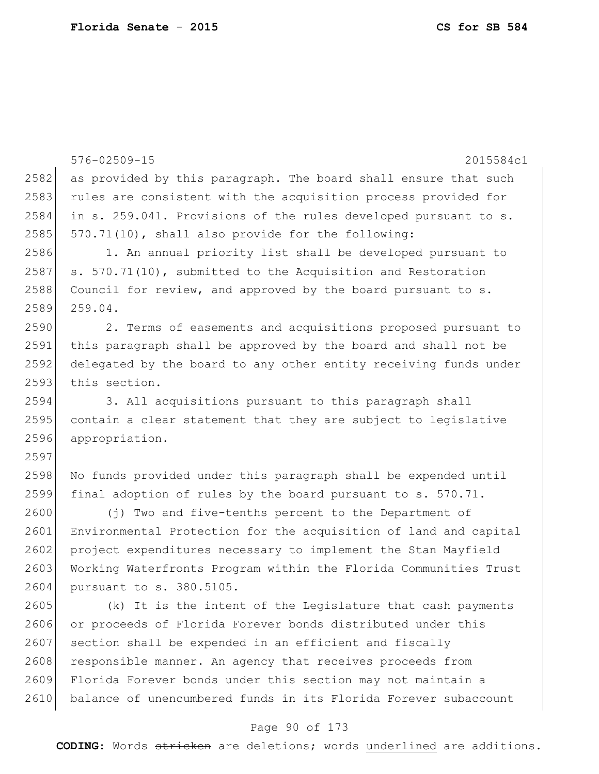|      | 576-02509-15<br>2015584c1                                        |
|------|------------------------------------------------------------------|
| 2582 | as provided by this paragraph. The board shall ensure that such  |
| 2583 | rules are consistent with the acquisition process provided for   |
| 2584 | in s. 259.041. Provisions of the rules developed pursuant to s.  |
| 2585 | 570.71(10), shall also provide for the following:                |
| 2586 | 1. An annual priority list shall be developed pursuant to        |
| 2587 | s. 570.71(10), submitted to the Acquisition and Restoration      |
| 2588 | Council for review, and approved by the board pursuant to s.     |
| 2589 | 259.04.                                                          |
| 2590 | 2. Terms of easements and acquisitions proposed pursuant to      |
| 2591 | this paragraph shall be approved by the board and shall not be   |
| 2592 | delegated by the board to any other entity receiving funds under |
| 2593 | this section.                                                    |
| 2594 | 3. All acquisitions pursuant to this paragraph shall             |
| 2595 | contain a clear statement that they are subject to legislative   |
| 2596 | appropriation.                                                   |
| 2597 |                                                                  |
| 2598 | No funds provided under this paragraph shall be expended until   |
| 2599 | final adoption of rules by the board pursuant to s. 570.71.      |
| 2600 | (j) Two and five-tenths percent to the Department of             |
| 2601 | Environmental Protection for the acquisition of land and capital |
| 2602 | project expenditures necessary to implement the Stan Mayfield    |
| 2603 | Working Waterfronts Program within the Florida Communities Trust |
| 2604 | pursuant to s. 380.5105.                                         |
| 2605 | (k) It is the intent of the Legislature that cash payments       |
| 2606 | or proceeds of Florida Forever bonds distributed under this      |
| 2607 | section shall be expended in an efficient and fiscally           |
| 2608 | responsible manner. An agency that receives proceeds from        |
| 2609 | Florida Forever bonds under this section may not maintain a      |
| 2610 | balance of unencumbered funds in its Florida Forever subaccount  |
|      |                                                                  |

# Page 90 of 173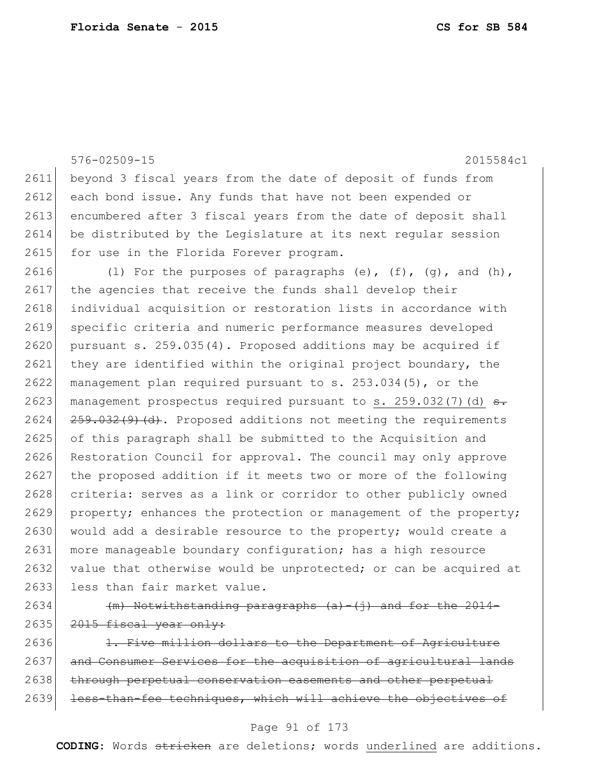|      | $576 - 02509 - 15$<br>2015584c1                                           |
|------|---------------------------------------------------------------------------|
| 2611 | beyond 3 fiscal years from the date of deposit of funds from              |
| 2612 | each bond issue. Any funds that have not been expended or                 |
| 2613 | encumbered after 3 fiscal years from the date of deposit shall            |
| 2614 | be distributed by the Legislature at its next regular session             |
| 2615 | for use in the Florida Forever program.                                   |
| 2616 | (1) For the purposes of paragraphs (e), $(f)$ , $(g)$ , and $(h)$ ,       |
| 2617 | the agencies that receive the funds shall develop their                   |
| 2618 | individual acquisition or restoration lists in accordance with            |
| 2619 | specific criteria and numeric performance measures developed              |
| 2620 | pursuant s. 259.035(4). Proposed additions may be acquired if             |
| 2621 | they are identified within the original project boundary, the             |
| 2622 | management plan required pursuant to s. 253.034(5), or the                |
| 2623 | management prospectus required pursuant to s. 259.032(7)(d) <del>s.</del> |
| 2624 | $259.032(9)$ (d). Proposed additions not meeting the requirements         |
| 2625 | of this paragraph shall be submitted to the Acquisition and               |
| 2626 | Restoration Council for approval. The council may only approve            |
| 2627 | the proposed addition if it meets two or more of the following            |
| 2628 | criteria: serves as a link or corridor to other publicly owned            |
| 2629 | property; enhances the protection or management of the property;          |
| 2630 | would add a desirable resource to the property; would create a            |
| 2631 | more manageable boundary configuration; has a high resource               |
| 2632 | value that otherwise would be unprotected; or can be acquired at          |
| 2633 | less than fair market value.                                              |
| 2634 | $(m)$ Notwithstanding paragraphs $(a) - (i)$ and for the 2014-            |
| 2635 | 2015 fiscal year only:                                                    |

2636 1. Five million dollars to the Department of Agriculture 2637 and Consumer Services for the acquisition of agricultural lands 2638 through perpetual conservation easements and other perpetual 2639 less-than-fee techniques, which will achieve the objectives of

# Page 91 of 173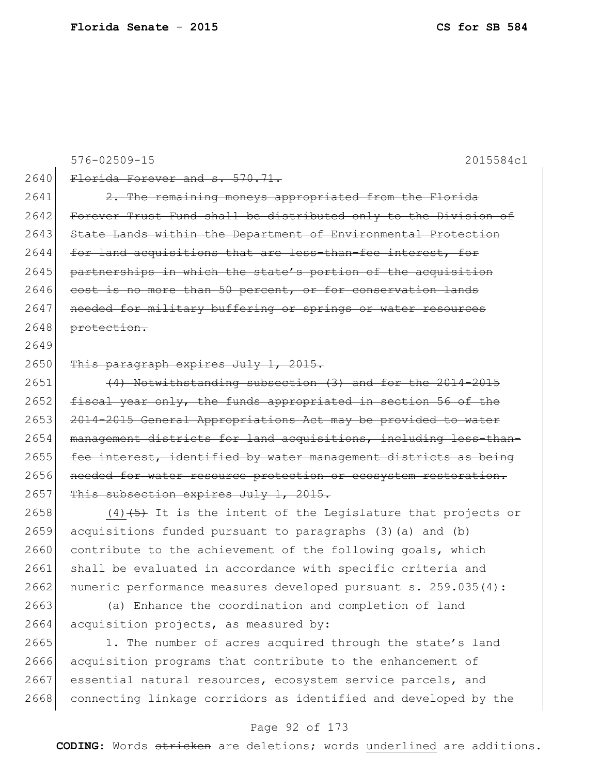|      | $576 - 02509 - 15$<br>2015584c1                                  |
|------|------------------------------------------------------------------|
| 2640 | Florida Forever and s. 570.71.                                   |
| 2641 | 2. The remaining moneys appropriated from the Florida            |
| 2642 | Forever Trust Fund shall be distributed only to the Division of  |
| 2643 | State Lands within the Department of Environmental Protection    |
| 2644 | for land acquisitions that are less-than-fee interest, for       |
| 2645 | partnerships in which the state's portion of the acquisition     |
| 2646 | cost is no more than 50 percent, or for conservation lands       |
| 2647 | needed for military buffering or springs or water resources      |
| 2648 | protection.                                                      |
| 2649 |                                                                  |
| 2650 | This paragraph expires July 1, 2015.                             |
| 2651 | (4) Notwithstanding subsection (3) and for the 2014-2015         |
| 2652 | fiscal year only, the funds appropriated in section 56 of the    |
| 2653 | 2014-2015 General Appropriations Act may be provided to water    |
| 2654 | management districts for land acquisitions, including less-than- |
| 2655 | fee interest, identified by water management districts as being  |
| 2656 | needed for water resource protection or ecosystem restoration.   |
| 2657 | This subsection expires July 1, 2015.                            |
| 2658 | $(4)$ $(5)$ It is the intent of the Legislature that projects or |

 acquisitions funded pursuant to paragraphs (3)(a) and (b) 2660 contribute to the achievement of the following goals, which 2661 shall be evaluated in accordance with specific criteria and 2662 numeric performance measures developed pursuant s. 259.035(4):

2663 (a) Enhance the coordination and completion of land 2664 acquisition projects, as measured by:

2665 1. The number of acres acquired through the state's land acquisition programs that contribute to the enhancement of 2667 essential natural resources, ecosystem service parcels, and 2668 connecting linkage corridors as identified and developed by the

# Page 92 of 173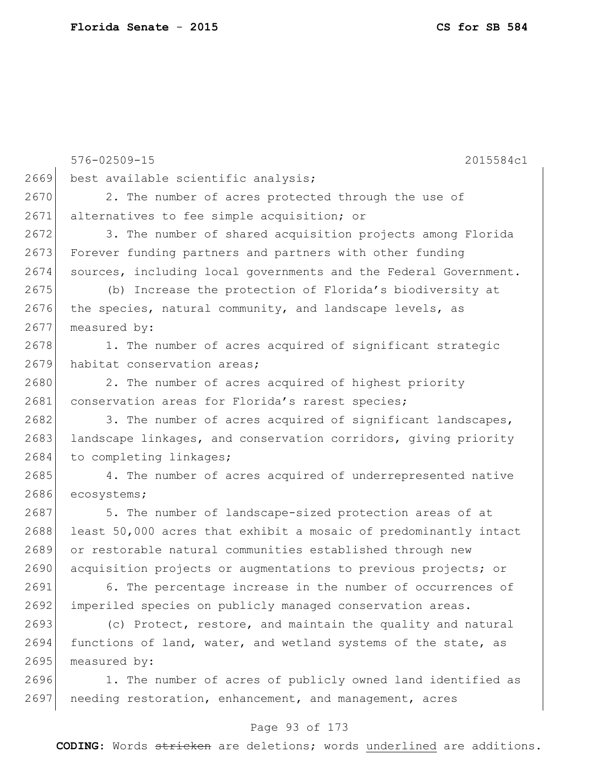576-02509-15 2015584c1 2669 best available scientific analysis; 2670 2. The number of acres protected through the use of 2671 alternatives to fee simple acquisition; or 2682 3. The number of acres acquired of significant landscapes, 2683 landscape linkages, and conservation corridors, giving priority 2684 to completing linkages; 2687 5. The number of landscape-sized protection areas of at 2688 least 50,000 acres that exhibit a mosaic of predominantly intact 2691 6. The percentage increase in the number of occurrences of 2693 (c) Protect, restore, and maintain the quality and natural 2694 functions of land, water, and wetland systems of the state, as 2695 measured by:

2696 1. The number of acres of publicly owned land identified as 2697 needing restoration, enhancement, and management, acres

# Page 93 of 173

**CODING**: Words stricken are deletions; words underlined are additions.

2672 3. The number of shared acquisition projects among Florida 2673 Forever funding partners and partners with other funding 2674 sources, including local governments and the Federal Government.

2675 (b) Increase the protection of Florida's biodiversity at 2676 the species, natural community, and landscape levels, as 2677 measured by:

2678 1. The number of acres acquired of significant strategic 2679 habitat conservation areas;

2680 2. The number of acres acquired of highest priority 2681 conservation areas for Florida's rarest species;

2685 4. The number of acres acquired of underrepresented native 2686 ecosystems;

2689 or restorable natural communities established through new 2690 acquisition projects or augmentations to previous projects; or

2692 imperiled species on publicly managed conservation areas.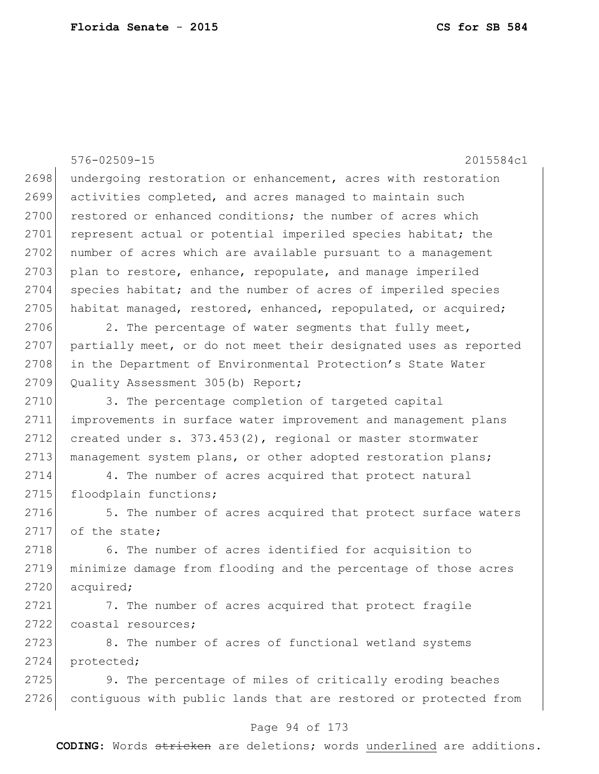|      | $576 - 02509 - 15$<br>2015584c1                                  |
|------|------------------------------------------------------------------|
| 2698 | undergoing restoration or enhancement, acres with restoration    |
| 2699 | activities completed, and acres managed to maintain such         |
| 2700 | restored or enhanced conditions; the number of acres which       |
| 2701 | represent actual or potential imperiled species habitat; the     |
| 2702 | number of acres which are available pursuant to a management     |
| 2703 | plan to restore, enhance, repopulate, and manage imperiled       |
| 2704 | species habitat; and the number of acres of imperiled species    |
| 2705 | habitat managed, restored, enhanced, repopulated, or acquired;   |
| 2706 | 2. The percentage of water segments that fully meet,             |
| 2707 | partially meet, or do not meet their designated uses as reported |
| 2708 | in the Department of Environmental Protection's State Water      |
| 2709 | Quality Assessment 305(b) Report;                                |
| 2710 | 3. The percentage completion of targeted capital                 |
| 2711 | improvements in surface water improvement and management plans   |
| 2712 | created under s. $373.453(2)$ , regional or master stormwater    |
| 2713 | management system plans, or other adopted restoration plans;     |
| 2714 | 4. The number of acres acquired that protect natural             |
| 2715 | floodplain functions;                                            |
| 2716 | 5. The number of acres acquired that protect surface waters      |
| 2717 | of the state;                                                    |
| 2718 | 6. The number of acres identified for acquisition to             |
| 2719 | minimize damage from flooding and the percentage of those acres  |
| 2720 | acquired;                                                        |
| 2721 | 7. The number of acres acquired that protect fragile             |
| 2722 | coastal resources;                                               |
| 2723 | 8. The number of acres of functional wetland systems             |
| 2724 | protected;                                                       |
| 2725 | 9. The percentage of miles of critically eroding beaches         |
| 2726 | contiguous with public lands that are restored or protected from |
|      |                                                                  |

# Page 94 of 173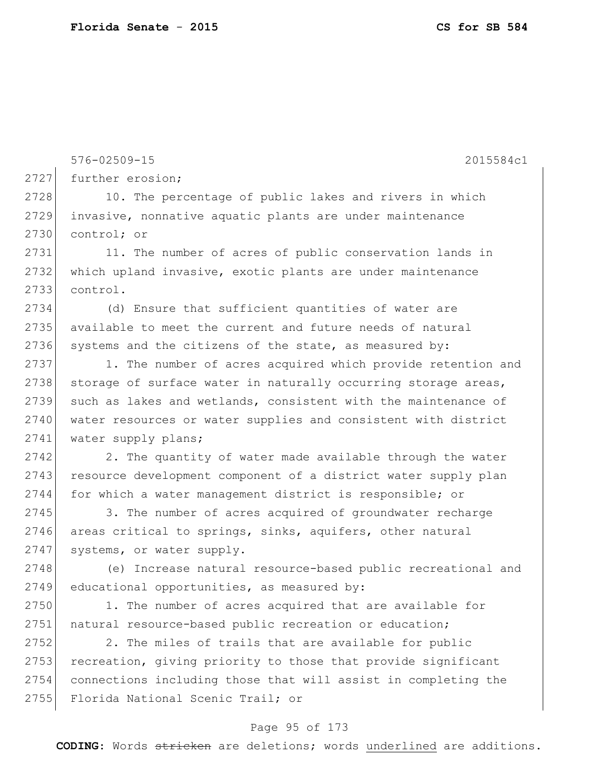576-02509-15 2015584c1 2727 further erosion; 2728 10. The percentage of public lakes and rivers in which 2729 invasive, nonnative aquatic plants are under maintenance 2730 control; or 2731 11. The number of acres of public conservation lands in 2732 which upland invasive, exotic plants are under maintenance 2733 control. 2734 (d) Ensure that sufficient quantities of water are 2735 available to meet the current and future needs of natural  $2736$  systems and the citizens of the state, as measured by: 2737 1. The number of acres acquired which provide retention and 2738 storage of surface water in naturally occurring storage areas, 2739 such as lakes and wetlands, consistent with the maintenance of 2740 water resources or water supplies and consistent with district 2741 water supply plans;  $2742$  2. The quantity of water made available through the water 2743 resource development component of a district water supply plan 2744 for which a water management district is responsible; or 2745 3. The number of acres acquired of groundwater recharge 2746 areas critical to springs, sinks, aquifers, other natural 2747 systems, or water supply. 2748 (e) Increase natural resource-based public recreational and  $2749$  educational opportunities, as measured by: 2750 1. The number of acres acquired that are available for 2751 | natural resource-based public recreation or education; 2752 2. The miles of trails that are available for public 2753 recreation, giving priority to those that provide significant 2754 connections including those that will assist in completing the 2755 Florida National Scenic Trail; or

### Page 95 of 173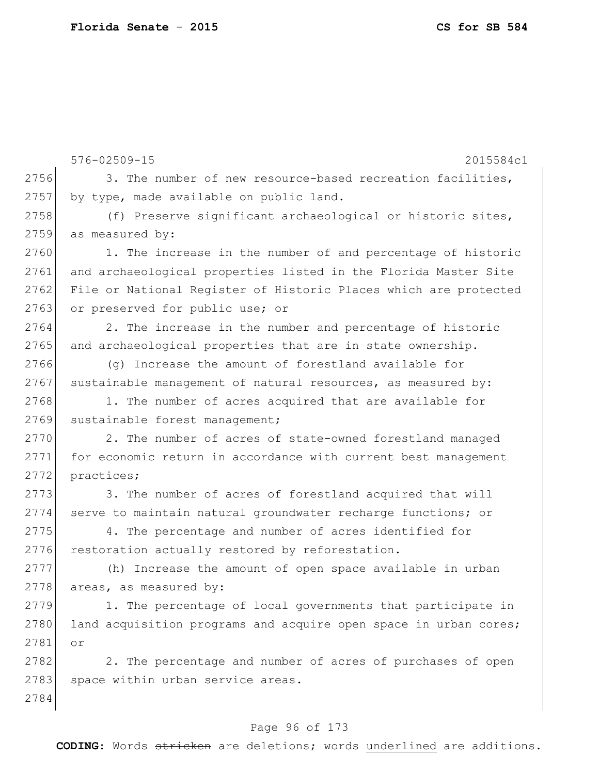576-02509-15 2015584c1 2756 3. The number of new resource-based recreation facilities, 2757 by type, made available on public land. 2758 (f) Preserve significant archaeological or historic sites, 2759 as measured by: 2760 1. The increase in the number of and percentage of historic 2761 and archaeological properties listed in the Florida Master Site 2762 File or National Register of Historic Places which are protected 2763 or preserved for public use; or 2764 2. The increase in the number and percentage of historic 2765 and archaeological properties that are in state ownership. 2766 (g) Increase the amount of forestland available for  $2767$  sustainable management of natural resources, as measured by: 2768 1. The number of acres acquired that are available for 2769 sustainable forest management; 2770 2. The number of acres of state-owned forestland managed 2771 for economic return in accordance with current best management 2772 practices; 2773 3. The number of acres of forestland acquired that will 2774 serve to maintain natural groundwater recharge functions; or 2775 4. The percentage and number of acres identified for 2776 restoration actually restored by reforestation. 2777 (h) Increase the amount of open space available in urban 2778 areas, as measured by: 2779 1. The percentage of local governments that participate in 2780 land acquisition programs and acquire open space in urban cores; 2781 or 2782 2. The percentage and number of acres of purchases of open 2783 space within urban service areas. 2784

# Page 96 of 173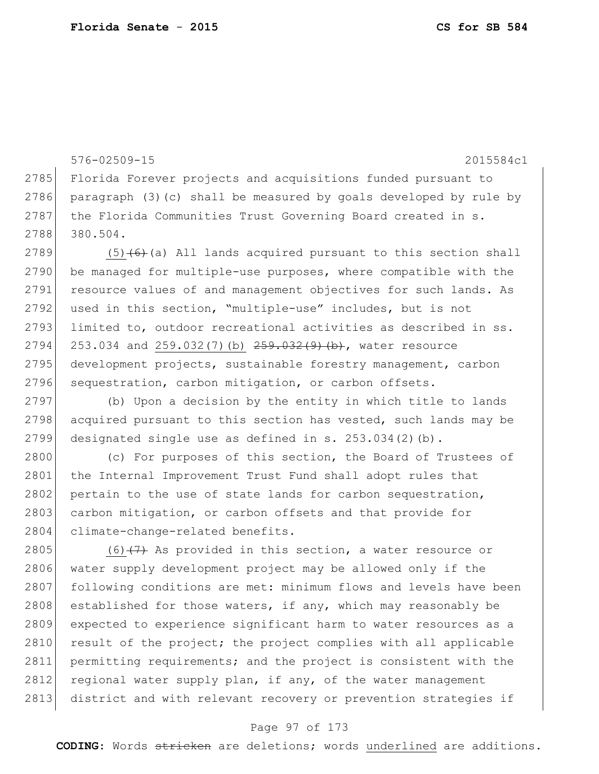```
576-02509-15 2015584c1
2785 Florida Forever projects and acquisitions funded pursuant to
2786 paragraph (3)(c) shall be measured by goals developed by rule by
2787 the Florida Communities Trust Governing Board created in s.
2788 380.504.
2789 (5) (6) (a) All lands acquired pursuant to this section shall
2790 be managed for multiple-use purposes, where compatible with the
2791 resource values of and management objectives for such lands. As
2792 used in this section, "multiple-use" includes, but is not
2793 limited to, outdoor recreational activities as described in ss.
2794 253.034 and 259.032(7)(b) 259.032(9)(b), water resource
2795 development projects, sustainable forestry management, carbon
2796 sequestration, carbon mitigation, or carbon offsets.
2797 (b) Upon a decision by the entity in which title to lands 
2798 acquired pursuant to this section has vested, such lands may be
2799 designated single use as defined in s. 253.034(2)(b).
2800 (c) For purposes of this section, the Board of Trustees of
2801 the Internal Improvement Trust Fund shall adopt rules that
2802 pertain to the use of state lands for carbon sequestration,
2803 carbon mitigation, or carbon offsets and that provide for
2804 climate-change-related benefits.
2805 (6)(7) As provided in this section, a water resource or
2806 water supply development project may be allowed only if the
2807 following conditions are met: minimum flows and levels have been
2808 established for those waters, if any, which may reasonably be
2809 expected to experience significant harm to water resources as a 
2810 result of the project; the project complies with all applicable
2811 permitting requirements; and the project is consistent with the 
2812 regional water supply plan, if any, of the water management
2813 district and with relevant recovery or prevention strategies if
```
#### Page 97 of 173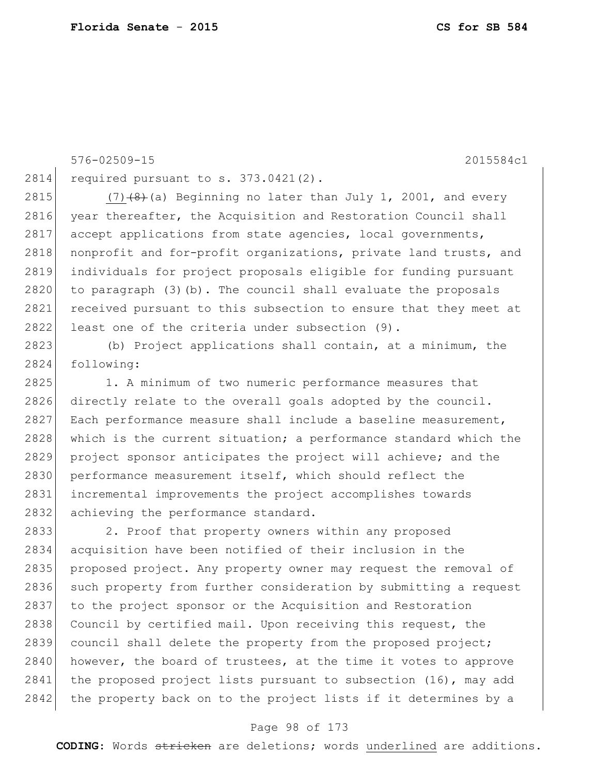576-02509-15 2015584c1 2814 required pursuant to s. 373.0421(2). 2815 (7) $(8)$  (a) Beginning no later than July 1, 2001, and every 2816 year thereafter, the Acquisition and Restoration Council shall 2817 accept applications from state agencies, local governments, 2818 nonprofit and for-profit organizations, private land trusts, and 2819 individuals for project proposals eligible for funding pursuant 2820 to paragraph (3)(b). The council shall evaluate the proposals 2821 received pursuant to this subsection to ensure that they meet at 2822 least one of the criteria under subsection (9). 2823 (b) Project applications shall contain, at a minimum, the 2824 following: 2825 1. A minimum of two numeric performance measures that 2826 directly relate to the overall goals adopted by the council. 2827 Each performance measure shall include a baseline measurement, 2828 which is the current situation; a performance standard which the 2829 project sponsor anticipates the project will achieve; and the 2830 performance measurement itself, which should reflect the 2831 incremental improvements the project accomplishes towards 2832 achieving the performance standard. 2833 2. Proof that property owners within any proposed 2834 acquisition have been notified of their inclusion in the 2835 proposed project. Any property owner may request the removal of 2836 such property from further consideration by submitting a request 2837 to the project sponsor or the Acquisition and Restoration 2838 Council by certified mail. Upon receiving this request, the 2839 council shall delete the property from the proposed project; 2840 however, the board of trustees, at the time it votes to approve 2841 the proposed project lists pursuant to subsection (16), may add

#### Page 98 of 173

2842 the property back on to the project lists if it determines by a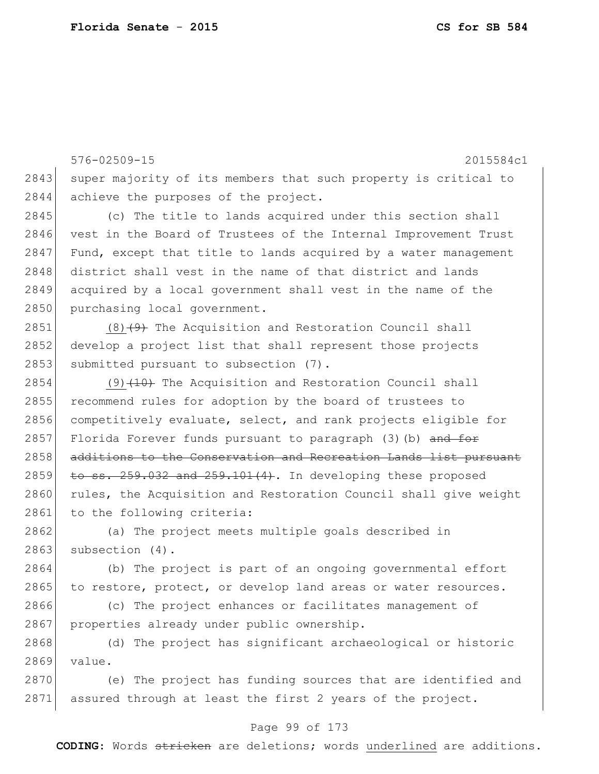576-02509-15 2015584c1 2843 super majority of its members that such property is critical to 2844 achieve the purposes of the project. 2845 (c) The title to lands acquired under this section shall 2846 vest in the Board of Trustees of the Internal Improvement Trust 2847 Fund, except that title to lands acquired by a water management 2848 district shall vest in the name of that district and lands 2849 acquired by a local government shall vest in the name of the 2850 purchasing local government. 2851 (8) $(9)$  The Acquisition and Restoration Council shall 2852 develop a project list that shall represent those projects 2853 submitted pursuant to subsection (7).  $2854$  (9)  $\left(10\right)$  The Acquisition and Restoration Council shall 2855 recommend rules for adoption by the board of trustees to 2856 competitively evaluate, select, and rank projects eligible for 2857 Florida Forever funds pursuant to paragraph  $(3)$  (b) and for 2858 additions to the Conservation and Recreation Lands list pursuant 2859 to ss.  $259.032$  and  $259.101(4)$ . In developing these proposed 2860 rules, the Acquisition and Restoration Council shall give weight 2861 to the following criteria: 2862 (a) The project meets multiple goals described in  $2863$  subsection  $(4)$ . 2864 (b) The project is part of an ongoing governmental effort 2865 to restore, protect, or develop land areas or water resources. 2866 (c) The project enhances or facilitates management of 2867 properties already under public ownership. 2868 (d) The project has significant archaeological or historic 2869 value. 2870 (e) The project has funding sources that are identified and 2871 assured through at least the first 2 years of the project.

# Page 99 of 173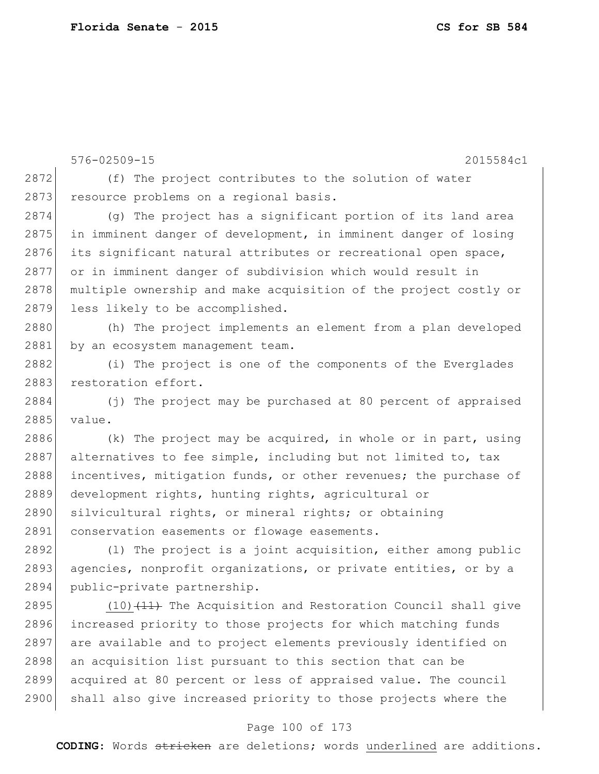576-02509-15 2015584c1 2872 (f) The project contributes to the solution of water 2873 resource problems on a regional basis. 2874 (g) The project has a significant portion of its land area 2875 in imminent danger of development, in imminent danger of losing 2876 its significant natural attributes or recreational open space, 2877 or in imminent danger of subdivision which would result in 2878 multiple ownership and make acquisition of the project costly or 2879 less likely to be accomplished. 2880 (h) The project implements an element from a plan developed 2881 by an ecosystem management team. 2882 (i) The project is one of the components of the Everglades 2883 restoration effort. 2884 (j) The project may be purchased at 80 percent of appraised 2885 value. 2886 (k) The project may be acquired, in whole or in part, using 2887 alternatives to fee simple, including but not limited to, tax 2888 incentives, mitigation funds, or other revenues; the purchase of 2889 development rights, hunting rights, agricultural or 2890 silvicultural rights, or mineral rights; or obtaining 2891 conservation easements or flowage easements. 2892 (l) The project is a joint acquisition, either among public 2893 agencies, nonprofit organizations, or private entities, or by a 2894 public-private partnership. 2895 (10) $(11)$  The Acquisition and Restoration Council shall give 2896 increased priority to those projects for which matching funds 2897 are available and to project elements previously identified on 2898 an acquisition list pursuant to this section that can be 2899 acquired at 80 percent or less of appraised value. The council

### Page 100 of 173

2900 shall also give increased priority to those projects where the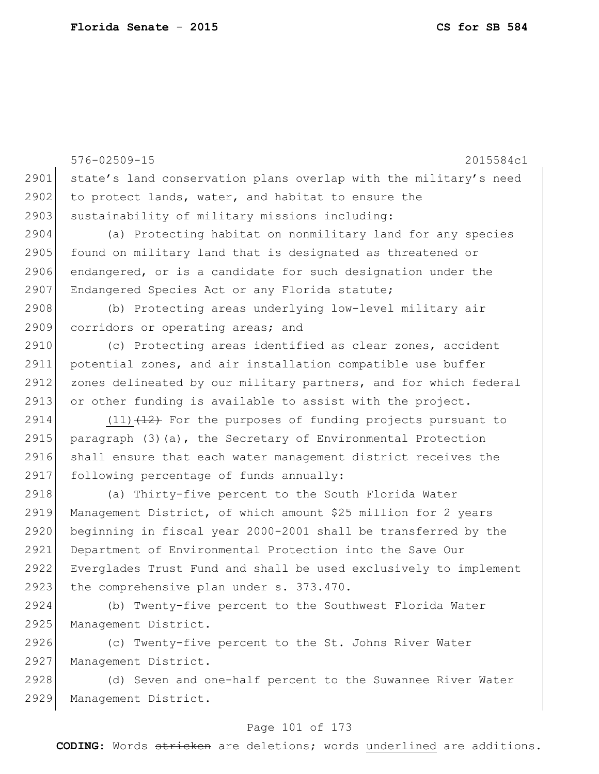2929 Management District.

576-02509-15 2015584c1 2901 state's land conservation plans overlap with the military's need  $2902$  to protect lands, water, and habitat to ensure the 2903 sustainability of military missions including: 2904 (a) Protecting habitat on nonmilitary land for any species 2905 found on military land that is designated as threatened or 2906 endangered, or is a candidate for such designation under the 2907 Endangered Species Act or any Florida statute; 2908 (b) Protecting areas underlying low-level military air 2909 corridors or operating areas; and 2910 (c) Protecting areas identified as clear zones, accident 2911 potential zones, and air installation compatible use buffer 2912 zones delineated by our military partners, and for which federal 2913 or other funding is available to assist with the project. 2914  $(11)$   $(12)$  For the purposes of funding projects pursuant to 2915 paragraph  $(3)(a)$ , the Secretary of Environmental Protection 2916 shall ensure that each water management district receives the 2917 following percentage of funds annually: 2918 (a) Thirty-five percent to the South Florida Water 2919 Management District, of which amount \$25 million for 2 years 2920 beginning in fiscal year 2000-2001 shall be transferred by the 2921 Department of Environmental Protection into the Save Our 2922 Everglades Trust Fund and shall be used exclusively to implement 2923 the comprehensive plan under s. 373.470. 2924 (b) Twenty-five percent to the Southwest Florida Water 2925 Management District. 2926 (c) Twenty-five percent to the St. Johns River Water 2927 Management District. 2928 (d) Seven and one-half percent to the Suwannee River Water

### Page 101 of 173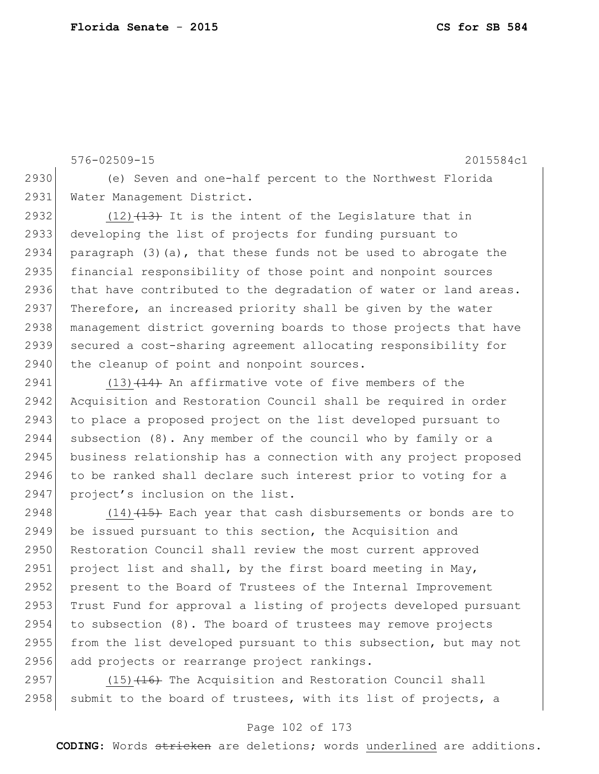576-02509-15 2015584c1 2930 (e) Seven and one-half percent to the Northwest Florida 2931 Water Management District. 2932  $(12)$   $(13)$  It is the intent of the Legislature that in 2933 developing the list of projects for funding pursuant to 2934 paragraph (3)(a), that these funds not be used to abrogate the 2935 financial responsibility of those point and nonpoint sources 2936 that have contributed to the degradation of water or land areas. 2937 Therefore, an increased priority shall be given by the water 2938 management district governing boards to those projects that have 2939 secured a cost-sharing agreement allocating responsibility for 2940 the cleanup of point and nonpoint sources.

2941  $(13)$   $(14)$  An affirmative vote of five members of the 2942 Acquisition and Restoration Council shall be required in order 2943 to place a proposed project on the list developed pursuant to 2944 subsection (8). Any member of the council who by family or a 2945 business relationship has a connection with any project proposed 2946 to be ranked shall declare such interest prior to voting for a 2947 project's inclusion on the list.

2948  $(14)$   $(15)$  Each year that cash disbursements or bonds are to 2949 be issued pursuant to this section, the Acquisition and 2950 Restoration Council shall review the most current approved 2951 project list and shall, by the first board meeting in May, 2952 present to the Board of Trustees of the Internal Improvement 2953 Trust Fund for approval a listing of projects developed pursuant  $2954$  to subsection  $(8)$ . The board of trustees may remove projects 2955 from the list developed pursuant to this subsection, but may not 2956 add projects or rearrange project rankings.

2957 (15) (16) The Acquisition and Restoration Council shall 2958 submit to the board of trustees, with its list of projects, a

# Page 102 of 173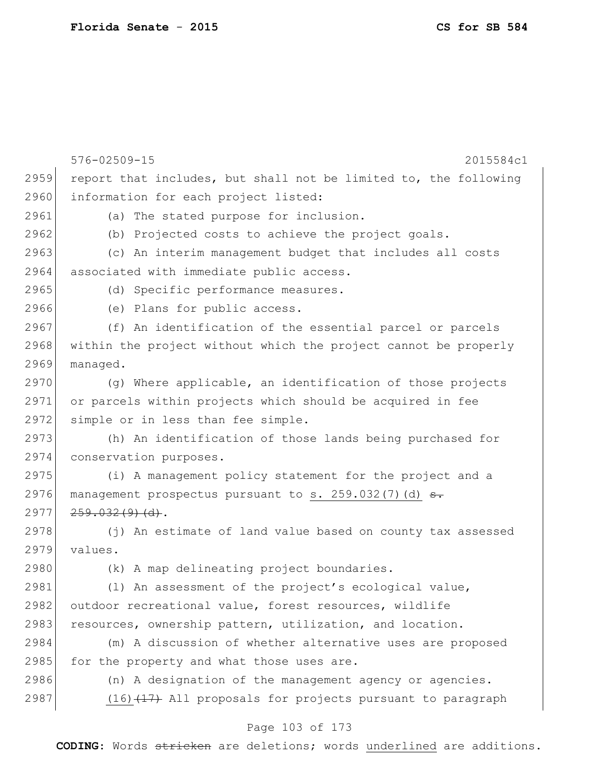|      | 576-02509-15<br>2015584c1                                        |
|------|------------------------------------------------------------------|
| 2959 | report that includes, but shall not be limited to, the following |
| 2960 | information for each project listed:                             |
| 2961 | (a) The stated purpose for inclusion.                            |
| 2962 | (b) Projected costs to achieve the project goals.                |
| 2963 | (c) An interim management budget that includes all costs         |
| 2964 | associated with immediate public access.                         |
| 2965 | (d) Specific performance measures.                               |
| 2966 | (e) Plans for public access.                                     |
| 2967 | (f) An identification of the essential parcel or parcels         |
| 2968 | within the project without which the project cannot be properly  |
| 2969 | managed.                                                         |
| 2970 | (q) Where applicable, an identification of those projects        |
| 2971 | or parcels within projects which should be acquired in fee       |
| 2972 | simple or in less than fee simple.                               |
| 2973 | (h) An identification of those lands being purchased for         |
| 2974 | conservation purposes.                                           |
| 2975 | (i) A management policy statement for the project and a          |
| 2976 | management prospectus pursuant to s. $259.032(7)$ (d) $\theta$ . |
| 2977 | 259.032(9)(d).                                                   |
| 2978 | (j) An estimate of land value based on county tax assessed       |
| 2979 | values.                                                          |
| 2980 | (k) A map delineating project boundaries.                        |
| 2981 | (1) An assessment of the project's ecological value,             |
| 2982 | outdoor recreational value, forest resources, wildlife           |
| 2983 | resources, ownership pattern, utilization, and location.         |
| 2984 | (m) A discussion of whether alternative uses are proposed        |
| 2985 | for the property and what those uses are.                        |
| 2986 | (n) A designation of the management agency or agencies.          |
| 2987 | $(16)$ $(17)$ All proposals for projects pursuant to paragraph   |
|      | Page 103 of 173                                                  |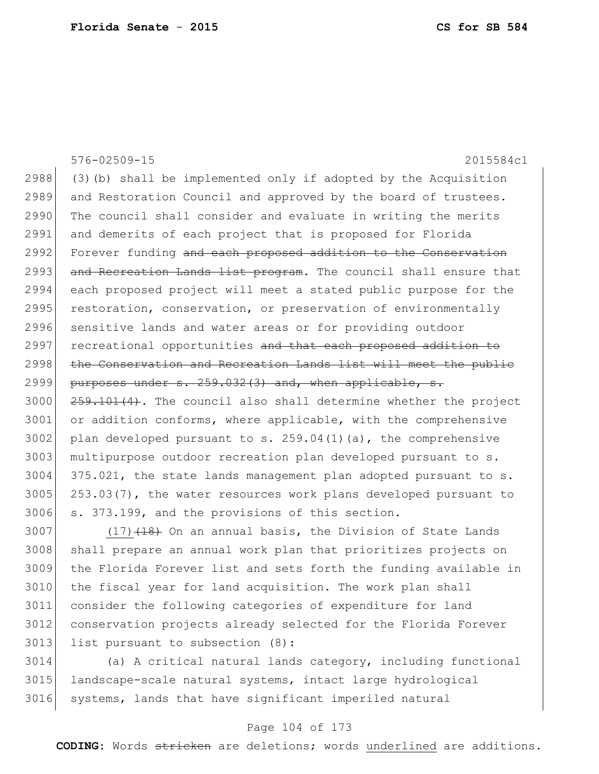|      | 576-02509-15<br>2015584c1                                           |
|------|---------------------------------------------------------------------|
| 2988 | (3) (b) shall be implemented only if adopted by the Acquisition     |
| 2989 | and Restoration Council and approved by the board of trustees.      |
| 2990 | The council shall consider and evaluate in writing the merits       |
| 2991 | and demerits of each project that is proposed for Florida           |
| 2992 | Forever funding and each proposed addition to the Conservation      |
| 2993 | and Recreation Lands list program. The council shall ensure that    |
| 2994 | each proposed project will meet a stated public purpose for the     |
| 2995 | restoration, conservation, or preservation of environmentally       |
| 2996 | sensitive lands and water areas or for providing outdoor            |
| 2997 | recreational opportunities and that each proposed addition to       |
| 2998 | the Conservation and Recreation Lands list will meet the public     |
| 2999 | purposes under s. 259.032(3) and, when applicable, s.               |
| 3000 | $259.101(4)$ . The council also shall determine whether the project |
| 3001 | or addition conforms, where applicable, with the comprehensive      |
| 3002 | plan developed pursuant to s. $259.04(1)(a)$ , the comprehensive    |
| 3003 | multipurpose outdoor recreation plan developed pursuant to s.       |
| 3004 | 375.021, the state lands management plan adopted pursuant to s.     |
| 3005 | 253.03(7), the water resources work plans developed pursuant to     |
| 3006 | s. 373.199, and the provisions of this section.                     |
| 3007 | $(17)$ $(18)$ On an annual basis, the Division of State Lands       |

3008 shall prepare an annual work plan that prioritizes projects on the Florida Forever list and sets forth the funding available in 3010 the fiscal year for land acquisition. The work plan shall consider the following categories of expenditure for land conservation projects already selected for the Florida Forever 3013 list pursuant to subsection (8):

 (a) A critical natural lands category, including functional landscape-scale natural systems, intact large hydrological 3016 systems, lands that have significant imperiled natural

# Page 104 of 173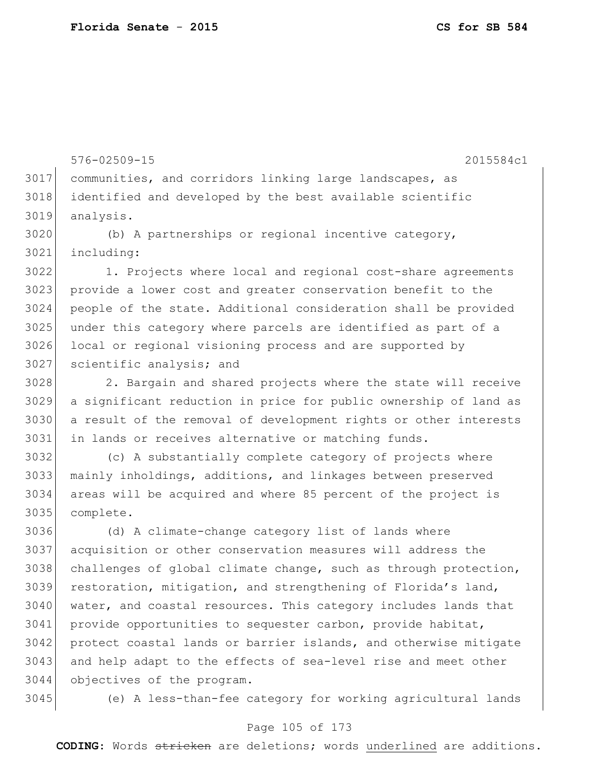576-02509-15 2015584c1 communities, and corridors linking large landscapes, as identified and developed by the best available scientific analysis. (b) A partnerships or regional incentive category, including: 1. Projects where local and regional cost-share agreements 3023 provide a lower cost and greater conservation benefit to the people of the state. Additional consideration shall be provided under this category where parcels are identified as part of a local or regional visioning process and are supported by scientific analysis; and 2. Bargain and shared projects where the state will receive a significant reduction in price for public ownership of land as a result of the removal of development rights or other interests in lands or receives alternative or matching funds. (c) A substantially complete category of projects where mainly inholdings, additions, and linkages between preserved areas will be acquired and where 85 percent of the project is complete. (d) A climate-change category list of lands where acquisition or other conservation measures will address the 3038 challenges of global climate change, such as through protection, restoration, mitigation, and strengthening of Florida's land, 3040 water, and coastal resources. This category includes lands that provide opportunities to sequester carbon, provide habitat, protect coastal lands or barrier islands, and otherwise mitigate 3043 and help adapt to the effects of sea-level rise and meet other objectives of the program.

(e) A less-than-fee category for working agricultural lands

#### Page 105 of 173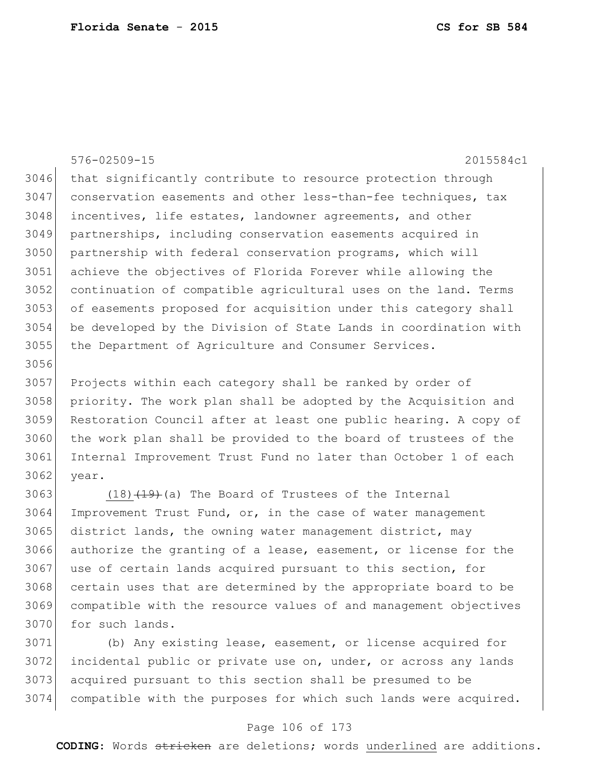576-02509-15 2015584c1 3046 that significantly contribute to resource protection through conservation easements and other less-than-fee techniques, tax incentives, life estates, landowner agreements, and other partnerships, including conservation easements acquired in partnership with federal conservation programs, which will achieve the objectives of Florida Forever while allowing the continuation of compatible agricultural uses on the land. Terms of easements proposed for acquisition under this category shall be developed by the Division of State Lands in coordination with the Department of Agriculture and Consumer Services. 

 Projects within each category shall be ranked by order of priority. The work plan shall be adopted by the Acquisition and Restoration Council after at least one public hearing. A copy of 3060 the work plan shall be provided to the board of trustees of the Internal Improvement Trust Fund no later than October 1 of each year.

3063 (18) $(18)$   $(19)$  (a) The Board of Trustees of the Internal Improvement Trust Fund, or, in the case of water management 3065 district lands, the owning water management district, may authorize the granting of a lease, easement, or license for the 3067 use of certain lands acquired pursuant to this section, for 3068 certain uses that are determined by the appropriate board to be compatible with the resource values of and management objectives 3070 for such lands.

 (b) Any existing lease, easement, or license acquired for incidental public or private use on, under, or across any lands acquired pursuant to this section shall be presumed to be compatible with the purposes for which such lands were acquired.

# Page 106 of 173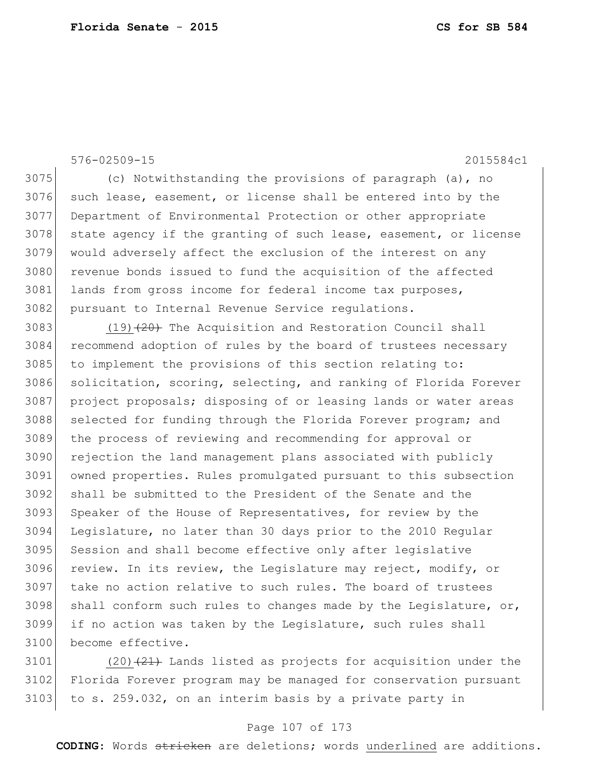576-02509-15 2015584c1

3075 (c) Notwithstanding the provisions of paragraph (a), no 3076 such lease, easement, or license shall be entered into by the 3077 Department of Environmental Protection or other appropriate 3078 state agency if the granting of such lease, easement, or license 3079 would adversely affect the exclusion of the interest on any 3080 revenue bonds issued to fund the acquisition of the affected 3081 lands from gross income for federal income tax purposes, 3082 pursuant to Internal Revenue Service regulations.

3083 (19) $(20)$  The Acquisition and Restoration Council shall 3084 recommend adoption of rules by the board of trustees necessary 3085 to implement the provisions of this section relating to: 3086 solicitation, scoring, selecting, and ranking of Florida Forever 3087 project proposals; disposing of or leasing lands or water areas 3088 selected for funding through the Florida Forever program; and 3089 the process of reviewing and recommending for approval or 3090 rejection the land management plans associated with publicly 3091 owned properties. Rules promulgated pursuant to this subsection 3092 shall be submitted to the President of the Senate and the 3093 Speaker of the House of Representatives, for review by the 3094 Legislature, no later than 30 days prior to the 2010 Regular 3095 Session and shall become effective only after legislative 3096 review. In its review, the Legislature may reject, modify, or 3097 take no action relative to such rules. The board of trustees 3098 shall conform such rules to changes made by the Legislature, or, 3099 if no action was taken by the Legislature, such rules shall 3100 become effective.

3101 (20) $(21)$  Lands listed as projects for acquisition under the 3102 Florida Forever program may be managed for conservation pursuant  $3103$  to s. 259.032, on an interim basis by a private party in

# Page 107 of 173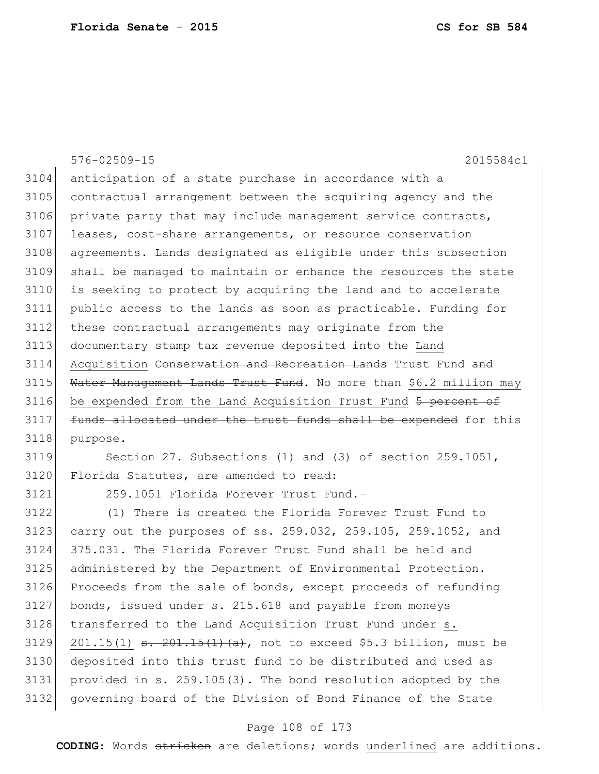|      | $576 - 02509 - 15$<br>2015584c1                                   |
|------|-------------------------------------------------------------------|
| 3104 | anticipation of a state purchase in accordance with a             |
| 3105 | contractual arrangement between the acquiring agency and the      |
| 3106 | private party that may include management service contracts,      |
| 3107 | leases, cost-share arrangements, or resource conservation         |
| 3108 | agreements. Lands designated as eligible under this subsection    |
| 3109 | shall be managed to maintain or enhance the resources the state   |
| 3110 | is seeking to protect by acquiring the land and to accelerate     |
| 3111 | public access to the lands as soon as practicable. Funding for    |
| 3112 | these contractual arrangements may originate from the             |
| 3113 | documentary stamp tax revenue deposited into the Land             |
| 3114 | Acquisition Conservation and Recreation Lands Trust Fund and      |
| 3115 | Water Management Lands Trust Fund. No more than \$6.2 million may |
| 3116 | be expended from the Land Acquisition Trust Fund 5 percent of     |
| 3117 | funds allocated under the trust funds shall be expended for this  |
| 3118 | purpose.                                                          |
| 3119 | Section 27. Subsections (1) and (3) of section 259.1051,          |
| 3120 | Florida Statutes, are amended to read:                            |

259.1051 Florida Forever Trust Fund.—

 (1) There is created the Florida Forever Trust Fund to carry out the purposes of ss. 259.032, 259.105, 259.1052, and 375.031. The Florida Forever Trust Fund shall be held and administered by the Department of Environmental Protection. Proceeds from the sale of bonds, except proceeds of refunding bonds, issued under s. 215.618 and payable from moneys 3128 transferred to the Land Acquisition Trust Fund under s. 3129 201.15(1)  $\frac{1}{15(1)}$   $\frac{1}{15(1)}$   $\frac{1}{2}$ , not to exceed \$5.3 billion, must be deposited into this trust fund to be distributed and used as provided in s. 259.105(3). The bond resolution adopted by the governing board of the Division of Bond Finance of the State

# Page 108 of 173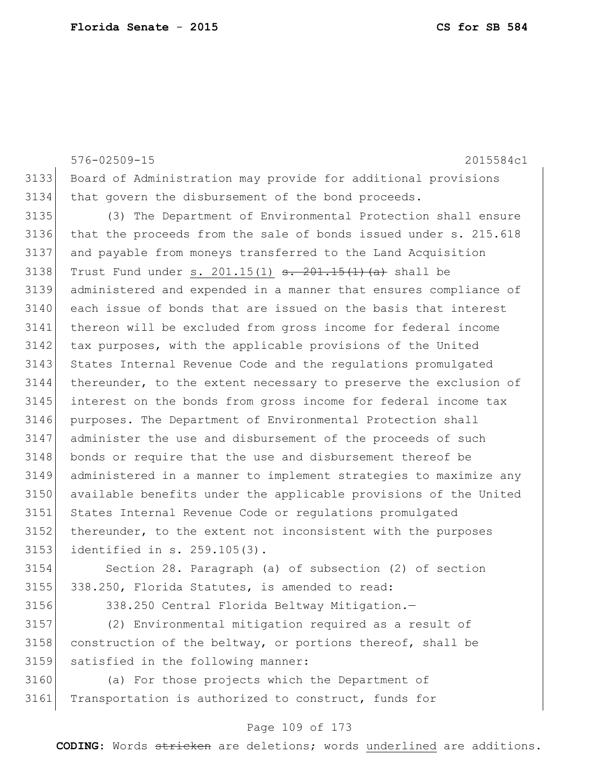576-02509-15 2015584c1 Board of Administration may provide for additional provisions that govern the disbursement of the bond proceeds. (3) The Department of Environmental Protection shall ensure that the proceeds from the sale of bonds issued under s. 215.618 and payable from moneys transferred to the Land Acquisition 3138 Trust Fund under s.  $201.15(1)$   $\overline{\phantom{0}3138}$   $\overline{\phantom{0}4136}$  shall be administered and expended in a manner that ensures compliance of each issue of bonds that are issued on the basis that interest thereon will be excluded from gross income for federal income 3142 tax purposes, with the applicable provisions of the United 3143 States Internal Revenue Code and the regulations promulgated thereunder, to the extent necessary to preserve the exclusion of interest on the bonds from gross income for federal income tax purposes. The Department of Environmental Protection shall administer the use and disbursement of the proceeds of such bonds or require that the use and disbursement thereof be administered in a manner to implement strategies to maximize any available benefits under the applicable provisions of the United States Internal Revenue Code or regulations promulgated 3152 thereunder, to the extent not inconsistent with the purposes identified in s. 259.105(3). Section 28. Paragraph (a) of subsection (2) of section 338.250, Florida Statutes, is amended to read:

3156 338.250 Central Florida Beltway Mitigation.-

 (2) Environmental mitigation required as a result of construction of the beltway, or portions thereof, shall be satisfied in the following manner:

 (a) For those projects which the Department of 3161 Transportation is authorized to construct, funds for

## Page 109 of 173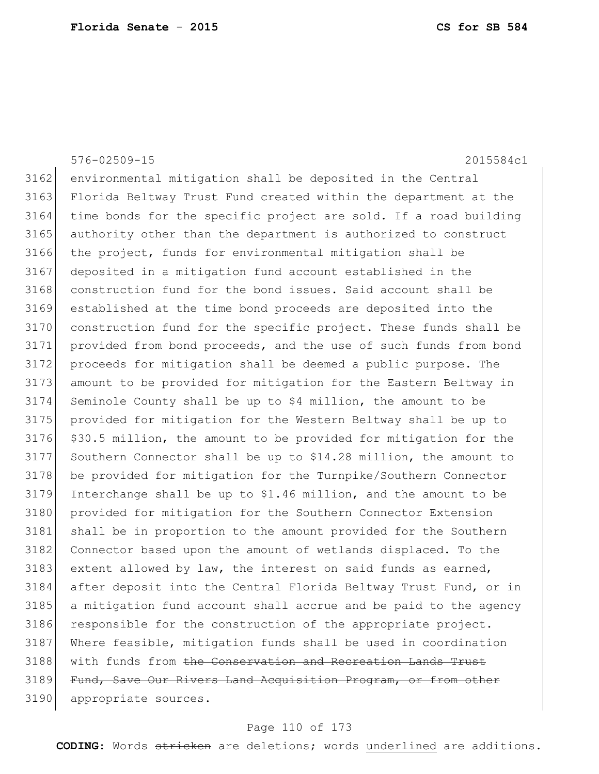|      | 576-02509-15<br>2015584c1                                        |
|------|------------------------------------------------------------------|
| 3162 | environmental mitigation shall be deposited in the Central       |
| 3163 | Florida Beltway Trust Fund created within the department at the  |
| 3164 | time bonds for the specific project are sold. If a road building |
| 3165 | authority other than the department is authorized to construct   |
| 3166 | the project, funds for environmental mitigation shall be         |
| 3167 | deposited in a mitigation fund account established in the        |
| 3168 | construction fund for the bond issues. Said account shall be     |
| 3169 | established at the time bond proceeds are deposited into the     |
| 3170 | construction fund for the specific project. These funds shall be |
| 3171 | provided from bond proceeds, and the use of such funds from bond |
| 3172 | proceeds for mitigation shall be deemed a public purpose. The    |
| 3173 | amount to be provided for mitigation for the Eastern Beltway in  |
| 3174 | Seminole County shall be up to \$4 million, the amount to be     |
| 3175 | provided for mitigation for the Western Beltway shall be up to   |
| 3176 | \$30.5 million, the amount to be provided for mitigation for the |
| 3177 | Southern Connector shall be up to \$14.28 million, the amount to |
| 3178 | be provided for mitigation for the Turnpike/Southern Connector   |
| 3179 | Interchange shall be up to \$1.46 million, and the amount to be  |
| 3180 | provided for mitigation for the Southern Connector Extension     |
| 3181 | shall be in proportion to the amount provided for the Southern   |
| 3182 | Connector based upon the amount of wetlands displaced. To the    |
| 3183 | extent allowed by law, the interest on said funds as earned,     |
| 3184 | after deposit into the Central Florida Beltway Trust Fund, or in |
| 3185 | a mitigation fund account shall accrue and be paid to the agency |
| 3186 | responsible for the construction of the appropriate project.     |
| 3187 | Where feasible, mitigation funds shall be used in coordination   |
| 3188 | with funds from the Conservation and Recreation Lands Trust      |
| 3189 | Fund, Save Our Rivers Land Acquisition Program, or from other    |
| 3190 | appropriate sources.                                             |

# Page 110 of 173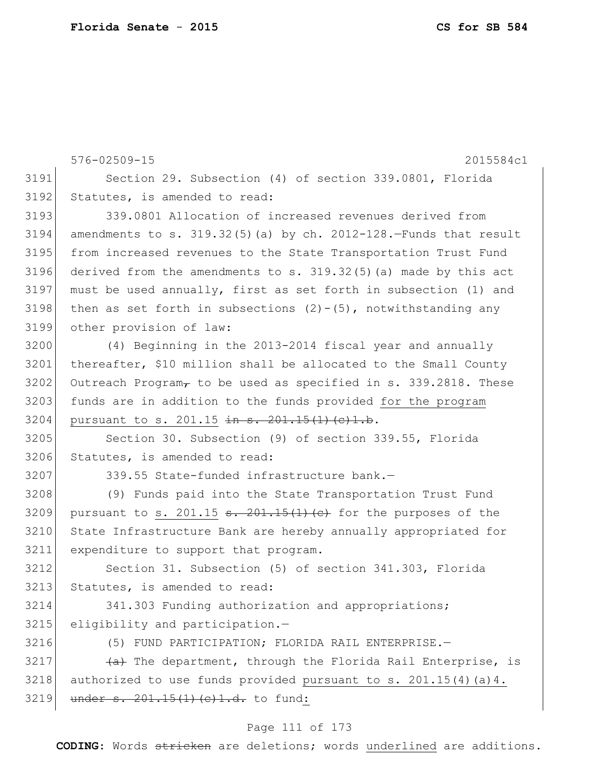576-02509-15 2015584c1 Page 111 of 173 Section 29. Subsection (4) of section 339.0801, Florida Statutes, is amended to read: 339.0801 Allocation of increased revenues derived from amendments to s.  $319.32(5)$  (a) by ch.  $2012-128$ . Funds that result from increased revenues to the State Transportation Trust Fund derived from the amendments to s. 319.32(5)(a) made by this act must be used annually, first as set forth in subsection (1) and 3198 then as set forth in subsections  $(2)-(5)$ , notwithstanding any other provision of law: (4) Beginning in the 2013-2014 fiscal year and annually thereafter, \$10 million shall be allocated to the Small County Outreach Program, to be used as specified in s. 339.2818. These 3203 funds are in addition to the funds provided for the program 3204 pursuant to s. 201.15 in s. 201.15(1)(c)1.b. Section 30. Subsection (9) of section 339.55, Florida 3206 Statutes, is amended to read: 339.55 State-funded infrastructure bank.— (9) Funds paid into the State Transportation Trust Fund 3209 pursuant to s. 201.15  $\frac{1}{2}$   $\frac{1}{2}$   $\frac{1}{2}$   $\frac{1}{2}$  (e) for the purposes of the State Infrastructure Bank are hereby annually appropriated for expenditure to support that program. Section 31. Subsection (5) of section 341.303, Florida 3213 Statutes, is amended to read: 341.303 Funding authorization and appropriations; 3215 eligibility and participation.- (5) FUND PARTICIPATION; FLORIDA RAIL ENTERPRISE.—  $\leftarrow$   $\leftarrow$  The department, through the Florida Rail Enterprise, is authorized to use funds provided pursuant to s. 201.15(4)(a)4. under s.  $201.15(1)(e)1.d.$  to fund: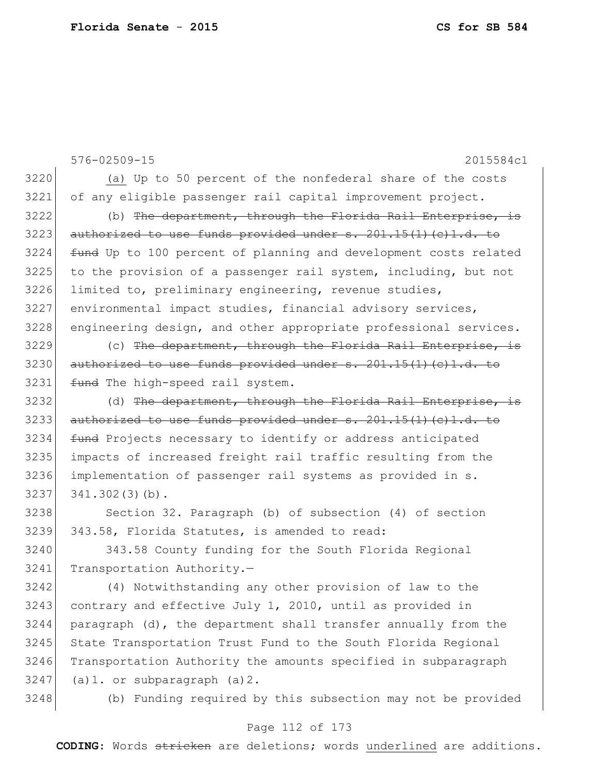576-02509-15 2015584c1 (a) Up to 50 percent of the nonfederal share of the costs of any eligible passenger rail capital improvement project. (b) The department, through the Florida Rail Enterprise, is authorized to use funds provided under  $s. 201.15(1)(c)1.d.$  to fund Up to 100 percent of planning and development costs related to the provision of a passenger rail system, including, but not 3226 limited to, preliminary engineering, revenue studies, 3227 environmental impact studies, financial advisory services, 3228 engineering design, and other appropriate professional services. 3229 (c) The department, through the Florida Rail Enterprise, is authorized to use funds provided under s.  $201.15(1)(c)1.d.$  to 3231 fund The high-speed rail system. 3232 (d) The department, through the Florida Rail Enterprise, authorized to use funds provided under s.  $201.15(1)(c)1.d.$  to **fund** Projects necessary to identify or address anticipated impacts of increased freight rail traffic resulting from the implementation of passenger rail systems as provided in s.  $341.302(3)(b)$ . 3238 Section 32. Paragraph (b) of subsection (4) of section 343.58, Florida Statutes, is amended to read: 343.58 County funding for the South Florida Regional 3241 Transportation Authority.-(4) Notwithstanding any other provision of law to the

 contrary and effective July 1, 2010, until as provided in paragraph (d), the department shall transfer annually from the 3245 State Transportation Trust Fund to the South Florida Regional Transportation Authority the amounts specified in subparagraph (a)1. or subparagraph (a)2.

(b) Funding required by this subsection may not be provided

## Page 112 of 173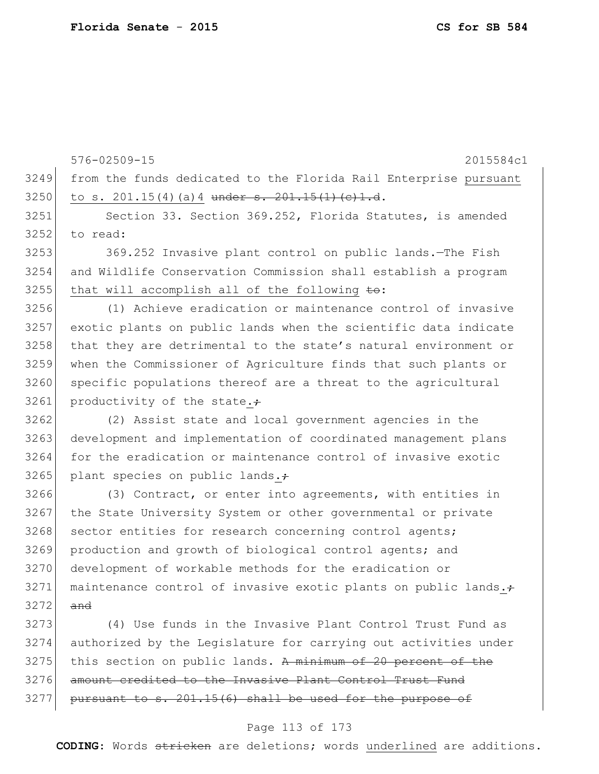576-02509-15 2015584c1 from the funds dedicated to the Florida Rail Enterprise pursuant 3250 to s. 201.15(4)(a) 4 under s.  $201.15(1)(c)1.d.$  Section 33. Section 369.252, Florida Statutes, is amended to read: 3253 369.252 Invasive plant control on public lands.—The Fish and Wildlife Conservation Commission shall establish a program that will accomplish all of the following  $\pm \omega$ : (1) Achieve eradication or maintenance control of invasive exotic plants on public lands when the scientific data indicate 3258 that they are detrimental to the state's natural environment or when the Commissioner of Agriculture finds that such plants or 3260 specific populations thereof are a threat to the agricultural productivity of the state. (2) Assist state and local government agencies in the development and implementation of coordinated management plans for the eradication or maintenance control of invasive exotic plant species on public lands. 3266 (3) Contract, or enter into agreements, with entities in 3267 the State University System or other governmental or private 3268 sector entities for research concerning control agents; production and growth of biological control agents; and development of workable methods for the eradication or maintenance control of invasive exotic plants on public lands.; and (4) Use funds in the Invasive Plant Control Trust Fund as authorized by the Legislature for carrying out activities under this section on public lands. A minimum of 20 percent of the amount credited to the Invasive Plant Control Trust Fund

# pursuant to s.  $201.15(6)$  shall be used for the purpose of

#### Page 113 of 173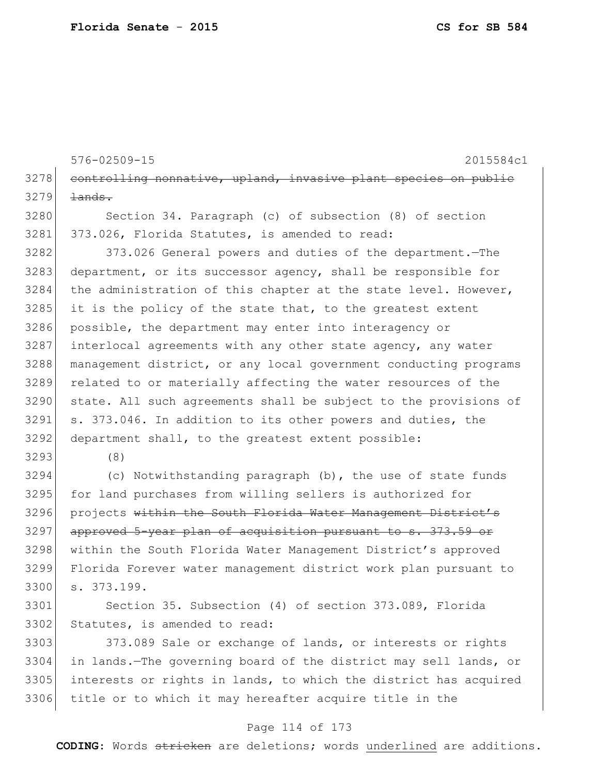576-02509-15 2015584c1 3278 controlling nonnative, upland, invasive plant species on public  $3279$   $\frac{1}{2}$ 3280 Section 34. Paragraph (c) of subsection (8) of section 3281 373.026, Florida Statutes, is amended to read: 3282 373.026 General powers and duties of the department. The 3283 department, or its successor agency, shall be responsible for 3284 the administration of this chapter at the state level. However, 3285 it is the policy of the state that, to the greatest extent 3286 possible, the department may enter into interagency or 3287 interlocal agreements with any other state agency, any water 3288 management district, or any local government conducting programs 3289 related to or materially affecting the water resources of the 3290 state. All such agreements shall be subject to the provisions of 3291 s. 373.046. In addition to its other powers and duties, the 3292 department shall, to the greatest extent possible: 3293 (8) 3294 (c) Notwithstanding paragraph (b), the use of state funds 3295 for land purchases from willing sellers is authorized for 3296 projects within the South Florida Water Management District's 3297 approved 5-year plan of acquisition pursuant to s. 373.59 or 3298 within the South Florida Water Management District's approved 3299 Florida Forever water management district work plan pursuant to 3300 s. 373.199. 3301 Section 35. Subsection (4) of section 373.089, Florida 3302 Statutes, is amended to read: 3303 373.089 Sale or exchange of lands, or interests or rights 3304 in lands.—The governing board of the district may sell lands, or 3305 interests or rights in lands, to which the district has acquired

#### Page 114 of 173

3306 title or to which it may hereafter acquire title in the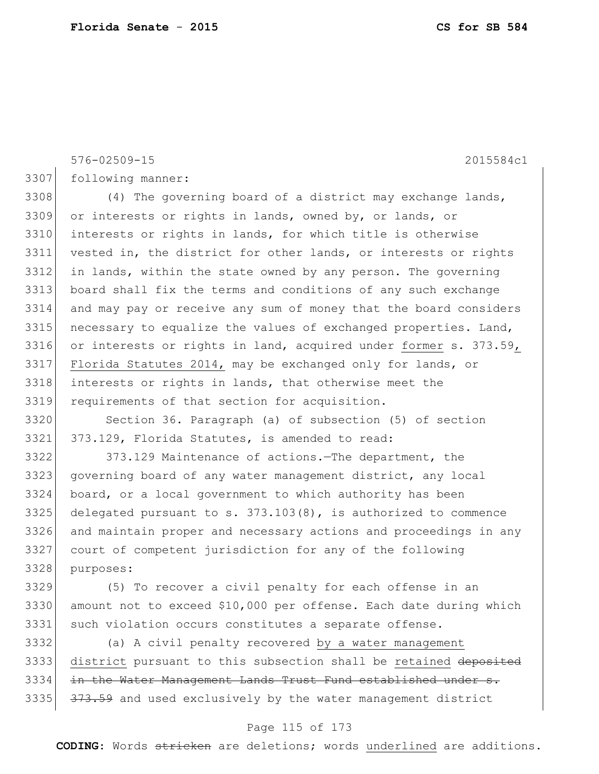576-02509-15 2015584c1 following manner: 3308 (4) The governing board of a district may exchange lands, or interests or rights in lands, owned by, or lands, or interests or rights in lands, for which title is otherwise vested in, the district for other lands, or interests or rights in lands, within the state owned by any person. The governing board shall fix the terms and conditions of any such exchange and may pay or receive any sum of money that the board considers 3315 necessary to equalize the values of exchanged properties. Land, 3316 or interests or rights in land, acquired under former s. 373.59, Florida Statutes 2014, may be exchanged only for lands, or interests or rights in lands, that otherwise meet the requirements of that section for acquisition. Section 36. Paragraph (a) of subsection (5) of section 373.129, Florida Statutes, is amended to read: 373.129 Maintenance of actions.—The department, the governing board of any water management district, any local board, or a local government to which authority has been delegated pursuant to s.  $373.103(8)$ , is authorized to commence and maintain proper and necessary actions and proceedings in any court of competent jurisdiction for any of the following purposes: (5) To recover a civil penalty for each offense in an amount not to exceed \$10,000 per offense. Each date during which 3331 such violation occurs constitutes a separate offense. (a) A civil penalty recovered by a water management

3333 district pursuant to this subsection shall be retained deposited 3334 in the Water Management Lands Trust Fund established under s. 3335 373.59 and used exclusively by the water management district

## Page 115 of 173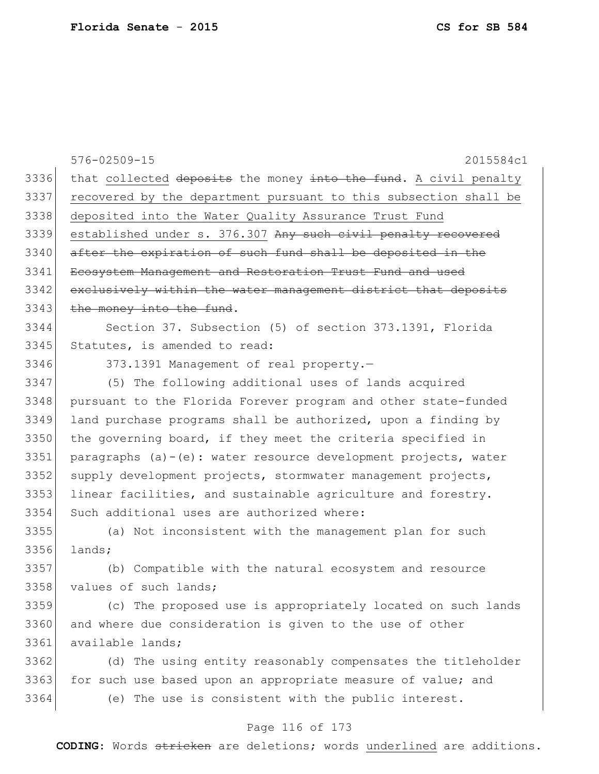| 3336<br>that collected deposits the money into the fund. A civil penalty<br>3337<br>recovered by the department pursuant to this subsection shall be<br>3338<br>deposited into the Water Quality Assurance Trust Fund<br>3339<br>established under s. 376.307 Any such civil penalty recovered<br>3340<br>after the expiration of such fund shall be deposited in the<br>3341<br>Ecosystem Management and Restoration Trust Fund and used<br>3342<br>exclusively within the water management district that deposits<br>3343<br>the money into the fund.<br>3344<br>Section 37. Subsection (5) of section 373.1391, Florida<br>3345<br>Statutes, is amended to read:<br>3346<br>373.1391 Management of real property.-<br>3347<br>(5) The following additional uses of lands acquired<br>3348<br>pursuant to the Florida Forever program and other state-funded<br>3349<br>land purchase programs shall be authorized, upon a finding by<br>3350<br>the governing board, if they meet the criteria specified in<br>3351<br>paragraphs (a)-(e): water resource development projects, water<br>3352<br>supply development projects, stormwater management projects,<br>3353<br>linear facilities, and sustainable agriculture and forestry.<br>3354<br>Such additional uses are authorized where:<br>3355<br>(a) Not inconsistent with the management plan for such<br>3356<br>lands;<br>3357<br>(b) Compatible with the natural ecosystem and resource<br>3358<br>values of such lands;<br>3359<br>(c) The proposed use is appropriately located on such lands<br>3360<br>and where due consideration is given to the use of other<br>3361<br>available lands;<br>3362<br>(d) The using entity reasonably compensates the titleholder<br>3363<br>for such use based upon an appropriate measure of value; and | 576-02509-15<br>2015584c1                           |
|-------------------------------------------------------------------------------------------------------------------------------------------------------------------------------------------------------------------------------------------------------------------------------------------------------------------------------------------------------------------------------------------------------------------------------------------------------------------------------------------------------------------------------------------------------------------------------------------------------------------------------------------------------------------------------------------------------------------------------------------------------------------------------------------------------------------------------------------------------------------------------------------------------------------------------------------------------------------------------------------------------------------------------------------------------------------------------------------------------------------------------------------------------------------------------------------------------------------------------------------------------------------------------------------------------------------------------------------------------------------------------------------------------------------------------------------------------------------------------------------------------------------------------------------------------------------------------------------------------------------------------------------------------------------------------------------------------------------------------------------------------------------------------------------------------------|-----------------------------------------------------|
|                                                                                                                                                                                                                                                                                                                                                                                                                                                                                                                                                                                                                                                                                                                                                                                                                                                                                                                                                                                                                                                                                                                                                                                                                                                                                                                                                                                                                                                                                                                                                                                                                                                                                                                                                                                                             |                                                     |
|                                                                                                                                                                                                                                                                                                                                                                                                                                                                                                                                                                                                                                                                                                                                                                                                                                                                                                                                                                                                                                                                                                                                                                                                                                                                                                                                                                                                                                                                                                                                                                                                                                                                                                                                                                                                             |                                                     |
|                                                                                                                                                                                                                                                                                                                                                                                                                                                                                                                                                                                                                                                                                                                                                                                                                                                                                                                                                                                                                                                                                                                                                                                                                                                                                                                                                                                                                                                                                                                                                                                                                                                                                                                                                                                                             |                                                     |
|                                                                                                                                                                                                                                                                                                                                                                                                                                                                                                                                                                                                                                                                                                                                                                                                                                                                                                                                                                                                                                                                                                                                                                                                                                                                                                                                                                                                                                                                                                                                                                                                                                                                                                                                                                                                             |                                                     |
|                                                                                                                                                                                                                                                                                                                                                                                                                                                                                                                                                                                                                                                                                                                                                                                                                                                                                                                                                                                                                                                                                                                                                                                                                                                                                                                                                                                                                                                                                                                                                                                                                                                                                                                                                                                                             |                                                     |
|                                                                                                                                                                                                                                                                                                                                                                                                                                                                                                                                                                                                                                                                                                                                                                                                                                                                                                                                                                                                                                                                                                                                                                                                                                                                                                                                                                                                                                                                                                                                                                                                                                                                                                                                                                                                             |                                                     |
|                                                                                                                                                                                                                                                                                                                                                                                                                                                                                                                                                                                                                                                                                                                                                                                                                                                                                                                                                                                                                                                                                                                                                                                                                                                                                                                                                                                                                                                                                                                                                                                                                                                                                                                                                                                                             |                                                     |
|                                                                                                                                                                                                                                                                                                                                                                                                                                                                                                                                                                                                                                                                                                                                                                                                                                                                                                                                                                                                                                                                                                                                                                                                                                                                                                                                                                                                                                                                                                                                                                                                                                                                                                                                                                                                             |                                                     |
|                                                                                                                                                                                                                                                                                                                                                                                                                                                                                                                                                                                                                                                                                                                                                                                                                                                                                                                                                                                                                                                                                                                                                                                                                                                                                                                                                                                                                                                                                                                                                                                                                                                                                                                                                                                                             |                                                     |
|                                                                                                                                                                                                                                                                                                                                                                                                                                                                                                                                                                                                                                                                                                                                                                                                                                                                                                                                                                                                                                                                                                                                                                                                                                                                                                                                                                                                                                                                                                                                                                                                                                                                                                                                                                                                             |                                                     |
|                                                                                                                                                                                                                                                                                                                                                                                                                                                                                                                                                                                                                                                                                                                                                                                                                                                                                                                                                                                                                                                                                                                                                                                                                                                                                                                                                                                                                                                                                                                                                                                                                                                                                                                                                                                                             |                                                     |
|                                                                                                                                                                                                                                                                                                                                                                                                                                                                                                                                                                                                                                                                                                                                                                                                                                                                                                                                                                                                                                                                                                                                                                                                                                                                                                                                                                                                                                                                                                                                                                                                                                                                                                                                                                                                             |                                                     |
|                                                                                                                                                                                                                                                                                                                                                                                                                                                                                                                                                                                                                                                                                                                                                                                                                                                                                                                                                                                                                                                                                                                                                                                                                                                                                                                                                                                                                                                                                                                                                                                                                                                                                                                                                                                                             |                                                     |
|                                                                                                                                                                                                                                                                                                                                                                                                                                                                                                                                                                                                                                                                                                                                                                                                                                                                                                                                                                                                                                                                                                                                                                                                                                                                                                                                                                                                                                                                                                                                                                                                                                                                                                                                                                                                             |                                                     |
|                                                                                                                                                                                                                                                                                                                                                                                                                                                                                                                                                                                                                                                                                                                                                                                                                                                                                                                                                                                                                                                                                                                                                                                                                                                                                                                                                                                                                                                                                                                                                                                                                                                                                                                                                                                                             |                                                     |
|                                                                                                                                                                                                                                                                                                                                                                                                                                                                                                                                                                                                                                                                                                                                                                                                                                                                                                                                                                                                                                                                                                                                                                                                                                                                                                                                                                                                                                                                                                                                                                                                                                                                                                                                                                                                             |                                                     |
|                                                                                                                                                                                                                                                                                                                                                                                                                                                                                                                                                                                                                                                                                                                                                                                                                                                                                                                                                                                                                                                                                                                                                                                                                                                                                                                                                                                                                                                                                                                                                                                                                                                                                                                                                                                                             |                                                     |
|                                                                                                                                                                                                                                                                                                                                                                                                                                                                                                                                                                                                                                                                                                                                                                                                                                                                                                                                                                                                                                                                                                                                                                                                                                                                                                                                                                                                                                                                                                                                                                                                                                                                                                                                                                                                             |                                                     |
|                                                                                                                                                                                                                                                                                                                                                                                                                                                                                                                                                                                                                                                                                                                                                                                                                                                                                                                                                                                                                                                                                                                                                                                                                                                                                                                                                                                                                                                                                                                                                                                                                                                                                                                                                                                                             |                                                     |
|                                                                                                                                                                                                                                                                                                                                                                                                                                                                                                                                                                                                                                                                                                                                                                                                                                                                                                                                                                                                                                                                                                                                                                                                                                                                                                                                                                                                                                                                                                                                                                                                                                                                                                                                                                                                             |                                                     |
|                                                                                                                                                                                                                                                                                                                                                                                                                                                                                                                                                                                                                                                                                                                                                                                                                                                                                                                                                                                                                                                                                                                                                                                                                                                                                                                                                                                                                                                                                                                                                                                                                                                                                                                                                                                                             |                                                     |
|                                                                                                                                                                                                                                                                                                                                                                                                                                                                                                                                                                                                                                                                                                                                                                                                                                                                                                                                                                                                                                                                                                                                                                                                                                                                                                                                                                                                                                                                                                                                                                                                                                                                                                                                                                                                             |                                                     |
|                                                                                                                                                                                                                                                                                                                                                                                                                                                                                                                                                                                                                                                                                                                                                                                                                                                                                                                                                                                                                                                                                                                                                                                                                                                                                                                                                                                                                                                                                                                                                                                                                                                                                                                                                                                                             |                                                     |
|                                                                                                                                                                                                                                                                                                                                                                                                                                                                                                                                                                                                                                                                                                                                                                                                                                                                                                                                                                                                                                                                                                                                                                                                                                                                                                                                                                                                                                                                                                                                                                                                                                                                                                                                                                                                             |                                                     |
|                                                                                                                                                                                                                                                                                                                                                                                                                                                                                                                                                                                                                                                                                                                                                                                                                                                                                                                                                                                                                                                                                                                                                                                                                                                                                                                                                                                                                                                                                                                                                                                                                                                                                                                                                                                                             |                                                     |
|                                                                                                                                                                                                                                                                                                                                                                                                                                                                                                                                                                                                                                                                                                                                                                                                                                                                                                                                                                                                                                                                                                                                                                                                                                                                                                                                                                                                                                                                                                                                                                                                                                                                                                                                                                                                             |                                                     |
|                                                                                                                                                                                                                                                                                                                                                                                                                                                                                                                                                                                                                                                                                                                                                                                                                                                                                                                                                                                                                                                                                                                                                                                                                                                                                                                                                                                                                                                                                                                                                                                                                                                                                                                                                                                                             |                                                     |
|                                                                                                                                                                                                                                                                                                                                                                                                                                                                                                                                                                                                                                                                                                                                                                                                                                                                                                                                                                                                                                                                                                                                                                                                                                                                                                                                                                                                                                                                                                                                                                                                                                                                                                                                                                                                             |                                                     |
| 3364                                                                                                                                                                                                                                                                                                                                                                                                                                                                                                                                                                                                                                                                                                                                                                                                                                                                                                                                                                                                                                                                                                                                                                                                                                                                                                                                                                                                                                                                                                                                                                                                                                                                                                                                                                                                        | (e) The use is consistent with the public interest. |

# Page 116 of 173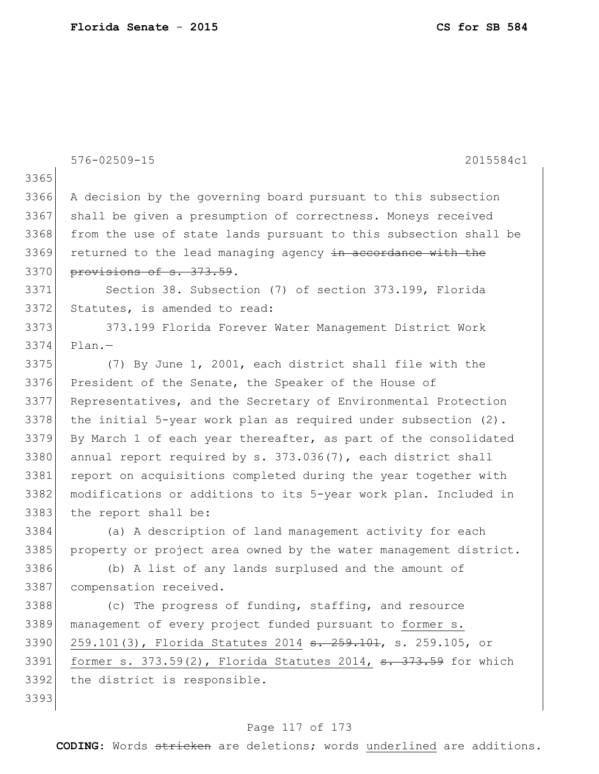|      | $576 - 02509 - 15$<br>2015584c1                                             |
|------|-----------------------------------------------------------------------------|
| 3365 |                                                                             |
| 3366 | A decision by the governing board pursuant to this subsection               |
| 3367 | shall be given a presumption of correctness. Moneys received                |
| 3368 | from the use of state lands pursuant to this subsection shall be            |
| 3369 | returned to the lead managing agency in accordance with the                 |
| 3370 | provisions of s. 373.59.                                                    |
| 3371 | Section 38. Subsection (7) of section 373.199, Florida                      |
| 3372 | Statutes, is amended to read:                                               |
| 3373 | 373.199 Florida Forever Water Management District Work                      |
| 3374 | $Plan. -$                                                                   |
| 3375 | (7) By June 1, 2001, each district shall file with the                      |
| 3376 | President of the Senate, the Speaker of the House of                        |
| 3377 | Representatives, and the Secretary of Environmental Protection              |
| 3378 | the initial 5-year work plan as required under subsection $(2)$ .           |
| 3379 | By March 1 of each year thereafter, as part of the consolidated             |
| 3380 | annual report required by s. 373.036(7), each district shall                |
| 3381 | report on acquisitions completed during the year together with              |
| 3382 | modifications or additions to its 5-year work plan. Included in             |
| 3383 | the report shall be:                                                        |
| 3384 | (a) A description of land management activity for each                      |
| 3385 | property or project area owned by the water management district.            |
| 3386 | (b) A list of any lands surplused and the amount of                         |
| 3387 | compensation received.                                                      |
| 3388 | (c) The progress of funding, staffing, and resource                         |
| 3389 | management of every project funded pursuant to former s.                    |
| 3390 | 259.101(3), Florida Statutes 2014 <del>s. 259.101</del> , s. 259.105, or    |
| 3391 | former s. $373.59(2)$ , Florida Statutes 2014, $\frac{1}{373.59}$ for which |
| 3392 | the district is responsible.                                                |
| 3393 |                                                                             |

# Page 117 of 173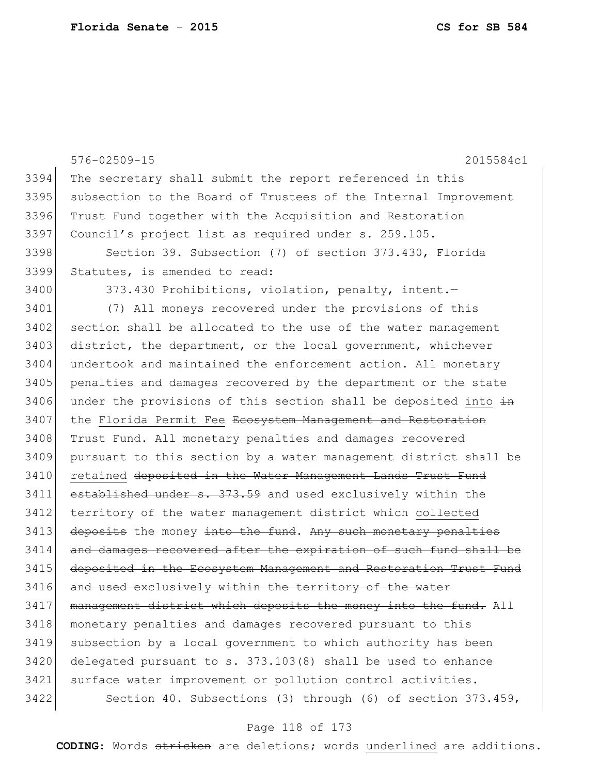576-02509-15 2015584c1 3394 The secretary shall submit the report referenced in this 3395 subsection to the Board of Trustees of the Internal Improvement 3396 Trust Fund together with the Acquisition and Restoration 3397 Council's project list as required under s. 259.105. 3398 Section 39. Subsection (7) of section 373.430, Florida 3399 Statutes, is amended to read: 3400 373.430 Prohibitions, violation, penalty, intent. 3401 (7) All moneys recovered under the provisions of this 3402 section shall be allocated to the use of the water management 3403 district, the department, or the local government, whichever 3404 undertook and maintained the enforcement action. All monetary 3405 penalties and damages recovered by the department or the state 3406 under the provisions of this section shall be deposited into  $\frac{1}{2}$ 3407 the Florida Permit Fee Ecosystem Management and Restoration 3408 Trust Fund. All monetary penalties and damages recovered 3409 pursuant to this section by a water management district shall be 3410 retained deposited in the Water Management Lands Trust Fund 3411 established under s. 373.59 and used exclusively within the 3412 territory of the water management district which collected 3413 deposits the money into the fund. Any such monetary penalties 3414 and damages recovered after the expiration of such fund shall be 3415 deposited in the Ecosystem Management and Restoration Trust Fund 3416 and used exclusively within the territory of the water 3417 management district which deposits the money into the fund. All 3418 monetary penalties and damages recovered pursuant to this 3419 subsection by a local government to which authority has been 3420 delegated pursuant to s. 373.103(8) shall be used to enhance 3421 surface water improvement or pollution control activities. 3422 Section 40. Subsections (3) through (6) of section 373.459,

## Page 118 of 173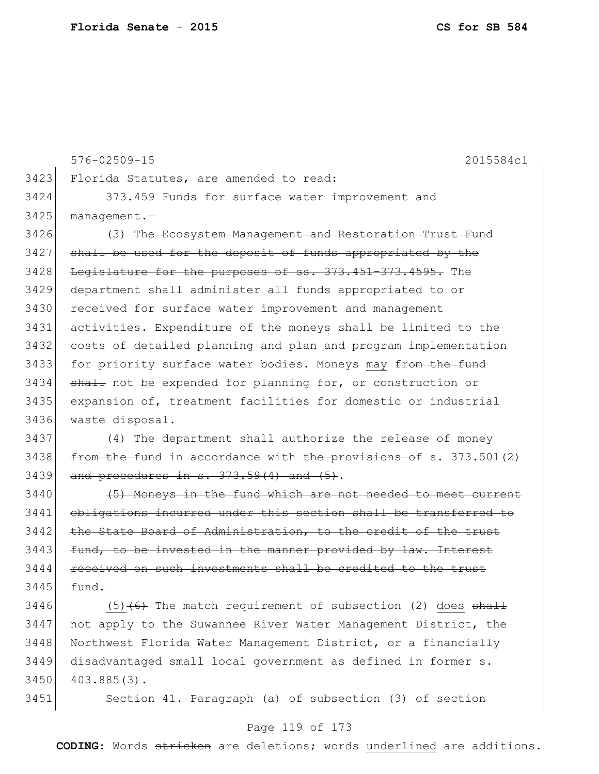576-02509-15 2015584c1 3423 Florida Statutes, are amended to read: 3424 373.459 Funds for surface water improvement and 3425 management.— 3426 (3) The Ecosystem Management and Restoration Trust Fund 3427 shall be used for the deposit of funds appropriated by the 3428 Legislature for the purposes of ss. 373.451-373.4595. The 3429 department shall administer all funds appropriated to or 3430 received for surface water improvement and management 3431 activities. Expenditure of the moneys shall be limited to the 3432 costs of detailed planning and plan and program implementation 3433 for priority surface water bodies. Moneys may from the fund 3434 shall not be expended for planning for, or construction or 3435 expansion of, treatment facilities for domestic or industrial 3436 waste disposal. 3437 (4) The department shall authorize the release of money 3438  $f$  from the fund in accordance with the provisions of s. 373.501(2)  $3439$  and procedures in s.  $373.59(4)$  and  $(5)$ .  $3440$  (5) Moneys in the fund which are not needed to meet current

3441 obligations incurred under this section shall be transferred to 3442 the State Board of Administration, to the credit of the trust  $3443$  fund, to be invested in the manner provided by law. Interest 3444 received on such investments shall be credited to the trust  $3445$  fund.

3446 (5) $(6)$  The match requirement of subsection (2) does  $\frac{11}{2}$ 3447 not apply to the Suwannee River Water Management District, the 3448 Northwest Florida Water Management District, or a financially 3449 disadvantaged small local government as defined in former s. 3450 403.885(3).

3451 Section 41. Paragraph (a) of subsection (3) of section

## Page 119 of 173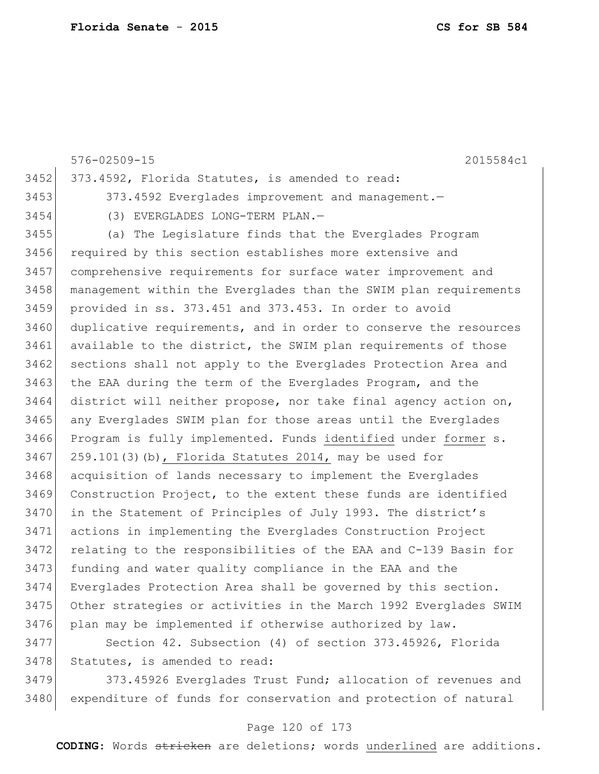|      | $576 - 02509 - 15$<br>2015584c1                                  |
|------|------------------------------------------------------------------|
| 3452 | 373.4592, Florida Statutes, is amended to read:                  |
| 3453 | 373.4592 Everglades improvement and management.-                 |
| 3454 | (3) EVERGLADES LONG-TERM PLAN.-                                  |
| 3455 | (a) The Legislature finds that the Everglades Program            |
| 3456 | required by this section establishes more extensive and          |
| 3457 | comprehensive requirements for surface water improvement and     |
| 3458 | management within the Everglades than the SWIM plan requirements |
| 3459 | provided in ss. 373.451 and 373.453. In order to avoid           |
| 3460 | duplicative requirements, and in order to conserve the resources |
| 3461 | available to the district, the SWIM plan requirements of those   |
| 3462 | sections shall not apply to the Everglades Protection Area and   |
| 3463 | the EAA during the term of the Everglades Program, and the       |
| 3464 | district will neither propose, nor take final agency action on,  |
| 3465 | any Everglades SWIM plan for those areas until the Everglades    |
| 3466 | Program is fully implemented. Funds identified under former s.   |
| 3467 | 259.101(3)(b), Florida Statutes 2014, may be used for            |
| 3468 | acquisition of lands necessary to implement the Everglades       |
| 3469 | Construction Project, to the extent these funds are identified   |
| 3470 | in the Statement of Principles of July 1993. The district's      |
| 3471 | actions in implementing the Everglades Construction Project      |
| 3472 | relating to the responsibilities of the EAA and C-139 Basin for  |
| 3473 | funding and water quality compliance in the EAA and the          |
| 3474 | Everglades Protection Area shall be governed by this section.    |
| 3475 | Other strategies or activities in the March 1992 Everglades SWIM |
| 3476 | plan may be implemented if otherwise authorized by law.          |
| 3477 | Section 42. Subsection (4) of section 373.45926, Florida         |
| 3478 | Statutes, is amended to read:                                    |
| 3479 | 373.45926 Everglades Trust Fund; allocation of revenues and      |
| 3480 | expenditure of funds for conservation and protection of natural  |

# Page 120 of 173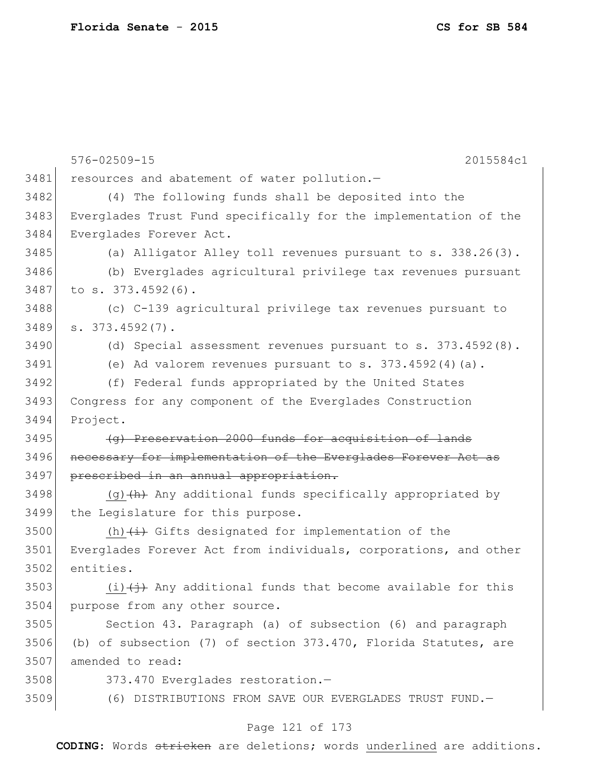576-02509-15 2015584c1 3481 resources and abatement of water pollution.-3482 (4) The following funds shall be deposited into the 3483 Everglades Trust Fund specifically for the implementation of the 3484 Everglades Forever Act. 3485 (a) Alligator Alley toll revenues pursuant to s. 338.26(3). 3486 (b) Everglades agricultural privilege tax revenues pursuant 3487 to s. 373.4592(6). 3488 (c) C-139 agricultural privilege tax revenues pursuant to  $3489$  s.  $373.4592(7)$ . 3490 (d) Special assessment revenues pursuant to s. 373.4592(8).  $3491$  (e) Ad valorem revenues pursuant to s.  $373.4592(4)(a)$ . 3492 (f) Federal funds appropriated by the United States 3493 Congress for any component of the Everglades Construction 3494 Project. 3495 (g) Preservation 2000 funds for acquisition of lands 3496 necessary for implementation of the Everglades Forever Act as 3497 prescribed in an annual appropriation. 3498 (g) $\left(\theta\right)$  Any additional funds specifically appropriated by 3499 the Legislature for this purpose. 3500 (h) $\leftrightarrow$  Gifts designated for implementation of the 3501 Everglades Forever Act from individuals, corporations, and other 3502 entities. 3503 (i) $\leftrightarrow$  Any additional funds that become available for this 3504 purpose from any other source. 3505 Section 43. Paragraph (a) of subsection (6) and paragraph 3506 (b) of subsection (7) of section 373.470, Florida Statutes, are 3507 amended to read: 3508 373.470 Everglades restoration.-3509 (6) DISTRIBUTIONS FROM SAVE OUR EVERGLADES TRUST FUND.

## Page 121 of 173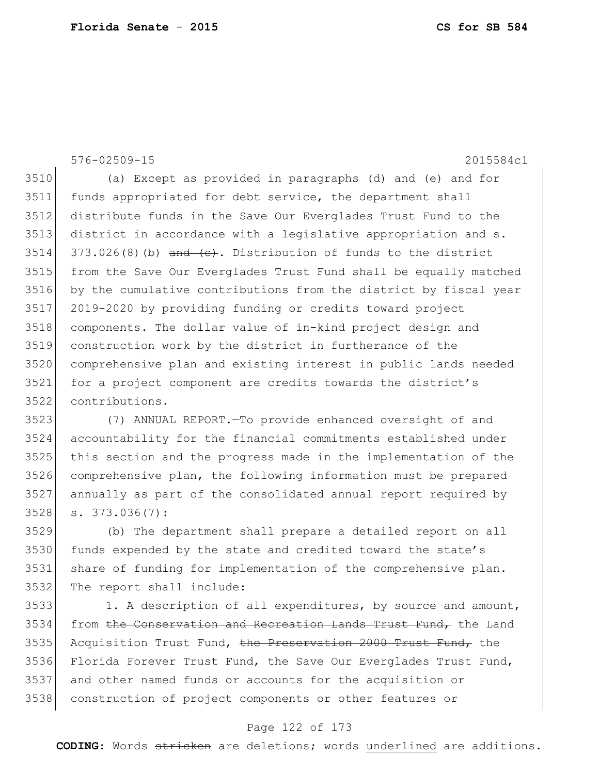576-02509-15 2015584c1

 (a) Except as provided in paragraphs (d) and (e) and for funds appropriated for debt service, the department shall distribute funds in the Save Our Everglades Trust Fund to the district in accordance with a legislative appropriation and s. 373.026(8)(b) and  $(e)$ . Distribution of funds to the district from the Save Our Everglades Trust Fund shall be equally matched by the cumulative contributions from the district by fiscal year 2019-2020 by providing funding or credits toward project components. The dollar value of in-kind project design and construction work by the district in furtherance of the comprehensive plan and existing interest in public lands needed for a project component are credits towards the district's contributions.

 (7) ANNUAL REPORT.—To provide enhanced oversight of and accountability for the financial commitments established under this section and the progress made in the implementation of the comprehensive plan, the following information must be prepared annually as part of the consolidated annual report required by s. 373.036(7):

 (b) The department shall prepare a detailed report on all 3530 funds expended by the state and credited toward the state's share of funding for implementation of the comprehensive plan. The report shall include:

3533 1. A description of all expenditures, by source and amount, 3534 from the Conservation and Recreation Lands Trust Fund, the Land 3535 Acquisition Trust Fund, the Preservation 2000 Trust Fund, the Florida Forever Trust Fund, the Save Our Everglades Trust Fund, and other named funds or accounts for the acquisition or construction of project components or other features or

## Page 122 of 173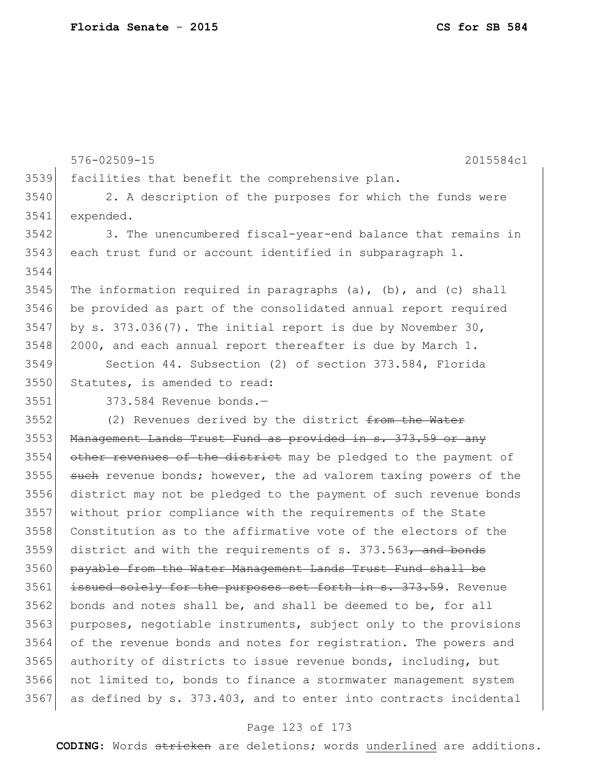3539 facilities that benefit the comprehensive plan. 3540 2. A description of the purposes for which the funds were 3541 expended. 3542 3. The unencumbered fiscal-year-end balance that remains in 3543 each trust fund or account identified in subparagraph 1. 3544 3545 The information required in paragraphs (a), (b), and (c) shall 3546 be provided as part of the consolidated annual report required 3547 by s. 373.036(7). The initial report is due by November 30,  $3548$  2000, and each annual report thereafter is due by March 1. 3549 Section 44. Subsection (2) of section 373.584, Florida 3550 Statutes, is amended to read: 3551 373.584 Revenue bonds.— 3552 (2) Revenues derived by the district from the Water 3553 Management Lands Trust Fund as provided in s. 373.59 or any 3554 other revenues of the district may be pledged to the payment of 3555 such revenue bonds; however, the ad valorem taxing powers of the 3556 district may not be pledged to the payment of such revenue bonds 3557 without prior compliance with the requirements of the State 3558 Constitution as to the affirmative vote of the electors of the  $3559$  district and with the requirements of s. 373.563, and bonds 3560 payable from the Water Management Lands Trust Fund shall be 3561 issued solely for the purposes set forth in s. 373.59. Revenue 3562 bonds and notes shall be, and shall be deemed to be, for all 3563 purposes, negotiable instruments, subject only to the provisions 3564 of the revenue bonds and notes for registration. The powers and 3565 authority of districts to issue revenue bonds, including, but 3566 not limited to, bonds to finance a stormwater management system

576-02509-15 2015584c1

#### Page 123 of 173

 $3567$  as defined by s.  $373.403$ , and to enter into contracts incidental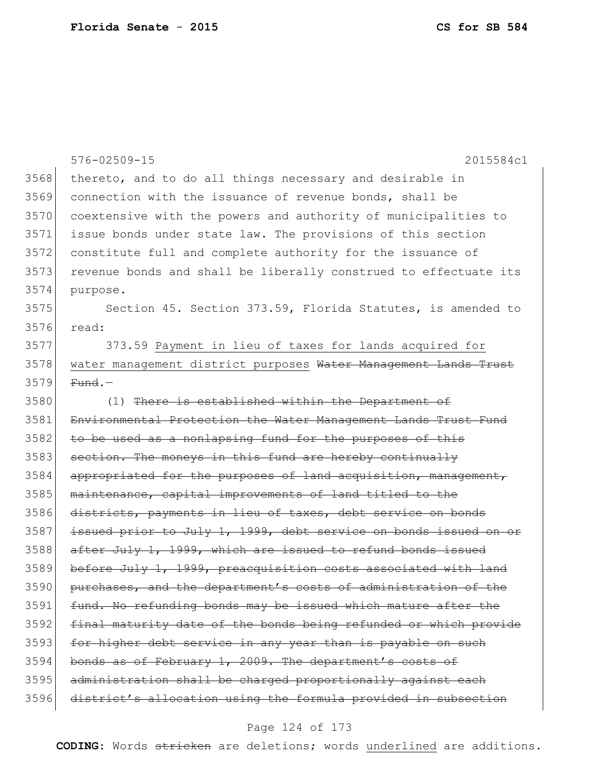|      | 576-02509-15<br>2015584c1                                        |
|------|------------------------------------------------------------------|
| 3568 | thereto, and to do all things necessary and desirable in         |
| 3569 | connection with the issuance of revenue bonds, shall be          |
| 3570 | coextensive with the powers and authority of municipalities to   |
| 3571 | issue bonds under state law. The provisions of this section      |
| 3572 | constitute full and complete authority for the issuance of       |
| 3573 | revenue bonds and shall be liberally construed to effectuate its |
| 3574 | purpose.                                                         |
| 3575 | Section 45. Section 373.59, Florida Statutes, is amended to      |
| 3576 | read:                                                            |
| 3577 | 373.59 Payment in lieu of taxes for lands acquired for           |
| 3578 | water management district purposes Water Management Lands Trust  |
| 3579 | $Fund.$ -                                                        |
| 3580 | (1) There is established within the Department of                |
| 3581 | Environmental Protection the Water Management Lands Trust Fund   |
| 3582 | to be used as a nonlapsing fund for the purposes of this         |
| 3583 | section. The moneys in this fund are hereby continually          |
| 3584 | appropriated for the purposes of land acquisition, management,   |
| 3585 | maintenance, capital improvements of land titled to the          |
| 3586 | districts, payments in lieu of taxes, debt service on bonds      |
| 3587 | issued prior to July 1, 1999, debt service on bonds issued on or |
| 3588 | after July 1, 1999, which are issued to refund bonds issued      |
| 3589 | before July 1, 1999, preacquisition costs associated with land   |
| 3590 | purchases, and the department's costs of administration of the   |
| 3591 | fund. No refunding bonds may be issued which mature after the    |
| 3592 | final maturity date of the bonds being refunded or which provide |
| 3593 | for higher debt service in any year than is payable on such      |
| 3594 | bonds as of February 1, 2009. The department's costs of          |
| 3595 | administration shall be charged proportionally against each      |
| 3596 | district's allocation using the formula provided in subsection   |

# Page 124 of 173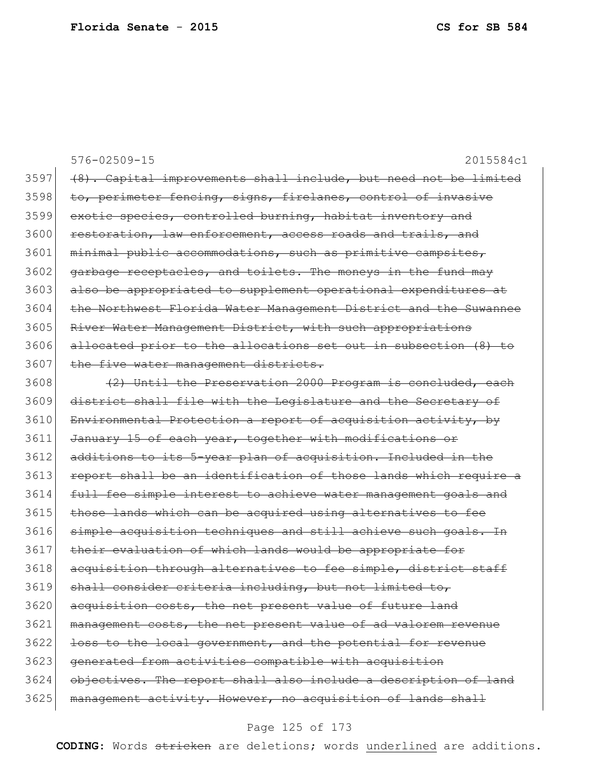|      | $576 - 02509 - 15$<br>2015584c1                                  |
|------|------------------------------------------------------------------|
| 3597 | (8). Capital improvements shall include, but need not be limited |
| 3598 | to, perimeter fencing, signs, firelanes, control of invasive     |
| 3599 | exotic species, controlled burning, habitat inventory and        |
| 3600 | restoration, law enforcement, access roads and trails, and       |
| 3601 | minimal public accommodations, such as primitive campsites,      |
| 3602 | garbage receptacles, and toilets. The moneys in the fund may     |
| 3603 | also be appropriated to supplement operational expenditures at   |
| 3604 | the Northwest Florida Water Management District and the Suwannee |
| 3605 | River Water Management District, with such appropriations        |
| 3606 | allocated prior to the allocations set out in subsection (8) to  |
| 3607 | the five water management districts.                             |
| 3608 | (2) Until the Preservation 2000 Program is concluded, each       |
| 3609 | district shall file with the Legislature and the Secretary of    |
| 3610 | Environmental Protection a report of acquisition activity, by    |
| 3611 | January 15 of each year, together with modifications or          |
| 3612 | additions to its 5-year plan of acquisition. Included in the     |
| 3613 | report shall be an identification of those lands which require a |
| 3614 | full fee simple interest to achieve water management goals and   |
| 3615 | those lands which can be acquired using alternatives to fee      |
| 3616 | simple acquisition techniques and still achieve such goals. In   |
| 3617 | their evaluation of which lands would be appropriate for         |
| 3618 | acquisition through alternatives to fee simple, district staff   |
| 3619 | shall consider criteria including, but not limited to,           |
| 3620 | acquisition costs, the net present value of future land          |
| 3621 | management costs, the net present value of ad valorem revenue    |
| 3622 | loss to the local government, and the potential for revenue      |
| 3623 | generated from activities compatible with acquisition            |
| 3624 | objectives. The report shall also include a description of land  |
| 3625 | management activity. However, no acquisition of lands shall      |

# Page 125 of 173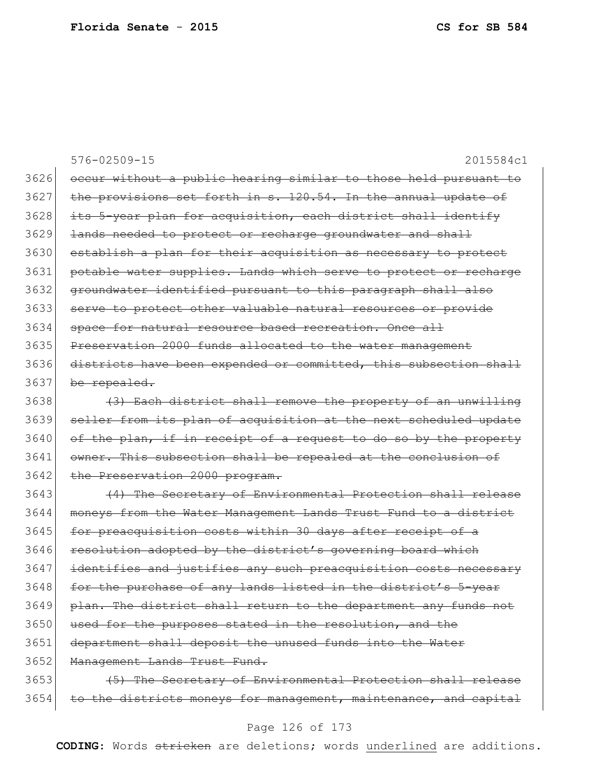576-02509-15 2015584c1 3626 occur without a public hearing similar to those held pursuant to 3627 the provisions set forth in s. 120.54. In the annual update of 3628 its 5-year plan for acquisition, each district shall identify 3629 <del>lands needed to protect or recharge groundwater and shall</del> 3630 establish a plan for their acquisition as necessary to protect 3631 potable water supplies. Lands which serve to protect or recharge 3632 groundwater identified pursuant to this paragraph shall also 3633 serve to protect other valuable natural resources or provide 3634 space for natural resource based recreation. Once all 3635 Preservation 2000 funds allocated to the water management 3636 districts have been expended or committed, this subsection shall 3637 be repealed. 3638 (3) Each district shall remove the property of an unwilling 3639 seller from its plan of acquisition at the next scheduled update  $3640$  of the plan, if in receipt of a request to do so by the property 3641 owner. This subsection shall be repealed at the conclusion of 3642 the Preservation 2000 program. 3643 (4) The Secretary of Environmental Protection shall release 3644 moneys from the Water Management Lands Trust Fund to a district 3645 for preacquisition costs within 30 days after receipt of a 3646 resolution adopted by the district's governing board which 3647 identifies and justifies any such preacquisition costs necessary 3648 for the purchase of any lands listed in the district's 5-year 3649 plan. The district shall return to the department any funds not 3650 used for the purposes stated in the resolution, and the 3651 department shall deposit the unused funds into the Water 3652 Management Lands Trust Fund. 3653 (5) The Secretary of Environmental Protection shall release 3654 to the districts moneys for management, maintenance, and capital

#### Page 126 of 173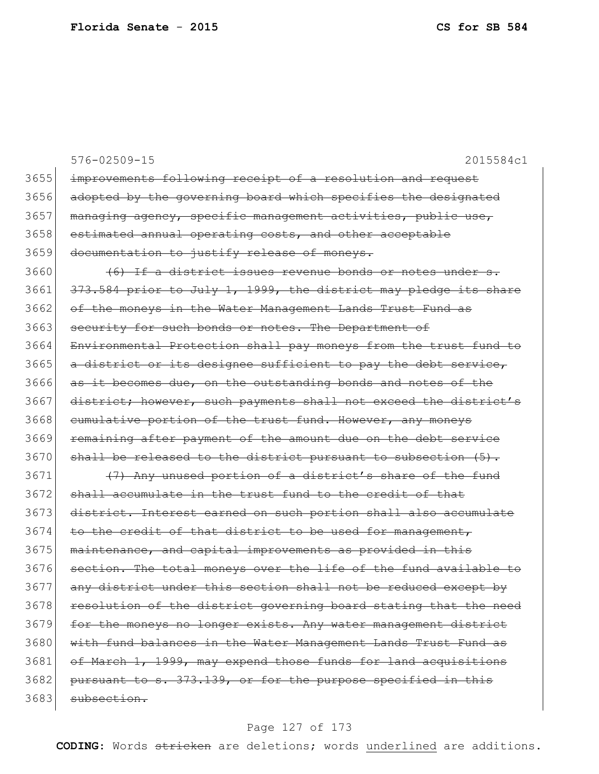|      | $576 - 02509 - 15$<br>2015584c1                                  |
|------|------------------------------------------------------------------|
| 3655 | improvements following receipt of a resolution and request       |
| 3656 | adopted by the governing board which specifies the designated    |
| 3657 | managing agency, specific management activities, public use,     |
| 3658 | estimated annual operating costs, and other acceptable           |
| 3659 | documentation to justify release of moneys.                      |
| 3660 | (6) If a district issues revenue bonds or notes under s.         |
| 3661 | 373.584 prior to July 1, 1999, the district may pledge its share |
| 3662 | of the moneys in the Water Management Lands Trust Fund as        |
| 3663 | security for such bonds or notes. The Department of              |
| 3664 | Environmental Protection shall pay moneys from the trust fund to |
| 3665 | a district or its designee sufficient to pay the debt service,   |
| 3666 | as it becomes due, on the outstanding bonds and notes of the     |
| 3667 | district; however, such payments shall not exceed the district's |
| 3668 | eumulative portion of the trust fund. However, any moneys        |
| 3669 | remaining after payment of the amount due on the debt service    |
| 3670 | shall be released to the district pursuant to subsection $(5)$ . |
| 3671 | (7) Any unused portion of a district's share of the fund         |
| 3672 | shall accumulate in the trust fund to the credit of that         |
| 3673 | district. Interest earned on such portion shall also accumulate  |
| 3674 | to the credit of that district to be used for management,        |
| 3675 | maintenance, and capital improvements as provided in this        |
| 3676 | section. The total moneys over the life of the fund available to |
| 3677 | any district under this section shall not be reduced except by   |
| 3678 | resolution of the district governing board stating that the need |
| 3679 | for the moneys no longer exists. Any water management district   |
| 3680 | with fund balances in the Water Management Lands Trust Fund as   |
| 3681 | of March 1, 1999, may expend those funds for land acquisitions   |
| 3682 | pursuant to s. 373.139, or for the purpose specified in this     |
| 3683 | subsection.                                                      |

# Page 127 of 173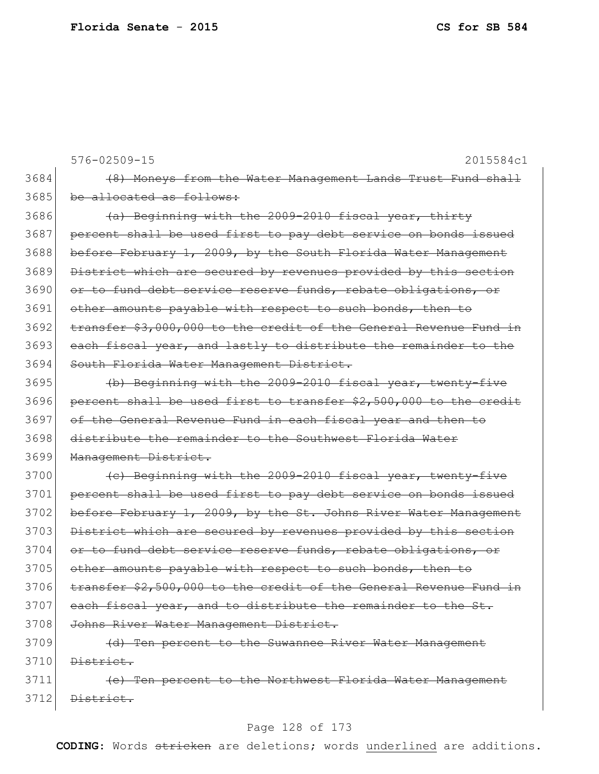576-02509-15 2015584c1 3684 (8) Moneys from the Water Management Lands Trust Fund shall 3685 be allocated as follows: 3686 (a) Beginning with the 2009-2010 fiscal year, thirty 3687 percent shall be used first to pay debt service on bonds issued 3688 before February 1, 2009, by the South Florida Water Management 3689 District which are secured by revenues provided by this section 3690 or to fund debt service reserve funds, rebate obligations, or 3691 other amounts payable with respect to such bonds, then to 3692 transfer \$3,000,000 to the credit of the General Revenue Fund in 3693 each fiscal year, and lastly to distribute the remainder to the 3694 South Florida Water Management District. 3695 (b) Beginning with the 2009-2010 fiscal year, twenty-five 3696 percent shall be used first to transfer \$2,500,000 to the credit 3697 of the General Revenue Fund in each fiscal year and then to 3698 distribute the remainder to the Southwest Florida Water 3699 Management District. 3700 (c) Beginning with the 2009-2010 fiscal year, twenty-five 3701 percent shall be used first to pay debt service on bonds issued 3702 before February 1, 2009, by the St. Johns River Water Management 3703 District which are secured by revenues provided by this section 3704 or to fund debt service reserve funds, rebate obligations, or 3705 other amounts payable with respect to such bonds, then to 3706 transfer \$2,500,000 to the credit of the General Revenue Fund in  $3707$  each fiscal year, and to distribute the remainder to the St. 3708 Johns River Water Management District. 3709 (d) Ten percent to the Suwannee River Water Management  $3710$  District. 3711 (e) Ten percent to the Northwest Florida Water Management 3712 District.

## Page 128 of 173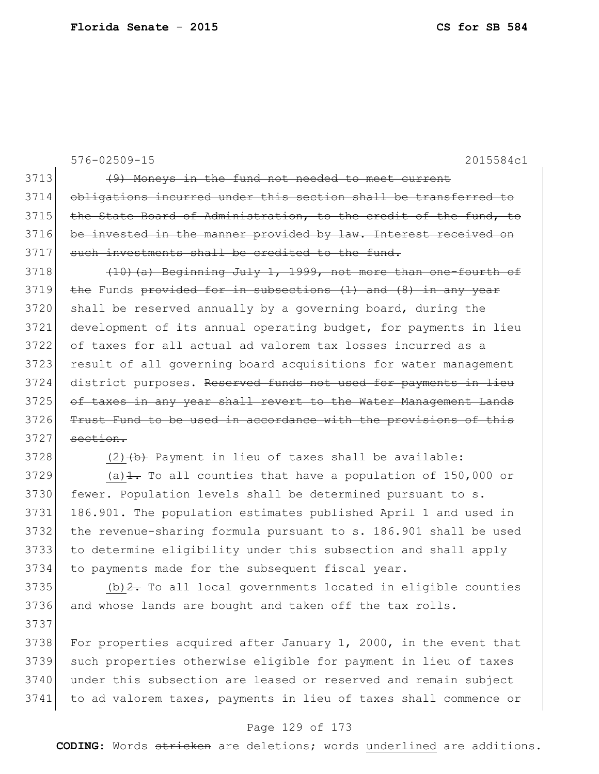576-02509-15 2015584c1 3713 (9) Moneys in the fund not needed to meet current 3714 obligations incurred under this section shall be transferred to 3715 the State Board of Administration, to the credit of the fund, to 3716 be invested in the manner provided by law. Interest received on 3717 such investments shall be credited to the fund. 3718  $(10)(a)$  Beginning July 1, 1999, not more than one-fourth of 3719 the Funds provided for in subsections (1) and (8) in any year 3720 shall be reserved annually by a governing board, during the 3721 development of its annual operating budget, for payments in lieu 3722 of taxes for all actual ad valorem tax losses incurred as a 3723 result of all governing board acquisitions for water management 3724 district purposes. Reserved funds not used for payments in lieu 3725 of taxes in any year shall revert to the Water Management Lands 3726 Trust Fund to be used in accordance with the provisions of this  $3727$  section.  $3728$  (2)  $\leftrightarrow$  Payment in lieu of taxes shall be available: 3729 (a) $\pm$  To all counties that have a population of 150,000 or 3730 fewer. Population levels shall be determined pursuant to s. 3731 186.901. The population estimates published April 1 and used in 3732 the revenue-sharing formula pursuant to s. 186.901 shall be used 3733 to determine eligibility under this subsection and shall apply 3734 to payments made for the subsequent fiscal year.  $3735$  (b)  $2$ . To all local governments located in eligible counties 3736 and whose lands are bought and taken off the tax rolls. 3737 3738 For properties acquired after January 1, 2000, in the event that 3739 such properties otherwise eligible for payment in lieu of taxes 3740 under this subsection are leased or reserved and remain subject

#### Page 129 of 173

3741 to ad valorem taxes, payments in lieu of taxes shall commence or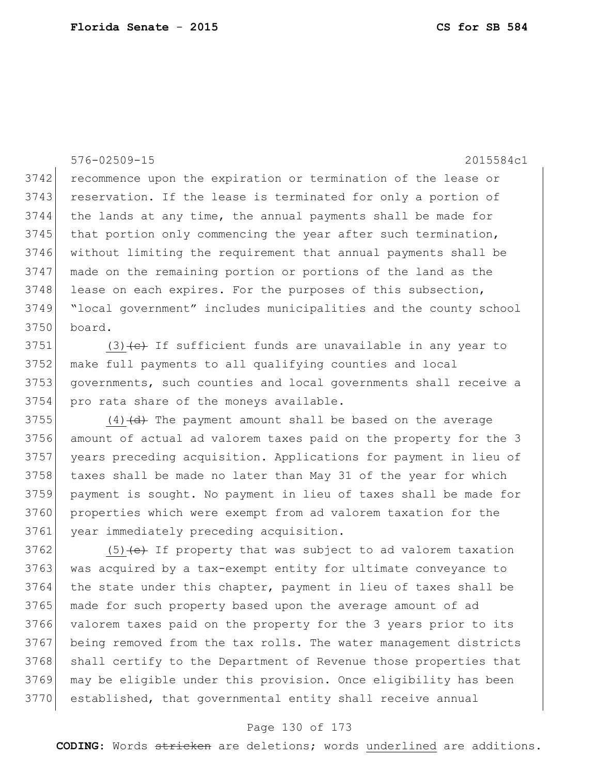576-02509-15 2015584c1 3742 recommence upon the expiration or termination of the lease or 3743 reservation. If the lease is terminated for only a portion of 3744 the lands at any time, the annual payments shall be made for 3745 that portion only commencing the year after such termination, 3746 without limiting the requirement that annual payments shall be 3747 made on the remaining portion or portions of the land as the 3748 lease on each expires. For the purposes of this subsection, 3749 "local government" includes municipalities and the county school 3750 board.

3751 (3)  $\left\{ \left. \right\{ \epsilon\right\}$  If sufficient funds are unavailable in any year to 3752 make full payments to all qualifying counties and local 3753 governments, such counties and local governments shall receive a 3754 pro rata share of the moneys available.

 $(4)$   $(d)$  The payment amount shall be based on the average amount of actual ad valorem taxes paid on the property for the 3 years preceding acquisition. Applications for payment in lieu of 3758 taxes shall be made no later than May 31 of the year for which payment is sought. No payment in lieu of taxes shall be made for properties which were exempt from ad valorem taxation for the year immediately preceding acquisition.

 (5) (e) If property that was subject to ad valorem taxation 3763 was acquired by a tax-exempt entity for ultimate conveyance to 3764 the state under this chapter, payment in lieu of taxes shall be made for such property based upon the average amount of ad valorem taxes paid on the property for the 3 years prior to its being removed from the tax rolls. The water management districts 3768 shall certify to the Department of Revenue those properties that may be eligible under this provision. Once eligibility has been established, that governmental entity shall receive annual

# Page 130 of 173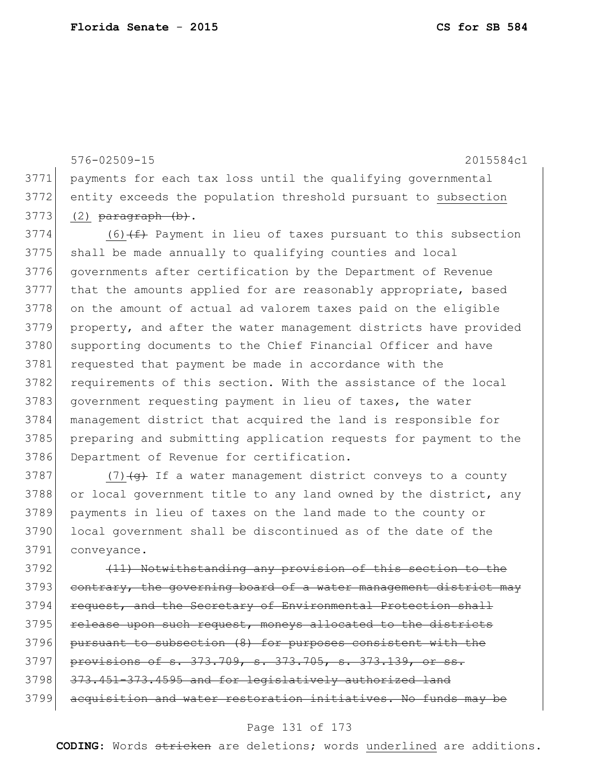3791 conveyance.

576-02509-15 2015584c1 3771 payments for each tax loss until the qualifying governmental 3772 entity exceeds the population threshold pursuant to subsection  $3773$  (2) paragraph (b).  $3774$  (6)<del>(f)</del> Payment in lieu of taxes pursuant to this subsection 3775 shall be made annually to qualifying counties and local 3776 governments after certification by the Department of Revenue 3777 that the amounts applied for are reasonably appropriate, based 3778 on the amount of actual ad valorem taxes paid on the eligible 3779 property, and after the water management districts have provided 3780 supporting documents to the Chief Financial Officer and have 3781 requested that payment be made in accordance with the 3782 requirements of this section. With the assistance of the local 3783 government requesting payment in lieu of taxes, the water 3784 management district that acquired the land is responsible for 3785 preparing and submitting application requests for payment to the 3786 Department of Revenue for certification. 3787 (7) $\left(4\right)$  If a water management district conveys to a county 3788 or local government title to any land owned by the district, any 3789 payments in lieu of taxes on the land made to the county or

3792 (11) Notwithstanding any provision of this section 3793 contrary, the governing board of a water management district may 3794 request, and the Secretary of Environmental Protection shall 3795 release upon such request, moneys allocated to the districts 3796 pursuant to subsection (8) for purposes consistent with the 3797 provisions of s. 373.709, s. 373.705, s. 373.139, or ss. 3798 373.451-373.4595 and for legislatively authorized land 3799 acquisition and water restoration initiatives. No funds may be

3790 local government shall be discontinued as of the date of the

## Page 131 of 173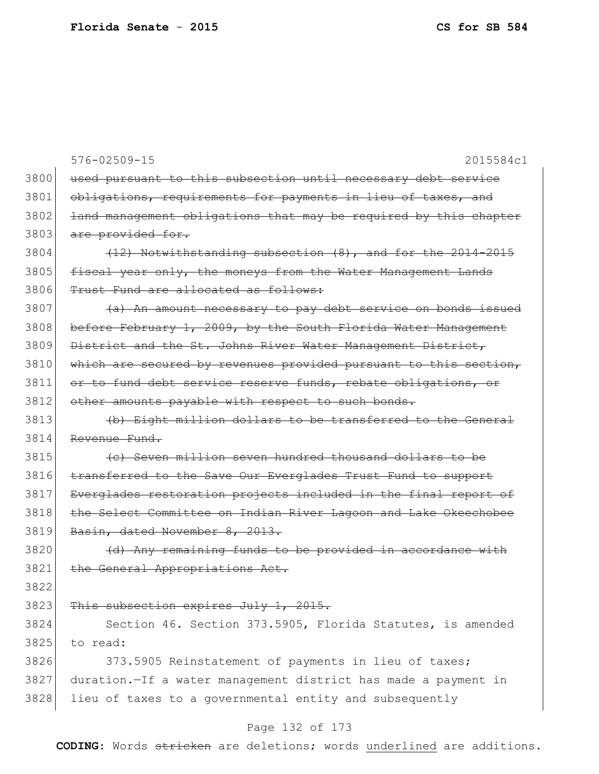576-02509-15 2015584c1 3800 used pursuant to this subsection until necessary debt service 3801 obligations, requirements for payments in lieu of taxes, and 3802 <del>land management obligations that may be required by this chapter</del> 3803 are provided for.  $3804$  (12) Notwithstanding subsection  $(8)$ , and for the 2014-2015 3805 fiscal year only, the moneys from the Water Management Lands 3806 Trust Fund are allocated as follows:  $3807$  (a) An amount necessary to pay debt service on bonds issued 3808 before February 1, 2009, by the South Florida Water Management 3809 District and the St. Johns River Water Management District, 3810 which are secured by revenues provided pursuant to this section, 3811 or to fund debt service reserve funds, rebate obligations, or 3812 other amounts payable with respect to such bonds. 3813 (b) Eight million dollars to be transferred to the General 3814 Revenue Fund. 3815 (c) Seven million seven hundred thousand dollars to be 3816 transferred to the Save Our Everglades Trust Fund to support 3817 Everglades restoration projects included in the final report of 3818 the Select Committee on Indian River Lagoon and Lake Okeechobee 3819 Basin, dated November 8, 2013. 3820 (d) Any remaining funds to be provided in accordance with 3821 the General Appropriations Act. 3822 3823 This subsection expires July 1, 2015. 3824 Section 46. Section 373.5905, Florida Statutes, is amended 3825 to read: 3826 373.5905 Reinstatement of payments in lieu of taxes; 3827 duration.—If a water management district has made a payment in 3828 lieu of taxes to a governmental entity and subsequently

# Page 132 of 173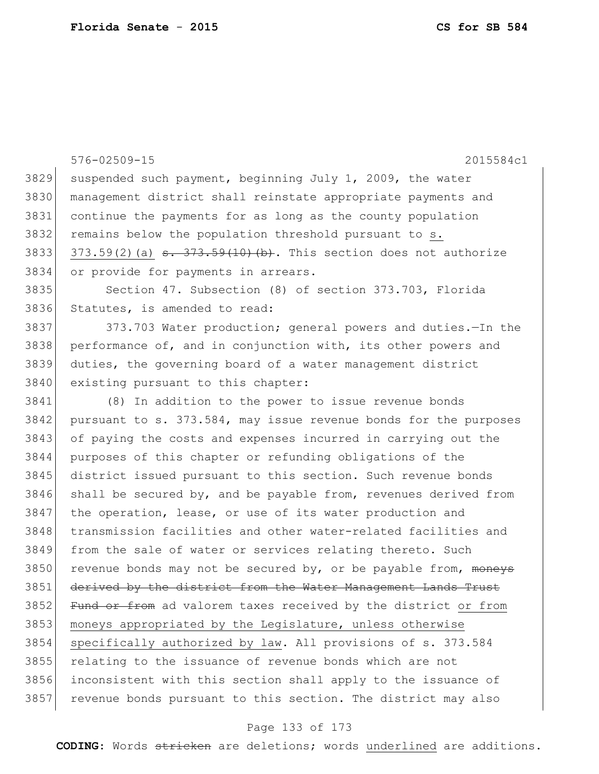|      | $576 - 02509 - 15$<br>2015584c1                                                             |
|------|---------------------------------------------------------------------------------------------|
| 3829 | suspended such payment, beginning July 1, 2009, the water                                   |
| 3830 | management district shall reinstate appropriate payments and                                |
| 3831 | continue the payments for as long as the county population                                  |
| 3832 | remains below the population threshold pursuant to s.                                       |
| 3833 | $373.59(2)$ (a) $\frac{1}{3}$ . $\frac{1}{373.59(10)(b)}$ . This section does not authorize |
| 3834 | or provide for payments in arrears.                                                         |
| 3835 | Section 47. Subsection (8) of section 373.703, Florida                                      |
| 3836 | Statutes, is amended to read:                                                               |
| 3837 | 373.703 Water production; general powers and duties. - In the                               |
| 3838 | performance of, and in conjunction with, its other powers and                               |
| 3839 | duties, the governing board of a water management district                                  |
| 3840 | existing pursuant to this chapter:                                                          |
| 3841 | (8) In addition to the power to issue revenue bonds                                         |
| 3842 | pursuant to s. 373.584, may issue revenue bonds for the purposes                            |
| 3843 | of paying the costs and expenses incurred in carrying out the                               |
| 3844 | purposes of this chapter or refunding obligations of the                                    |
| 3845 | district issued pursuant to this section. Such revenue bonds                                |
| 3846 | shall be secured by, and be payable from, revenues derived from                             |
| 3847 | the operation, lease, or use of its water production and                                    |
| 3848 | transmission facilities and other water-related facilities and                              |
| 3849 | from the sale of water or services relating thereto. Such                                   |
| 3850 | revenue bonds may not be secured by, or be payable from, moneys                             |
| 3851 | derived by the district from the Water Management Lands Trust                               |
| 3852 | Fund or from ad valorem taxes received by the district or from                              |
| 3853 | moneys appropriated by the Legislature, unless otherwise                                    |
| 3854 | specifically authorized by law. All provisions of s. 373.584                                |
| 3855 | relating to the issuance of revenue bonds which are not                                     |
| 3856 | inconsistent with this section shall apply to the issuance of                               |
| 3857 | revenue bonds pursuant to this section. The district may also                               |

# Page 133 of 173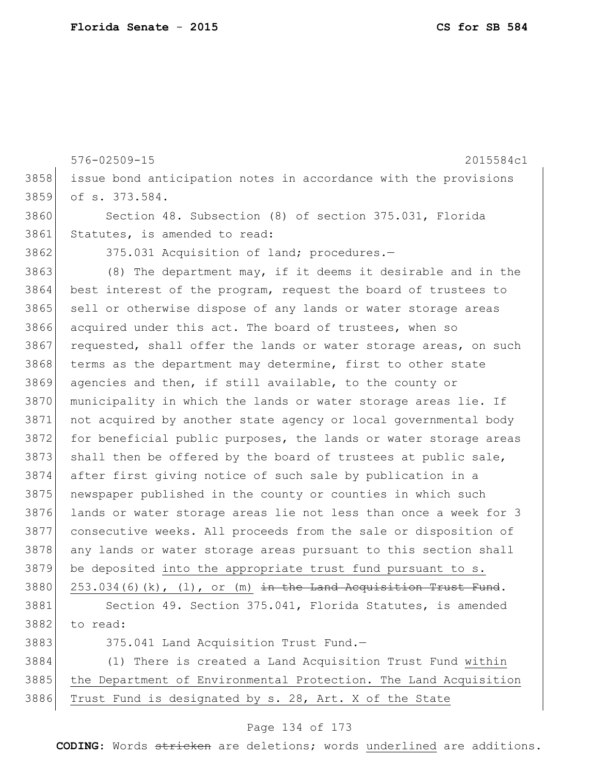576-02509-15 2015584c1 3858 issue bond anticipation notes in accordance with the provisions 3859 of s. 373.584. 3860 Section 48. Subsection (8) of section 375.031, Florida 3861 Statutes, is amended to read: 3862 375.031 Acquisition of land; procedures. 3863 (8) The department may, if it deems it desirable and in the 3864 best interest of the program, request the board of trustees to 3865 sell or otherwise dispose of any lands or water storage areas 3866 acquired under this act. The board of trustees, when so 3867 requested, shall offer the lands or water storage areas, on such 3868 terms as the department may determine, first to other state 3869 agencies and then, if still available, to the county or 3870 municipality in which the lands or water storage areas lie. If 3871 not acquired by another state agency or local governmental body 3872 for beneficial public purposes, the lands or water storage areas  $3873$  shall then be offered by the board of trustees at public sale, 3874 after first giving notice of such sale by publication in a 3875 newspaper published in the county or counties in which such 3876 lands or water storage areas lie not less than once a week for 3 3877 consecutive weeks. All proceeds from the sale or disposition of 3878 any lands or water storage areas pursuant to this section shall 3879 be deposited into the appropriate trust fund pursuant to s. 3880 253.034(6)(k), (1), or (m) in the Land Acquisition Trust Fund. 3881 Section 49. Section 375.041, Florida Statutes, is amended 3882 to read: 3883 375.041 Land Acquisition Trust Fund.-3884 (1) There is created a Land Acquisition Trust Fund within

3885 the Department of Environmental Protection. The Land Acquisition 3886 Trust Fund is designated by  $s. 28$ , Art. X of the State

#### Page 134 of 173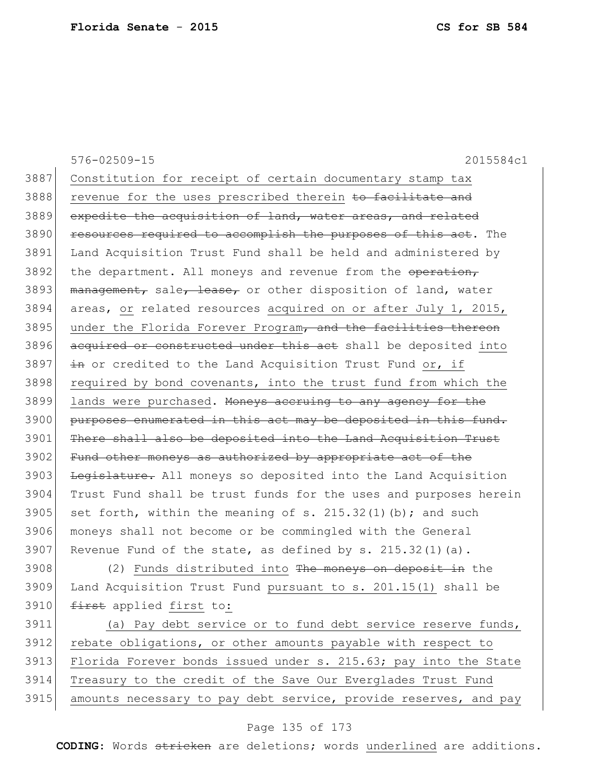576-02509-15 2015584c1 3887 Constitution for receipt of certain documentary stamp tax 3888 revenue for the uses prescribed therein to facilitate and 3889 expedite the acquisition of land, water areas, and related 3890 resources required to accomplish the purposes of this act. The 3891 Land Acquisition Trust Fund shall be held and administered by 3892 the department. All moneys and revenue from the operation, 3893 management, sale, lease, or other disposition of land, water 3894 areas, or related resources acquired on or after July 1, 2015, 3895 under the Florida Forever Program, and the facilities thereon 3896 acquired or constructed under this act shall be deposited into 3897  $\frac{1}{2}$  in or credited to the Land Acquisition Trust Fund or, if 3898 required by bond covenants, into the trust fund from which the 3899 lands were purchased. Moneys accruing to any agency for the 3900 purposes enumerated in this act may be deposited in this fund. 3901 There shall also be deposited into the Land Acquisition Trust 3902 Fund other moneys as authorized by appropriate act of the 3903 Legislature. All moneys so deposited into the Land Acquisition 3904 Trust Fund shall be trust funds for the uses and purposes herein 3905 set forth, within the meaning of s. 215.32(1)(b); and such 3906 moneys shall not become or be commingled with the General 3907 Revenue Fund of the state, as defined by s.  $215.32(1)(a)$ . 3908 (2) Funds distributed into The moneys on deposit in the 3909 Land Acquisition Trust Fund pursuant to s. 201.15(1) shall be 3910 first applied first to: 3911 (a) Pay debt service or to fund debt service reserve funds, 3912 rebate obligations, or other amounts payable with respect to 3913 Florida Forever bonds issued under s. 215.63; pay into the State 3914 Treasury to the credit of the Save Our Everglades Trust Fund 3915 amounts necessary to pay debt service, provide reserves, and pay

## Page 135 of 173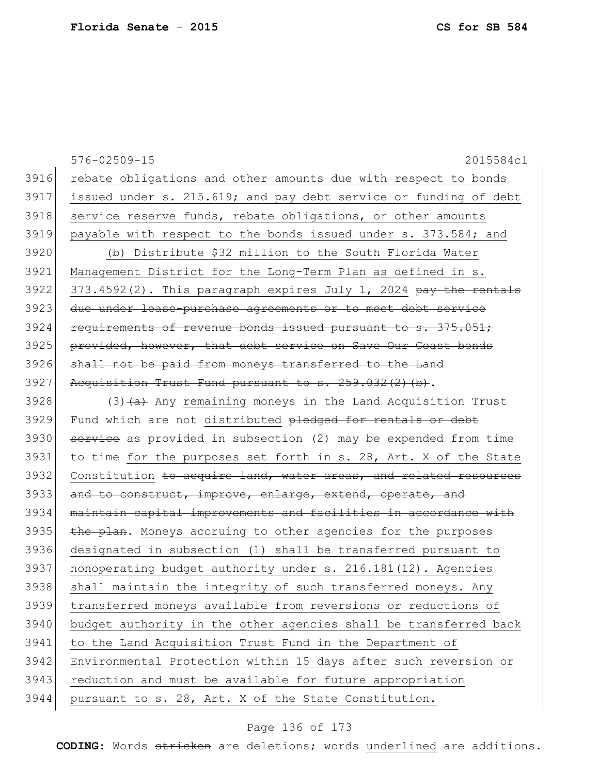|      | 576-02509-15<br>2015584c1                                                   |
|------|-----------------------------------------------------------------------------|
| 3916 | rebate obligations and other amounts due with respect to bonds              |
| 3917 | issued under s. 215.619; and pay debt service or funding of debt            |
| 3918 | service reserve funds, rebate obligations, or other amounts                 |
| 3919 | payable with respect to the bonds issued under s. 373.584; and              |
| 3920 | (b) Distribute \$32 million to the South Florida Water                      |
| 3921 | Management District for the Long-Term Plan as defined in s.                 |
| 3922 | 373.4592(2). This paragraph expires July 1, 2024 pay the rentals            |
| 3923 | due under lease-purchase agreements or to meet debt service                 |
| 3924 | requirements of revenue bonds issued pursuant to s. 375.051;                |
| 3925 | provided, however, that debt service on Save Our Coast bonds                |
| 3926 | shall not be paid from moneys transferred to the Land                       |
| 3927 | Acquisition Trust Fund pursuant to s. 259.032(2)(b).                        |
| 3928 | (3) (a) Any remaining moneys in the Land Acquisition Trust                  |
| 3929 | Fund which are not distributed pledged for rentals or debt                  |
| 3930 | service as provided in subsection (2) may be expended from time             |
| 3931 | to time for the purposes set forth in s. 28, Art. X of the State            |
| 3932 | Constitution <del>to acquire land, water areas, and related resources</del> |
| 3933 | and to construct, improve, enlarge, extend, operate, and                    |
| 3934 | maintain capital improvements and facilities in accordance with             |
| 3935 | the plan. Moneys accruing to other agencies for the purposes                |
| 3936 | designated in subsection (1) shall be transferred pursuant to               |
| 3937 | nonoperating budget authority under s. 216.181(12). Agencies                |
| 3938 | shall maintain the integrity of such transferred moneys. Any                |
| 3939 | transferred moneys available from reversions or reductions of               |
| 3940 | budget authority in the other agencies shall be transferred back            |
| 3941 | to the Land Acquisition Trust Fund in the Department of                     |
| 3942 | Environmental Protection within 15 days after such reversion or             |
| 3943 | reduction and must be available for future appropriation                    |
| 3944 | pursuant to s. 28, Art. X of the State Constitution.                        |

# Page 136 of 173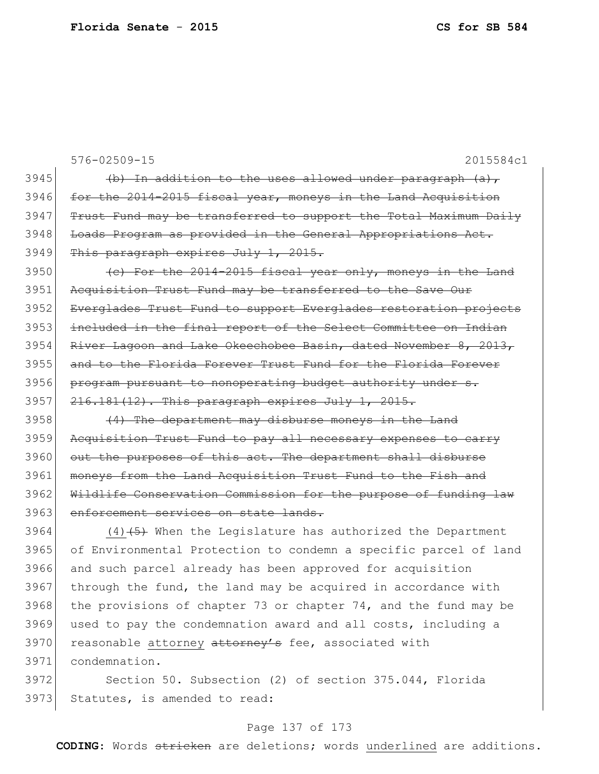576-02509-15 2015584c1 3945  $\vert$  (b) In addition to the uses allowed under paragraph (a), 3946 for the 2014-2015 fiscal year, moneys in the Land Acquisition 3947 Trust Fund may be transferred to support the Total Maximum Daily 3948 Loads Program as provided in the General Appropriations Act. 3949 This paragraph expires July 1, 2015.  $3950$  (c) For the 2014-2015 fiscal year only, moneys in the Land 3951 Acquisition Trust Fund may be transferred to the Save Our 3952 Everglades Trust Fund to support Everglades restoration projects 3953 included in the final report of the Select Committee on Indian 3954 River Lagoon and Lake Okeechobee Basin, dated November 8, 2013, 3955 and to the Florida Forever Trust Fund for the Florida Forever 3956 program pursuant to nonoperating budget authority under s.  $3957$   $216.181(12)$ . This paragraph expires July 1, 2015.  $3958$  (4) The department may disburse moneys in the Land 3959 Acquisition Trust Fund to pay all necessary expenses to carry 3960 out the purposes of this act. The department shall disburse 3961 moneys from the Land Acquisition Trust Fund to the Fish and 3962 Wildlife Conservation Commission for the purpose of funding law 3963 enforcement services on state lands. 3964  $(4)$   $(5)$  When the Legislature has authorized the Department 3965 of Environmental Protection to condemn a specific parcel of land 3966 and such parcel already has been approved for acquisition  $3967$  through the fund, the land may be acquired in accordance with 3968 the provisions of chapter 73 or chapter 74, and the fund may be 3969 used to pay the condemnation award and all costs, including a 3970 reasonable attorney attorney's fee, associated with 3971 condemnation. 3972 Section 50. Subsection (2) of section 375.044, Florida

3973 Statutes, is amended to read:

# Page 137 of 173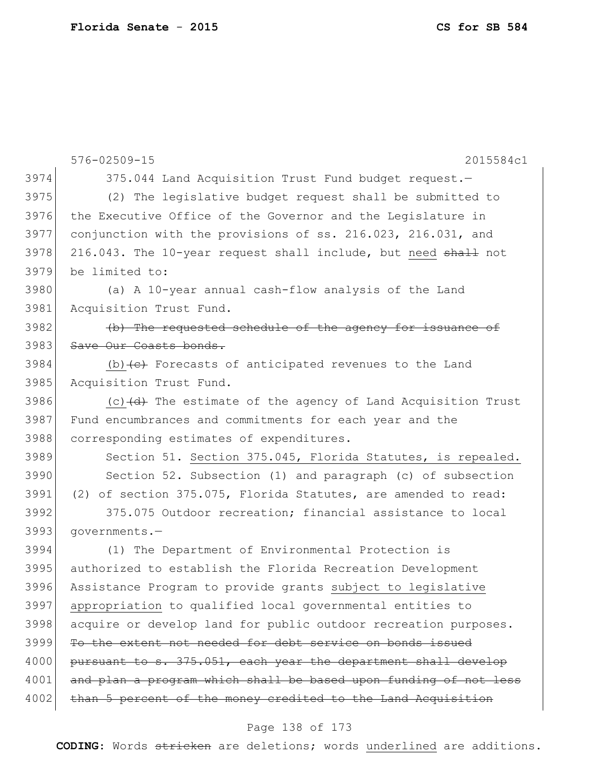|      | 576-02509-15<br>2015584c1                                                        |
|------|----------------------------------------------------------------------------------|
| 3974 | 375.044 Land Acquisition Trust Fund budget request.-                             |
| 3975 | (2) The legislative budget request shall be submitted to                         |
| 3976 | the Executive Office of the Governor and the Legislature in                      |
| 3977 | conjunction with the provisions of ss. 216.023, 216.031, and                     |
| 3978 | 216.043. The 10-year request shall include, but need shall not                   |
| 3979 | be limited to:                                                                   |
| 3980 | (a) A 10-year annual cash-flow analysis of the Land                              |
| 3981 | Acquisition Trust Fund.                                                          |
| 3982 | (b) The requested schedule of the agency for issuance of                         |
| 3983 | Save Our Coasts bonds.                                                           |
| 3984 | (b) $\left\{e\right\}$ Forecasts of anticipated revenues to the Land             |
| 3985 | Acquisition Trust Fund.                                                          |
| 3986 | (c) $\left(\text{d}\right)$ The estimate of the agency of Land Acquisition Trust |
| 3987 | Fund encumbrances and commitments for each year and the                          |
| 3988 | corresponding estimates of expenditures.                                         |
| 3989 | Section 51. Section 375.045, Florida Statutes, is repealed.                      |
| 3990 | Section 52. Subsection (1) and paragraph (c) of subsection                       |
| 3991 | (2) of section 375.075, Florida Statutes, are amended to read:                   |
| 3992 | 375.075 Outdoor recreation; financial assistance to local                        |
| 3993 | qovernments.-                                                                    |
| 3994 | (1) The Department of Environmental Protection is                                |
| 3995 | authorized to establish the Florida Recreation Development                       |
| 3996 | Assistance Program to provide grants subject to legislative                      |
| 3997 | appropriation to qualified local governmental entities to                        |
| 3998 | acquire or develop land for public outdoor recreation purposes.                  |
| 3999 | To the extent not needed for debt service on bonds issued                        |
| 4000 | pursuant to s. 375.051, each year the department shall develop                   |
| 4001 | and plan a program which shall be based upon funding of not less                 |
| 4002 | than 5 percent of the money credited to the Land Acquisition                     |

# Page 138 of 173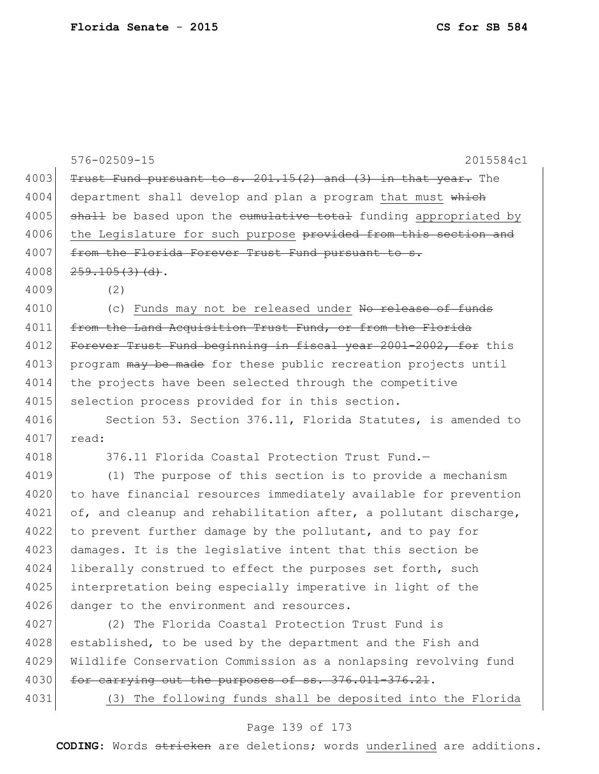576-02509-15 2015584c1 4003 Trust Fund pursuant to s.  $201.15(2)$  and  $(3)$  in that year. The 4004 department shall develop and plan a program that must which  $4005$  shall be based upon the cumulative total funding appropriated by 4006 the Legislature for such purpose <del>provided from this section and</del> 4007 from the Florida Forever Trust Fund pursuant to s.  $4008$   $259.105(3)(d)$ . 4009 (2) 4010 (c) Funds may not be released under No release of funds 4011 from the Land Acquisition Trust Fund, or from the Florida 4012 Forever Trust Fund beginning in fiscal year 2001-2002, for this 4013 program may be made for these public recreation projects until 4014 the projects have been selected through the competitive 4015 selection process provided for in this section. 4016 Section 53. Section 376.11, Florida Statutes, is amended to 4017 read: 4018 376.11 Florida Coastal Protection Trust Fund.— 4019 (1) The purpose of this section is to provide a mechanism 4020 to have financial resources immediately available for prevention 4021 of, and cleanup and rehabilitation after, a pollutant discharge, 4022 to prevent further damage by the pollutant, and to pay for 4023 damages. It is the legislative intent that this section be 4024 liberally construed to effect the purposes set forth, such 4025 interpretation being especially imperative in light of the 4026 danger to the environment and resources. 4027 (2) The Florida Coastal Protection Trust Fund is 4028 established, to be used by the department and the Fish and 4029 Wildlife Conservation Commission as a nonlapsing revolving fund 4030 for carrying out the purposes of ss. 376.011-376.21. 4031 (3) The following funds shall be deposited into the Florida

## Page 139 of 173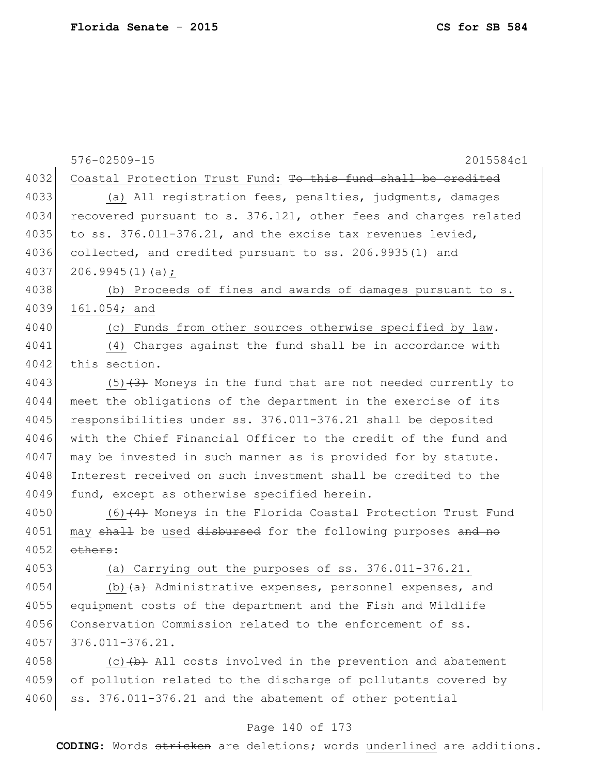576-02509-15 2015584c1 4032 Coastal Protection Trust Fund: To this fund shall be credited 4033 (a) All registration fees, penalties, judgments, damages 4034 recovered pursuant to s. 376.121, other fees and charges related 4035 to ss.  $376.011 - 376.21$ , and the excise tax revenues levied, 4036 collected, and credited pursuant to ss. 206.9935(1) and 4037 206.9945(1)(a); 4038 (b) Proceeds of fines and awards of damages pursuant to s. 4039 161.054; and 4040 (c) Funds from other sources otherwise specified by law. 4041 (4) Charges against the fund shall be in accordance with 4042 this section. 4043  $(5)$  (3) Moneys in the fund that are not needed currently to 4044 meet the obligations of the department in the exercise of its 4045 responsibilities under ss. 376.011-376.21 shall be deposited 4046 with the Chief Financial Officer to the credit of the fund and 4047 may be invested in such manner as is provided for by statute. 4048 Interest received on such investment shall be credited to the 4049 fund, except as otherwise specified herein. 4050 (6) (4) Moneys in the Florida Coastal Protection Trust Fund 4051 may shall be used disbursed for the following purposes and no  $4052$  others: 4053 (a) Carrying out the purposes of ss. 376.011-376.21. 4054 (b) $(a)$  Administrative expenses, personnel expenses, and 4055 equipment costs of the department and the Fish and Wildlife 4056 Conservation Commission related to the enforcement of ss. 4057 376.011-376.21. 4058  $\vert$  (c)  $\vert$  b) All costs involved in the prevention and abatement 4059 of pollution related to the discharge of pollutants covered by

# Page 140 of 173

4060 ss. 376.011-376.21 and the abatement of other potential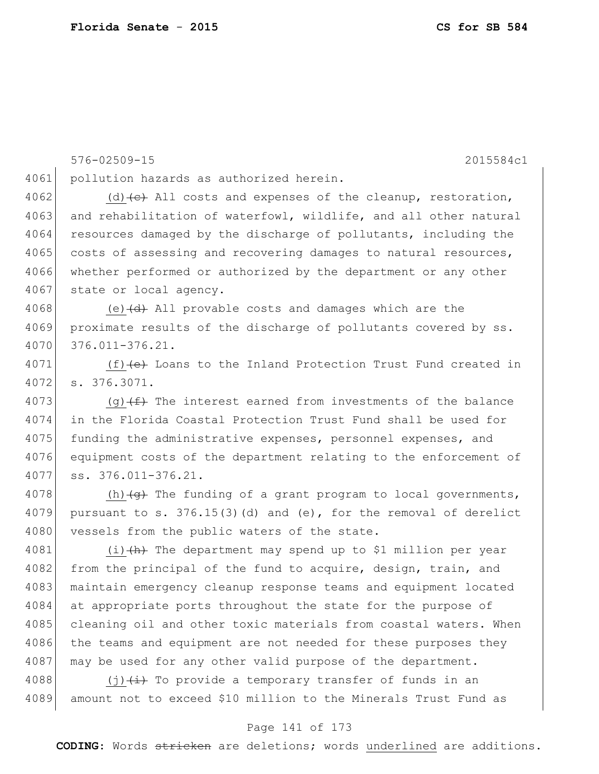```
576-02509-15 2015584c1
4061 pollution hazards as authorized herein.
4062 (d) \left(\text{e}\right) All costs and expenses of the cleanup, restoration,
4063 and rehabilitation of waterfowl, wildlife, and all other natural
4064 resources damaged by the discharge of pollutants, including the
4065 costs of assessing and recovering damages to natural resources,
4066 whether performed or authorized by the department or any other
4067 state or local agency.
4068 (e) (d) All provable costs and damages which are the
4069 proximate results of the discharge of pollutants covered by ss.
4070 376.011-376.21.
4071 (f) (f) (e) Loans to the Inland Protection Trust Fund created in
4072 s. 376.3071.
4073 (g)(f) The interest earned from investments of the balance
4074 in the Florida Coastal Protection Trust Fund shall be used for 
4075 funding the administrative expenses, personnel expenses, and
4076 equipment costs of the department relating to the enforcement of 
4077 ss. 376.011-376.21.
4078 (h)\left\{ \Theta \right\} The funding of a grant program to local governments,
4079 pursuant to s. 376.15(3)(d) and (e), for the removal of derelict
4080 vessels from the public waters of the state.
4081 (i) (h) The department may spend up to $1 million per year
4082 from the principal of the fund to acquire, design, train, and
4083 maintain emergency cleanup response teams and equipment located
4084 at appropriate ports throughout the state for the purpose of
4085 cleaning oil and other toxic materials from coastal waters. When
4086 the teams and equipment are not needed for these purposes they
4087 may be used for any other valid purpose of the department.
4088 (j) \leftrightarrow To provide a temporary transfer of funds in an
4089 amount not to exceed $10 million to the Minerals Trust Fund as
```
#### Page 141 of 173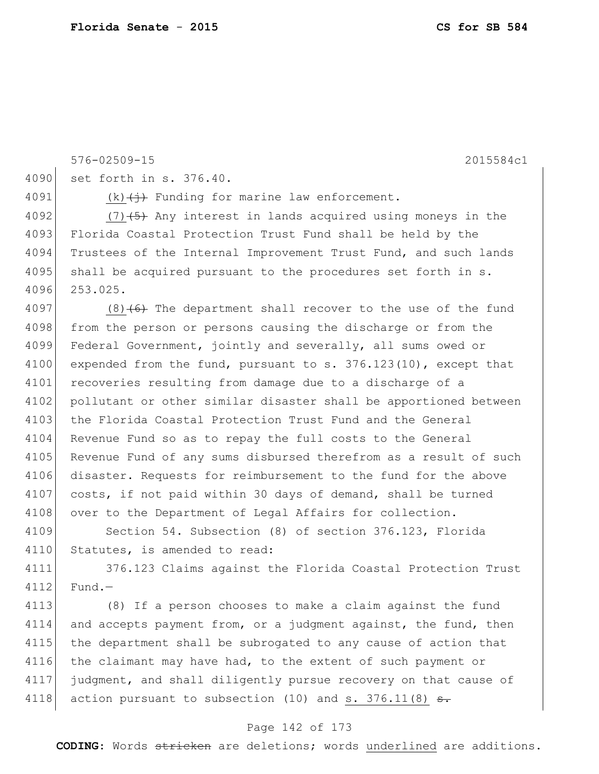576-02509-15 2015584c1 4090 set forth in s. 376.40. 4091 (k) $\left\langle +\right\rangle$  Funding for marine law enforcement. 4092  $(7)$   $(5)$  Any interest in lands acquired using moneys in the 4093 Florida Coastal Protection Trust Fund shall be held by the 4094 Trustees of the Internal Improvement Trust Fund, and such lands  $4095$  shall be acquired pursuant to the procedures set forth in s. 4096 253.025. 4097 (8) $(6)$  The department shall recover to the use of the fund 4098 from the person or persons causing the discharge or from the 4099 Federal Government, jointly and severally, all sums owed or 4100 expended from the fund, pursuant to  $s. 376.123(10)$ , except that 4101 recoveries resulting from damage due to a discharge of a 4102 pollutant or other similar disaster shall be apportioned between 4103 the Florida Coastal Protection Trust Fund and the General 4104 Revenue Fund so as to repay the full costs to the General 4105 Revenue Fund of any sums disbursed therefrom as a result of such 4106 disaster. Requests for reimbursement to the fund for the above 4107 costs, if not paid within 30 days of demand, shall be turned 4108 over to the Department of Legal Affairs for collection. 4109 Section 54. Subsection (8) of section 376.123, Florida 4110 Statutes, is amended to read: 4111 376.123 Claims against the Florida Coastal Protection Trust 4112 Fund.-4113 (8) If a person chooses to make a claim against the fund 4114 and accepts payment from, or a judgment against, the fund, then 4115 the department shall be subrogated to any cause of action that

4116 the claimant may have had, to the extent of such payment or 4117 judgment, and shall diligently pursue recovery on that cause of 4118 action pursuant to subsection  $(10)$  and s. 376.11 $(8)$  <del>s.</del>

#### Page 142 of 173

**CODING**: Words stricken are deletions; words underlined are additions.

**Florida Senate** - **2015 CS for SB 584**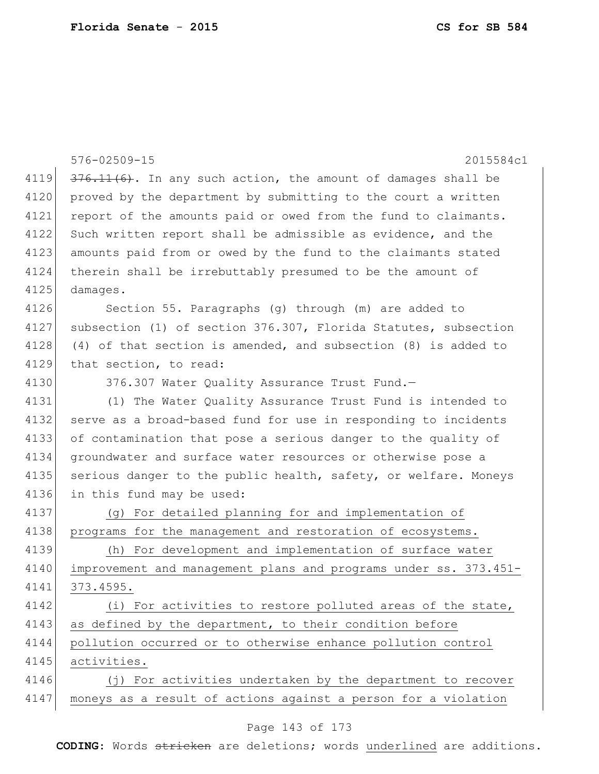|      | $576 - 02509 - 15$<br>2015584c1                                    |
|------|--------------------------------------------------------------------|
| 4119 | $376.11(6)$ . In any such action, the amount of damages shall be   |
| 4120 | proved by the department by submitting to the court a written      |
| 4121 | report of the amounts paid or owed from the fund to claimants.     |
| 4122 | Such written report shall be admissible as evidence, and the       |
| 4123 | amounts paid from or owed by the fund to the claimants stated      |
| 4124 | therein shall be irrebuttably presumed to be the amount of         |
| 4125 | damages.                                                           |
| 4126 | Section 55. Paragraphs (g) through (m) are added to                |
| 4127 | subsection (1) of section 376.307, Florida Statutes, subsection    |
| 4128 | $(4)$ of that section is amended, and subsection $(8)$ is added to |
| 4129 | that section, to read:                                             |
| 4130 | 376.307 Water Quality Assurance Trust Fund.-                       |
| 4131 | (1) The Water Quality Assurance Trust Fund is intended to          |
| 4132 | serve as a broad-based fund for use in responding to incidents     |
| 4133 | of contamination that pose a serious danger to the quality of      |
| 4134 | groundwater and surface water resources or otherwise pose a        |
| 4135 | serious danger to the public health, safety, or welfare. Moneys    |
| 4136 | in this fund may be used:                                          |
| 4137 | (g) For detailed planning for and implementation of                |
| 4138 | programs for the management and restoration of ecosystems.         |
| 4139 | For development and implementation of surface water<br>(h)         |
| 4140 | improvement and management plans and programs under ss. 373.451-   |
| 4141 | 373.4595.                                                          |
| 4142 | (i) For activities to restore polluted areas of the state,         |
| 4143 | as defined by the department, to their condition before            |
| 4144 | pollution occurred or to otherwise enhance pollution control       |
| 4145 | activities.                                                        |
| 4146 | (j) For activities undertaken by the department to recover         |
| 4147 | moneys as a result of actions against a person for a violation     |
|      |                                                                    |

# Page 143 of 173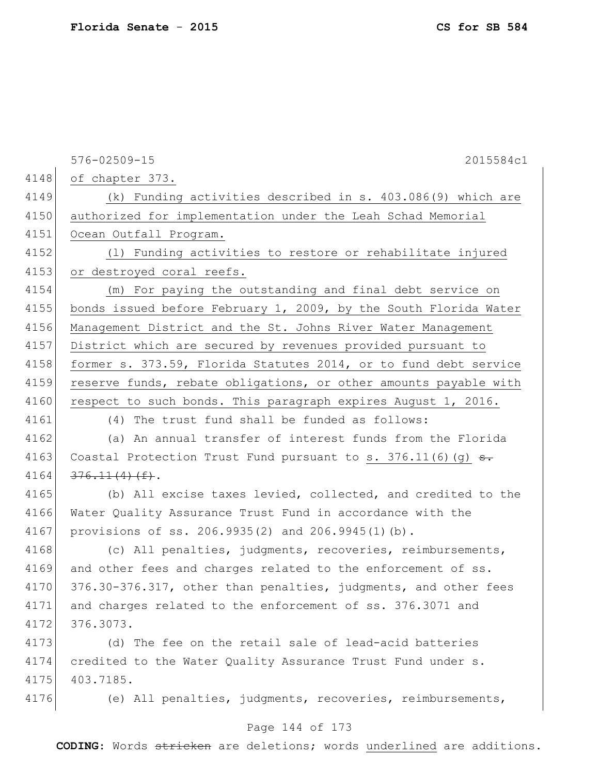|      | 576-02509-15<br>2015584c1                                              |
|------|------------------------------------------------------------------------|
| 4148 | of chapter 373.                                                        |
| 4149 | (k) Funding activities described in s. 403.086(9) which are            |
| 4150 | authorized for implementation under the Leah Schad Memorial            |
| 4151 | Ocean Outfall Program.                                                 |
| 4152 | (1) Funding activities to restore or rehabilitate injured              |
| 4153 | or destroyed coral reefs.                                              |
| 4154 | (m) For paying the outstanding and final debt service on               |
| 4155 | bonds issued before February 1, 2009, by the South Florida Water       |
| 4156 | Management District and the St. Johns River Water Management           |
| 4157 | District which are secured by revenues provided pursuant to            |
| 4158 | former s. 373.59, Florida Statutes 2014, or to fund debt service       |
| 4159 | reserve funds, rebate obligations, or other amounts payable with       |
| 4160 | respect to such bonds. This paragraph expires August 1, 2016.          |
| 4161 | (4) The trust fund shall be funded as follows:                         |
| 4162 | (a) An annual transfer of interest funds from the Florida              |
| 4163 | Coastal Protection Trust Fund pursuant to s. 376.11(6)(g) $\epsilon$ . |
| 4164 | $376.11(4)$ (f).                                                       |
| 4165 | (b) All excise taxes levied, collected, and credited to the            |
| 4166 | Water Quality Assurance Trust Fund in accordance with the              |
| 4167 | provisions of ss. 206.9935(2) and 206.9945(1)(b).                      |
| 4168 | (c) All penalties, judgments, recoveries, reimbursements,              |
| 4169 | and other fees and charges related to the enforcement of ss.           |
| 4170 | 376.30-376.317, other than penalties, judgments, and other fees        |
| 4171 | and charges related to the enforcement of ss. 376.3071 and             |
| 4172 | 376.3073.                                                              |
| 4173 | (d) The fee on the retail sale of lead-acid batteries                  |
| 4174 | credited to the Water Quality Assurance Trust Fund under s.            |
| 4175 | 403.7185.                                                              |
| 4176 | (e) All penalties, judgments, recoveries, reimbursements,              |
|      | Page 144 of 173                                                        |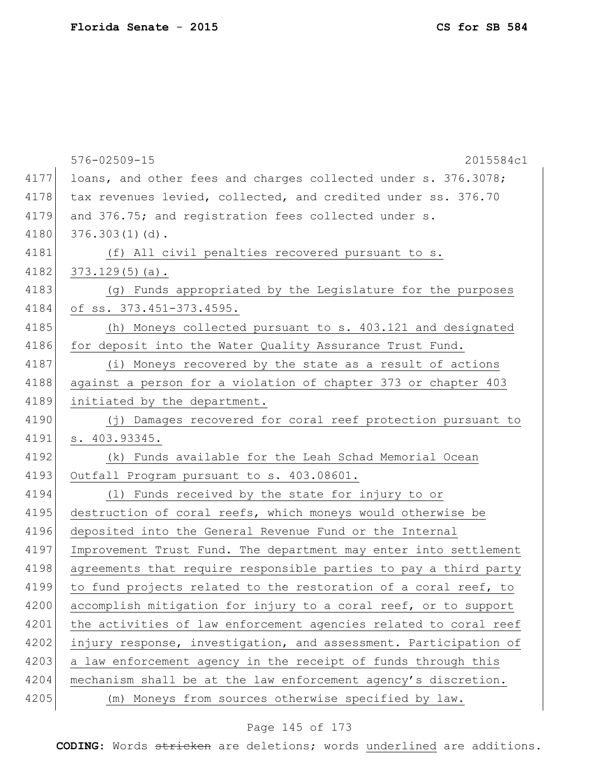|      | 576-02509-15<br>2015584c1                                        |
|------|------------------------------------------------------------------|
| 4177 | loans, and other fees and charges collected under s. 376.3078;   |
| 4178 | tax revenues levied, collected, and credited under ss. 376.70    |
| 4179 | and 376.75; and registration fees collected under s.             |
| 4180 | $376.303(1)(d)$ .                                                |
| 4181 | (f) All civil penalties recovered pursuant to s.                 |
| 4182 | $373.129(5)(a)$ .                                                |
| 4183 | (g) Funds appropriated by the Legislature for the purposes       |
| 4184 | of ss. 373.451-373.4595.                                         |
| 4185 | (h) Moneys collected pursuant to s. 403.121 and designated       |
| 4186 | for deposit into the Water Quality Assurance Trust Fund.         |
| 4187 | (i) Moneys recovered by the state as a result of actions         |
| 4188 | against a person for a violation of chapter 373 or chapter 403   |
| 4189 | initiated by the department.                                     |
| 4190 | (j) Damages recovered for coral reef protection pursuant to      |
| 4191 | s. 403.93345.                                                    |
| 4192 | (k) Funds available for the Leah Schad Memorial Ocean            |
| 4193 | Outfall Program pursuant to s. 403.08601.                        |
| 4194 | (1) Funds received by the state for injury to or                 |
| 4195 | destruction of coral reefs, which moneys would otherwise be      |
| 4196 | deposited into the General Revenue Fund or the Internal          |
| 4197 | Improvement Trust Fund. The department may enter into settlement |
| 4198 | agreements that require responsible parties to pay a third party |
| 4199 | to fund projects related to the restoration of a coral reef, to  |
| 4200 | accomplish mitigation for injury to a coral reef, or to support  |
| 4201 | the activities of law enforcement agencies related to coral reef |
| 4202 | injury response, investigation, and assessment. Participation of |
| 4203 | a law enforcement agency in the receipt of funds through this    |
| 4204 | mechanism shall be at the law enforcement agency's discretion.   |
| 4205 | (m) Moneys from sources otherwise specified by law.              |

# Page 145 of 173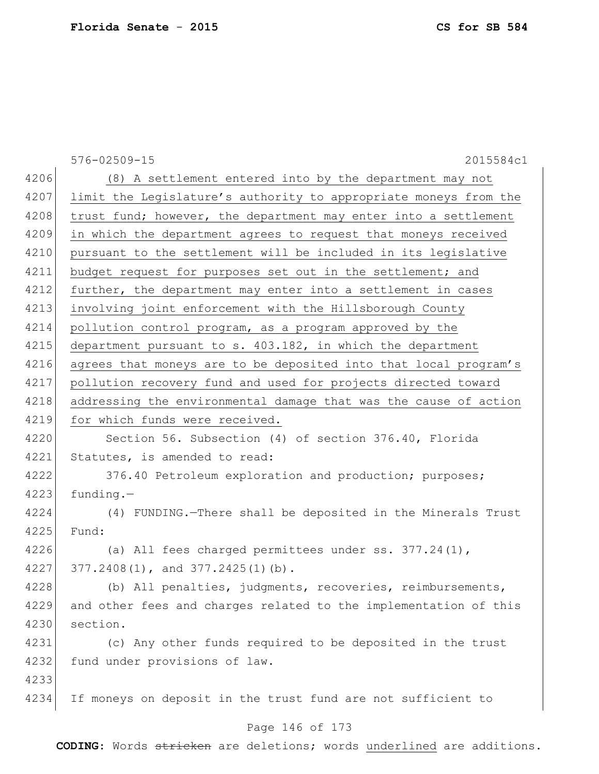576-02509-15 2015584c1 4206 (8) A settlement entered into by the department may not 4207 limit the Legislature's authority to appropriate moneys from the 4208 trust fund; however, the department may enter into a settlement 4209 in which the department agrees to request that moneys received 4210 pursuant to the settlement will be included in its legislative 4211 budget request for purposes set out in the settlement; and 4212 further, the department may enter into a settlement in cases 4213 involving joint enforcement with the Hillsborough County 4214 pollution control program, as a program approved by the 4215 department pursuant to s. 403.182, in which the department 4216 agrees that moneys are to be deposited into that local program's 4217 pollution recovery fund and used for projects directed toward 4218 addressing the environmental damage that was the cause of action 4219 for which funds were received. 4220 Section 56. Subsection (4) of section 376.40, Florida 4221 Statutes, is amended to read: 4222 376.40 Petroleum exploration and production; purposes;  $4223$  funding. 4224 (4) FUNDING.—There shall be deposited in the Minerals Trust 4225 Fund: 4226 (a) All fees charged permittees under ss. 377.24(1), 4227 377.2408(1), and 377.2425(1)(b). 4228 (b) All penalties, judgments, recoveries, reimbursements, 4229 and other fees and charges related to the implementation of this 4230 section. 4231 (c) Any other funds required to be deposited in the trust 4232 fund under provisions of law. 4233 4234 If moneys on deposit in the trust fund are not sufficient to

## Page 146 of 173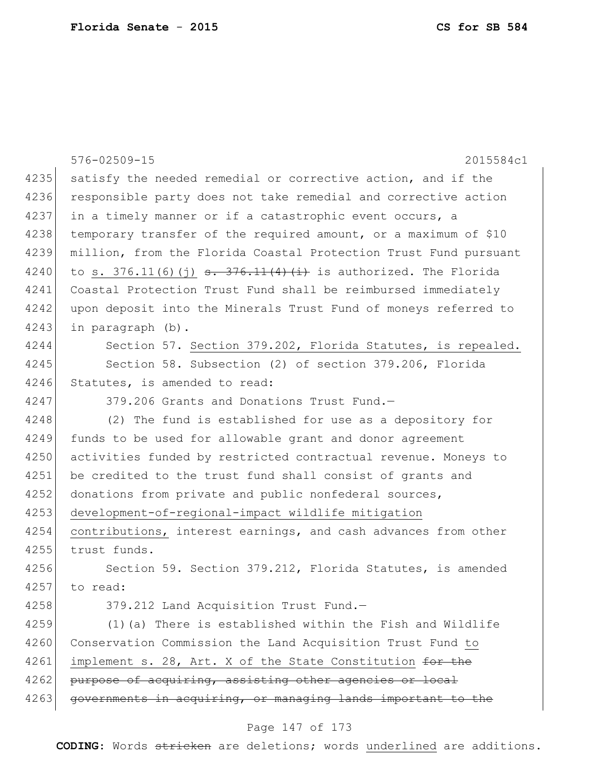|      | 576-02509-15<br>2015584c1                                        |
|------|------------------------------------------------------------------|
| 4235 | satisfy the needed remedial or corrective action, and if the     |
| 4236 | responsible party does not take remedial and corrective action   |
| 4237 | in a timely manner or if a catastrophic event occurs, a          |
| 4238 | temporary transfer of the required amount, or a maximum of \$10  |
| 4239 | million, from the Florida Coastal Protection Trust Fund pursuant |
| 4240 |                                                                  |
| 4241 | Coastal Protection Trust Fund shall be reimbursed immediately    |
| 4242 | upon deposit into the Minerals Trust Fund of moneys referred to  |
| 4243 | in paragraph (b).                                                |
| 4244 | Section 57. Section 379.202, Florida Statutes, is repealed.      |
| 4245 | Section 58. Subsection (2) of section 379.206, Florida           |
| 4246 | Statutes, is amended to read:                                    |
| 4247 | 379.206 Grants and Donations Trust Fund.-                        |
| 4248 | (2) The fund is established for use as a depository for          |
| 4249 | funds to be used for allowable grant and donor agreement         |
| 4250 | activities funded by restricted contractual revenue. Moneys to   |
| 4251 | be credited to the trust fund shall consist of grants and        |
| 4252 | donations from private and public nonfederal sources,            |
| 4253 | development-of-regional-impact wildlife mitigation               |
| 4254 | contributions, interest earnings, and cash advances from other   |
| 4255 | trust funds.                                                     |
| 4256 | Section 59. Section 379.212, Florida Statutes, is amended        |
| 4257 | to read:                                                         |
| 4258 | 379.212 Land Acquisition Trust Fund.-                            |
| 4259 | (1) (a) There is established within the Fish and Wildlife        |
| 4260 | Conservation Commission the Land Acquisition Trust Fund to       |
| 4261 | implement s. 28, Art. X of the State Constitution for the        |
| 4262 | purpose of acquiring, assisting other agencies or local          |
| 4263 | governments in acquiring, or managing lands important to the     |
|      |                                                                  |

# Page 147 of 173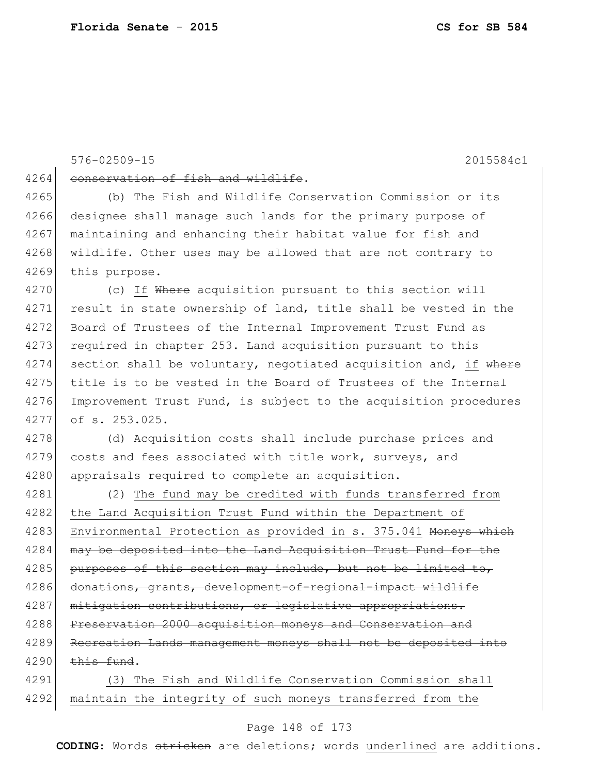## 576-02509-15 2015584c1

4264 conservation of fish and wildlife.

4265 (b) The Fish and Wildlife Conservation Commission or its 4266 designee shall manage such lands for the primary purpose of 4267 maintaining and enhancing their habitat value for fish and 4268 wildlife. Other uses may be allowed that are not contrary to 4269 this purpose.

4270 (c) If Where acquisition pursuant to this section will 4271 result in state ownership of land, title shall be vested in the 4272 Board of Trustees of the Internal Improvement Trust Fund as 4273 required in chapter 253. Land acquisition pursuant to this  $4274$  section shall be voluntary, negotiated acquisition and, if where 4275 title is to be vested in the Board of Trustees of the Internal 4276 Improvement Trust Fund, is subject to the acquisition procedures 4277 of s. 253.025.

4278 (d) Acquisition costs shall include purchase prices and 4279 costs and fees associated with title work, surveys, and 4280 appraisals required to complete an acquisition.

4281 (2) The fund may be credited with funds transferred from 4282 the Land Acquisition Trust Fund within the Department of 4283 Environmental Protection as provided in s. 375.041 Moneys which 4284 may be deposited into the Land Acquisition Trust Fund for the 4285 purposes of this section may include, but not be limited to, 4286 donations, grants, development-of-regional-impact wildlife 4287 mitigation contributions, or legislative appropriations. 4288 Preservation 2000 acquisition moneys and Conservation and 4289 Recreation Lands management moneys shall not be deposited into  $4290$  this fund.

4291 (3) The Fish and Wildlife Conservation Commission shall 4292 maintain the integrity of such moneys transferred from the

## Page 148 of 173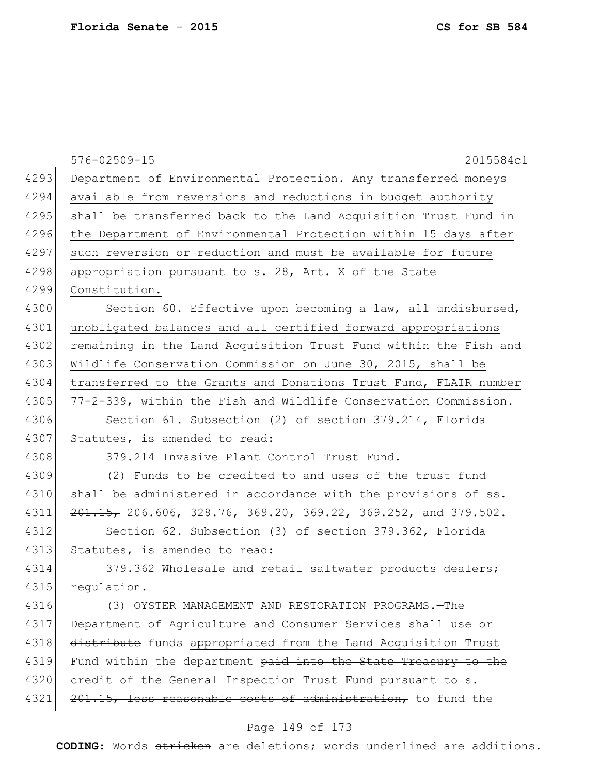|      | $576 - 02509 - 15$<br>2015584c1                                   |
|------|-------------------------------------------------------------------|
| 4293 | Department of Environmental Protection. Any transferred moneys    |
| 4294 | available from reversions and reductions in budget authority      |
| 4295 | shall be transferred back to the Land Acquisition Trust Fund in   |
| 4296 | the Department of Environmental Protection within 15 days after   |
| 4297 | such reversion or reduction and must be available for future      |
| 4298 | appropriation pursuant to s. 28, Art. X of the State              |
| 4299 | Constitution.                                                     |
| 4300 | Section 60. Effective upon becoming a law, all undisbursed,       |
| 4301 | unobligated balances and all certified forward appropriations     |
| 4302 | remaining in the Land Acquisition Trust Fund within the Fish and  |
| 4303 | Wildlife Conservation Commission on June 30, 2015, shall be       |
| 4304 | transferred to the Grants and Donations Trust Fund, FLAIR number  |
| 4305 | 77-2-339, within the Fish and Wildlife Conservation Commission.   |
| 4306 | Section 61. Subsection (2) of section 379.214, Florida            |
| 4307 | Statutes, is amended to read:                                     |
| 4308 | 379.214 Invasive Plant Control Trust Fund.-                       |
| 4309 | (2) Funds to be credited to and uses of the trust fund            |
| 4310 | shall be administered in accordance with the provisions of ss.    |
| 4311 | $201.15$ , 206.606, 328.76, 369.20, 369.22, 369.252, and 379.502. |
| 4312 | Section 62. Subsection (3) of section 379.362, Florida            |
| 4313 | Statutes, is amended to read:                                     |
| 4314 | 379.362 Wholesale and retail saltwater products dealers;          |
| 4315 | requlation.-                                                      |
| 4316 | (3) OYSTER MANAGEMENT AND RESTORATION PROGRAMS. - The             |
| 4317 | Department of Agriculture and Consumer Services shall use or      |
| 4318 | distribute funds appropriated from the Land Acquisition Trust     |
| 4319 | Fund within the department paid into the State Treasury to the    |
| 4320 | eredit of the General Inspection Trust Fund pursuant to s.        |
| 4321 | $201.15$ , less reasonable costs of administration, to fund the   |
|      |                                                                   |

## Page 149 of 173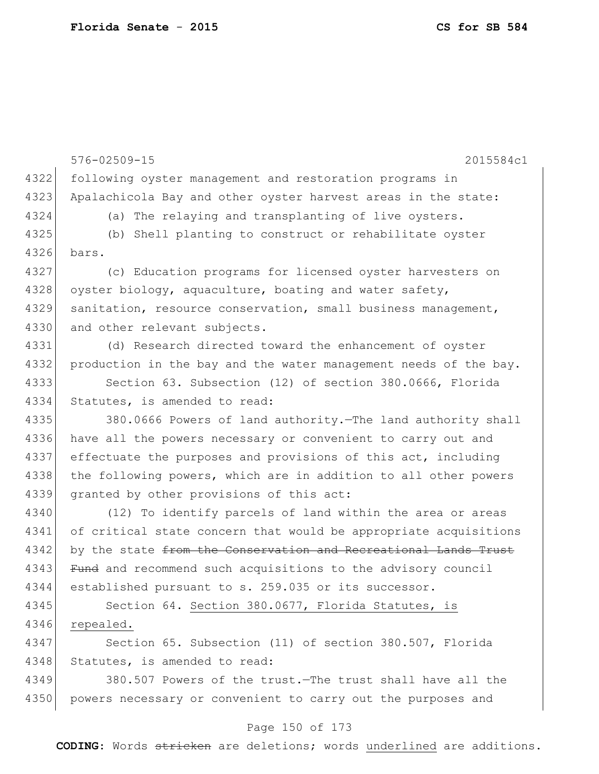576-02509-15 2015584c1 4322 following oyster management and restoration programs in 4323 Apalachicola Bay and other oyster harvest areas in the state: 4324 (a) The relaying and transplanting of live oysters. 4325 (b) Shell planting to construct or rehabilitate oyster 4326 bars. 4327 (c) Education programs for licensed oyster harvesters on 4328 oyster biology, aquaculture, boating and water safety, 4329 sanitation, resource conservation, small business management, 4330 and other relevant subjects. 4331 (d) Research directed toward the enhancement of oyster 4332 production in the bay and the water management needs of the bay. 4333 Section 63. Subsection (12) of section 380.0666, Florida 4334 Statutes, is amended to read: 4335 380.0666 Powers of land authority.—The land authority shall 4336 have all the powers necessary or convenient to carry out and 4337 effectuate the purposes and provisions of this act, including 4338 the following powers, which are in addition to all other powers 4339 granted by other provisions of this act: 4340 (12) To identify parcels of land within the area or areas 4341 of critical state concern that would be appropriate acquisitions 4342 by the state from the Conservation and Recreational Lands Trust 4343 Fund and recommend such acquisitions to the advisory council 4344 established pursuant to s. 259.035 or its successor. 4345 Section 64. Section 380.0677, Florida Statutes, is 4346 repealed. 4347 Section 65. Subsection (11) of section 380.507, Florida 4348 Statutes, is amended to read: 4349 380.507 Powers of the trust.—The trust shall have all the 4350 powers necessary or convenient to carry out the purposes and

#### Page 150 of 173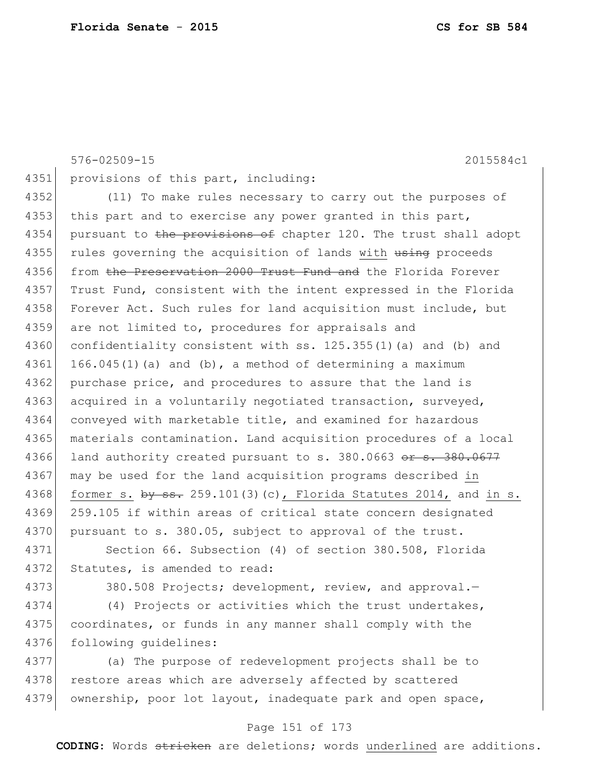|      | $576 - 02509 - 15$<br>2015584c1                                    |
|------|--------------------------------------------------------------------|
| 4351 | provisions of this part, including:                                |
| 4352 | (11) To make rules necessary to carry out the purposes of          |
| 4353 | this part and to exercise any power granted in this part,          |
| 4354 | pursuant to the provisions of chapter 120. The trust shall adopt   |
| 4355 | rules governing the acquisition of lands with using proceeds       |
| 4356 | from the Preservation 2000 Trust Fund and the Florida Forever      |
| 4357 | Trust Fund, consistent with the intent expressed in the Florida    |
| 4358 | Forever Act. Such rules for land acquisition must include, but     |
| 4359 | are not limited to, procedures for appraisals and                  |
| 4360 | confidentiality consistent with ss. 125.355(1)(a) and (b) and      |
| 4361 | $166.045(1)$ (a) and (b), a method of determining a maximum        |
| 4362 | purchase price, and procedures to assure that the land is          |
| 4363 | acquired in a voluntarily negotiated transaction, surveyed,        |
| 4364 | conveyed with marketable title, and examined for hazardous         |
| 4365 | materials contamination. Land acquisition procedures of a local    |
| 4366 | land authority created pursuant to s. 380.0663 or s. 380.0677      |
| 4367 | may be used for the land acquisition programs described in         |
| 4368 | former s. $by$ ss. 259.101(3)(c), Florida Statutes 2014, and in s. |
| 4369 | 259.105 if within areas of critical state concern designated       |
| 4370 | pursuant to s. 380.05, subject to approval of the trust.           |
| 4371 | Section 66. Subsection (4) of section 380.508, Florida             |
| 4372 | Statutes, is amended to read:                                      |
| 4373 | 380.508 Projects; development, review, and approval.-              |
| 4374 | (4) Projects or activities which the trust undertakes,             |
| 4375 | coordinates, or funds in any manner shall comply with the          |
| 4376 | following guidelines:                                              |
| 4377 | (a) The purpose of redevelopment projects shall be to              |
| 4378 | restore areas which are adversely affected by scattered            |
| 4379 | ownership, poor lot layout, inadequate park and open space,        |
|      | $151 \t 177$                                                       |

## Page 151 of 173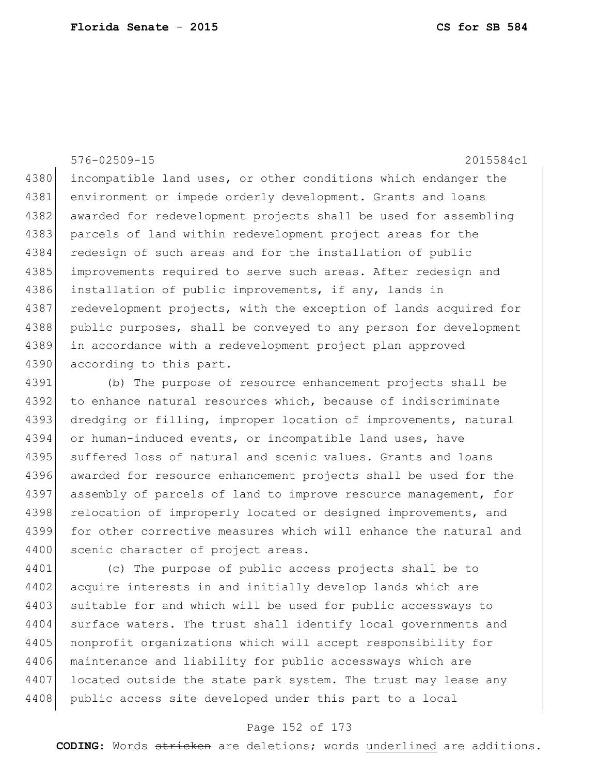576-02509-15 2015584c1 4380 incompatible land uses, or other conditions which endanger the 4381 environment or impede orderly development. Grants and loans 4382 awarded for redevelopment projects shall be used for assembling 4383 parcels of land within redevelopment project areas for the 4384 redesign of such areas and for the installation of public 4385 improvements required to serve such areas. After redesign and 4386 installation of public improvements, if any, lands in 4387 redevelopment projects, with the exception of lands acquired for 4388 public purposes, shall be conveyed to any person for development 4389 in accordance with a redevelopment project plan approved 4390 according to this part.

4391 (b) The purpose of resource enhancement projects shall be 4392 to enhance natural resources which, because of indiscriminate 4393 dredging or filling, improper location of improvements, natural 4394 or human-induced events, or incompatible land uses, have 4395 suffered loss of natural and scenic values. Grants and loans 4396 awarded for resource enhancement projects shall be used for the 4397 assembly of parcels of land to improve resource management, for 4398 relocation of improperly located or designed improvements, and 4399 for other corrective measures which will enhance the natural and 4400 scenic character of project areas.

4401 (c) The purpose of public access projects shall be to 4402 acquire interests in and initially develop lands which are 4403 suitable for and which will be used for public accessways to 4404 surface waters. The trust shall identify local governments and 4405 nonprofit organizations which will accept responsibility for 4406 maintenance and liability for public accessways which are 4407 located outside the state park system. The trust may lease any 4408 public access site developed under this part to a local

## Page 152 of 173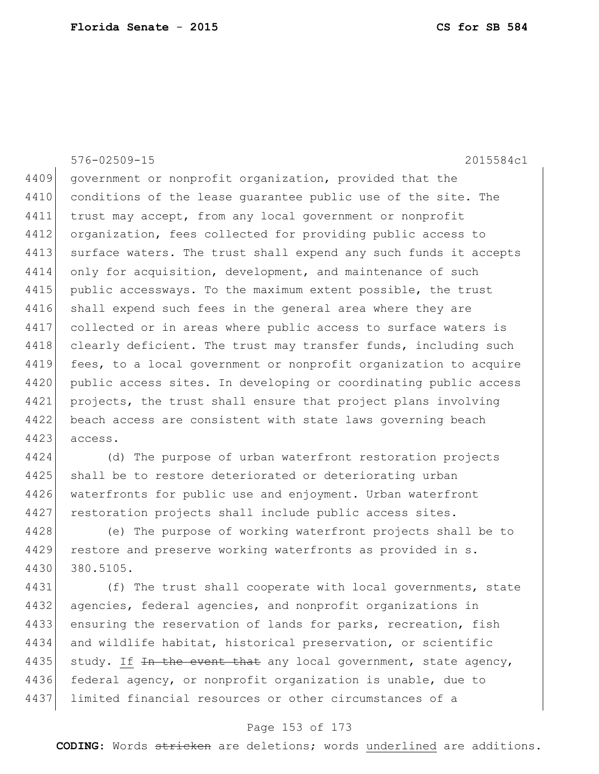576-02509-15 2015584c1 4409 government or nonprofit organization, provided that the 4410 conditions of the lease quarantee public use of the site. The 4411 trust may accept, from any local government or nonprofit 4412 organization, fees collected for providing public access to 4413 surface waters. The trust shall expend any such funds it accepts 4414 only for acquisition, development, and maintenance of such 4415 public accessways. To the maximum extent possible, the trust 4416 shall expend such fees in the general area where they are 4417 collected or in areas where public access to surface waters is 4418 clearly deficient. The trust may transfer funds, including such 4419 fees, to a local government or nonprofit organization to acquire 4420 public access sites. In developing or coordinating public access 4421 projects, the trust shall ensure that project plans involving 4422 beach access are consistent with state laws governing beach 4423 access.

4424 (d) The purpose of urban waterfront restoration projects 4425 shall be to restore deteriorated or deteriorating urban 4426 waterfronts for public use and enjoyment. Urban waterfront 4427 restoration projects shall include public access sites.

4428 (e) The purpose of working waterfront projects shall be to 4429 restore and preserve working waterfronts as provided in s. 4430 380.5105.

4431 (f) The trust shall cooperate with local governments, state 4432 agencies, federal agencies, and nonprofit organizations in 4433 ensuring the reservation of lands for parks, recreation, fish 4434 and wildlife habitat, historical preservation, or scientific 4435 study. If  $\pm n$  the event that any local government, state agency, 4436 federal agency, or nonprofit organization is unable, due to 4437 limited financial resources or other circumstances of a

## Page 153 of 173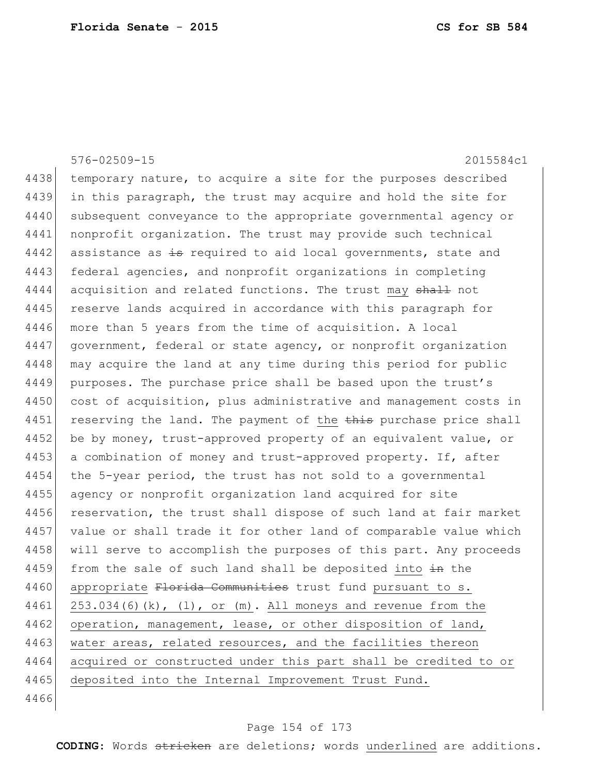|      | $576 - 02509 - 15$<br>2015584c1                                      |
|------|----------------------------------------------------------------------|
| 4438 | temporary nature, to acquire a site for the purposes described       |
| 4439 | in this paragraph, the trust may acquire and hold the site for       |
| 4440 | subsequent conveyance to the appropriate governmental agency or      |
| 4441 | nonprofit organization. The trust may provide such technical         |
| 4442 | assistance as is required to aid local governments, state and        |
| 4443 | federal agencies, and nonprofit organizations in completing          |
| 4444 | acquisition and related functions. The trust may shall not           |
| 4445 | reserve lands acquired in accordance with this paragraph for         |
| 4446 | more than 5 years from the time of acquisition. A local              |
| 4447 | government, federal or state agency, or nonprofit organization       |
| 4448 | may acquire the land at any time during this period for public       |
| 4449 | purposes. The purchase price shall be based upon the trust's         |
| 4450 | cost of acquisition, plus administrative and management costs in     |
| 4451 | reserving the land. The payment of the this purchase price shall     |
| 4452 | be by money, trust-approved property of an equivalent value, or      |
| 4453 | a combination of money and trust-approved property. If, after        |
| 4454 | the 5-year period, the trust has not sold to a governmental          |
| 4455 | agency or nonprofit organization land acquired for site              |
| 4456 | reservation, the trust shall dispose of such land at fair market     |
| 4457 | value or shall trade it for other land of comparable value which     |
| 4458 | will serve to accomplish the purposes of this part. Any proceeds     |
| 4459 | from the sale of such land shall be deposited into in the            |
| 4460 | appropriate Florida Communities trust fund pursuant to s.            |
| 4461 | $253.034(6)(k)$ , $(1)$ , or $(m)$ . All moneys and revenue from the |
| 4462 | operation, management, lease, or other disposition of land,          |
| 4463 | water areas, related resources, and the facilities thereon           |
| 4464 | acquired or constructed under this part shall be credited to or      |
| 4465 | deposited into the Internal Improvement Trust Fund.                  |
| 4466 |                                                                      |
|      |                                                                      |

# Page 154 of 173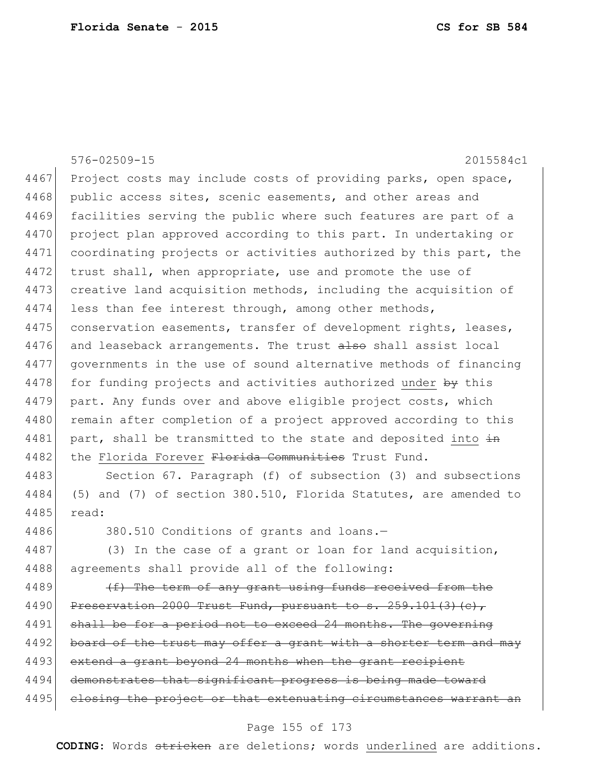|      | 576-02509-15<br>2015584c1                                        |
|------|------------------------------------------------------------------|
| 4467 | Project costs may include costs of providing parks, open space,  |
| 4468 | public access sites, scenic easements, and other areas and       |
| 4469 | facilities serving the public where such features are part of a  |
| 4470 | project plan approved according to this part. In undertaking or  |
| 4471 | coordinating projects or activities authorized by this part, the |
| 4472 | trust shall, when appropriate, use and promote the use of        |
| 4473 | creative land acquisition methods, including the acquisition of  |
| 4474 | less than fee interest through, among other methods,             |
| 4475 | conservation easements, transfer of development rights, leases,  |
| 4476 | and leaseback arrangements. The trust also shall assist local    |
| 4477 | governments in the use of sound alternative methods of financing |
| 4478 | for funding projects and activities authorized under by this     |
| 4479 | part. Any funds over and above eligible project costs, which     |
| 4480 | remain after completion of a project approved according to this  |
| 4481 | part, shall be transmitted to the state and deposited into in    |
| 4482 | the Florida Forever Florida Communities Trust Fund.              |
| 4483 | Section 67. Paragraph (f) of subsection (3) and subsections      |
| 4484 | (5) and (7) of section 380.510, Florida Statutes, are amended to |

4485 read:

4486 380.510 Conditions of grants and loans.-

4487 (3) In the case of a grant or loan for land acquisition, 4488 agreements shall provide all of the following:

4489  $(f)$  The term of any grant using funds received from the 4490 Preservation 2000 Trust Fund, pursuant to s.  $259.101(3)(c)$ , 4491 shall be for a period not to exceed 24 months. The governing 4492 board of the trust may offer a grant with a shorter term and may 4493 extend a grant beyond 24 months when the grant recipient 4494 demonstrates that significant progress is being made toward 4495 closing the project or that extenuating circumstances warrant an

## Page 155 of 173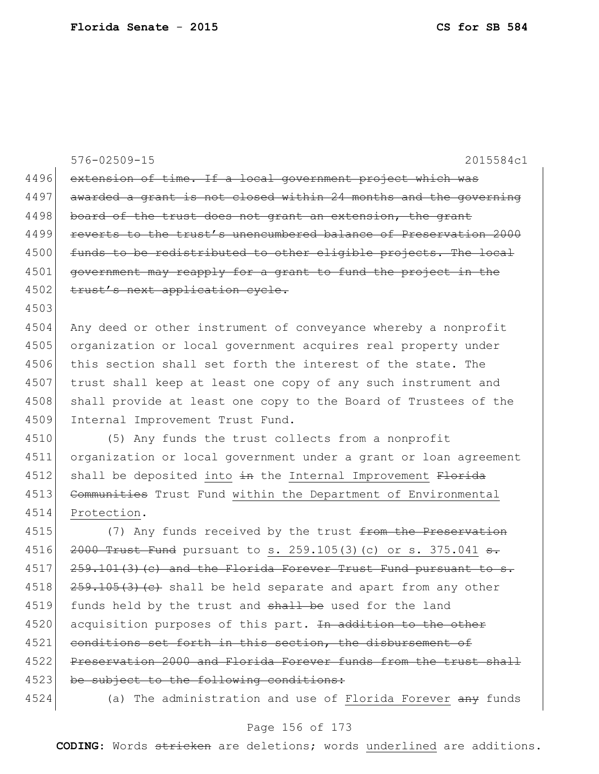|      | $576 - 02509 - 15$<br>2015584c1                                         |
|------|-------------------------------------------------------------------------|
| 4496 | extension of time. If a local government project which was              |
| 4497 | awarded a grant is not closed within 24 months and the governing        |
| 4498 | board of the trust does not grant an extension, the grant               |
| 4499 | reverts to the trust's unencumbered balance of Preservation 2000        |
| 4500 | funds to be redistributed to other eligible projects. The local         |
| 4501 | government may reapply for a grant to fund the project in the           |
| 4502 | trust's next application cycle.                                         |
| 4503 |                                                                         |
| 4504 | Any deed or other instrument of conveyance whereby a nonprofit          |
| 4505 | organization or local government acquires real property under           |
| 4506 | this section shall set forth the interest of the state. The             |
| 4507 | trust shall keep at least one copy of any such instrument and           |
| 4508 | shall provide at least one copy to the Board of Trustees of the         |
| 4509 | Internal Improvement Trust Fund.                                        |
| 4510 | (5) Any funds the trust collects from a nonprofit                       |
| 4511 | organization or local government under a grant or loan agreement        |
| 4512 | shall be deposited into in the Internal Improvement Florida             |
| 4513 | Communities Trust Fund within the Department of Environmental           |
| 4514 | Protection.                                                             |
| 4515 | (7) Any funds received by the trust from the Preservation               |
| 4516 | $2000$ Trust Fund pursuant to s. 259.105(3)(c) or s. 375.041 $\theta$ . |
| 4517 | 259.101(3)(c) and the Florida Forever Trust Fund pursuant to s.         |
| 4518 | 259.105(3) (e) shall be held separate and apart from any other          |
| 4519 | funds held by the trust and shall be used for the land                  |
| 4520 | acquisition purposes of this part. In addition to the other             |
| 4521 | conditions set forth in this section, the disbursement of               |
| 4522 | Preservation 2000 and Florida Forever funds from the trust shall        |
| 4523 | be subject to the following conditions:                                 |
| 4524 | (a) The administration and use of Florida Forever any funds             |

# Page 156 of 173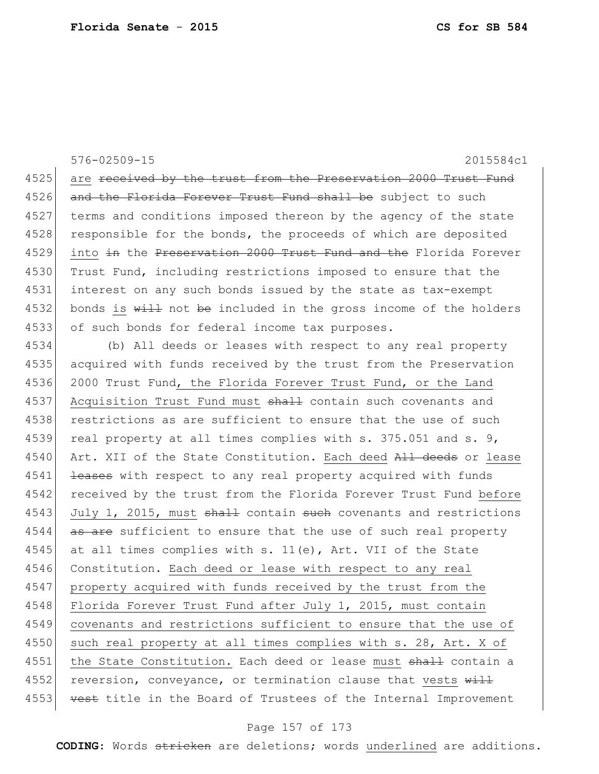576-02509-15 2015584c1 4525 are received by the trust from the Preservation 2000 Trust Fund 4526 and the Florida Forever Trust Fund shall be subject to such 4527 terms and conditions imposed thereon by the agency of the state 4528 | responsible for the bonds, the proceeds of which are deposited 4529 into in the Preservation 2000 Trust Fund and the Florida Forever 4530 Trust Fund, including restrictions imposed to ensure that the 4531 interest on any such bonds issued by the state as tax-exempt 4532 bonds is  $\frac{11}{2}$  not be included in the gross income of the holders 4533 of such bonds for federal income tax purposes. 4534 (b) All deeds or leases with respect to any real property

4535 acquired with funds received by the trust from the Preservation 4536 2000 Trust Fund, the Florida Forever Trust Fund, or the Land 4537 Acquisition Trust Fund must shall contain such covenants and 4538 restrictions as are sufficient to ensure that the use of such 4539 real property at all times complies with s. 375.051 and s. 9, 4540 Art. XII of the State Constitution. Each deed All deeds or lease 4541 <del>leases</del> with respect to any real property acquired with funds 4542 received by the trust from the Florida Forever Trust Fund before 4543 July 1, 2015, must shall contain such covenants and restrictions 4544 as are sufficient to ensure that the use of such real property 4545 at all times complies with s. 11(e), Art. VII of the State 4546 Constitution. Each deed or lease with respect to any real 4547 property acquired with funds received by the trust from the 4548 Florida Forever Trust Fund after July 1, 2015, must contain 4549 covenants and restrictions sufficient to ensure that the use of 4550 such real property at all times complies with s. 28, Art. X of 4551 the State Constitution. Each deed or lease must shall contain a 4552 reversion, conveyance, or termination clause that vests will 4553 vest title in the Board of Trustees of the Internal Improvement

## Page 157 of 173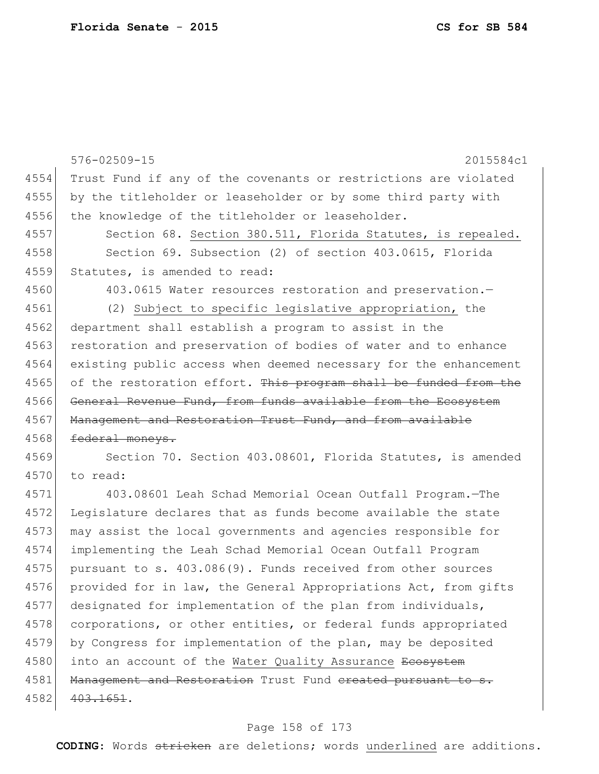|      | $576 - 02509 - 15$<br>2015584c1                                     |
|------|---------------------------------------------------------------------|
| 4554 | Trust Fund if any of the covenants or restrictions are violated     |
| 4555 | by the titleholder or leaseholder or by some third party with       |
| 4556 | the knowledge of the titleholder or leaseholder.                    |
| 4557 | Section 68. Section 380.511, Florida Statutes, is repealed.         |
| 4558 | Section 69. Subsection (2) of section 403.0615, Florida             |
| 4559 | Statutes, is amended to read:                                       |
| 4560 | 403.0615 Water resources restoration and preservation.-             |
| 4561 | (2) Subject to specific legislative appropriation, the              |
| 4562 | department shall establish a program to assist in the               |
| 4563 | restoration and preservation of bodies of water and to enhance      |
| 4564 | existing public access when deemed necessary for the enhancement    |
| 4565 | of the restoration effort. This program shall be funded from the    |
| 4566 | General Revenue Fund, from funds available from the Ecosystem       |
| 4567 | Management and Restoration Trust Fund, and from available           |
| 4568 | federal moneys.                                                     |
| 4569 | Section 70. Section 403.08601, Florida Statutes, is amended         |
| 4570 | to read:                                                            |
| 4571 | 403.08601 Leah Schad Memorial Ocean Outfall Program.-The            |
| 4572 | Legislature declares that as funds become available the state       |
| 4573 | may assist the local governments and agencies responsible for       |
| 4574 | implementing the Leah Schad Memorial Ocean Outfall Program          |
| 4575 | pursuant to s. 403.086(9). Funds received from other sources        |
| 4576 | provided for in law, the General Appropriations Act, from gifts     |
| 4577 | designated for implementation of the plan from individuals,         |
| 4578 | corporations, or other entities, or federal funds appropriated      |
| 4579 | by Congress for implementation of the plan, may be deposited        |
| 4580 | into an account of the Water Quality Assurance <del>Ecosystem</del> |
| 4581 | Management and Restoration Trust Fund ereated pursuant to s.        |
| 4582 | 403.1651.                                                           |
|      |                                                                     |

# Page 158 of 173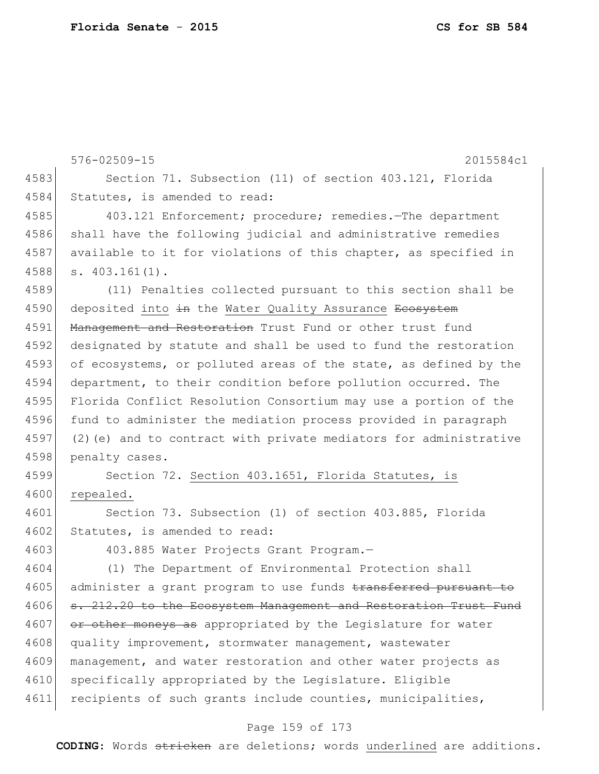576-02509-15 2015584c1 4583 Section 71. Subsection (11) of section 403.121, Florida 4584 Statutes, is amended to read: 4585 403.121 Enforcement; procedure; remedies. The department 4586 shall have the following judicial and administrative remedies 4587 available to it for violations of this chapter, as specified in 4588 s. 403.161(1). 4589 (11) Penalties collected pursuant to this section shall be 4590 deposited into in the Water Quality Assurance Ecosystem 4591 Management and Restoration Trust Fund or other trust fund 4592 designated by statute and shall be used to fund the restoration 4593 of ecosystems, or polluted areas of the state, as defined by the 4594 department, to their condition before pollution occurred. The 4595 Florida Conflict Resolution Consortium may use a portion of the 4596 fund to administer the mediation process provided in paragraph 4597 (2)(e) and to contract with private mediators for administrative 4598 penalty cases. 4599 Section 72. Section 403.1651, Florida Statutes, is 4600 repealed. 4601 Section 73. Subsection (1) of section 403.885, Florida 4602 Statutes, is amended to read: 4603 403.885 Water Projects Grant Program. 4604 (1) The Department of Environmental Protection shall 4605 administer a grant program to use funds transferred pursuant to 4606 s. 212.20 to the Ecosystem Management and Restoration Trust Fund 4607 or other moneys as appropriated by the Legislature for water 4608 quality improvement, stormwater management, wastewater 4609 management, and water restoration and other water projects as 4610 specifically appropriated by the Legislature. Eligible 4611 recipients of such grants include counties, municipalities,

## Page 159 of 173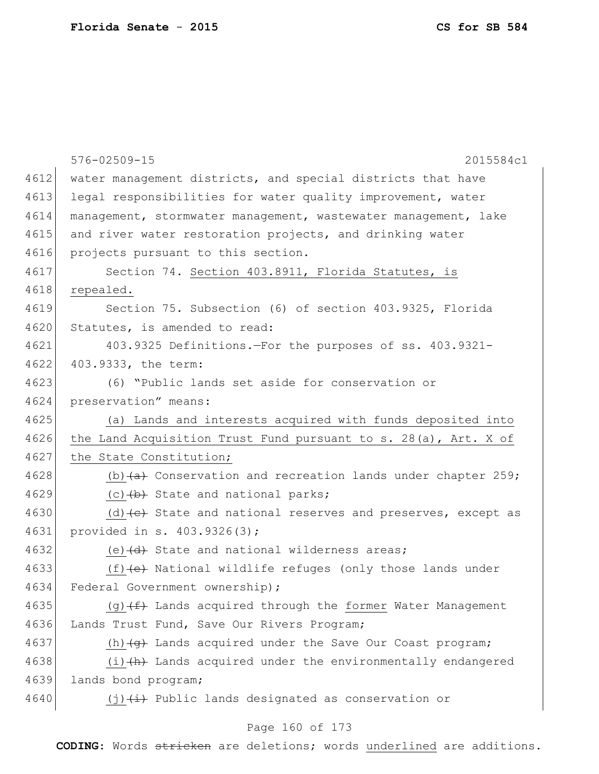|      | 576-02509-15<br>2015584c1                                                       |
|------|---------------------------------------------------------------------------------|
| 4612 | water management districts, and special districts that have                     |
| 4613 | legal responsibilities for water quality improvement, water                     |
| 4614 | management, stormwater management, wastewater management, lake                  |
| 4615 | and river water restoration projects, and drinking water                        |
| 4616 | projects pursuant to this section.                                              |
| 4617 | Section 74. Section 403.8911, Florida Statutes, is                              |
| 4618 | repealed.                                                                       |
| 4619 | Section 75. Subsection (6) of section 403.9325, Florida                         |
| 4620 | Statutes, is amended to read:                                                   |
| 4621 | 403.9325 Definitions.-For the purposes of ss. 403.9321-                         |
| 4622 | 403.9333, the term:                                                             |
| 4623 | (6) "Public lands set aside for conservation or                                 |
| 4624 | preservation" means:                                                            |
| 4625 | (a) Lands and interests acquired with funds deposited into                      |
| 4626 | the Land Acquisition Trust Fund pursuant to s. 28(a), Art. X of                 |
| 4627 | the State Constitution;                                                         |
| 4628 | (b) $(a)$ Conservation and recreation lands under chapter 259;                  |
| 4629 | (c) (b) State and national parks;                                               |
| 4630 | (d) $\left\{ e\right\}$ State and national reserves and preserves, except as    |
| 4631 | provided in s. 403.9326(3);                                                     |
| 4632 | (e) $\frac{d}{dt}$ State and national wilderness areas;                         |
| 4633 | $(f)$ (f) (e) National wildlife refuges (only those lands under                 |
| 4634 | Federal Government ownership);                                                  |
| 4635 | (g) (f) Lands acquired through the former Water Management                      |
| 4636 | Lands Trust Fund, Save Our Rivers Program;                                      |
| 4637 | (h) $\left(\frac{1}{9}\right)$ Lands acquired under the Save Our Coast program; |
| 4638 | $(i)$ $(h)$ Lands acquired under the environmentally endangered                 |
| 4639 | lands bond program;                                                             |
| 4640 | $(j)$ $(i)$ Public lands designated as conservation or                          |
|      |                                                                                 |

# Page 160 of 173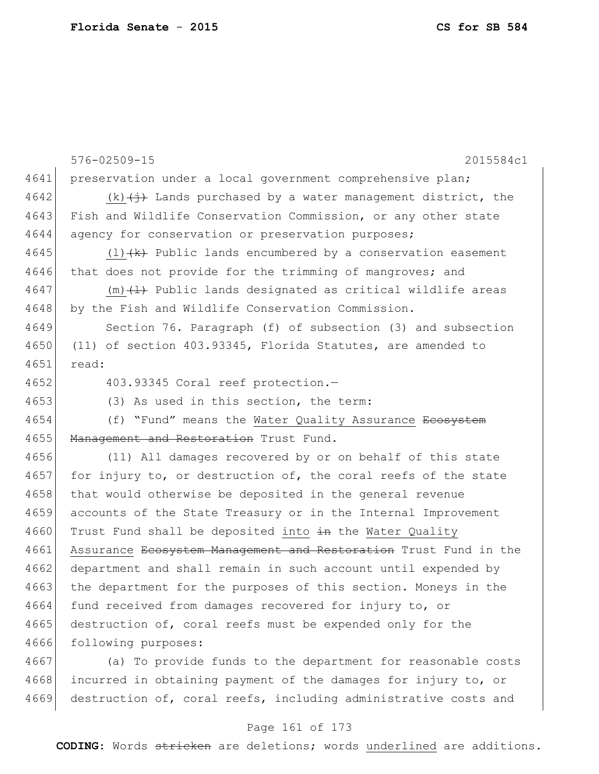|      | $576 - 02509 - 15$<br>2015584c1                                                    |
|------|------------------------------------------------------------------------------------|
| 4641 | preservation under a local government comprehensive plan;                          |
| 4642 | $(k)$ $\overleftrightarrow{+}$ Lands purchased by a water management district, the |
| 4643 | Fish and Wildlife Conservation Commission, or any other state                      |
| 4644 | agency for conservation or preservation purposes;                                  |
| 4645 | $(1)$ $(k)$ Public lands encumbered by a conservation easement                     |
| 4646 | that does not provide for the trimming of mangroves; and                           |
| 4647 | $(m)$ $(1)$ Public lands designated as critical wildlife areas                     |
| 4648 | by the Fish and Wildlife Conservation Commission.                                  |
| 4649 | Section 76. Paragraph (f) of subsection (3) and subsection                         |
| 4650 | (11) of section 403.93345, Florida Statutes, are amended to                        |
| 4651 | read:                                                                              |
| 4652 | 403.93345 Coral reef protection.-                                                  |
| 4653 | (3) As used in this section, the term:                                             |
| 4654 | (f) "Fund" means the Water Quality Assurance <del>Ecosystem</del>                  |
| 4655 | Management and Restoration Trust Fund.                                             |
| 4656 | (11) All damages recovered by or on behalf of this state                           |
| 4657 | for injury to, or destruction of, the coral reefs of the state                     |
| 4658 | that would otherwise be deposited in the general revenue                           |
| 4659 | accounts of the State Treasury or in the Internal Improvement                      |
| 4660 | Trust Fund shall be deposited into in the Water Quality                            |
| 4661 | Assurance Ecosystem Management and Restoration Trust Fund in the                   |
| 4662 | department and shall remain in such account until expended by                      |
| 4663 | the department for the purposes of this section. Moneys in the                     |
| 4664 | fund received from damages recovered for injury to, or                             |
| 4665 | destruction of, coral reefs must be expended only for the                          |
| 4666 | following purposes:                                                                |
| 4667 | (a) To provide funds to the department for reasonable costs                        |
| 4668 | incurred in obtaining payment of the damages for injury to, or                     |

## Page 161 of 173

4669 destruction of, coral reefs, including administrative costs and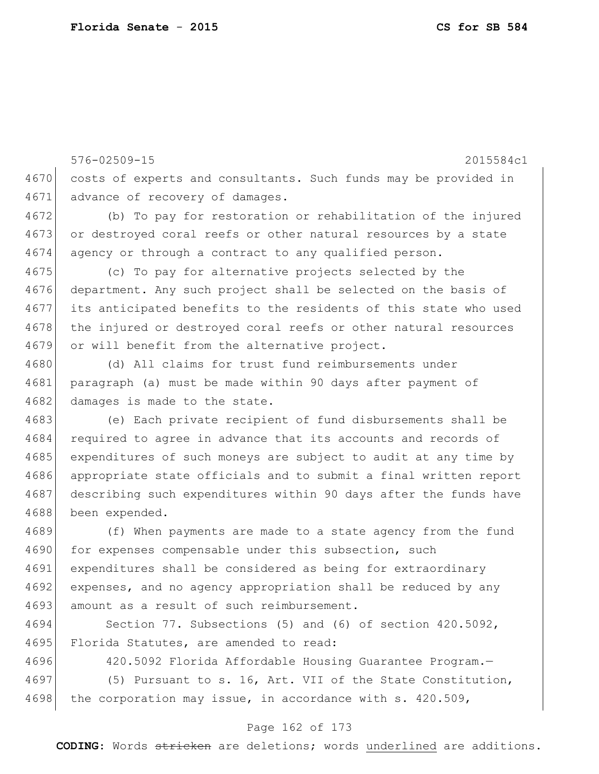576-02509-15 2015584c1 4670 costs of experts and consultants. Such funds may be provided in 4671 advance of recovery of damages. 4672 (b) To pay for restoration or rehabilitation of the injured 4673 or destroyed coral reefs or other natural resources by a state 4674 agency or through a contract to any qualified person. 4675 (c) To pay for alternative projects selected by the 4676 department. Any such project shall be selected on the basis of 4677 its anticipated benefits to the residents of this state who used 4678 the injured or destroyed coral reefs or other natural resources 4679 or will benefit from the alternative project. 4680 (d) All claims for trust fund reimbursements under 4681 paragraph (a) must be made within 90 days after payment of 4682 damages is made to the state. 4683 (e) Each private recipient of fund disbursements shall be 4684 required to agree in advance that its accounts and records of 4685 expenditures of such moneys are subject to audit at any time by 4686 appropriate state officials and to submit a final written report 4687 describing such expenditures within 90 days after the funds have 4688 been expended. 4689 (f) When payments are made to a state agency from the fund 4690 for expenses compensable under this subsection, such 4691 expenditures shall be considered as being for extraordinary 4692 expenses, and no agency appropriation shall be reduced by any 4693 amount as a result of such reimbursement. 4694 Section 77. Subsections (5) and (6) of section 420.5092,

4695 Florida Statutes, are amended to read:

4696 420.5092 Florida Affordable Housing Guarantee Program.

4697 (5) Pursuant to s. 16, Art. VII of the State Constitution, 4698 the corporation may issue, in accordance with  $s. 420.509$ ,

## Page 162 of 173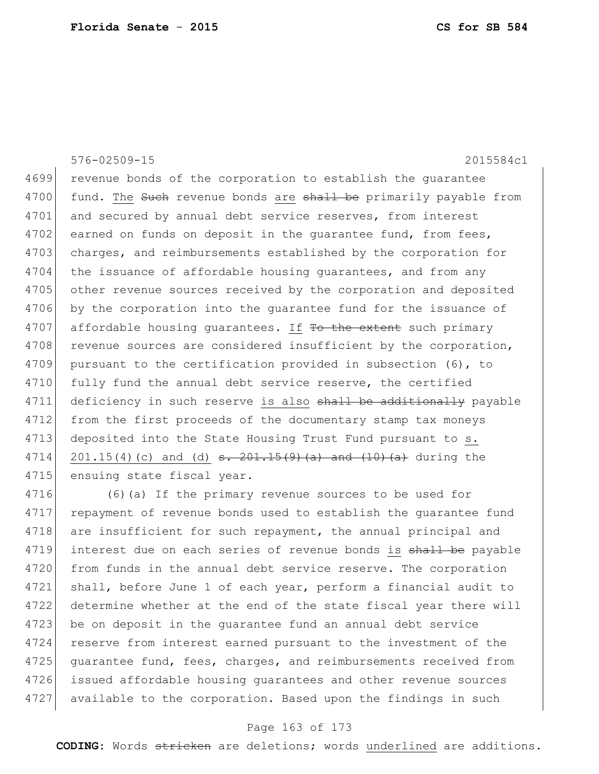## 576-02509-15 2015584c1

4699 revenue bonds of the corporation to establish the guarantee 4700 fund. The Such revenue bonds are shall be primarily payable from 4701 and secured by annual debt service reserves, from interest 4702 earned on funds on deposit in the guarantee fund, from fees, 4703 charges, and reimbursements established by the corporation for 4704 the issuance of affordable housing quarantees, and from any 4705 other revenue sources received by the corporation and deposited 4706 by the corporation into the quarantee fund for the issuance of 4707 affordable housing guarantees. If To the extent such primary 4708 revenue sources are considered insufficient by the corporation, 4709 pursuant to the certification provided in subsection (6), to 4710 fully fund the annual debt service reserve, the certified 4711 deficiency in such reserve is also shall be additionally payable 4712 from the first proceeds of the documentary stamp tax moneys 4713 deposited into the State Housing Trust Fund pursuant to s. 4714 201.15(4)(c) and (d)  $s. 201.15(9)$  (a) and  $(10)$  (a) during the 4715 ensuing state fiscal year.

4716 (6)(a) If the primary revenue sources to be used for 4717 repayment of revenue bonds used to establish the guarantee fund 4718 are insufficient for such repayment, the annual principal and 4719 interest due on each series of revenue bonds is shall be payable 4720 from funds in the annual debt service reserve. The corporation 4721 shall, before June 1 of each year, perform a financial audit to 4722 determine whether at the end of the state fiscal year there will 4723 be on deposit in the quarantee fund an annual debt service 4724 reserve from interest earned pursuant to the investment of the 4725 quarantee fund, fees, charges, and reimbursements received from 4726 issued affordable housing guarantees and other revenue sources 4727 available to the corporation. Based upon the findings in such

## Page 163 of 173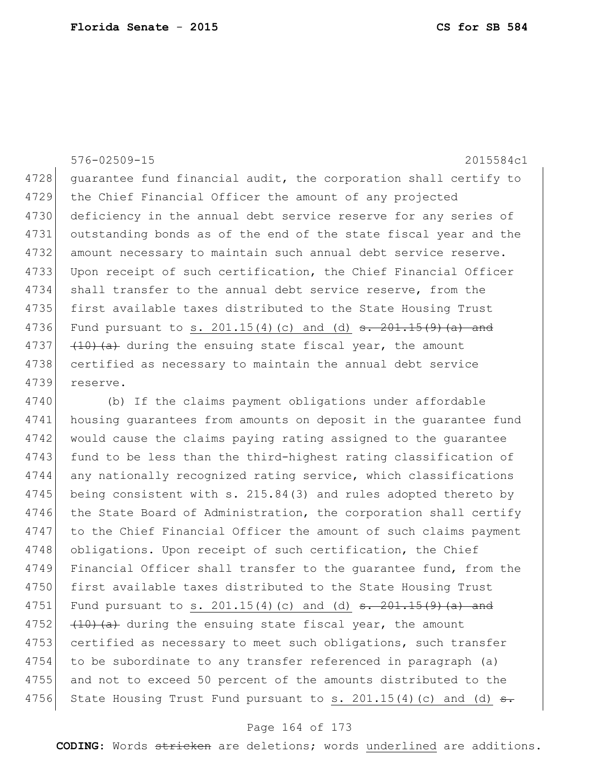## 576-02509-15 2015584c1

4728 guarantee fund financial audit, the corporation shall certify to 4729 the Chief Financial Officer the amount of any projected 4730 deficiency in the annual debt service reserve for any series of 4731 outstanding bonds as of the end of the state fiscal year and the 4732 amount necessary to maintain such annual debt service reserve. 4733 Upon receipt of such certification, the Chief Financial Officer 4734 shall transfer to the annual debt service reserve, from the 4735 first available taxes distributed to the State Housing Trust 4736 Fund pursuant to s. 201.15(4)(c) and (d)  $\frac{1}{5}$ ,  $\frac{201.15(9)}{a}$  and 4737  $(10)$   $(40)$   $(40)$  during the ensuing state fiscal year, the amount 4738 certified as necessary to maintain the annual debt service 4739 reserve.

4740 (b) If the claims payment obligations under affordable 4741 housing guarantees from amounts on deposit in the guarantee fund 4742 would cause the claims paying rating assigned to the quarantee 4743 fund to be less than the third-highest rating classification of 4744 any nationally recognized rating service, which classifications 4745 being consistent with s. 215.84(3) and rules adopted thereto by 4746 the State Board of Administration, the corporation shall certify 4747 to the Chief Financial Officer the amount of such claims payment 4748 obligations. Upon receipt of such certification, the Chief 4749 Financial Officer shall transfer to the guarantee fund, from the 4750 first available taxes distributed to the State Housing Trust 4751 Fund pursuant to s. 201.15(4)(c) and (d) <del>s. 201.15(9)(a) and</del> 4752  $(10)(a)$  during the ensuing state fiscal year, the amount 4753 certified as necessary to meet such obligations, such transfer 4754 to be subordinate to any transfer referenced in paragraph (a) 4755 and not to exceed 50 percent of the amounts distributed to the 4756 State Housing Trust Fund pursuant to s.  $201.15(4)$  (c) and (d)  $\overline{s}$ .

## Page 164 of 173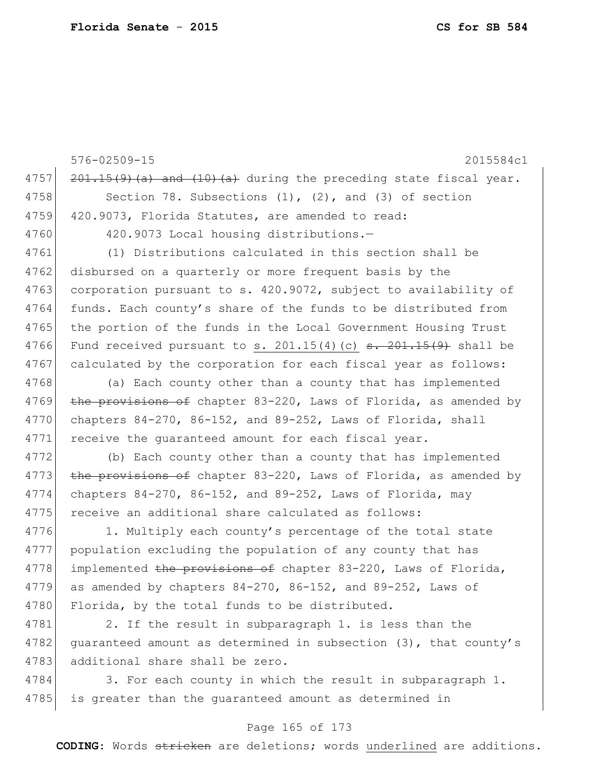576-02509-15 2015584c1 4757  $\left| \frac{201.15(9)}{a} \right|$  and  $\left(10\right)(a)$  during the preceding state fiscal year. 4758 Section 78. Subsections (1), (2), and (3) of section 4759 420.9073, Florida Statutes, are amended to read: 4760 420.9073 Local housing distributions. 4761 (1) Distributions calculated in this section shall be 4762 disbursed on a quarterly or more frequent basis by the 4763 corporation pursuant to s. 420.9072, subject to availability of 4764 funds. Each county's share of the funds to be distributed from 4765 the portion of the funds in the Local Government Housing Trust 4766 Fund received pursuant to s.  $201.15(4)(c)$  s.  $201.15(9)$  shall be 4767 calculated by the corporation for each fiscal year as follows: 4768 (a) Each county other than a county that has implemented 4769 the provisions of chapter 83-220, Laws of Florida, as amended by 4770 chapters  $84-270$ ,  $86-152$ , and  $89-252$ , Laws of Florida, shall 4771 receive the quaranteed amount for each fiscal year. 4772 (b) Each county other than a county that has implemented 4773 the provisions of chapter 83-220, Laws of Florida, as amended by 4774 chapters 84-270, 86-152, and 89-252, Laws of Florida, may 4775 receive an additional share calculated as follows: 4776 1. Multiply each county's percentage of the total state 4777 population excluding the population of any county that has 4778 implemented the provisions of chapter 83-220, Laws of Florida, 4779 as amended by chapters  $84-270$ ,  $86-152$ , and  $89-252$ , Laws of 4780 Florida, by the total funds to be distributed. 4781 2. If the result in subparagraph 1. is less than the

4782 guaranteed amount as determined in subsection (3), that county's 4783 additional share shall be zero.

4784 3. For each county in which the result in subparagraph 1. 4785 is greater than the guaranteed amount as determined in

## Page 165 of 173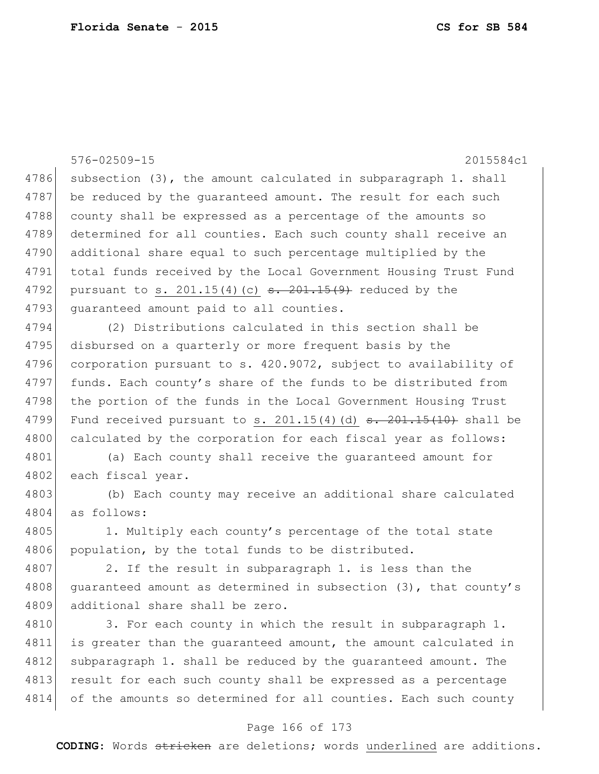576-02509-15 2015584c1  $4786$  subsection (3), the amount calculated in subparagraph 1. shall 4787 be reduced by the quaranteed amount. The result for each such 4788 county shall be expressed as a percentage of the amounts so 4789 determined for all counties. Each such county shall receive an 4790 additional share equal to such percentage multiplied by the 4791 total funds received by the Local Government Housing Trust Fund 4792 pursuant to s. 201.15(4)(c)  $s. 201.15(9)$  reduced by the 4793 guaranteed amount paid to all counties. 4794 (2) Distributions calculated in this section shall be 4795 disbursed on a quarterly or more frequent basis by the 4796 corporation pursuant to s. 420.9072, subject to availability of 4797 funds. Each county's share of the funds to be distributed from 4798 the portion of the funds in the Local Government Housing Trust 4799 Fund received pursuant to s. 201.15(4)(d)  $\frac{1}{15}$  +  $\frac{1}{15}$  +  $\frac{1}{10}$  shall be 4800 calculated by the corporation for each fiscal year as follows: 4801 (a) Each county shall receive the guaranteed amount for 4802 each fiscal year. 4803 (b) Each county may receive an additional share calculated 4804 as follows: 4805 1. Multiply each county's percentage of the total state 4806 population, by the total funds to be distributed. 4807 2. If the result in subparagraph 1. is less than the 4808 guaranteed amount as determined in subsection (3), that county's 4809 additional share shall be zero. 4810 3. For each county in which the result in subparagraph 1. 4811 is greater than the guaranteed amount, the amount calculated in 4812 subparagraph 1. shall be reduced by the quaranteed amount. The 4813 result for each such county shall be expressed as a percentage 4814 of the amounts so determined for all counties. Each such county

## Page 166 of 173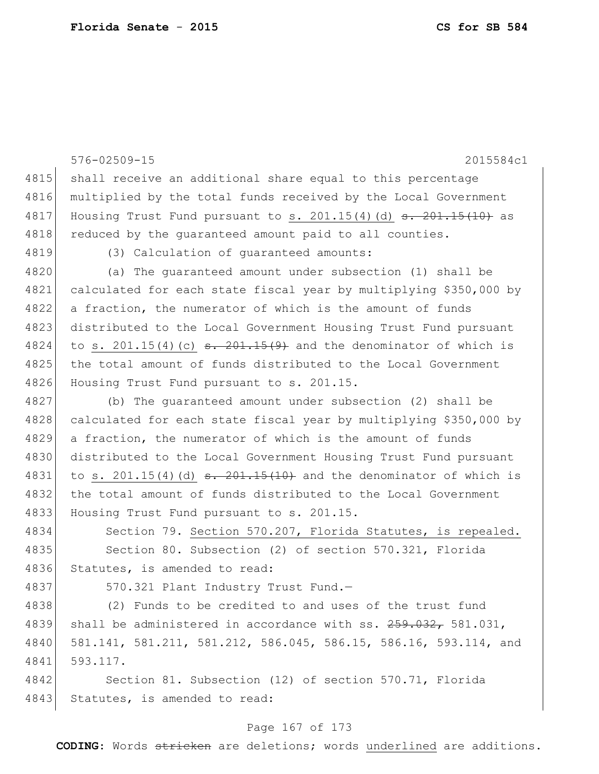|      | 576-02509-15<br>2015584c1                                                                   |
|------|---------------------------------------------------------------------------------------------|
| 4815 | shall receive an additional share equal to this percentage                                  |
| 4816 | multiplied by the total funds received by the Local Government                              |
| 4817 | Housing Trust Fund pursuant to s. $201.15(4)$ (d) $\overline{\phantom{0}5.201.15(10)}$ as   |
| 4818 | reduced by the guaranteed amount paid to all counties.                                      |
| 4819 | (3) Calculation of quaranteed amounts:                                                      |
| 4820 | (a) The quaranteed amount under subsection (1) shall be                                     |
| 4821 | calculated for each state fiscal year by multiplying \$350,000 by                           |
| 4822 | a fraction, the numerator of which is the amount of funds                                   |
| 4823 | distributed to the Local Government Housing Trust Fund pursuant                             |
| 4824 | to s. $201.15(4)$ (c) $\frac{1}{201.15(9)}$ and the denominator of which is                 |
| 4825 | the total amount of funds distributed to the Local Government                               |
| 4826 | Housing Trust Fund pursuant to s. 201.15.                                                   |
| 4827 | (b) The quaranteed amount under subsection (2) shall be                                     |
| 4828 | calculated for each state fiscal year by multiplying \$350,000 by                           |
| 4829 | a fraction, the numerator of which is the amount of funds                                   |
| 4830 | distributed to the Local Government Housing Trust Fund pursuant                             |
| 4831 | to s. 201.15(4) (d) $\frac{1}{2}$ $\frac{201.15(10)}{1000}$ and the denominator of which is |
| 4832 | the total amount of funds distributed to the Local Government                               |
| 4833 | Housing Trust Fund pursuant to s. 201.15.                                                   |
| 4834 | Section 79. Section 570.207, Florida Statutes, is repealed.                                 |
| 4835 | Section 80. Subsection (2) of section 570.321, Florida                                      |
| 4836 | Statutes, is amended to read:                                                               |
| 4837 | 570.321 Plant Industry Trust Fund.-                                                         |
| 4838 | (2) Funds to be credited to and uses of the trust fund                                      |
| 4839 | shall be administered in accordance with ss. 259.032, 581.031,                              |
| 4840 | 581.141, 581.211, 581.212, 586.045, 586.15, 586.16, 593.114, and                            |
| 4841 | 593.117.                                                                                    |
| 4842 | Section 81. Subsection (12) of section 570.71, Florida                                      |
| 4843 | Statutes, is amended to read:                                                               |

# Page 167 of 173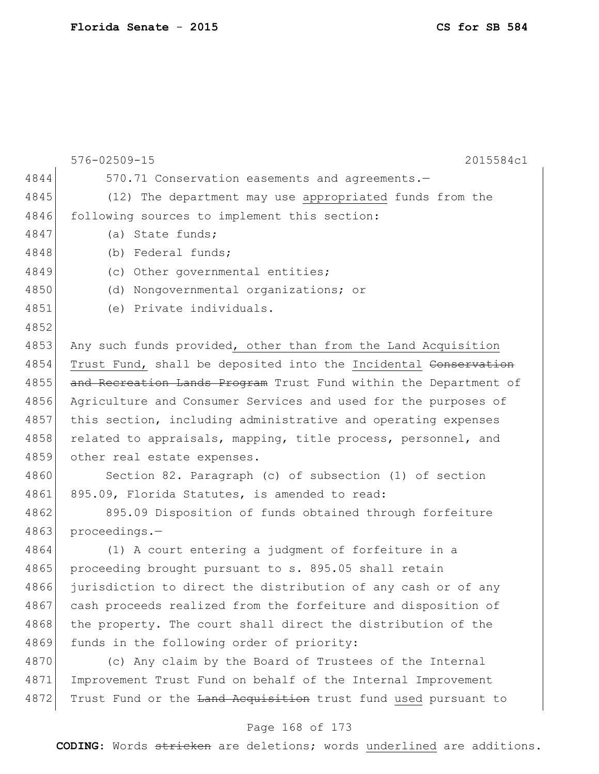576-02509-15 2015584c1 4844 570.71 Conservation easements and agreements.— 4845 (12) The department may use appropriated funds from the 4846 following sources to implement this section: 4847 (a) State funds; 4848 (b) Federal funds; 4849 (c) Other governmental entities; 4850 (d) Nongovernmental organizations; or 4851 (e) Private individuals. 4852 4853 Any such funds provided, other than from the Land Acquisition 4854 Trust Fund, shall be deposited into the Incidental Conservation 4855 and Recreation Lands Program Trust Fund within the Department of 4856 Agriculture and Consumer Services and used for the purposes of 4857 this section, including administrative and operating expenses 4858 related to appraisals, mapping, title process, personnel, and 4859 other real estate expenses. 4860 Section 82. Paragraph (c) of subsection (1) of section 4861 895.09, Florida Statutes, is amended to read: 4862 895.09 Disposition of funds obtained through forfeiture 4863 proceedings.— 4864 (1) A court entering a judgment of forfeiture in a 4865 proceeding brought pursuant to s. 895.05 shall retain 4866 jurisdiction to direct the distribution of any cash or of any 4867 cash proceeds realized from the forfeiture and disposition of 4868 the property. The court shall direct the distribution of the 4869 funds in the following order of priority: 4870 (c) Any claim by the Board of Trustees of the Internal 4871 Improvement Trust Fund on behalf of the Internal Improvement 4872 Trust Fund or the Land Acquisition trust fund used pursuant to

## Page 168 of 173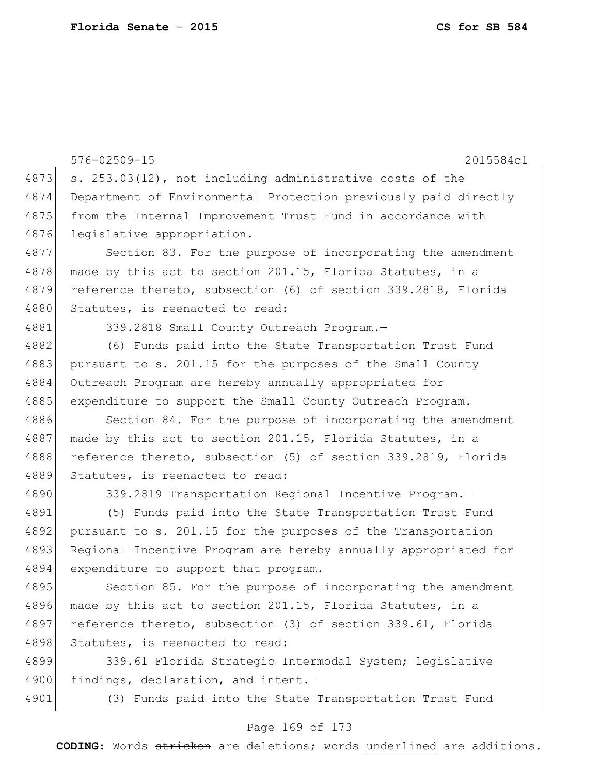576-02509-15 2015584c1 4873 s. 253.03(12), not including administrative costs of the 4874 Department of Environmental Protection previously paid directly 4875 from the Internal Improvement Trust Fund in accordance with 4876 legislative appropriation. 4877 Section 83. For the purpose of incorporating the amendment 4878 made by this act to section 201.15, Florida Statutes, in a 4879 reference thereto, subsection (6) of section 339.2818, Florida 4880 Statutes, is reenacted to read: 4881 339.2818 Small County Outreach Program.-4882 (6) Funds paid into the State Transportation Trust Fund 4883 pursuant to s. 201.15 for the purposes of the Small County 4884 Outreach Program are hereby annually appropriated for 4885 expenditure to support the Small County Outreach Program. 4886 Section 84. For the purpose of incorporating the amendment 4887 made by this act to section 201.15, Florida Statutes, in a 4888 reference thereto, subsection (5) of section 339.2819, Florida 4889 Statutes, is reenacted to read: 4890 339.2819 Transportation Regional Incentive Program.-4891 (5) Funds paid into the State Transportation Trust Fund 4892 pursuant to s. 201.15 for the purposes of the Transportation 4893 Regional Incentive Program are hereby annually appropriated for 4894 expenditure to support that program. 4895 Section 85. For the purpose of incorporating the amendment 4896 made by this act to section 201.15, Florida Statutes, in a

4897 reference thereto, subsection (3) of section 339.61, Florida 4898 Statutes, is reenacted to read:

4899 339.61 Florida Strategic Intermodal System; legislative 4900 findings, declaration, and intent.-

4901 (3) Funds paid into the State Transportation Trust Fund

## Page 169 of 173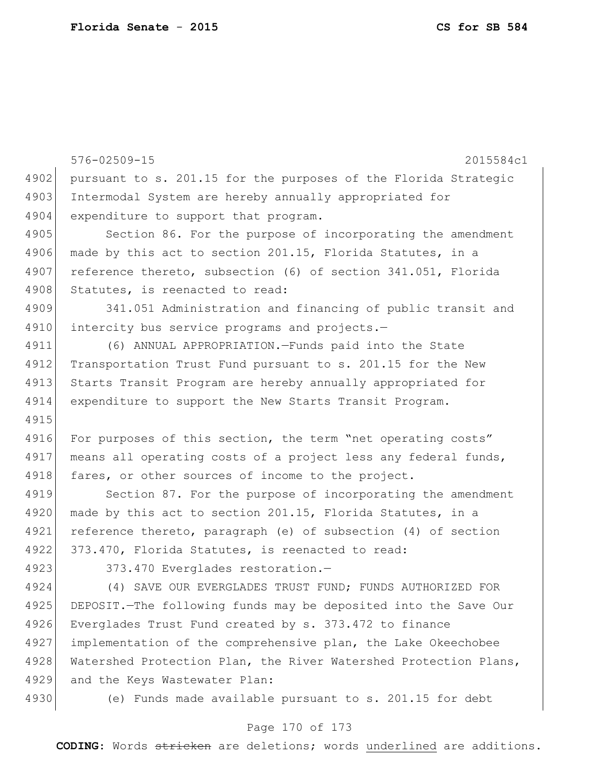576-02509-15 2015584c1 4902 pursuant to s. 201.15 for the purposes of the Florida Strategic 4903 Intermodal System are hereby annually appropriated for 4904 expenditure to support that program. 4905 Section 86. For the purpose of incorporating the amendment 4906 made by this act to section 201.15, Florida Statutes, in a 4907 reference thereto, subsection (6) of section 341.051, Florida 4908 Statutes, is reenacted to read: 4909 341.051 Administration and financing of public transit and 4910 intercity bus service programs and projects.-4911 (6) ANNUAL APPROPRIATION.—Funds paid into the State 4912 Transportation Trust Fund pursuant to s. 201.15 for the New 4913 Starts Transit Program are hereby annually appropriated for 4914 expenditure to support the New Starts Transit Program. 4915 4916 For purposes of this section, the term "net operating costs" 4917 means all operating costs of a project less any federal funds, 4918 fares, or other sources of income to the project. 4919 Section 87. For the purpose of incorporating the amendment 4920 made by this act to section 201.15, Florida Statutes, in a 4921 reference thereto, paragraph (e) of subsection (4) of section 4922 373.470, Florida Statutes, is reenacted to read: 4923 373.470 Everglades restoration.-4924 (4) SAVE OUR EVERGLADES TRUST FUND; FUNDS AUTHORIZED FOR 4925 DEPOSIT.—The following funds may be deposited into the Save Our 4926 Everglades Trust Fund created by s. 373.472 to finance 4927 implementation of the comprehensive plan, the Lake Okeechobee

4928 Watershed Protection Plan, the River Watershed Protection Plans, 4929 and the Keys Wastewater Plan:

4930 (e) Funds made available pursuant to s. 201.15 for debt

## Page 170 of 173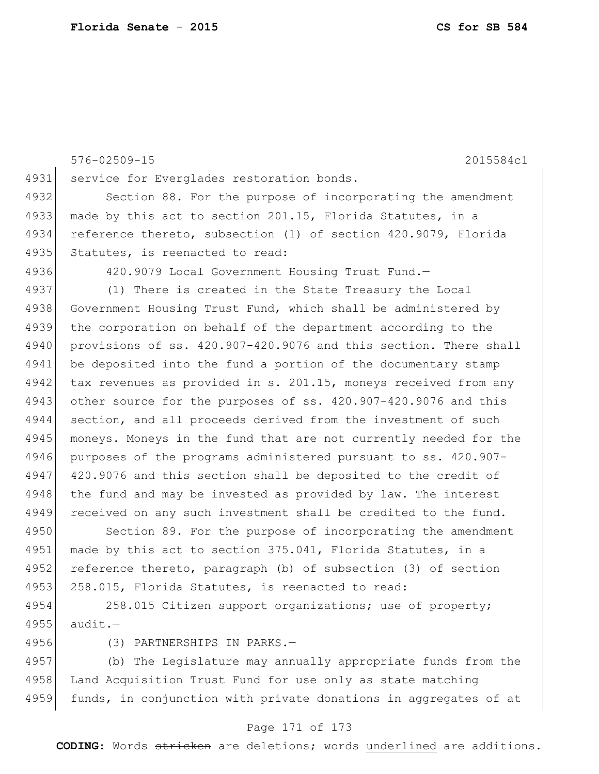576-02509-15 2015584c1 4931 service for Everglades restoration bonds. 4932 Section 88. For the purpose of incorporating the amendment 4933 made by this act to section 201.15, Florida Statutes, in a 4934 reference thereto, subsection (1) of section 420.9079, Florida 4935 Statutes, is reenacted to read: 4936 420.9079 Local Government Housing Trust Fund.— 4937 (1) There is created in the State Treasury the Local 4938 Government Housing Trust Fund, which shall be administered by 4939 the corporation on behalf of the department according to the 4940 provisions of ss. 420.907-420.9076 and this section. There shall 4941 be deposited into the fund a portion of the documentary stamp 4942 tax revenues as provided in s. 201.15, moneys received from any 4943 other source for the purposes of ss. 420.907-420.9076 and this 4944 section, and all proceeds derived from the investment of such 4945 moneys. Moneys in the fund that are not currently needed for the 4946 purposes of the programs administered pursuant to ss. 420.907- 4947 420.9076 and this section shall be deposited to the credit of 4948 the fund and may be invested as provided by law. The interest 4949 received on any such investment shall be credited to the fund. 4950 Section 89. For the purpose of incorporating the amendment 4951 made by this act to section 375.041, Florida Statutes, in a

4952 reference thereto, paragraph (b) of subsection (3) of section 4953 258.015, Florida Statutes, is reenacted to read:

4954 258.015 Citizen support organizations; use of property; 4955 audit.—

4956 (3) PARTNERSHIPS IN PARKS.—

4957 (b) The Legislature may annually appropriate funds from the 4958 Land Acquisition Trust Fund for use only as state matching 4959 funds, in conjunction with private donations in aggregates of at

## Page 171 of 173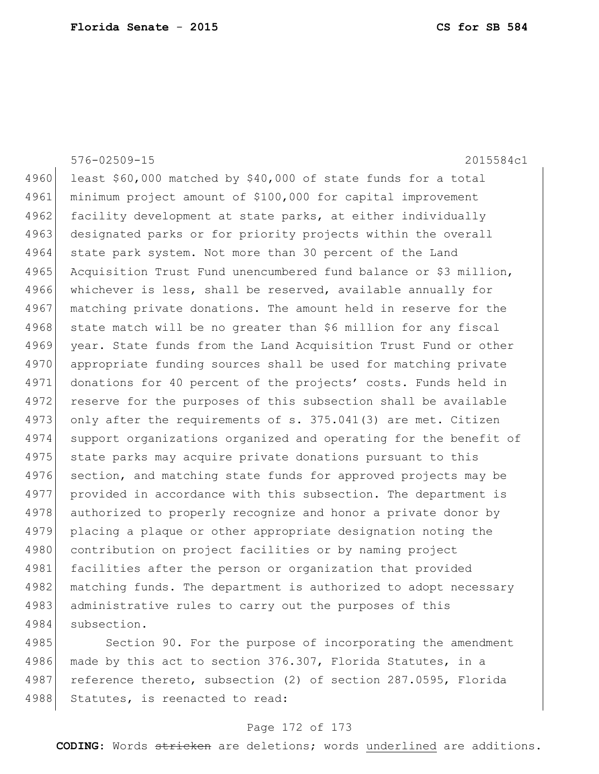|      | $576 - 02509 - 15$<br>2015584c1                                  |
|------|------------------------------------------------------------------|
| 4960 | least \$60,000 matched by \$40,000 of state funds for a total    |
| 4961 | minimum project amount of \$100,000 for capital improvement      |
| 4962 | facility development at state parks, at either individually      |
| 4963 | designated parks or for priority projects within the overall     |
| 4964 | state park system. Not more than 30 percent of the Land          |
| 4965 | Acquisition Trust Fund unencumbered fund balance or \$3 million, |
| 4966 | whichever is less, shall be reserved, available annually for     |
| 4967 | matching private donations. The amount held in reserve for the   |
| 4968 | state match will be no greater than \$6 million for any fiscal   |
| 4969 | year. State funds from the Land Acquisition Trust Fund or other  |
| 4970 | appropriate funding sources shall be used for matching private   |
| 4971 | donations for 40 percent of the projects' costs. Funds held in   |
| 4972 | reserve for the purposes of this subsection shall be available   |
| 4973 | only after the requirements of s. 375.041(3) are met. Citizen    |
| 4974 | support organizations organized and operating for the benefit of |
| 4975 | state parks may acquire private donations pursuant to this       |
| 4976 | section, and matching state funds for approved projects may be   |
| 4977 | provided in accordance with this subsection. The department is   |
| 4978 | authorized to properly recognize and honor a private donor by    |
| 4979 | placing a plaque or other appropriate designation noting the     |
| 4980 | contribution on project facilities or by naming project          |
| 4981 | facilities after the person or organization that provided        |
| 4982 | matching funds. The department is authorized to adopt necessary  |
| 4983 | administrative rules to carry out the purposes of this           |
| 4984 | subsection.                                                      |
| 4985 | Section 90. For the purpose of incorporating the amendment       |

4986 made by this act to section 376.307, Florida Statutes, in a 4987 reference thereto, subsection (2) of section 287.0595, Florida 4988 Statutes, is reenacted to read:

## Page 172 of 173